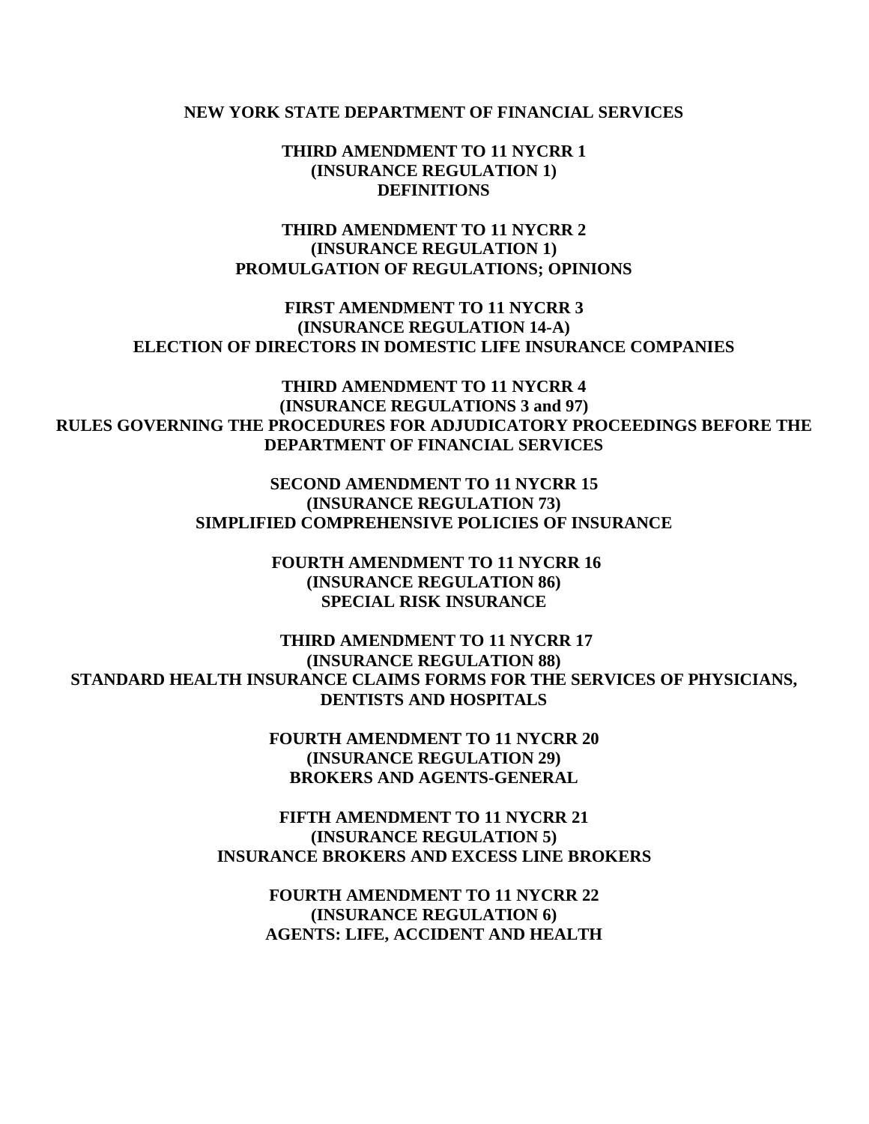#### **NEW YORK STATE DEPARTMENT OF FINANCIAL SERVICES**

 **THIRD AMENDMENT TO 11 NYCRR 1 (INSURANCE REGULATION 1) DEFINITIONS** 

 **THIRD AMENDMENT TO 11 NYCRR 2 PROMULGATION OF REGULATIONS; OPINIONS (INSURANCE REGULATION 1)** 

 **FIRST AMENDMENT TO 11 NYCRR 3 (INSURANCE REGULATION 14-A) ELECTION OF DIRECTORS IN DOMESTIC LIFE INSURANCE COMPANIES** 

 **THIRD AMENDMENT TO 11 NYCRR 4 (INSURANCE REGULATIONS 3 and 97) RULES GOVERNING THE PROCEDURES FOR ADJUDICATORY PROCEEDINGS BEFORE THE DEPARTMENT OF FINANCIAL SERVICES** 

> **SECOND AMENDMENT TO 11 NYCRR 15 SIMPLIFIED COMPREHENSIVE POLICIES OF INSURANCE (INSURANCE REGULATION 73)**

> > **FOURTH AMENDMENT TO 11 NYCRR 16 (INSURANCE REGULATION 86) SPECIAL RISK INSURANCE**

 **THIRD AMENDMENT TO 11 NYCRR 17 STANDARD HEALTH INSURANCE CLAIMS FORMS FOR THE SERVICES OF PHYSICIANS, (INSURANCE REGULATION 88) DENTISTS AND HOSPITALS** 

> **FOURTH AMENDMENT TO 11 NYCRR 20 (INSURANCE REGULATION 29) BROKERS AND AGENTS-GENERAL**

 **FIFTH AMENDMENT TO 11 NYCRR 21 INSURANCE BROKERS AND EXCESS LINE BROKERS (INSURANCE REGULATION 5)** 

 **FOURTH AMENDMENT TO 11 NYCRR 22 AGENTS: LIFE, ACCIDENT AND HEALTH (INSURANCE REGULATION 6)**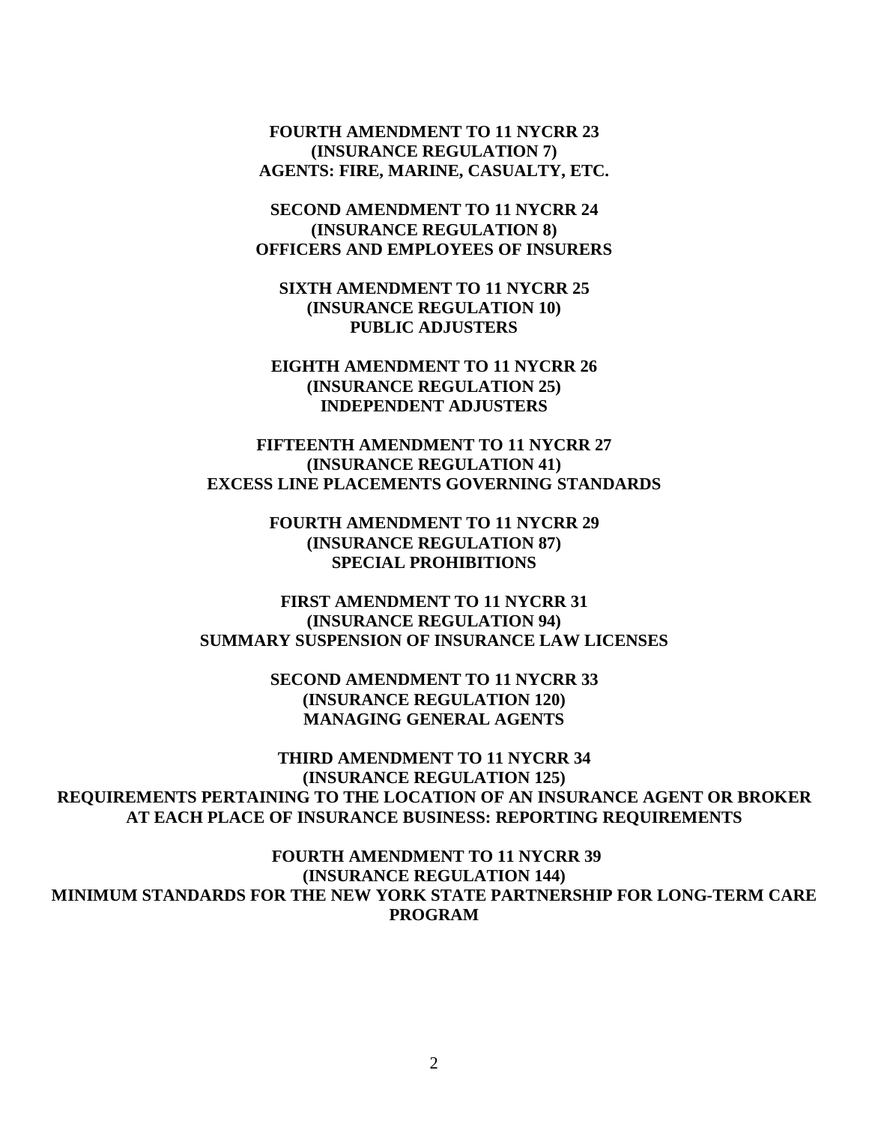**FOURTH AMENDMENT TO 11 NYCRR 23 AGENTS: FIRE, MARINE, CASUALTY, ETC. (INSURANCE REGULATION 7)** 

 **SECOND AMENDMENT TO 11 NYCRR 24 OFFICERS AND EMPLOYEES OF INSURERS (INSURANCE REGULATION 8)** 

 **SIXTH AMENDMENT TO 11 NYCRR 25 (INSURANCE REGULATION 10) PUBLIC ADJUSTERS** 

 **EIGHTH AMENDMENT TO 11 NYCRR 26 (INSURANCE REGULATION 25) INDEPENDENT ADJUSTERS** 

 **FIFTEENTH AMENDMENT TO 11 NYCRR 27 EXCESS LINE PLACEMENTS GOVERNING STANDARDS (INSURANCE REGULATION 41)** 

> **FOURTH AMENDMENT TO 11 NYCRR 29 (INSURANCE REGULATION 87) SPECIAL PROHIBITIONS**

 **FIRST AMENDMENT TO 11 NYCRR 31 SUMMARY SUSPENSION OF INSURANCE LAW LICENSES (INSURANCE REGULATION 94)** 

> **SECOND AMENDMENT TO 11 NYCRR 33 MANAGING GENERAL AGENTS (INSURANCE REGULATION 120)**

 **THIRD AMENDMENT TO 11 NYCRR 34 REQUIREMENTS PERTAINING TO THE LOCATION OF AN INSURANCE AGENT OR BROKER AT EACH PLACE OF INSURANCE BUSINESS: REPORTING REQUIREMENTS (INSURANCE REGULATION 125)** 

 **FOURTH AMENDMENT TO 11 NYCRR 39 MINIMUM STANDARDS FOR THE NEW YORK STATE PARTNERSHIP FOR LONG-TERM CARE (INSURANCE REGULATION 144) PROGRAM**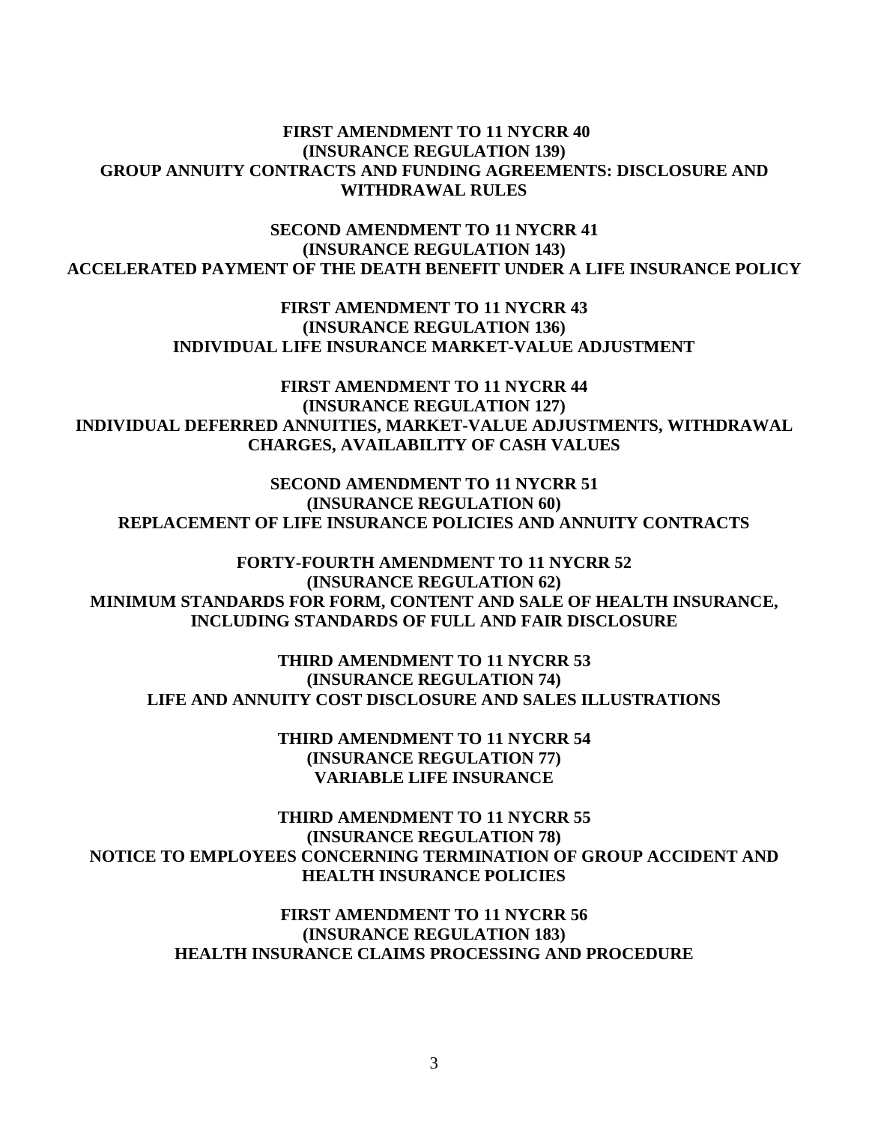## **FIRST AMENDMENT TO 11 NYCRR 40 WITHDRAWAL RULES (INSURANCE REGULATION 139) GROUP ANNUITY CONTRACTS AND FUNDING AGREEMENTS: DISCLOSURE AND**

 **SECOND AMENDMENT TO 11 NYCRR 41 ACCELERATED PAYMENT OF THE DEATH BENEFIT UNDER A LIFE INSURANCE POLICY (INSURANCE REGULATION 143)** 

> **FIRST AMENDMENT TO 11 NYCRR 43 INDIVIDUAL LIFE INSURANCE MARKET-VALUE ADJUSTMENT (INSURANCE REGULATION 136)**

 **FIRST AMENDMENT TO 11 NYCRR 44 CHARGES, AVAILABILITY OF CASH VALUES (INSURANCE REGULATION 127) INDIVIDUAL DEFERRED ANNUITIES, MARKET-VALUE ADJUSTMENTS, WITHDRAWAL** 

 **SECOND AMENDMENT TO 11 NYCRR 51 REPLACEMENT OF LIFE INSURANCE POLICIES AND ANNUITY CONTRACTS (INSURANCE REGULATION 60)** 

 **FORTY-FOURTH AMENDMENT TO 11 NYCRR 52 MINIMUM STANDARDS FOR FORM, CONTENT AND SALE OF HEALTH INSURANCE, INCLUDING STANDARDS OF FULL AND FAIR DISCLOSURE (INSURANCE REGULATION 62)** 

 **THIRD AMENDMENT TO 11 NYCRR 53 (INSURANCE REGULATION 74) LIFE AND ANNUITY COST DISCLOSURE AND SALES ILLUSTRATIONS** 

> **THIRD AMENDMENT TO 11 NYCRR 54 VARIABLE LIFE INSURANCE (INSURANCE REGULATION 77)**

 **THIRD AMENDMENT TO 11 NYCRR 55 NOTICE TO EMPLOYEES CONCERNING TERMINATION OF GROUP ACCIDENT AND HEALTH INSURANCE POLICIES (INSURANCE REGULATION 78)** 

> **FIRST AMENDMENT TO 11 NYCRR 56 HEALTH INSURANCE CLAIMS PROCESSING AND PROCEDURE (INSURANCE REGULATION 183)**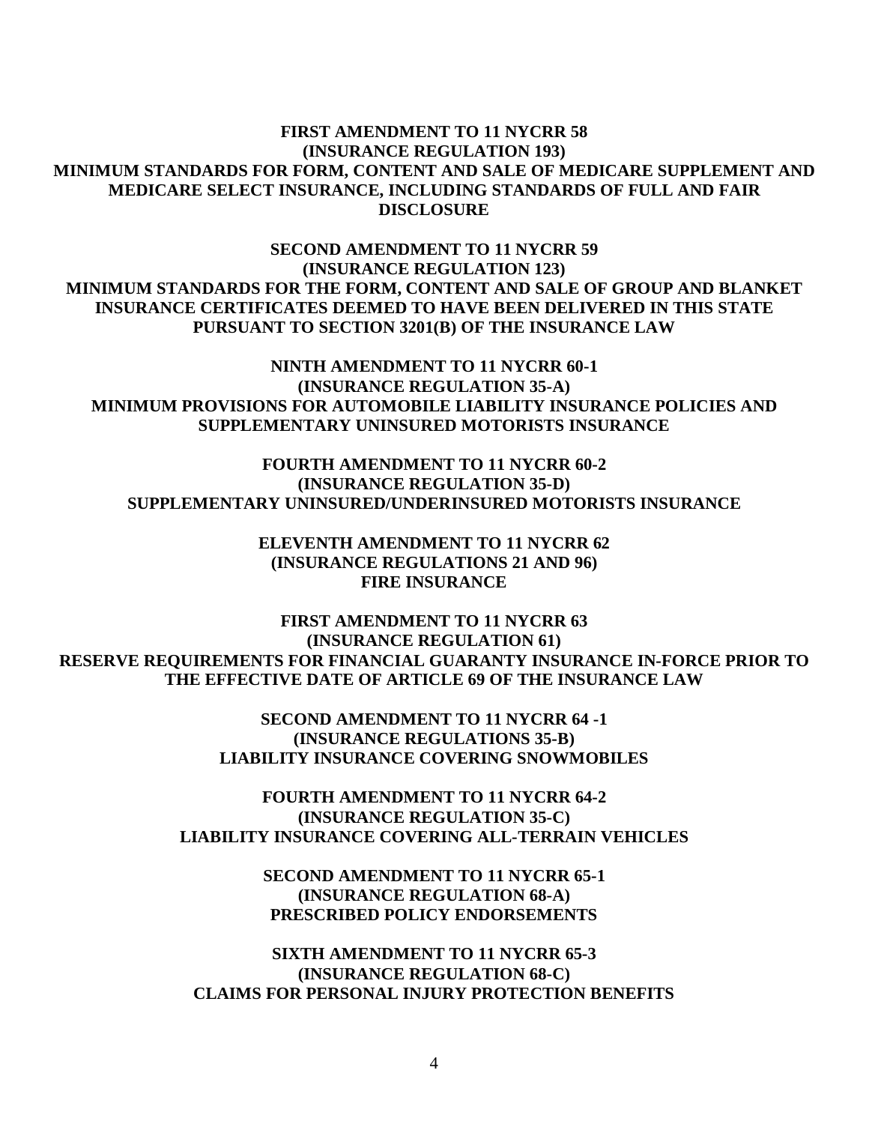## **FIRST AMENDMENT TO 11 NYCRR 58 MINIMUM STANDARDS FOR FORM, CONTENT AND SALE OF MEDICARE SUPPLEMENT AND MEDICARE SELECT INSURANCE, INCLUDING STANDARDS OF FULL AND FAIR (INSURANCE REGULATION 193) DISCLOSURE**

 **SECOND AMENDMENT TO 11 NYCRR 59 (INSURANCE REGULATION 123) MINIMUM STANDARDS FOR THE FORM, CONTENT AND SALE OF GROUP AND BLANKET INSURANCE CERTIFICATES DEEMED TO HAVE BEEN DELIVERED IN THIS STATE PURSUANT TO SECTION 3201(B) OF THE INSURANCE LAW** 

 **NINTH AMENDMENT TO 11 NYCRR 60-1 (INSURANCE REGULATION 35-A) MINIMUM PROVISIONS FOR AUTOMOBILE LIABILITY INSURANCE POLICIES AND SUPPLEMENTARY UNINSURED MOTORISTS INSURANCE** 

 **FOURTH AMENDMENT TO 11 NYCRR 60-2 (INSURANCE REGULATION 35-D) SUPPLEMENTARY UNINSURED/UNDERINSURED MOTORISTS INSURANCE** 

> **ELEVENTH AMENDMENT TO 11 NYCRR 62 (INSURANCE REGULATIONS 21 AND 96) FIRE INSURANCE**

 **FIRST AMENDMENT TO 11 NYCRR 63 RESERVE REQUIREMENTS FOR FINANCIAL GUARANTY INSURANCE IN-FORCE PRIOR TO THE EFFECTIVE DATE OF ARTICLE 69 OF THE INSURANCE LAW (INSURANCE REGULATION 61)** 

> **SECOND AMENDMENT TO 11 NYCRR 64 -1 (INSURANCE REGULATIONS 35-B)**

 **LIABILITY INSURANCE COVERING SNOWMOBILES FOURTH AMENDMENT TO 11 NYCRR 64-2 FOURTH AMENDMENT TO 11 NYCRR 64-2 (INSURANCE REGULATION 35-C) LIABILITY INSURANCE COVERING ALL-TERRAIN VEHICLES** 

> **SECOND AMENDMENT TO 11 NYCRR 65-1 (INSURANCE REGULATION 68-A) PRESCRIBED POLICY ENDORSEMENTS**

 **SIXTH AMENDMENT TO 11 NYCRR 65-3 (INSURANCE REGULATION 68-C) CLAIMS FOR PERSONAL INJURY PROTECTION BENEFITS**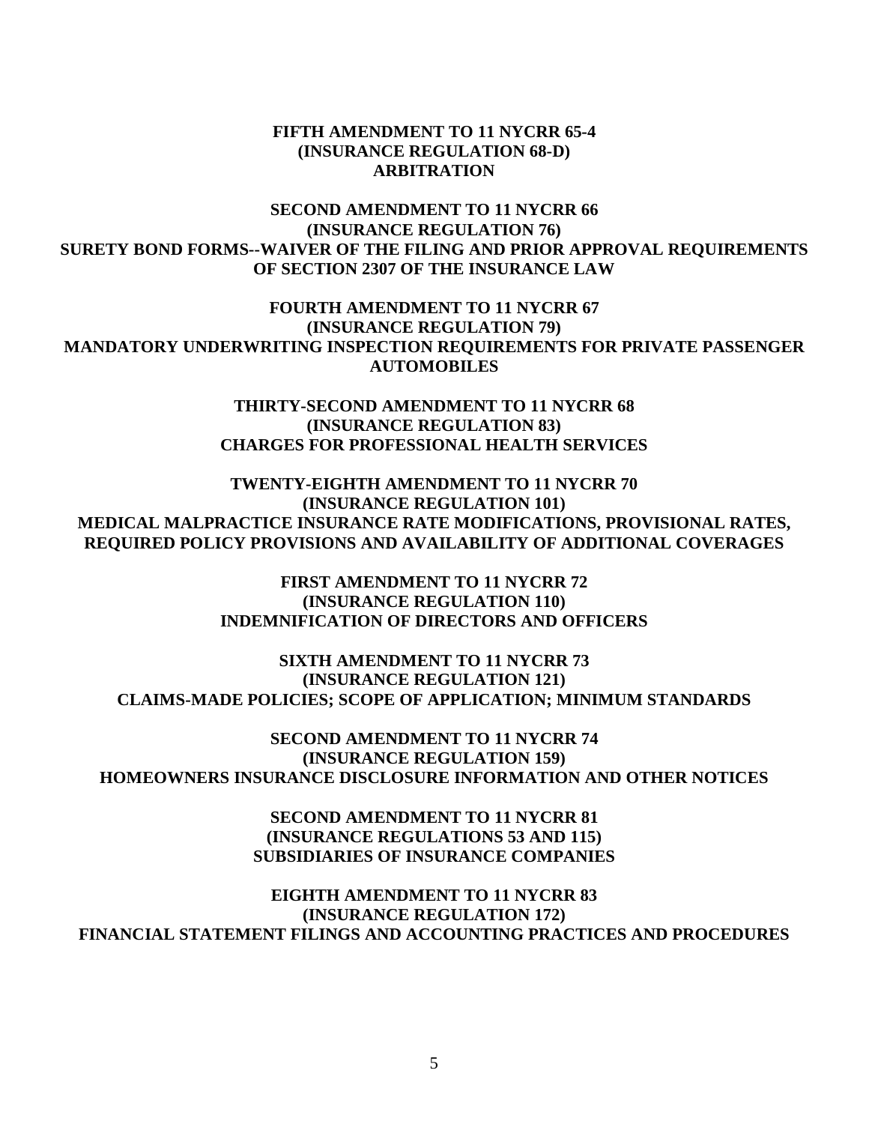### **FIFTH AMENDMENT TO 11 NYCRR 65-4 (INSURANCE REGULATION 68-D) ARBITRATION**

## **SECOND AMENDMENT TO 11 NYCRR 66 SURETY BOND FORMS--WAIVER OF THE FILING AND PRIOR APPROVAL REQUIREMENTS OF SECTION 2307 OF THE INSURANCE LAW (INSURANCE REGULATION 76)**

 **FOURTH AMENDMENT TO 11 NYCRR 67 (INSURANCE REGULATION 79) MANDATORY UNDERWRITING INSPECTION REQUIREMENTS FOR PRIVATE PASSENGER AUTOMOBILES** 

> **THIRTY-SECOND AMENDMENT TO 11 NYCRR 68 CHARGES FOR PROFESSIONAL HEALTH SERVICES (INSURANCE REGULATION 83)**

 **TWENTY-EIGHTH AMENDMENT TO 11 NYCRR 70 MEDICAL MALPRACTICE INSURANCE RATE MODIFICATIONS, PROVISIONAL RATES, (INSURANCE REGULATION 101) REQUIRED POLICY PROVISIONS AND AVAILABILITY OF ADDITIONAL COVERAGES** 

> **FIRST AMENDMENT TO 11 NYCRR 72 (INSURANCE REGULATION 110) INDEMNIFICATION OF DIRECTORS AND OFFICERS**

 **SIXTH AMENDMENT TO 11 NYCRR 73 CLAIMS-MADE POLICIES; SCOPE OF APPLICATION; MINIMUM STANDARDS (INSURANCE REGULATION 121)** 

 **SECOND AMENDMENT TO 11 NYCRR 74 (INSURANCE REGULATION 159) HOMEOWNERS INSURANCE DISCLOSURE INFORMATION AND OTHER NOTICES** 

> **SECOND AMENDMENT TO 11 NYCRR 81 SUBSIDIARIES OF INSURANCE COMPANIES (INSURANCE REGULATIONS 53 AND 115)**

 **EIGHTH AMENDMENT TO 11 NYCRR 83 FINANCIAL STATEMENT FILINGS AND ACCOUNTING PRACTICES AND PROCEDURES (INSURANCE REGULATION 172)**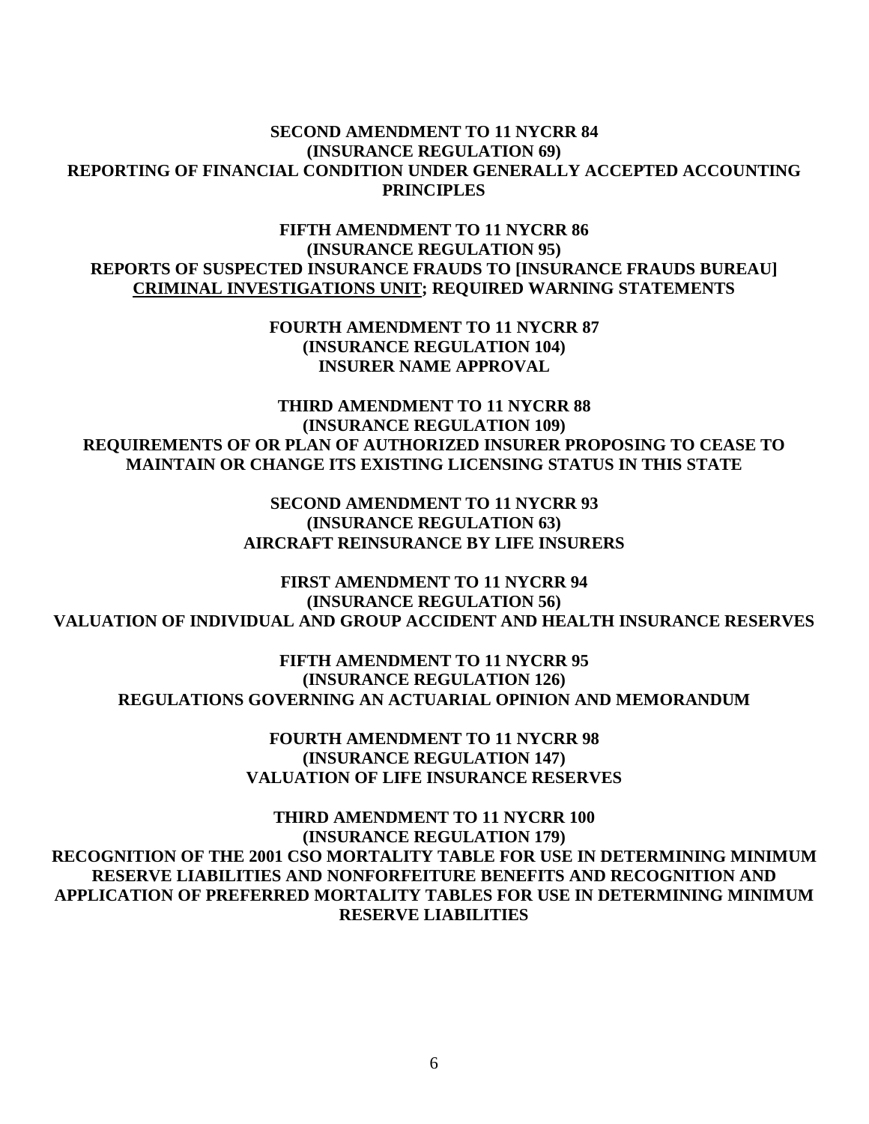### **SECOND AMENDMENT TO 11 NYCRR 84 REPORTING OF FINANCIAL CONDITION UNDER GENERALLY ACCEPTED ACCOUNTING (INSURANCE REGULATION 69) PRINCIPLES**

 **FIFTH AMENDMENT TO 11 NYCRR 86 (INSURANCE REGULATION 95) REPORTS OF SUSPECTED INSURANCE FRAUDS TO [INSURANCE FRAUDS BUREAU] CRIMINAL INVESTIGATIONS UNIT; REQUIRED WARNING STATEMENTS** 

> **FOURTH AMENDMENT TO 11 NYCRR 87 (INSURANCE REGULATION 104) INSURER NAME APPROVAL**

 **THIRD AMENDMENT TO 11 NYCRR 88 REQUIREMENTS OF OR PLAN OF AUTHORIZED INSURER PROPOSING TO CEASE TO MAINTAIN OR CHANGE ITS EXISTING LICENSING STATUS IN THIS STATE (INSURANCE REGULATION 109)** 

> **SECOND AMENDMENT TO 11 NYCRR 93 AIRCRAFT REINSURANCE BY LIFE INSURERS (INSURANCE REGULATION 63)**

 **FIRST AMENDMENT TO 11 NYCRR 94 (INSURANCE REGULATION 56) VALUATION OF INDIVIDUAL AND GROUP ACCIDENT AND HEALTH INSURANCE RESERVES** 

 **FIFTH AMENDMENT TO 11 NYCRR 95 (INSURANCE REGULATION 126) REGULATIONS GOVERNING AN ACTUARIAL OPINION AND MEMORANDUM** 

> **FOURTH AMENDMENT TO 11 NYCRR 98 VALUATION OF LIFE INSURANCE RESERVES (INSURANCE REGULATION 147)**

 **THIRD AMENDMENT TO 11 NYCRR 100 RECOGNITION OF THE 2001 CSO MORTALITY TABLE FOR USE IN DETERMINING MINIMUM RESERVE LIABILITIES AND NONFORFEITURE BENEFITS AND RECOGNITION AND APPLICATION OF PREFERRED MORTALITY TABLES FOR USE IN DETERMINING MINIMUM (INSURANCE REGULATION 179) RESERVE LIABILITIES**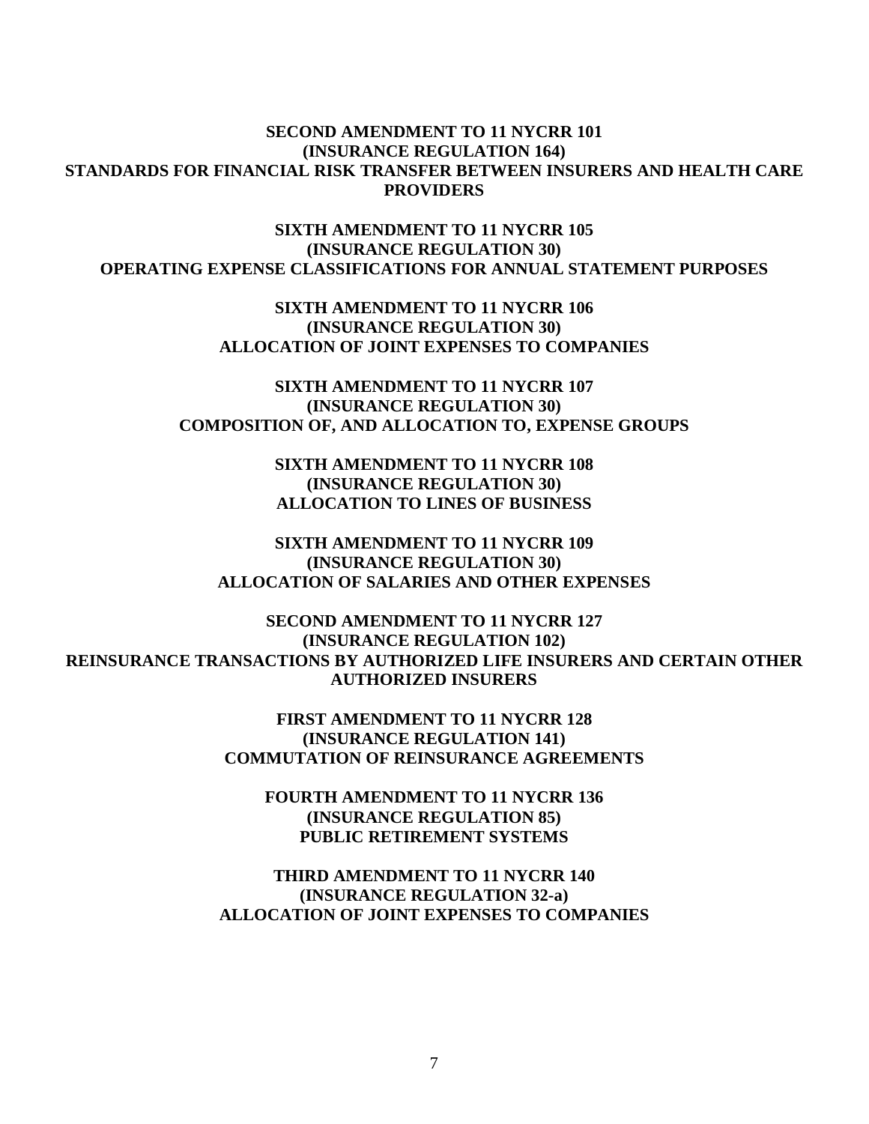### **SECOND AMENDMENT TO 11 NYCRR 101 STANDARDS FOR FINANCIAL RISK TRANSFER BETWEEN INSURERS AND HEALTH CARE (INSURANCE REGULATION 164) PROVIDERS**

 **SIXTH AMENDMENT TO 11 NYCRR 105 OPERATING EXPENSE CLASSIFICATIONS FOR ANNUAL STATEMENT PURPOSES (INSURANCE REGULATION 30)** 

> **SIXTH AMENDMENT TO 11 NYCRR 106 ALLOCATION OF JOINT EXPENSES TO COMPANIES (INSURANCE REGULATION 30)**

 **SIXTH AMENDMENT TO 11 NYCRR 107 COMPOSITION OF, AND ALLOCATION TO, EXPENSE GROUPS (INSURANCE REGULATION 30)** 

> **SIXTH AMENDMENT TO 11 NYCRR 108 ALLOCATION TO LINES OF BUSINESS (INSURANCE REGULATION 30)**

 **SIXTH AMENDMENT TO 11 NYCRR 109 (INSURANCE REGULATION 30) ALLOCATION OF SALARIES AND OTHER EXPENSES** 

 **SECOND AMENDMENT TO 11 NYCRR 127 (INSURANCE REGULATION 102) REINSURANCE TRANSACTIONS BY AUTHORIZED LIFE INSURERS AND CERTAIN OTHER AUTHORIZED INSURERS** 

> **FIRST AMENDMENT TO 11 NYCRR 128 (INSURANCE REGULATION 141) COMMUTATION OF REINSURANCE AGREEMENTS**

> > **FOURTH AMENDMENT TO 11 NYCRR 136 (INSURANCE REGULATION 85) PUBLIC RETIREMENT SYSTEMS**

 **THIRD AMENDMENT TO 11 NYCRR 140 ALLOCATION OF JOINT EXPENSES TO COMPANIES (INSURANCE REGULATION 32-a)**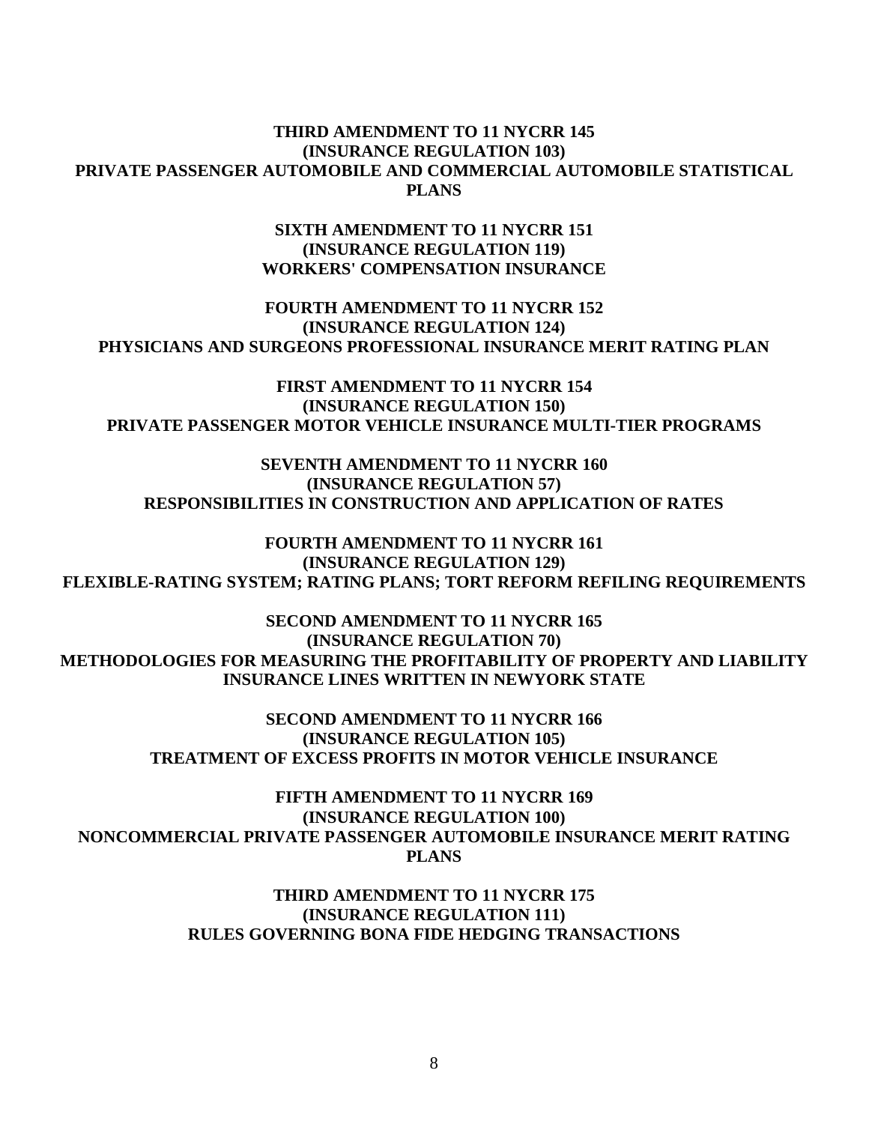### **THIRD AMENDMENT TO 11 NYCRR 145 (INSURANCE REGULATION 103) PRIVATE PASSENGER AUTOMOBILE AND COMMERCIAL AUTOMOBILE STATISTICAL PLANS**

### **SIXTH AMENDMENT TO 11 NYCRR 151 (INSURANCE REGULATION 119) WORKERS' COMPENSATION INSURANCE**

## **FOURTH AMENDMENT TO 11 NYCRR 152 (INSURANCE REGULATION 124) PHYSICIANS AND SURGEONS PROFESSIONAL INSURANCE MERIT RATING PLAN**

 **FIRST AMENDMENT TO 11 NYCRR 154 (INSURANCE REGULATION 150) PRIVATE PASSENGER MOTOR VEHICLE INSURANCE MULTI-TIER PROGRAMS** 

 **SEVENTH AMENDMENT TO 11 NYCRR 160 (INSURANCE REGULATION 57) RESPONSIBILITIES IN CONSTRUCTION AND APPLICATION OF RATES** 

 **FOURTH AMENDMENT TO 11 NYCRR 161 (INSURANCE REGULATION 129) FLEXIBLE-RATING SYSTEM; RATING PLANS; TORT REFORM REFILING REQUIREMENTS** 

 **SECOND AMENDMENT TO 11 NYCRR 165 (INSURANCE REGULATION 70) METHODOLOGIES FOR MEASURING THE PROFITABILITY OF PROPERTY AND LIABILITY INSURANCE LINES WRITTEN IN NEWYORK STATE** 

> **SECOND AMENDMENT TO 11 NYCRR 166 (INSURANCE REGULATION 105) TREATMENT OF EXCESS PROFITS IN MOTOR VEHICLE INSURANCE**

 **FIFTH AMENDMENT TO 11 NYCRR 169 (INSURANCE REGULATION 100) NONCOMMERCIAL PRIVATE PASSENGER AUTOMOBILE INSURANCE MERIT RATING PLANS** 

> **THIRD AMENDMENT TO 11 NYCRR 175 (INSURANCE REGULATION 111) RULES GOVERNING BONA FIDE HEDGING TRANSACTIONS**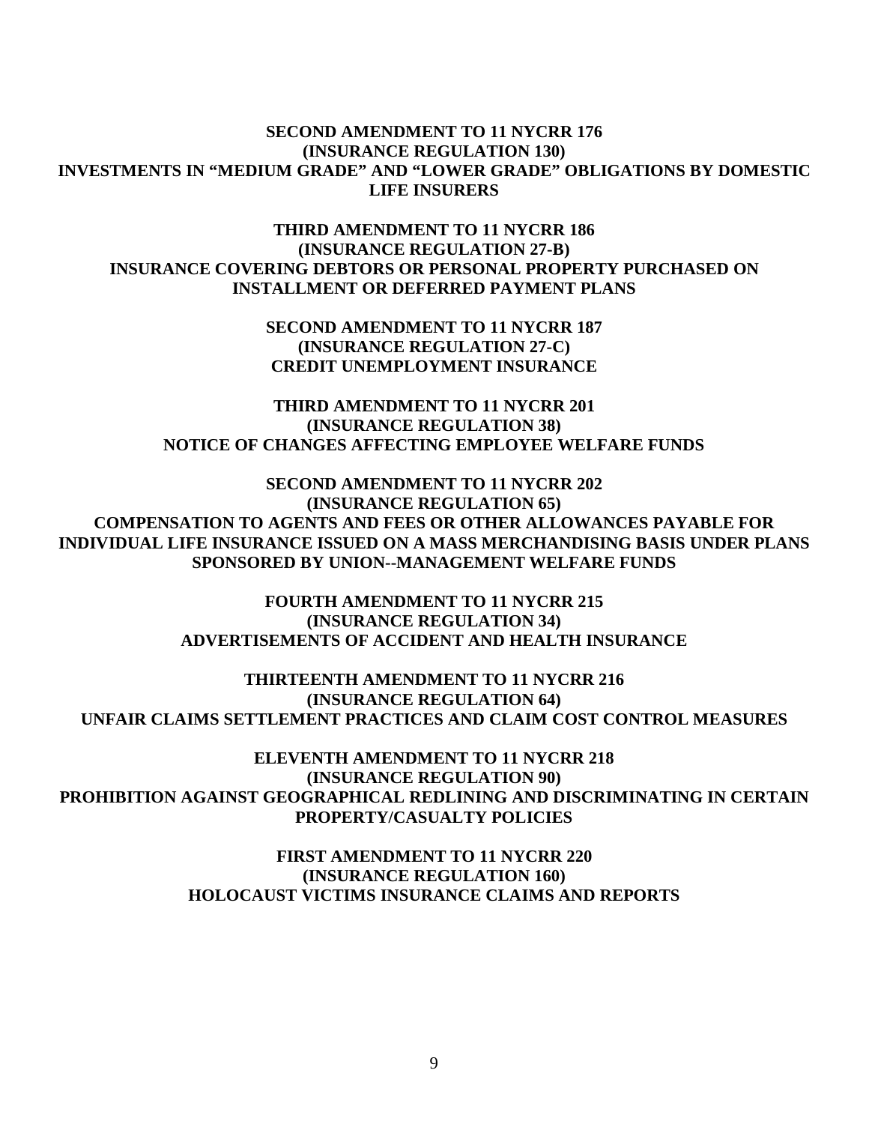### **SECOND AMENDMENT TO 11 NYCRR 176 (INSURANCE REGULATION 130) INVESTMENTS IN "MEDIUM GRADE" AND "LOWER GRADE" OBLIGATIONS BY DOMESTIC LIFE INSURERS**

# **THIRD AMENDMENT TO 11 NYCRR 186 (INSURANCE REGULATION 27-B) INSURANCE COVERING DEBTORS OR PERSONAL PROPERTY PURCHASED ON INSTALLMENT OR DEFERRED PAYMENT PLANS**

 **SECOND AMENDMENT TO 11 NYCRR 187 (INSURANCE REGULATION 27-C) CREDIT UNEMPLOYMENT INSURANCE** 

 **THIRD AMENDMENT TO 11 NYCRR 201 (INSURANCE REGULATION 38) NOTICE OF CHANGES AFFECTING EMPLOYEE WELFARE FUNDS** 

 **SECOND AMENDMENT TO 11 NYCRR 202 (INSURANCE REGULATION 65) COMPENSATION TO AGENTS AND FEES OR OTHER ALLOWANCES PAYABLE FOR INDIVIDUAL LIFE INSURANCE ISSUED ON A MASS MERCHANDISING BASIS UNDER PLANS SPONSORED BY UNION--MANAGEMENT WELFARE FUNDS** 

> **FOURTH AMENDMENT TO 11 NYCRR 215 (INSURANCE REGULATION 34) ADVERTISEMENTS OF ACCIDENT AND HEALTH INSURANCE**

 **THIRTEENTH AMENDMENT TO 11 NYCRR 216 UNFAIR CLAIMS SETTLEMENT PRACTICES AND CLAIM COST CONTROL MEASURES (INSURANCE REGULATION 64)** 

 **ELEVENTH AMENDMENT TO 11 NYCRR 218 (INSURANCE REGULATION 90) PROHIBITION AGAINST GEOGRAPHICAL REDLINING AND DISCRIMINATING IN CERTAIN PROPERTY/CASUALTY POLICIES** 

> **FIRST AMENDMENT TO 11 NYCRR 220 (INSURANCE REGULATION 160) HOLOCAUST VICTIMS INSURANCE CLAIMS AND REPORTS**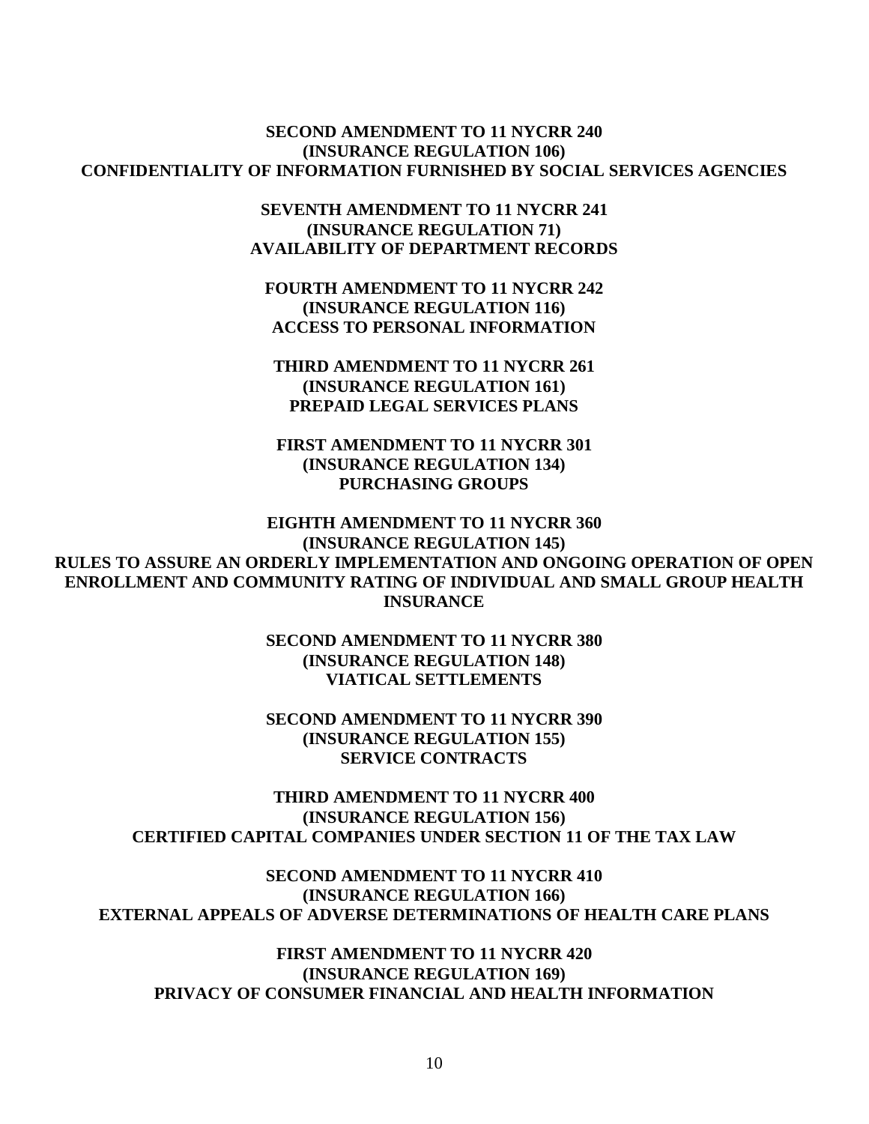# **SECOND AMENDMENT TO 11 NYCRR 240 (INSURANCE REGULATION 106) CONFIDENTIALITY OF INFORMATION FURNISHED BY SOCIAL SERVICES AGENCIES**

 **SEVENTH AMENDMENT TO 11 NYCRR 241 AVAILABILITY OF DEPARTMENT RECORDS (INSURANCE REGULATION 71)** 

 **FOURTH AMENDMENT TO 11 NYCRR 242 (INSURANCE REGULATION 116) ACCESS TO PERSONAL INFORMATION** 

 **THIRD AMENDMENT TO 11 NYCRR 261 (INSURANCE REGULATION 161) PREPAID LEGAL SERVICES PLANS** 

 **FIRST AMENDMENT TO 11 NYCRR 301 (INSURANCE REGULATION 134) PURCHASING GROUPS** 

 **EIGHTH AMENDMENT TO 11 NYCRR 360 (INSURANCE REGULATION 145) RULES TO ASSURE AN ORDERLY IMPLEMENTATION AND ONGOING OPERATION OF OPEN ENROLLMENT AND COMMUNITY RATING OF INDIVIDUAL AND SMALL GROUP HEALTH INSURANCE** 

> **SECOND AMENDMENT TO 11 NYCRR 380 (INSURANCE REGULATION 148) VIATICAL SETTLEMENTS**

> **SECOND AMENDMENT TO 11 NYCRR 390 (INSURANCE REGULATION 155) SERVICE CONTRACTS**

 **THIRD AMENDMENT TO 11 NYCRR 400 (INSURANCE REGULATION 156) CERTIFIED CAPITAL COMPANIES UNDER SECTION 11 OF THE TAX LAW** 

 **SECOND AMENDMENT TO 11 NYCRR 410 (INSURANCE REGULATION 166) EXTERNAL APPEALS OF ADVERSE DETERMINATIONS OF HEALTH CARE PLANS** 

 **FIRST AMENDMENT TO 11 NYCRR 420 (INSURANCE REGULATION 169) PRIVACY OF CONSUMER FINANCIAL AND HEALTH INFORMATION**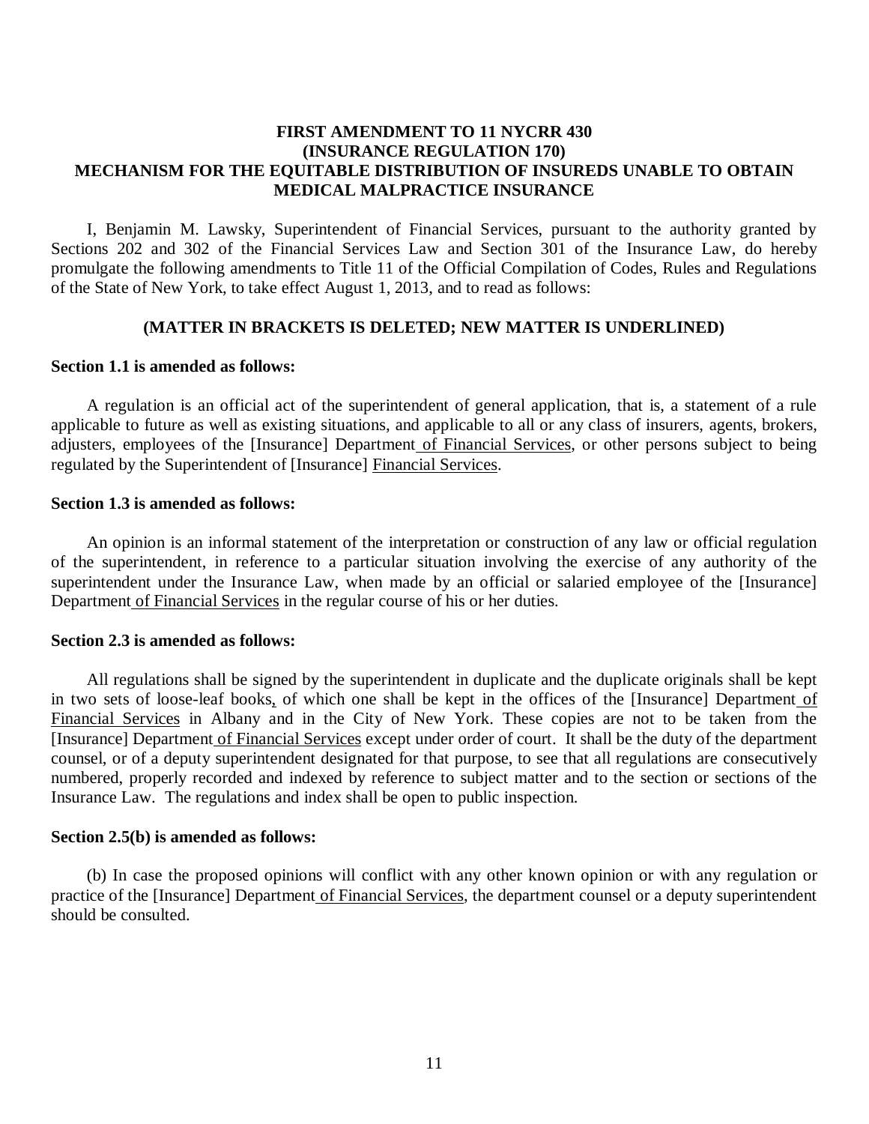### **FIRST AMENDMENT TO 11 NYCRR 430 MECHANISM FOR THE EQUITABLE DISTRIBUTION OF INSUREDS UNABLE TO OBTAIN (INSURANCE REGULATION 170) MEDICAL MALPRACTICE INSURANCE**

 Sections 202 and 302 of the Financial Services Law and Section 301 of the Insurance Law, do hereby promulgate the following amendments to Title 11 of the Official Compilation of Codes, Rules and Regulations of the State of New York, to take effect August 1, 2013, and to read as follows: I, Benjamin M. Lawsky, Superintendent of Financial Services, pursuant to the authority granted by

#### **(MATTER IN BRACKETS IS DELETED; NEW MATTER IS UNDERLINED)**

#### **Section 1.1 is amended as follows:**

 applicable to future as well as existing situations, and applicable to all or any class of insurers, agents, brokers, adjusters, employees of the [Insurance] Department of Financial Services, or other persons subject to being regulated by the Superintendent of [Insurance] Financial Services. A regulation is an official act of the superintendent of general application, that is, a statement of a rule

#### **Section 1.3 is amended as follows:**

 of the superintendent, in reference to a particular situation involving the exercise of any authority of the superintendent under the Insurance Law, when made by an official or salaried employee of the [Insurance] Department of Financial Services in the regular course of his or her duties. An opinion is an informal statement of the interpretation or construction of any law or official regulation

#### **Section 2.3 is amended as follows:**

in two sets of loose-leaf books, of which one shall be kept in the offices of the [Insurance] Department of Financial Services in Albany and in the City of New York. These copies are not to be taken from the [Insurance] Department of Financial Services except under order of court. It shall be the duty of the department counsel, or of a deputy superintendent designated for that purpose, to see that all regulations are consecutively numbered, properly recorded and indexed by reference to subject matter and to the section or sections of the Insurance Law. The regulations and index shall be open to public inspection. All regulations shall be signed by the superintendent in duplicate and the duplicate originals shall be kept

#### **Section 2.5(b) is amended as follows:**

practice of the [Insurance] Department of Financial Services, the department counsel or a deputy superintendent should be consulted. (b) In case the proposed opinions will conflict with any other known opinion or with any regulation or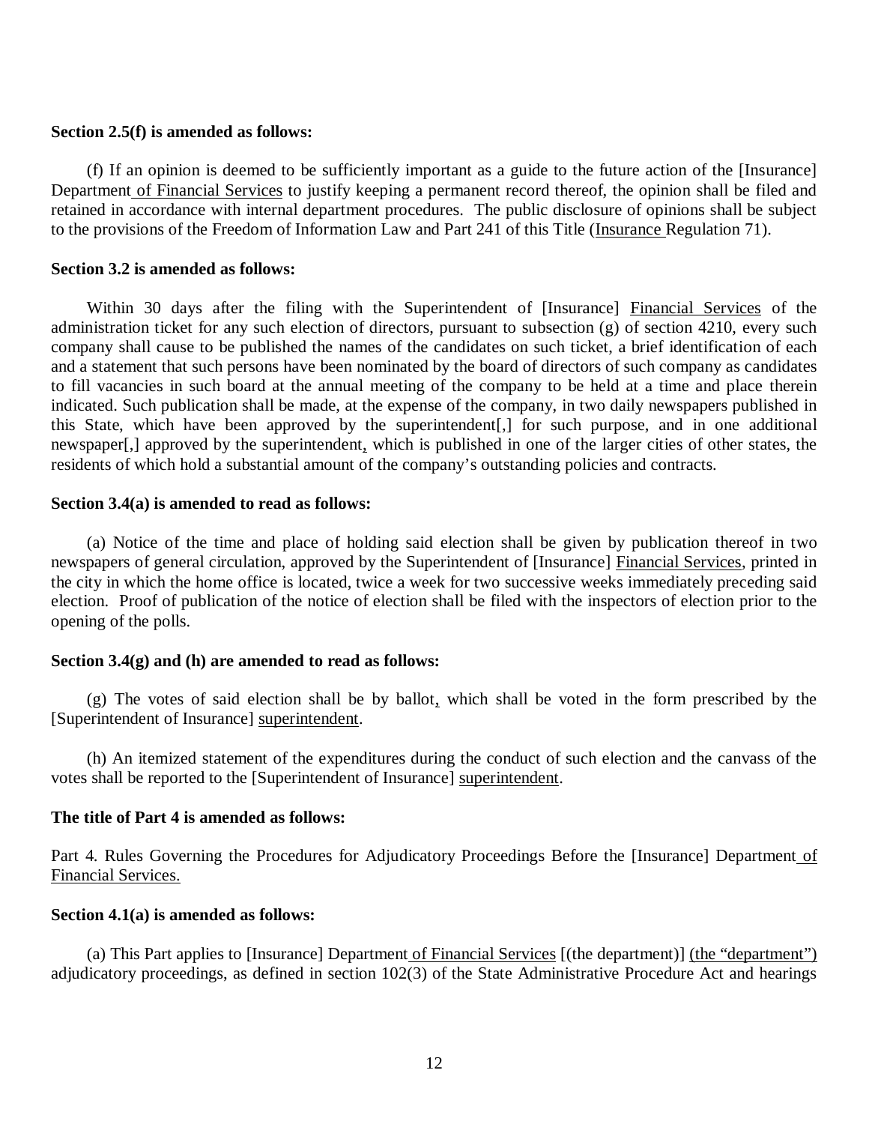#### **Section 2.5(f) is amended as follows:**

Department of Financial Services to justify keeping a permanent record thereof, the opinion shall be filed and retained in accordance with internal department procedures. The public disclosure of opinions shall be subject to the provisions of the Freedom of Information Law and Part 241 of this Title (Insurance Regulation 71). (f) If an opinion is deemed to be sufficiently important as a guide to the future action of the [Insurance]

## **Section 3.2 is amended as follows:**

Within 30 days after the filing with the Superintendent of [Insurance] Financial Services of the administration ticket for any such election of directors, pursuant to subsection (g) of section 4210, every such company shall cause to be published the names of the candidates on such ticket, a brief identification of each and a statement that such persons have been nominated by the board of directors of such company as candidates to fill vacancies in such board at the annual meeting of the company to be held at a time and place therein indicated. Such publication shall be made, at the expense of the company, in two daily newspapers published in this State, which have been approved by the superintendent[,] for such purpose, and in one additional newspaper[,] approved by the superintendent, which is published in one of the larger cities of other states, the residents of which hold a substantial amount of the company's outstanding policies and contracts.

#### **Section 3.4(a) is amended to read as follows:**

newspapers of general circulation, approved by the Superintendent of [Insurance] Financial Services, printed in the city in which the home office is located, twice a week for two successive weeks immediately preceding said election. Proof of publication of the notice of election shall be filed with the inspectors of election prior to the opening of the polls. (a) Notice of the time and place of holding said election shall be given by publication thereof in two

### **Section 3.4(g) and (h) are amended to read as follows:**

[Superintendent of Insurance] superintendent. (g) The votes of said election shall be by ballot, which shall be voted in the form prescribed by the

votes shall be reported to the [Superintendent of Insurance] superintendent. (h) An itemized statement of the expenditures during the conduct of such election and the canvass of the

#### **The title of Part 4 is amended as follows:**

Part 4. Rules Governing the Procedures for Adjudicatory Proceedings Before the [Insurance] Department of Financial Services.

#### **Section 4.1(a) is amended as follows:**

 adjudicatory proceedings, as defined in section 102(3) of the State Administrative Procedure Act and hearings (a) This Part applies to [Insurance] Department of Financial Services [(the department)] (the "department")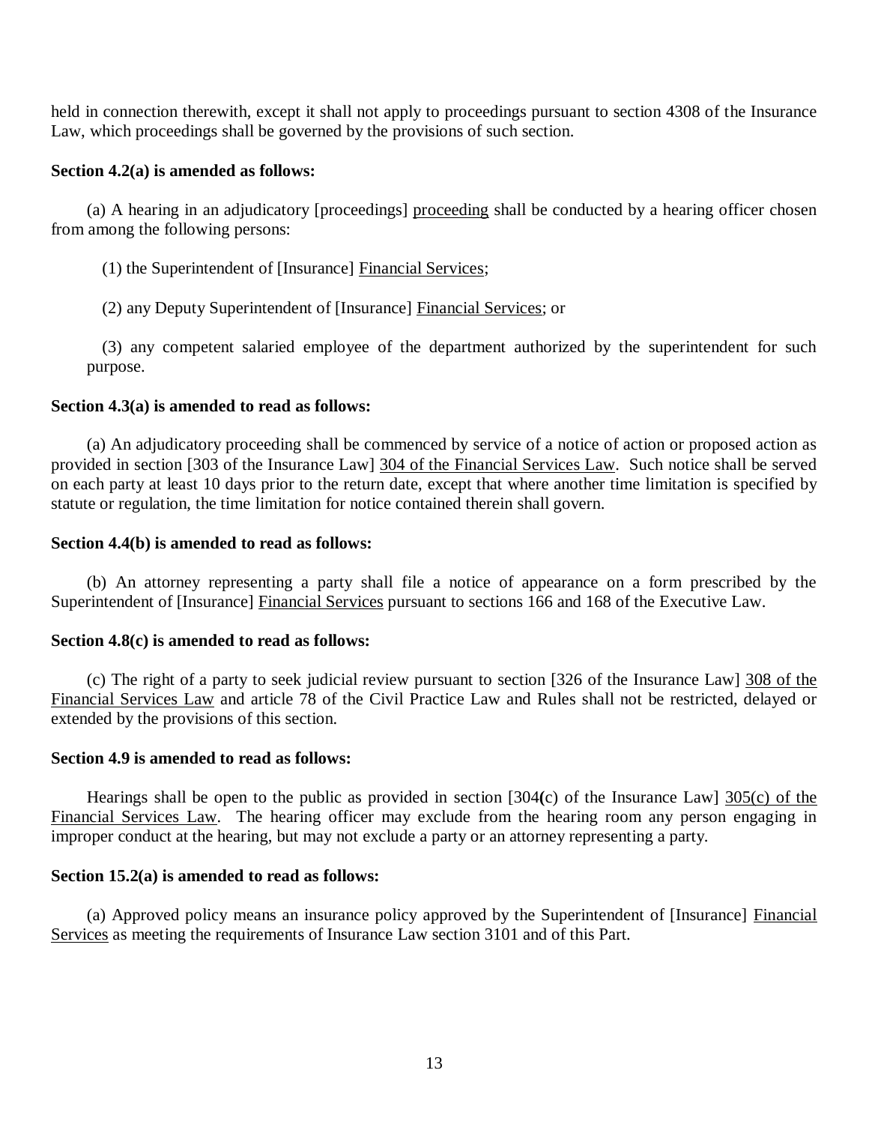held in connection therewith, except it shall not apply to proceedings pursuant to section 4308 of the Insurance Law, which proceedings shall be governed by the provisions of such section.

### **Section 4.2(a) is amended as follows:**

 from among the following persons: (a) A hearing in an adjudicatory [proceedings] proceeding shall be conducted by a hearing officer chosen

(1) the Superintendent of [Insurance] Financial Services;

(2) any Deputy Superintendent of [Insurance] Financial Services; or

 purpose. (3) any competent salaried employee of the department authorized by the superintendent for such

### **Section 4.3(a) is amended to read as follows:**

provided in section [303 of the Insurance Law] 304 of the Financial Services Law. Such notice shall be served on each party at least 10 days prior to the return date, except that where another time limitation is specified by statute or regulation, the time limitation for notice contained therein shall govern. (a) An adjudicatory proceeding shall be commenced by service of a notice of action or proposed action as

### **Section 4.4(b) is amended to read as follows:**

Superintendent of [Insurance] Financial Services pursuant to sections 166 and 168 of the Executive Law. (b) An attorney representing a party shall file a notice of appearance on a form prescribed by the

# **Section 4.8(c) is amended to read as follows:**

 Financial Services Law and article 78 of the Civil Practice Law and Rules shall not be restricted, delayed or extended by the provisions of this section. (c) The right of a party to seek judicial review pursuant to section [326 of the Insurance Law] 308 of the

## **Section 4.9 is amended to read as follows:**

 Hearings shall be open to the public as provided in section [304**(**c) of the Insurance Law] 305(c) of the Financial Services Law. The hearing officer may exclude from the hearing room any person engaging in improper conduct at the hearing, but may not exclude a party or an attorney representing a party.

## **Section 15.2(a) is amended to read as follows:**

Services as meeting the requirements of Insurance Law section 3101 and of this Part. (a) Approved policy means an insurance policy approved by the Superintendent of [Insurance] Financial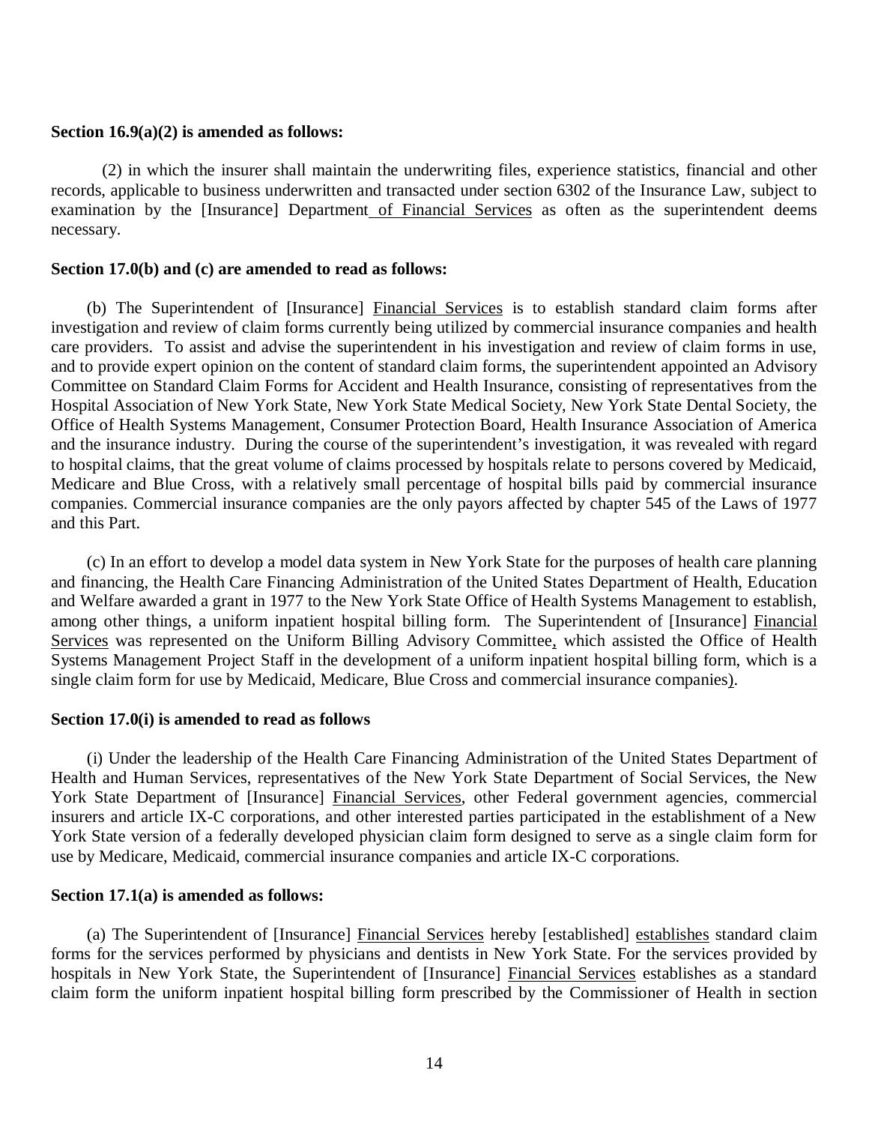### **Section 16.9(a)(2) is amended as follows:**

 records, applicable to business underwritten and transacted under section 6302 of the Insurance Law, subject to examination by the [Insurance] Department of Financial Services as often as the superintendent deems necessary. (2) in which the insurer shall maintain the underwriting files, experience statistics, financial and other

#### **Section 17.0(b) and (c) are amended to read as follows:**

 investigation and review of claim forms currently being utilized by commercial insurance companies and health care providers. To assist and advise the superintendent in his investigation and review of claim forms in use, and to provide expert opinion on the content of standard claim forms, the superintendent appointed an Advisory Committee on Standard Claim Forms for Accident and Health Insurance, consisting of representatives from the Hospital Association of New York State, New York State Medical Society, New York State Dental Society, the Office of Health Systems Management, Consumer Protection Board, Health Insurance Association of America and the insurance industry. During the course of the superintendent's investigation, it was revealed with regard to hospital claims, that the great volume of claims processed by hospitals relate to persons covered by Medicaid, Medicare and Blue Cross, with a relatively small percentage of hospital bills paid by commercial insurance companies. Commercial insurance companies are the only payors affected by chapter 545 of the Laws of 1977 and this Part. (b) The Superintendent of [Insurance] Financial Services is to establish standard claim forms after

 and financing, the Health Care Financing Administration of the United States Department of Health, Education and Welfare awarded a grant in 1977 to the New York State Office of Health Systems Management to establish, among other things, a uniform inpatient hospital billing form. The Superintendent of [Insurance] Financial Services was represented on the Uniform Billing Advisory Committee, which assisted the Office of Health Systems Management Project Staff in the development of a uniform inpatient hospital billing form, which is a single claim form for use by Medicaid, Medicare, Blue Cross and commercial insurance companies). (c) In an effort to develop a model data system in New York State for the purposes of health care planning

### **Section 17.0(i) is amended to read as follows**

 Health and Human Services, representatives of the New York State Department of Social Services, the New York State Department of [Insurance] Financial Services, other Federal government agencies, commercial insurers and article IX-C corporations, and other interested parties participated in the establishment of a New York State version of a federally developed physician claim form designed to serve as a single claim form for use by Medicare, Medicaid, commercial insurance companies and article IX-C corporations. (i) Under the leadership of the Health Care Financing Administration of the United States Department of

#### **Section 17.1(a) is amended as follows:**

 forms for the services performed by physicians and dentists in New York State. For the services provided by hospitals in New York State, the Superintendent of [Insurance] Financial Services establishes as a standard claim form the uniform inpatient hospital billing form prescribed by the Commissioner of Health in section (a) The Superintendent of [Insurance] Financial Services hereby [established] establishes standard claim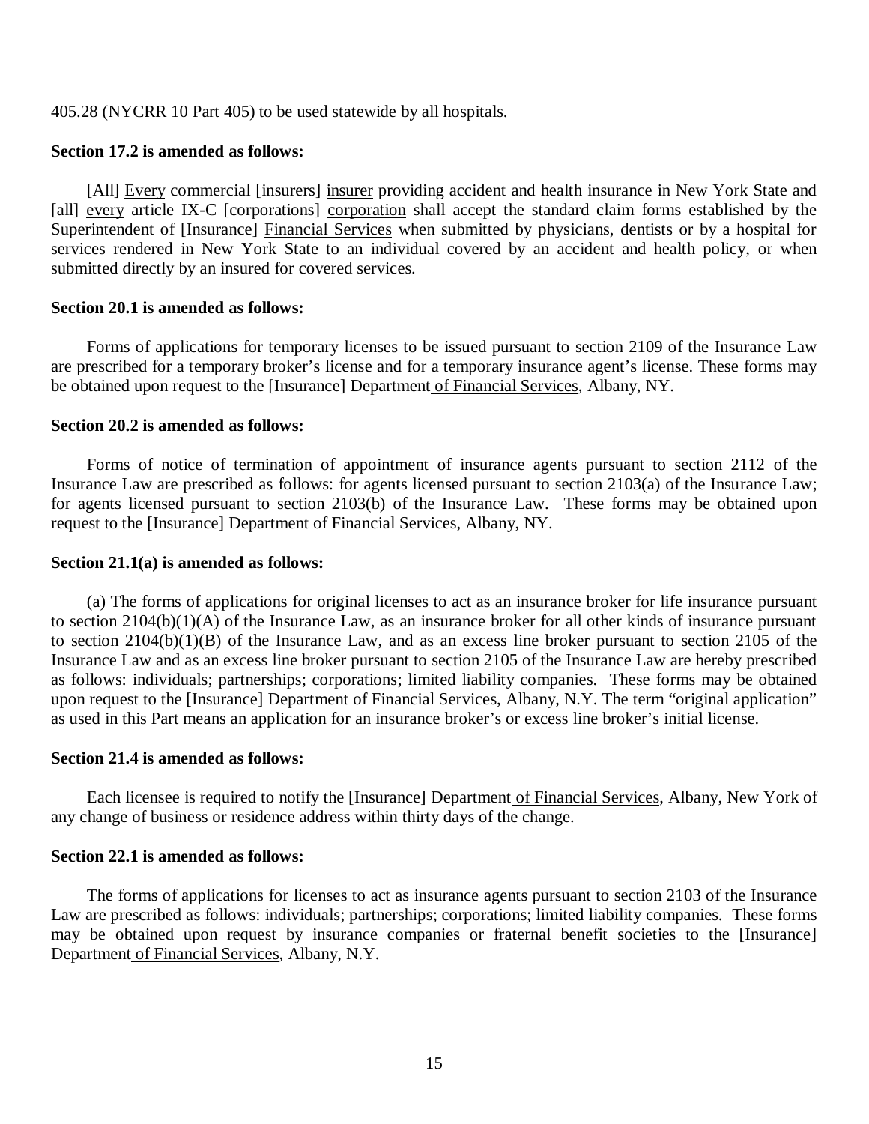405.28 (NYCRR 10 Part 405) to be used statewide by all hospitals.

## **Section 17.2 is amended as follows:**

[all] every article IX-C [corporations] corporation shall accept the standard claim forms established by the Superintendent of [Insurance] Financial Services when submitted by physicians, dentists or by a hospital for services rendered in New York State to an individual covered by an accident and health policy, or when submitted directly by an insured for covered services. [All] Every commercial [insurers] insurer providing accident and health insurance in New York State and

### **Section 20.1 is amended as follows:**

 are prescribed for a temporary broker's license and for a temporary insurance agent's license. These forms may be obtained upon request to the [Insurance] Department of Financial Services, Albany, NY. Forms of applications for temporary licenses to be issued pursuant to section 2109 of the Insurance Law

## **Section 20.2 is amended as follows:**

 Insurance Law are prescribed as follows: for agents licensed pursuant to section 2103(a) of the Insurance Law; for agents licensed pursuant to section 2103(b) of the Insurance Law. These forms may be obtained upon request to the [Insurance] Department of Financial Services, Albany, NY. Forms of notice of termination of appointment of insurance agents pursuant to section 2112 of the

## **Section 21.1(a) is amended as follows:**

 to section 2104(b)(1)(A) of the Insurance Law, as an insurance broker for all other kinds of insurance pursuant to section 2104(b)(1)(B) of the Insurance Law, and as an excess line broker pursuant to section 2105 of the Insurance Law and as an excess line broker pursuant to section 2105 of the Insurance Law are hereby prescribed as follows: individuals; partnerships; corporations; limited liability companies. These forms may be obtained upon request to the [Insurance] Department of Financial Services, Albany, N.Y. The term "original application" as used in this Part means an application for an insurance broker's or excess line broker's initial license. (a) The forms of applications for original licenses to act as an insurance broker for life insurance pursuant

## **Section 21.4 is amended as follows:**

 any change of business or residence address within thirty days of the change. Each licensee is required to notify the [Insurance] Department of Financial Services, Albany, New York of

## **Section 22.1 is amended as follows:**

 Law are prescribed as follows: individuals; partnerships; corporations; limited liability companies. These forms may be obtained upon request by insurance companies or fraternal benefit societies to the [Insurance] Department of Financial Services, Albany, N.Y. The forms of applications for licenses to act as insurance agents pursuant to section 2103 of the Insurance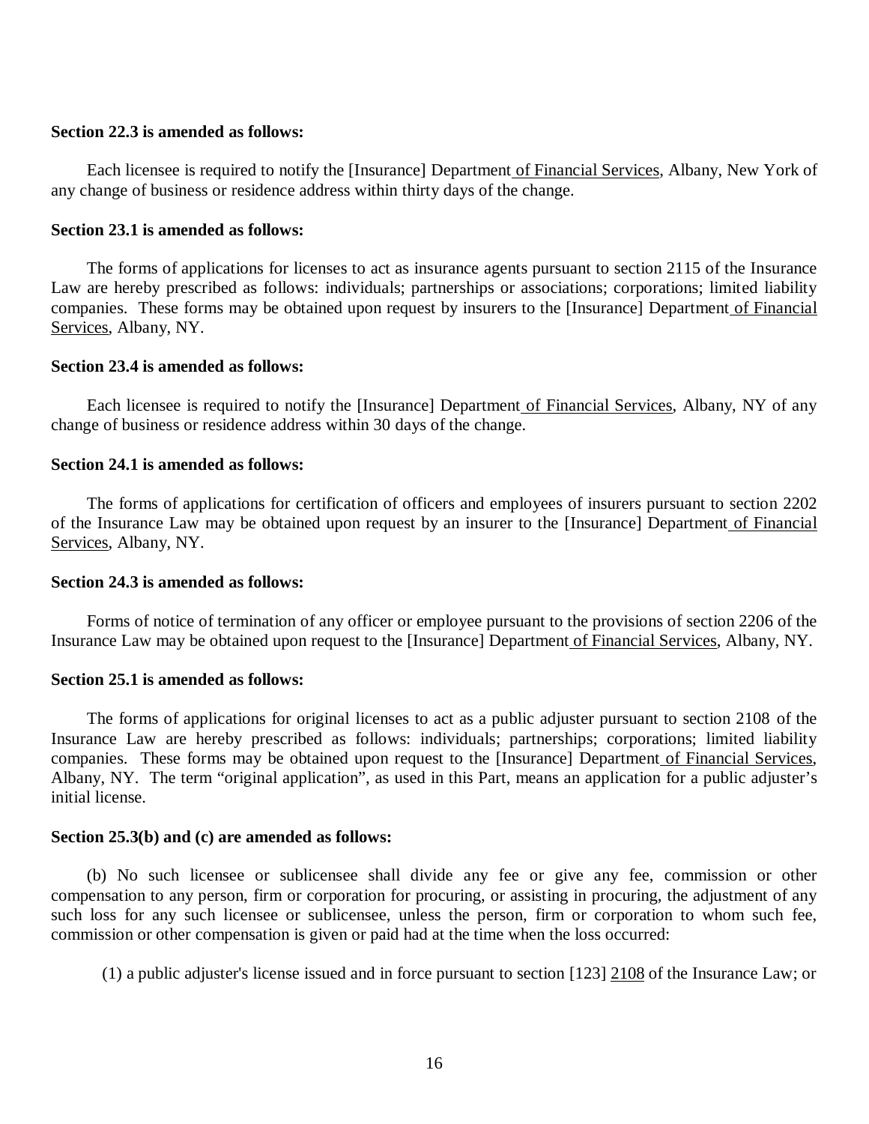#### **Section 22.3 is amended as follows:**

 any change of business or residence address within thirty days of the change. Each licensee is required to notify the [Insurance] Department of Financial Services, Albany, New York of

### **Section 23.1 is amended as follows:**

 Law are hereby prescribed as follows: individuals; partnerships or associations; corporations; limited liability companies. These forms may be obtained upon request by insurers to the [Insurance] Department of Financial Services, Albany, NY. The forms of applications for licenses to act as insurance agents pursuant to section 2115 of the Insurance

#### **Section 23.4 is amended as follows:**

 change of business or residence address within 30 days of the change. Each licensee is required to notify the [Insurance] Department of Financial Services, Albany, NY of any

#### **Section 24.1 is amended as follows:**

of the Insurance Law may be obtained upon request by an insurer to the [Insurance] Department of Financial Services, Albany, NY. The forms of applications for certification of officers and employees of insurers pursuant to section 2202

## **Section 24.3 is amended as follows:**

Insurance Law may be obtained upon request to the [Insurance] Department of Financial Services, Albany, NY. Forms of notice of termination of any officer or employee pursuant to the provisions of section 2206 of the

### **Section 25.1 is amended as follows:**

 Insurance Law are hereby prescribed as follows: individuals; partnerships; corporations; limited liability companies. These forms may be obtained upon request to the [Insurance] Department of Financial Services, Albany, NY. The term "original application", as used in this Part, means an application for a public adjuster's initial license. The forms of applications for original licenses to act as a public adjuster pursuant to section 2108 of the

## **Section 25.3(b) and (c) are amended as follows:**

 compensation to any person, firm or corporation for procuring, or assisting in procuring, the adjustment of any such loss for any such licensee or sublicensee, unless the person, firm or corporation to whom such fee, commission or other compensation is given or paid had at the time when the loss occurred: (b) No such licensee or sublicensee shall divide any fee or give any fee, commission or other

(1) a public adjuster's license issued and in force pursuant to section [123] 2108 of the Insurance Law; or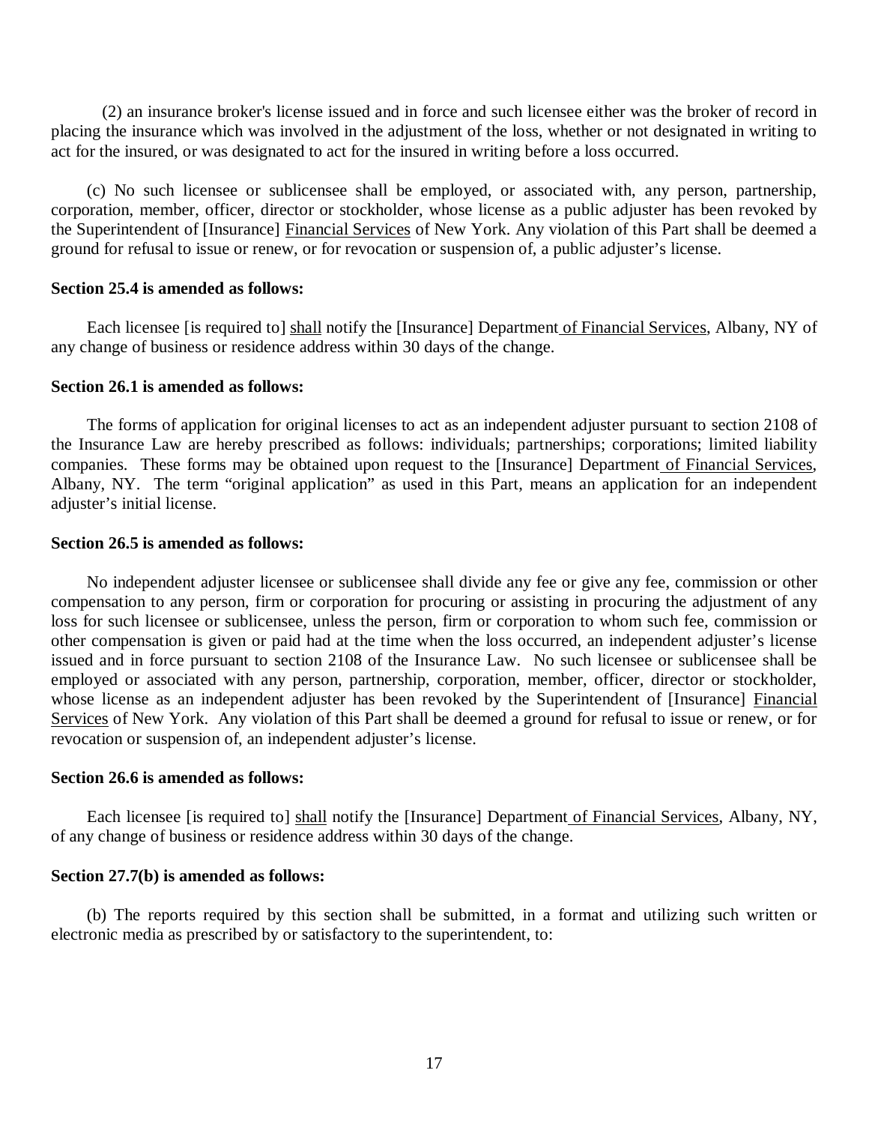placing the insurance which was involved in the adjustment of the loss, whether or not designated in writing to act for the insured, or was designated to act for the insured in writing before a loss occurred. (2) an insurance broker's license issued and in force and such licensee either was the broker of record in

 corporation, member, officer, director or stockholder, whose license as a public adjuster has been revoked by the Superintendent of [Insurance] Financial Services of New York. Any violation of this Part shall be deemed a ground for refusal to issue or renew, or for revocation or suspension of, a public adjuster's license. (c) No such licensee or sublicensee shall be employed, or associated with, any person, partnership,

### **Section 25.4 is amended as follows:**

 any change of business or residence address within 30 days of the change. Each licensee [is required to] shall notify the [Insurance] Department of Financial Services, Albany, NY of

### **Section 26.1 is amended as follows:**

 the Insurance Law are hereby prescribed as follows: individuals; partnerships; corporations; limited liability companies. These forms may be obtained upon request to the [Insurance] Department of Financial Services, Albany, NY. The term "original application" as used in this Part, means an application for an independent adjuster's initial license. The forms of application for original licenses to act as an independent adjuster pursuant to section 2108 of

#### **Section 26.5 is amended as follows:**

 compensation to any person, firm or corporation for procuring or assisting in procuring the adjustment of any loss for such licensee or sublicensee, unless the person, firm or corporation to whom such fee, commission or other compensation is given or paid had at the time when the loss occurred, an independent adjuster's license issued and in force pursuant to section 2108 of the Insurance Law. No such licensee or sublicensee shall be employed or associated with any person, partnership, corporation, member, officer, director or stockholder, whose license as an independent adjuster has been revoked by the Superintendent of [Insurance] Financial Services of New York. Any violation of this Part shall be deemed a ground for refusal to issue or renew, or for revocation or suspension of, an independent adjuster's license. No independent adjuster licensee or sublicensee shall divide any fee or give any fee, commission or other

### **Section 26.6 is amended as follows:**

 of any change of business or residence address within 30 days of the change. Each licensee [is required to] shall notify the [Insurance] Department of Financial Services, Albany, NY,

## **Section 27.7(b) is amended as follows:**

 electronic media as prescribed by or satisfactory to the superintendent, to: (b) The reports required by this section shall be submitted, in a format and utilizing such written or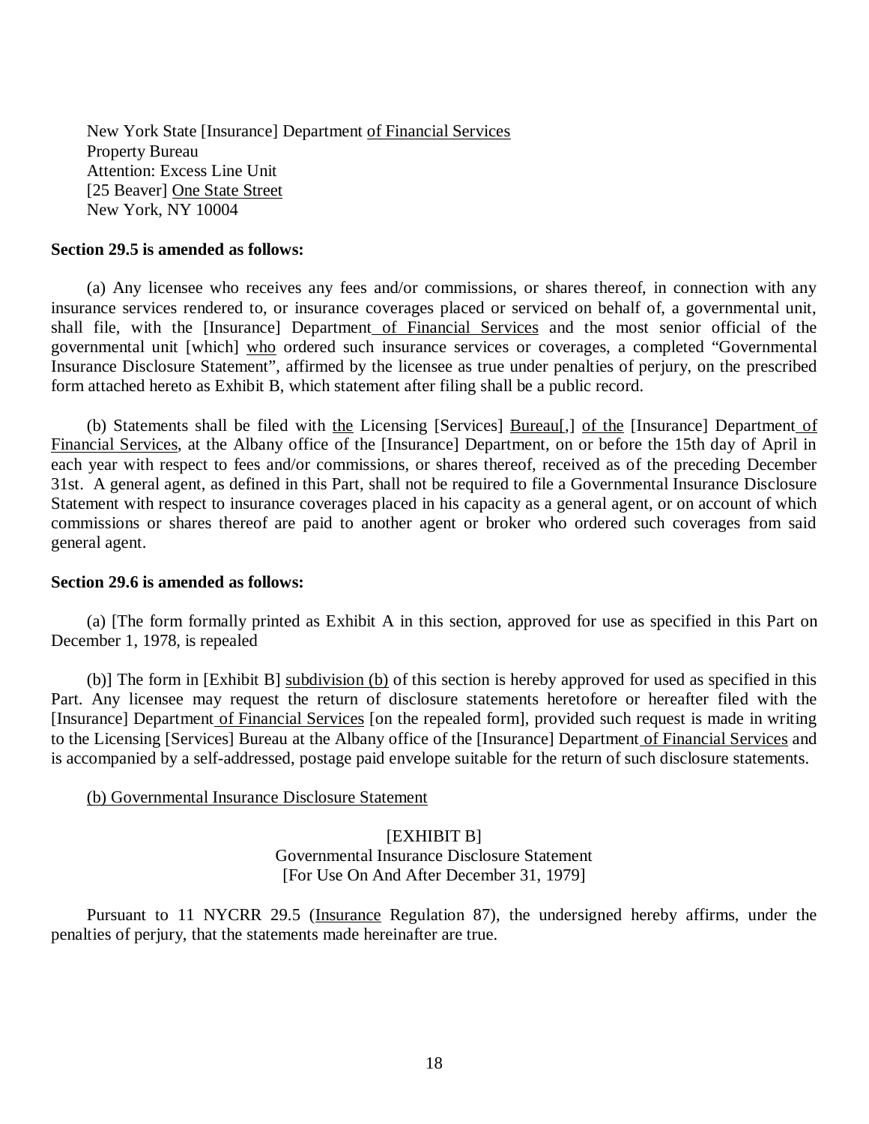New York State [Insurance] Department of Financial Services Property Bureau Attention: Excess Line Unit [25 Beaver] One State Street New York, NY 10004

### **Section 29.5 is amended as follows:**

 insurance services rendered to, or insurance coverages placed or serviced on behalf of, a governmental unit, shall file, with the [Insurance] Department of Financial Services and the most senior official of the governmental unit [which] who ordered such insurance services or coverages, a completed "Governmental Insurance Disclosure Statement", affirmed by the licensee as true under penalties of perjury, on the prescribed form attached hereto as Exhibit B, which statement after filing shall be a public record. (a) Any licensee who receives any fees and/or commissions, or shares thereof, in connection with any

 Financial Services, at the Albany office of the [Insurance] Department, on or before the 15th day of April in each year with respect to fees and/or commissions, or shares thereof, received as of the preceding December 31st. A general agent, as defined in this Part, shall not be required to file a Governmental Insurance Disclosure Statement with respect to insurance coverages placed in his capacity as a general agent, or on account of which commissions or shares thereof are paid to another agent or broker who ordered such coverages from said general agent. (b) Statements shall be filed with the Licensing [Services] Bureau[,] of the [Insurance] Department of

#### **Section 29.6 is amended as follows:**

 December 1, 1978, is repealed (a) [The form formally printed as Exhibit A in this section, approved for use as specified in this Part on

 Part. Any licensee may request the return of disclosure statements heretofore or hereafter filed with the [Insurance] Department of Financial Services [on the repealed form], provided such request is made in writing to the Licensing [Services] Bureau at the Albany office of the [Insurance] Department of Financial Services and is accompanied by a self-addressed, postage paid envelope suitable for the return of such disclosure statements. (b)] The form in [Exhibit B] subdivision (b) of this section is hereby approved for used as specified in this

#### (b) Governmental Insurance Disclosure Statement

# [EXHIBIT B]

 Governmental Insurance Disclosure Statement [For Use On And After December 31, 1979]

Pursuant to 11 NYCRR 29.5 (*Insurance Regulation 87*), the undersigned hereby affirms, under the penalties of perjury, that the statements made hereinafter are true.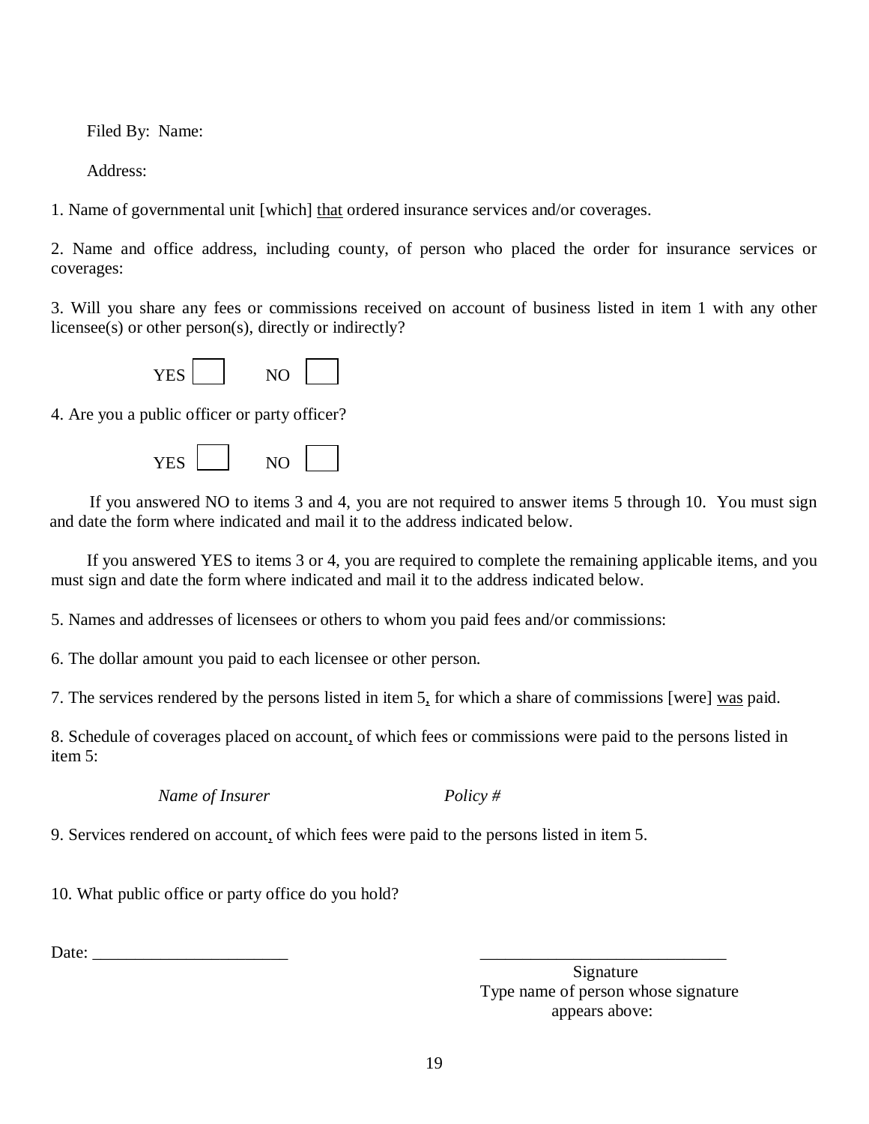Filed By: Name:

Address:

1. Name of governmental unit [which] that ordered insurance services and/or coverages.

 2. Name and office address, including county, of person who placed the order for insurance services or coverages:

 3. Will you share any fees or commissions received on account of business listed in item 1 with any other licensee(s) or other person(s), directly or indirectly?

| .<br>$\sim$ |  |  |
|-------------|--|--|
|-------------|--|--|

4. Are you a public officer or party officer?

YES NO

 and date the form where indicated and mail it to the address indicated below. If you answered NO to items 3 and 4, you are not required to answer items 5 through 10. You must sign

 must sign and date the form where indicated and mail it to the address indicated below. If you answered YES to items 3 or 4, you are required to complete the remaining applicable items, and you

5. Names and addresses of licensees or others to whom you paid fees and/or commissions:

6. The dollar amount you paid to each licensee or other person.

7. The services rendered by the persons listed in item 5, for which a share of commissions [were] was paid.

 8. Schedule of coverages placed on account, of which fees or commissions were paid to the persons listed in item 5:

*Name of Insurer Policy #* 

9. Services rendered on account, of which fees were paid to the persons listed in item 5.

10. What public office or party office do you hold?

Date:

Signature Type name of person whose signature appears above: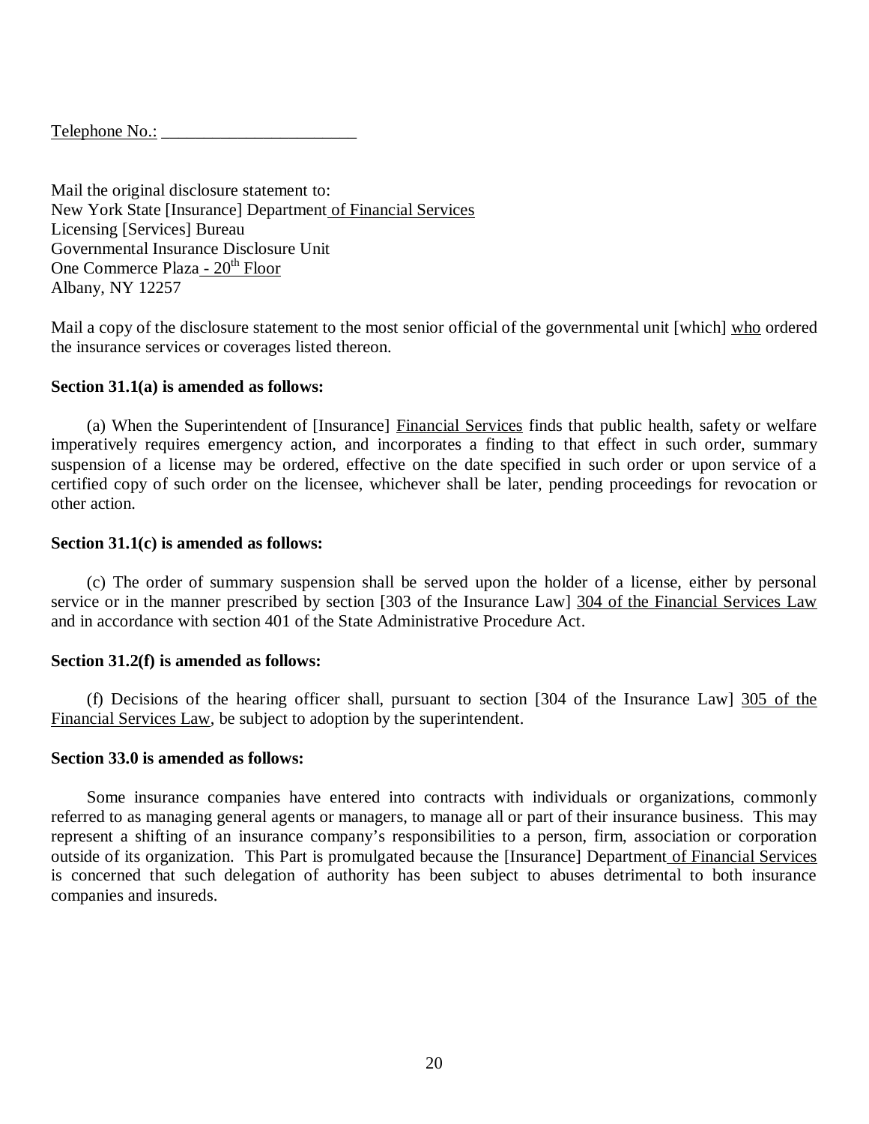Telephone No.: \_\_\_\_\_\_\_\_\_\_\_\_\_\_\_\_\_\_\_\_\_\_\_

 Mail the original disclosure statement to: New York State [Insurance] Department of Financial Services Licensing [Services] Bureau Governmental Insurance Disclosure Unit One Commerce Plaza - 20<sup>th</sup> Floor Albany, NY 12257

Mail a copy of the disclosure statement to the most senior official of the governmental unit [which] who ordered the insurance services or coverages listed thereon.

# **Section 31.1(a) is amended as follows:**

 imperatively requires emergency action, and incorporates a finding to that effect in such order, summary suspension of a license may be ordered, effective on the date specified in such order or upon service of a certified copy of such order on the licensee, whichever shall be later, pending proceedings for revocation or other action. (a) When the Superintendent of [Insurance] Financial Services finds that public health, safety or welfare

### **Section 31.1(c) is amended as follows:**

service or in the manner prescribed by section [303 of the Insurance Law] 304 of the Financial Services Law and in accordance with section 401 of the State Administrative Procedure Act. (c) The order of summary suspension shall be served upon the holder of a license, either by personal

# **Section 31.2(f) is amended as follows:**

Financial Services Law, be subject to adoption by the superintendent. (f) Decisions of the hearing officer shall, pursuant to section [304 of the Insurance Law] 305 of the

## **Section 33.0 is amended as follows:**

 referred to as managing general agents or managers, to manage all or part of their insurance business. This may represent a shifting of an insurance company's responsibilities to a person, firm, association or corporation outside of its organization. This Part is promulgated because the [Insurance] Department of Financial Services is concerned that such delegation of authority has been subject to abuses detrimental to both insurance Some insurance companies have entered into contracts with individuals or organizations, commonly companies and insureds.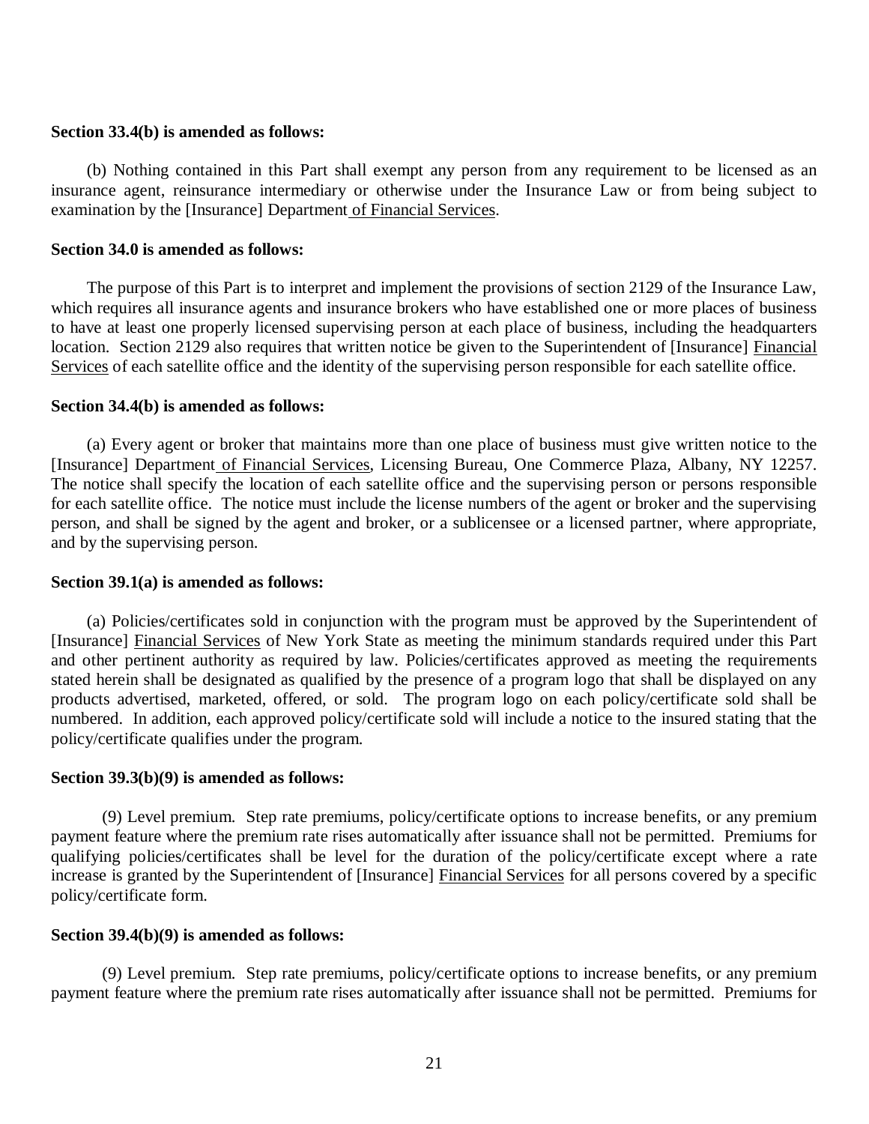### **Section 33.4(b) is amended as follows:**

 insurance agent, reinsurance intermediary or otherwise under the Insurance Law or from being subject to examination by the [Insurance] Department of Financial Services. (b) Nothing contained in this Part shall exempt any person from any requirement to be licensed as an

# **Section 34.0 is amended as follows:**

 which requires all insurance agents and insurance brokers who have established one or more places of business to have at least one properly licensed supervising person at each place of business, including the headquarters location. Section 2129 also requires that written notice be given to the Superintendent of [Insurance] Financial Services of each satellite office and the identity of the supervising person responsible for each satellite office. The purpose of this Part is to interpret and implement the provisions of section 2129 of the Insurance Law,

#### **Section 34.4(b) is amended as follows:**

[Insurance] Department of Financial Services, Licensing Bureau, One Commerce Plaza, Albany, NY 12257. The notice shall specify the location of each satellite office and the supervising person or persons responsible for each satellite office. The notice must include the license numbers of the agent or broker and the supervising person, and shall be signed by the agent and broker, or a sublicensee or a licensed partner, where appropriate, and by the supervising person. (a) Every agent or broker that maintains more than one place of business must give written notice to the

## **Section 39.1(a) is amended as follows:**

 [Insurance] Financial Services of New York State as meeting the minimum standards required under this Part and other pertinent authority as required by law. Policies/certificates approved as meeting the requirements stated herein shall be designated as qualified by the presence of a program logo that shall be displayed on any products advertised, marketed, offered, or sold. The program logo on each policy/certificate sold shall be numbered. In addition, each approved policy/certificate sold will include a notice to the insured stating that the policy/certificate qualifies under the program. (a) Policies/certificates sold in conjunction with the program must be approved by the Superintendent of

## **Section 39.3(b)(9) is amended as follows:**

 payment feature where the premium rate rises automatically after issuance shall not be permitted. Premiums for qualifying policies/certificates shall be level for the duration of the policy/certificate except where a rate increase is granted by the Superintendent of [Insurance] Financial Services for all persons covered by a specific policy/certificate form. (9) Level premium. Step rate premiums, policy/certificate options to increase benefits, or any premium

#### **Section 39.4(b)(9) is amended as follows:**

 payment feature where the premium rate rises automatically after issuance shall not be permitted. Premiums for (9) Level premium. Step rate premiums, policy/certificate options to increase benefits, or any premium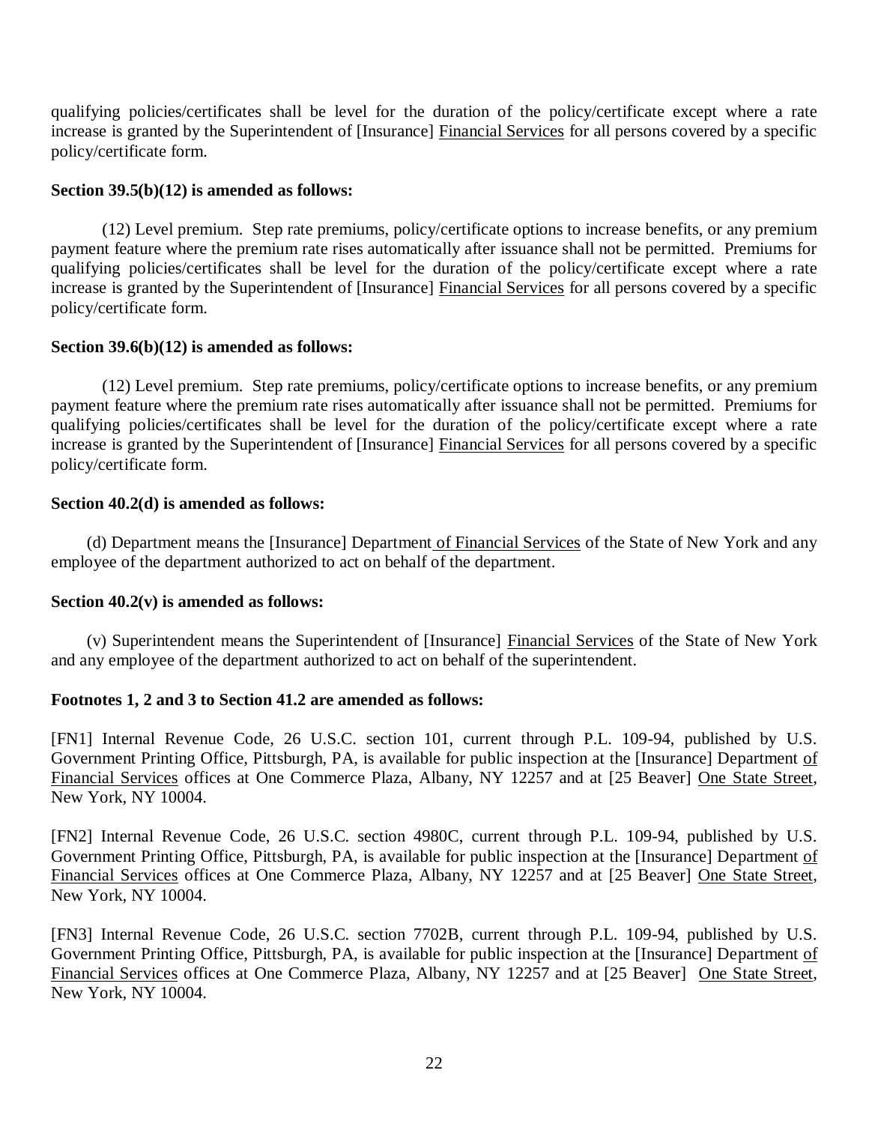qualifying policies/certificates shall be level for the duration of the policy/certificate except where a rate increase is granted by the Superintendent of [Insurance] Financial Services for all persons covered by a specific policy/certificate form.

# **Section 39.5(b)(12) is amended as follows:**

 payment feature where the premium rate rises automatically after issuance shall not be permitted. Premiums for qualifying policies/certificates shall be level for the duration of the policy/certificate except where a rate increase is granted by the Superintendent of [Insurance] Financial Services for all persons covered by a specific policy/certificate form. (12) Level premium. Step rate premiums, policy/certificate options to increase benefits, or any premium

## **Section 39.6(b)(12) is amended as follows:**

 payment feature where the premium rate rises automatically after issuance shall not be permitted. Premiums for qualifying policies/certificates shall be level for the duration of the policy/certificate except where a rate increase is granted by the Superintendent of [Insurance] Financial Services for all persons covered by a specific policy/certificate form. (12) Level premium. Step rate premiums, policy/certificate options to increase benefits, or any premium

## **Section 40.2(d) is amended as follows:**

 employee of the department authorized to act on behalf of the department. (d) Department means the [Insurance] Department of Financial Services of the State of New York and any

# **Section 40.2(v) is amended as follows:**

 and any employee of the department authorized to act on behalf of the superintendent. (v) Superintendent means the Superintendent of [Insurance] Financial Services of the State of New York

## **Footnotes 1, 2 and 3 to Section 41.2 are amended as follows:**

 [FN1] Internal Revenue Code, 26 U.S.C. section 101, current through P.L. 109-94, published by U.S. Government Printing Office, Pittsburgh, PA, is available for public inspection at the [Insurance] Department of Financial Services offices at One Commerce Plaza, Albany, NY 12257 and at [25 Beaver] One State Street, New York, NY 10004.

 [FN2] Internal Revenue Code, 26 U.S.C. section 4980C, current through P.L. 109-94, published by U.S. Government Printing Office, Pittsburgh, PA, is available for public inspection at the [Insurance] Department of Financial Services offices at One Commerce Plaza, Albany, NY 12257 and at [25 Beaver] One State Street, New York, NY 10004.

 [FN3] Internal Revenue Code, 26 U.S.C. section 7702B, current through P.L. 109-94, published by U.S. Government Printing Office, Pittsburgh, PA, is available for public inspection at the [Insurance] Department of Financial Services offices at One Commerce Plaza, Albany, NY 12257 and at [25 Beaver] One State Street, New York, NY 10004.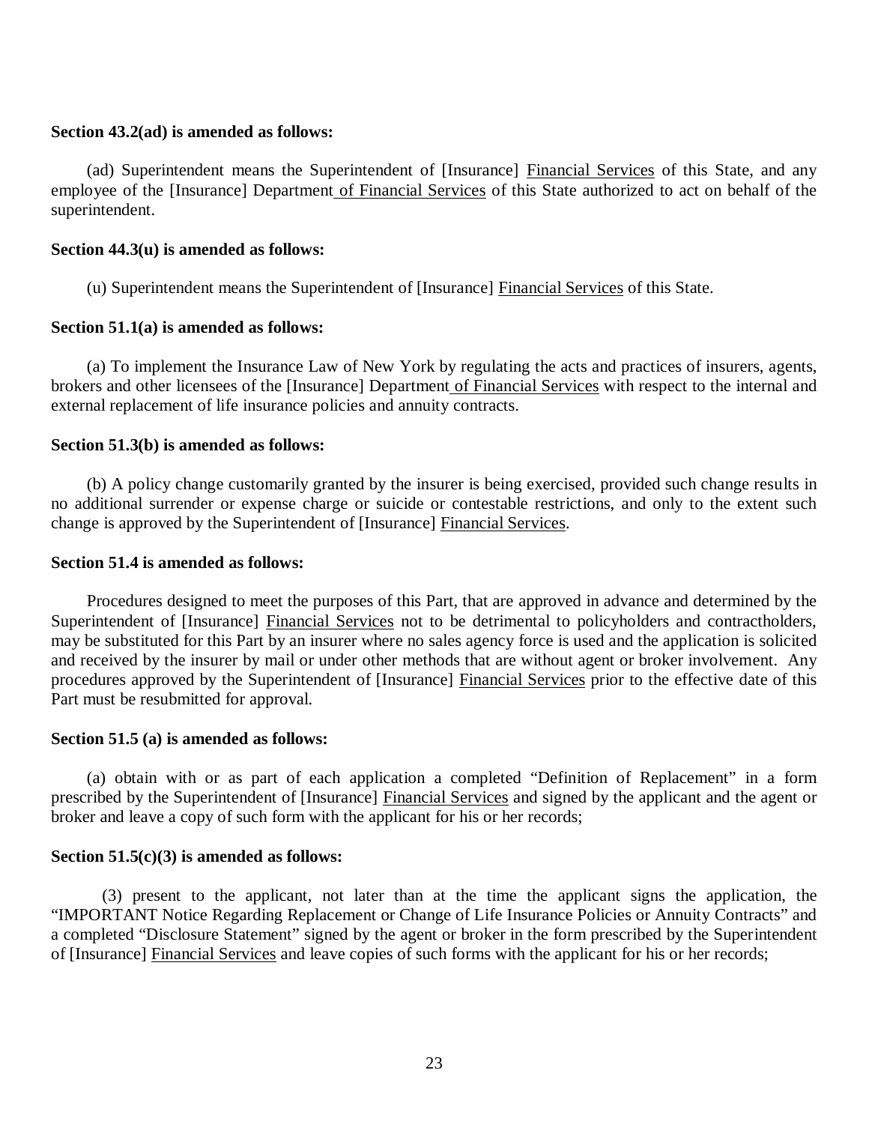### **Section 43.2(ad) is amended as follows:**

employee of the [Insurance] Department of Financial Services of this State authorized to act on behalf of the (ad) Superintendent means the Superintendent of [Insurance] Financial Services of this State, and any superintendent.

# **Section 44.3(u) is amended as follows:**

(u) Superintendent means the Superintendent of [Insurance] Financial Services of this State.

### **Section 51.1(a) is amended as follows:**

brokers and other licensees of the [Insurance] Department of Financial Services with respect to the internal and external replacement of life insurance policies and annuity contracts. (a) To implement the Insurance Law of New York by regulating the acts and practices of insurers, agents,

# **Section 51.3(b) is amended as follows:**

 no additional surrender or expense charge or suicide or contestable restrictions, and only to the extent such change is approved by the Superintendent of [Insurance] Financial Services. (b) A policy change customarily granted by the insurer is being exercised, provided such change results in

### **Section 51.4 is amended as follows:**

 Procedures designed to meet the purposes of this Part, that are approved in advance and determined by the Superintendent of [Insurance] Financial Services not to be detrimental to policyholders and contractholders, may be substituted for this Part by an insurer where no sales agency force is used and the application is solicited and received by the insurer by mail or under other methods that are without agent or broker involvement. Any procedures approved by the Superintendent of [Insurance] Financial Services prior to the effective date of this Part must be resubmitted for approval.

### **Section 51.5 (a) is amended as follows:**

prescribed by the Superintendent of [Insurance] Financial Services and signed by the applicant and the agent or broker and leave a copy of such form with the applicant for his or her records; (a) obtain with or as part of each application a completed "Definition of Replacement" in a form

## **Section 51.5(c)(3) is amended as follows:**

 "IMPORTANT Notice Regarding Replacement or Change of Life Insurance Policies or Annuity Contracts" and a completed "Disclosure Statement" signed by the agent or broker in the form prescribed by the Superintendent of [Insurance] Financial Services and leave copies of such forms with the applicant for his or her records; (3) present to the applicant, not later than at the time the applicant signs the application, the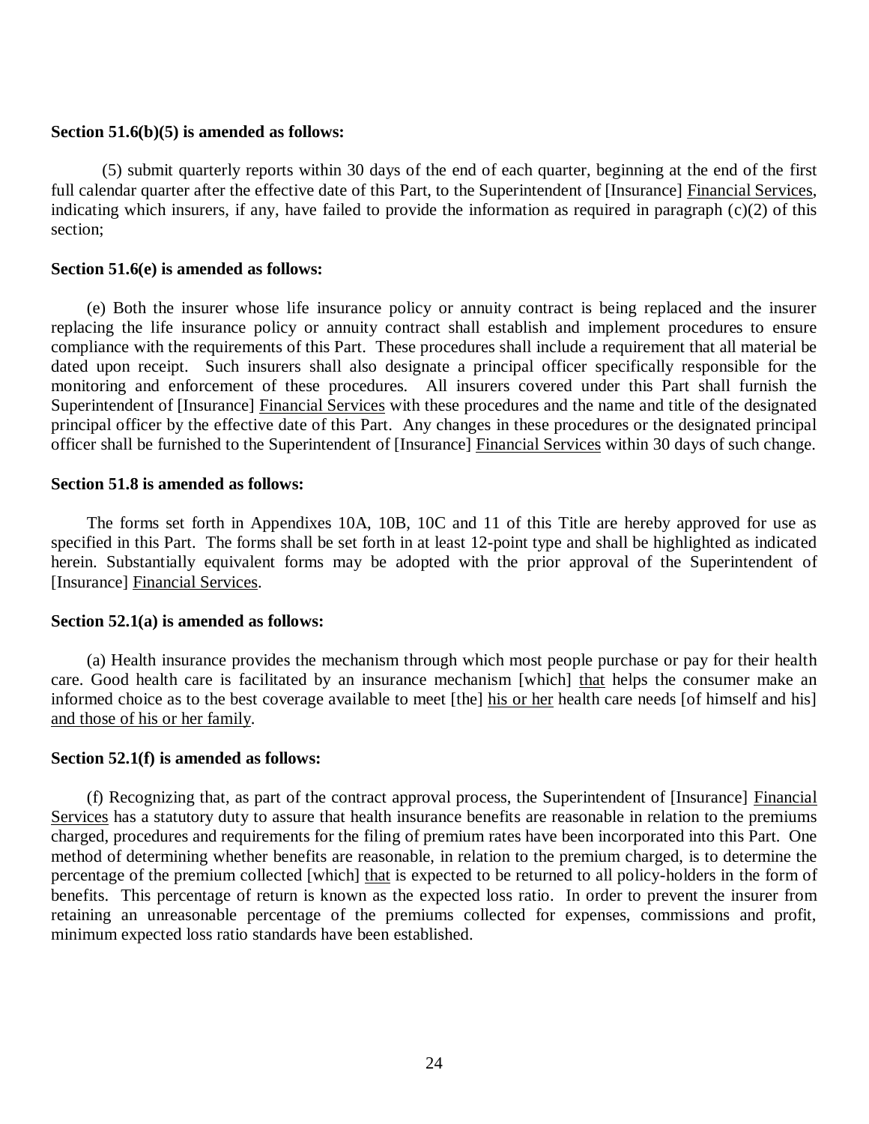### **Section 51.6(b)(5) is amended as follows:**

full calendar quarter after the effective date of this Part, to the Superintendent of [Insurance] Financial Services, indicating which insurers, if any, have failed to provide the information as required in paragraph (c)(2) of this section; (5) submit quarterly reports within 30 days of the end of each quarter, beginning at the end of the first

### **Section 51.6(e) is amended as follows:**

 replacing the life insurance policy or annuity contract shall establish and implement procedures to ensure compliance with the requirements of this Part. These procedures shall include a requirement that all material be dated upon receipt. Such insurers shall also designate a principal officer specifically responsible for the monitoring and enforcement of these procedures. All insurers covered under this Part shall furnish the Superintendent of [Insurance] Financial Services with these procedures and the name and title of the designated principal officer by the effective date of this Part. Any changes in these procedures or the designated principal officer shall be furnished to the Superintendent of [Insurance] Financial Services within 30 days of such change. (e) Both the insurer whose life insurance policy or annuity contract is being replaced and the insurer

### **Section 51.8 is amended as follows:**

 The forms set forth in Appendixes 10A, 10B, 10C and 11 of this Title are hereby approved for use as specified in this Part. The forms shall be set forth in at least 12-point type and shall be highlighted as indicated herein. Substantially equivalent forms may be adopted with the prior approval of the Superintendent of [Insurance] **Financial Services**.

### **Section 52.1(a) is amended as follows:**

care. Good health care is facilitated by an insurance mechanism [which] that helps the consumer make an informed choice as to the best coverage available to meet [the] his or her health care needs [of himself and his] and those of his or her family. (a) Health insurance provides the mechanism through which most people purchase or pay for their health

### **Section 52.1(f) is amended as follows:**

Services has a statutory duty to assure that health insurance benefits are reasonable in relation to the premiums charged, procedures and requirements for the filing of premium rates have been incorporated into this Part. One method of determining whether benefits are reasonable, in relation to the premium charged, is to determine the percentage of the premium collected [which] that is expected to be returned to all policy-holders in the form of benefits. This percentage of return is known as the expected loss ratio. In order to prevent the insurer from retaining an unreasonable percentage of the premiums collected for expenses, commissions and profit, minimum expected loss ratio standards have been established. (f) Recognizing that, as part of the contract approval process, the Superintendent of [Insurance] Financial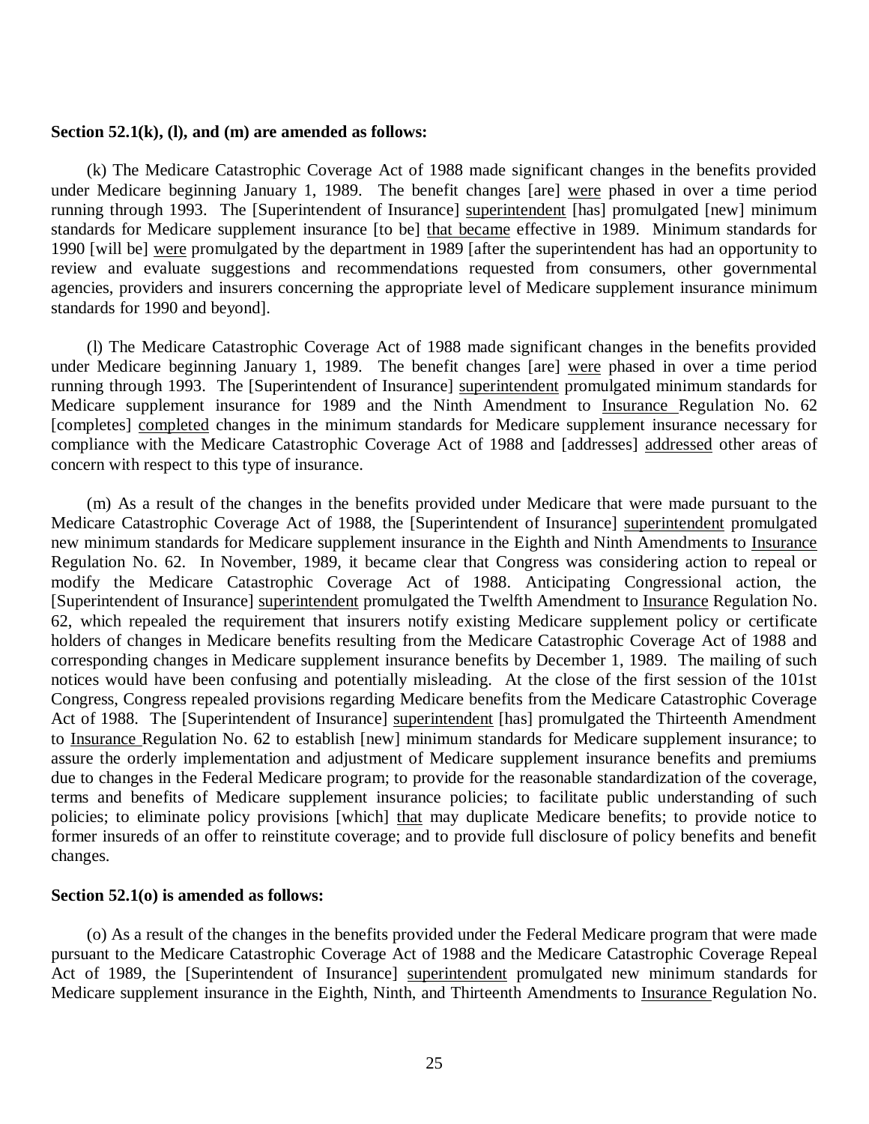#### **Section 52.1(k), (l), and (m) are amended as follows:**

under Medicare beginning January 1, 1989. The benefit changes [are] were phased in over a time period running through 1993. The [Superintendent of Insurance] superintendent [has] promulgated [new] minimum standards for Medicare supplement insurance [to be] that became effective in 1989. Minimum standards for 1990 [will be] were promulgated by the department in 1989 [after the superintendent has had an opportunity to review and evaluate suggestions and recommendations requested from consumers, other governmental agencies, providers and insurers concerning the appropriate level of Medicare supplement insurance minimum standards for 1990 and beyond]. (k) The Medicare Catastrophic Coverage Act of 1988 made significant changes in the benefits provided

under Medicare beginning January 1, 1989. The benefit changes [are] were phased in over a time period running through 1993. The [Superintendent of Insurance] superintendent promulgated minimum standards for Medicare supplement insurance for 1989 and the Ninth Amendment to Insurance Regulation No. 62 [completes] completed changes in the minimum standards for Medicare supplement insurance necessary for compliance with the Medicare Catastrophic Coverage Act of 1988 and [addresses] addressed other areas of concern with respect to this type of insurance. (l) The Medicare Catastrophic Coverage Act of 1988 made significant changes in the benefits provided

Medicare Catastrophic Coverage Act of 1988, the [Superintendent of Insurance] superintendent promulgated new minimum standards for Medicare supplement insurance in the Eighth and Ninth Amendments to Insurance Regulation No. 62. In November, 1989, it became clear that Congress was considering action to repeal or modify the Medicare Catastrophic Coverage Act of 1988. Anticipating Congressional action, the [Superintendent of Insurance] superintendent promulgated the Twelfth Amendment to Insurance Regulation No. 62, which repealed the requirement that insurers notify existing Medicare supplement policy or certificate holders of changes in Medicare benefits resulting from the Medicare Catastrophic Coverage Act of 1988 and corresponding changes in Medicare supplement insurance benefits by December 1, 1989. The mailing of such notices would have been confusing and potentially misleading. At the close of the first session of the 101st Congress, Congress repealed provisions regarding Medicare benefits from the Medicare Catastrophic Coverage Act of 1988. The [Superintendent of Insurance] superintendent [has] promulgated the Thirteenth Amendment to Insurance Regulation No. 62 to establish [new] minimum standards for Medicare supplement insurance; to assure the orderly implementation and adjustment of Medicare supplement insurance benefits and premiums due to changes in the Federal Medicare program; to provide for the reasonable standardization of the coverage, terms and benefits of Medicare supplement insurance policies; to facilitate public understanding of such policies; to eliminate policy provisions [which] that may duplicate Medicare benefits; to provide notice to former insureds of an offer to reinstitute coverage; and to provide full disclosure of policy benefits and benefit (m) As a result of the changes in the benefits provided under Medicare that were made pursuant to the changes.

#### **Section 52.1(o) is amended as follows:**

 pursuant to the Medicare Catastrophic Coverage Act of 1988 and the Medicare Catastrophic Coverage Repeal Act of 1989, the [Superintendent of Insurance] superintendent promulgated new minimum standards for Medicare supplement insurance in the Eighth, Ninth, and Thirteenth Amendments to Insurance Regulation No. (o) As a result of the changes in the benefits provided under the Federal Medicare program that were made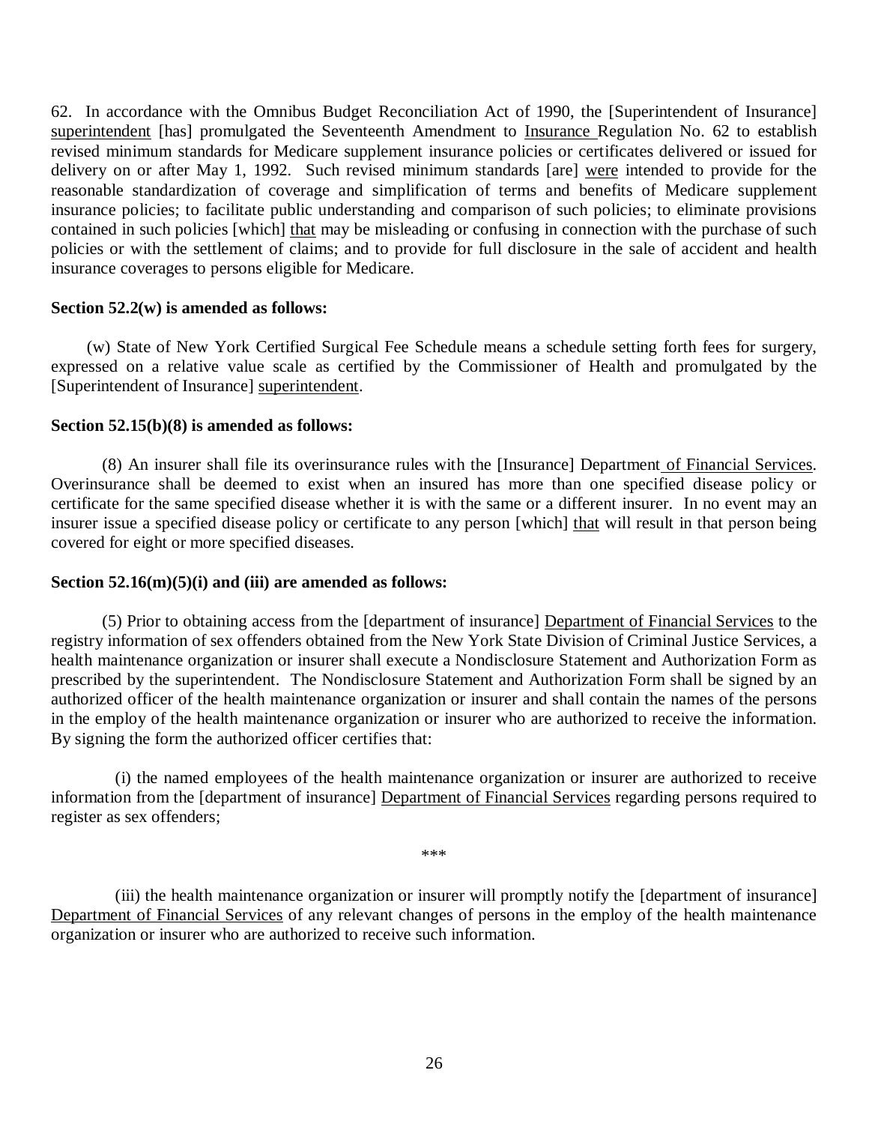62. In accordance with the Omnibus Budget Reconciliation Act of 1990, the [Superintendent of Insurance] superintendent [has] promulgated the Seventeenth Amendment to Insurance Regulation No. 62 to establish revised minimum standards for Medicare supplement insurance policies or certificates delivered or issued for delivery on or after May 1, 1992. Such revised minimum standards [are] were intended to provide for the reasonable standardization of coverage and simplification of terms and benefits of Medicare supplement insurance policies; to facilitate public understanding and comparison of such policies; to eliminate provisions contained in such policies [which] that may be misleading or confusing in connection with the purchase of such policies or with the settlement of claims; and to provide for full disclosure in the sale of accident and health insurance coverages to persons eligible for Medicare.

### **Section 52.2(w) is amended as follows:**

 expressed on a relative value scale as certified by the Commissioner of Health and promulgated by the [Superintendent of Insurance] superintendent. (w) State of New York Certified Surgical Fee Schedule means a schedule setting forth fees for surgery,

## **Section 52.15(b)(8) is amended as follows:**

 Overinsurance shall be deemed to exist when an insured has more than one specified disease policy or certificate for the same specified disease whether it is with the same or a different insurer. In no event may an insurer issue a specified disease policy or certificate to any person [which] that will result in that person being covered for eight or more specified diseases. (8) An insurer shall file its overinsurance rules with the [Insurance] Department of Financial Services.

# **Section 52.16(m)(5)(i) and (iii) are amended as follows:**

 registry information of sex offenders obtained from the New York State Division of Criminal Justice Services, a health maintenance organization or insurer shall execute a Nondisclosure Statement and Authorization Form as prescribed by the superintendent. The Nondisclosure Statement and Authorization Form shall be signed by an authorized officer of the health maintenance organization or insurer and shall contain the names of the persons in the employ of the health maintenance organization or insurer who are authorized to receive the information. By signing the form the authorized officer certifies that: (5) Prior to obtaining access from the [department of insurance] Department of Financial Services to the

information from the [department of insurance] Department of Financial Services regarding persons required to register as sex offenders; (i) the named employees of the health maintenance organization or insurer are authorized to receive

\*\*\*

Department of Financial Services of any relevant changes of persons in the employ of the health maintenance organization or insurer who are authorized to receive such information. (iii) the health maintenance organization or insurer will promptly notify the [department of insurance]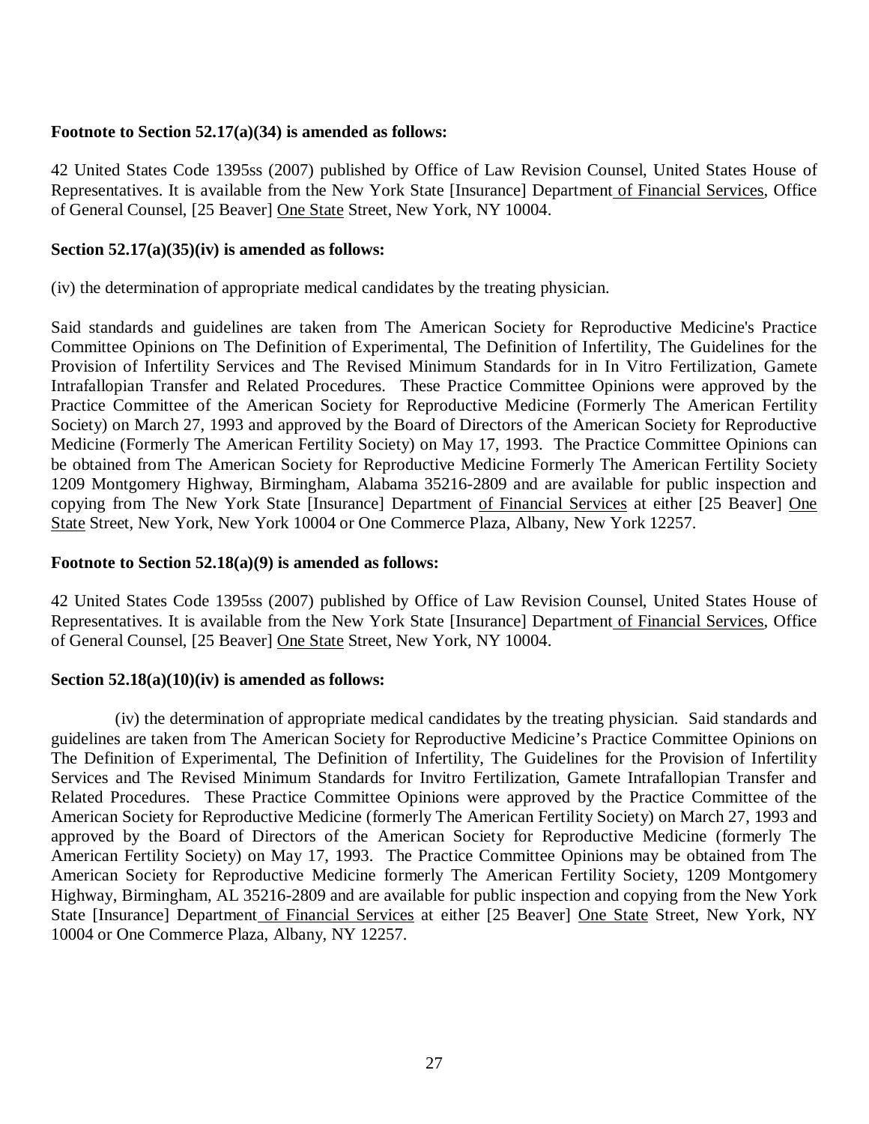# **Footnote to Section 52.17(a)(34) is amended as follows:**

 42 United States Code 1395ss (2007) published by Office of Law Revision Counsel, United States House of Representatives. It is available from the New York State [Insurance] Department of Financial Services, Office of General Counsel, [25 Beaver] One State Street, New York, NY 10004.

# **Section 52.17(a)(35)(iv) is amended as follows:**

(iv) the determination of appropriate medical candidates by the treating physician.

 Said standards and guidelines are taken from The American Society for Reproductive Medicine's Practice Committee Opinions on The Definition of Experimental, The Definition of Infertility, The Guidelines for the Provision of Infertility Services and The Revised Minimum Standards for in In Vitro Fertilization, Gamete Intrafallopian Transfer and Related Procedures. These Practice Committee Opinions were approved by the Practice Committee of the American Society for Reproductive Medicine (Formerly The American Fertility Society) on March 27, 1993 and approved by the Board of Directors of the American Society for Reproductive Medicine (Formerly The American Fertility Society) on May 17, 1993. The Practice Committee Opinions can be obtained from The American Society for Reproductive Medicine Formerly The American Fertility Society 1209 Montgomery Highway, Birmingham, Alabama 35216-2809 and are available for public inspection and copying from The New York State [Insurance] Department of Financial Services at either [25 Beaver] One State Street, New York, New York 10004 or One Commerce Plaza, Albany, New York 12257.

## **Footnote to Section 52.18(a)(9) is amended as follows:**

 42 United States Code 1395ss (2007) published by Office of Law Revision Counsel, United States House of Representatives. It is available from the New York State [Insurance] Department of Financial Services, Office of General Counsel, [25 Beaver] One State Street, New York, NY 10004.

# **Section 52.18(a)(10)(iv) is amended as follows:**

 guidelines are taken from The American Society for Reproductive Medicine's Practice Committee Opinions on The Definition of Experimental, The Definition of Infertility, The Guidelines for the Provision of Infertility Services and The Revised Minimum Standards for Invitro Fertilization, Gamete Intrafallopian Transfer and Related Procedures. These Practice Committee Opinions were approved by the Practice Committee of the American Society for Reproductive Medicine (formerly The American Fertility Society) on March 27, 1993 and approved by the Board of Directors of the American Society for Reproductive Medicine (formerly The American Fertility Society) on May 17, 1993. The Practice Committee Opinions may be obtained from The American Society for Reproductive Medicine formerly The American Fertility Society, 1209 Montgomery Highway, Birmingham, AL 35216-2809 and are available for public inspection and copying from the New York State [Insurance] Department of Financial Services at either [25 Beaver] One State Street, New York, NY 10004 or One Commerce Plaza, Albany, NY 12257. (iv) the determination of appropriate medical candidates by the treating physician. Said standards and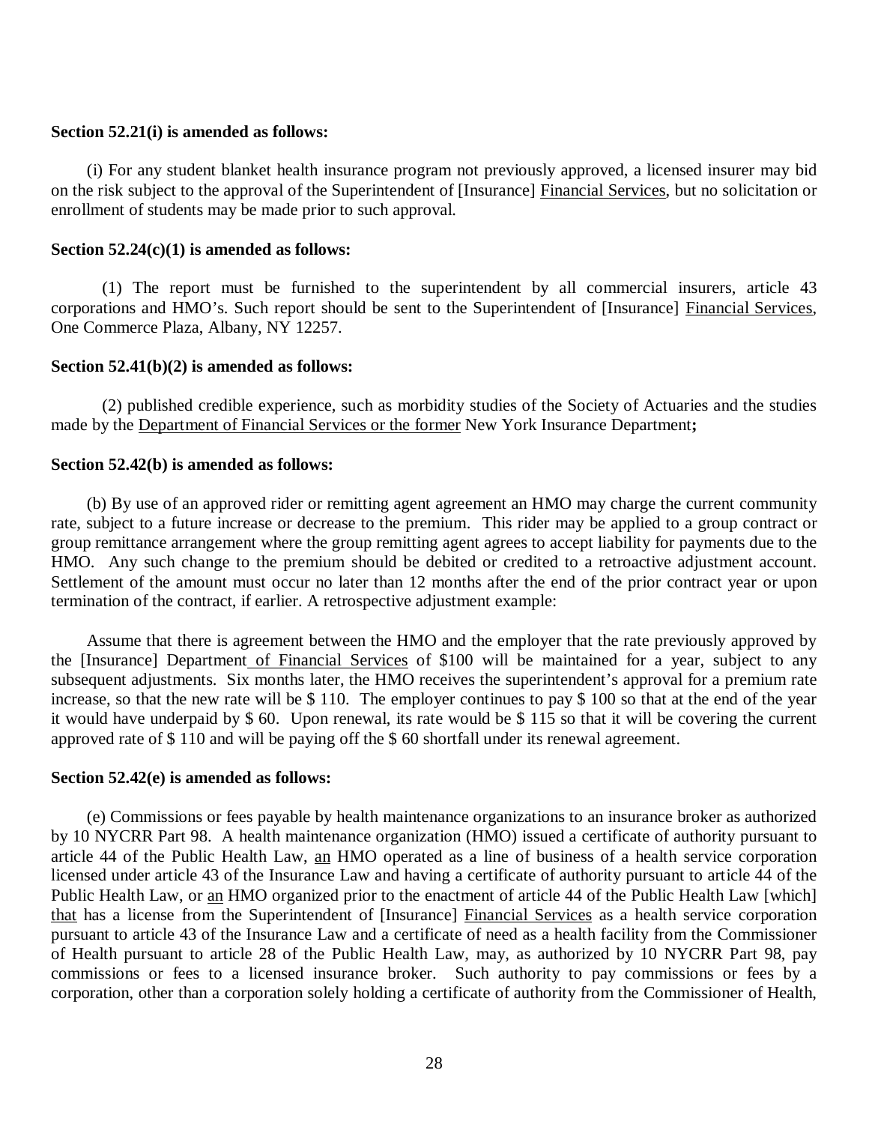### **Section 52.21(i) is amended as follows:**

on the risk subject to the approval of the Superintendent of [Insurance] Financial Services, but no solicitation or enrollment of students may be made prior to such approval. (i) For any student blanket health insurance program not previously approved, a licensed insurer may bid

## **Section 52.24(c)(1) is amended as follows:**

corporations and HMO's. Such report should be sent to the Superintendent of [Insurance] Financial Services, One Commerce Plaza, Albany, NY 12257. (1) The report must be furnished to the superintendent by all commercial insurers, article 43

#### **Section 52.41(b)(2) is amended as follows:**

 made by the Department of Financial Services or the former New York Insurance Department**;**  (2) published credible experience, such as morbidity studies of the Society of Actuaries and the studies

#### **Section 52.42(b) is amended as follows:**

 rate, subject to a future increase or decrease to the premium. This rider may be applied to a group contract or group remittance arrangement where the group remitting agent agrees to accept liability for payments due to the HMO. Any such change to the premium should be debited or credited to a retroactive adjustment account. Settlement of the amount must occur no later than 12 months after the end of the prior contract year or upon termination of the contract, if earlier. A retrospective adjustment example: (b) By use of an approved rider or remitting agent agreement an HMO may charge the current community

 Assume that there is agreement between the HMO and the employer that the rate previously approved by the [Insurance] Department of Financial Services of \$100 will be maintained for a year, subject to any subsequent adjustments. Six months later, the HMO receives the superintendent's approval for a premium rate increase, so that the new rate will be \$ 110. The employer continues to pay \$ 100 so that at the end of the year it would have underpaid by \$ 60. Upon renewal, its rate would be \$ 115 so that it will be covering the current approved rate of \$ 110 and will be paying off the \$ 60 shortfall under its renewal agreement.

### **Section 52.42(e) is amended as follows:**

 (e) Commissions or fees payable by health maintenance organizations to an insurance broker as authorized by 10 NYCRR Part 98. A health maintenance organization (HMO) issued a certificate of authority pursuant to article 44 of the Public Health Law, an HMO operated as a line of business of a health service corporation licensed under article 43 of the Insurance Law and having a certificate of authority pursuant to article 44 of the Public Health Law, or an HMO organized prior to the enactment of article 44 of the Public Health Law [which] that has a license from the Superintendent of [Insurance] Financial Services as a health service corporation pursuant to article 43 of the Insurance Law and a certificate of need as a health facility from the Commissioner of Health pursuant to article 28 of the Public Health Law, may, as authorized by 10 NYCRR Part 98, pay commissions or fees to a licensed insurance broker. Such authority to pay commissions or fees by a corporation, other than a corporation solely holding a certificate of authority from the Commissioner of Health,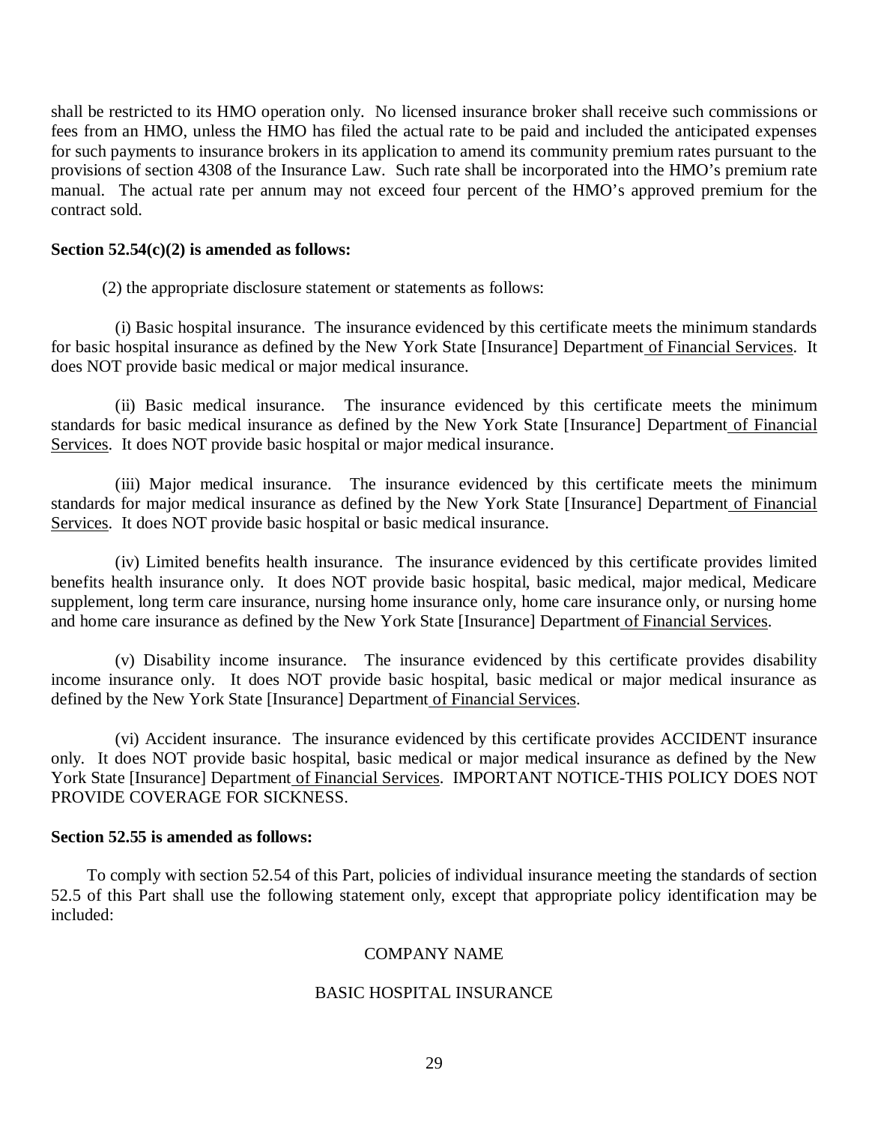shall be restricted to its HMO operation only. No licensed insurance broker shall receive such commissions or fees from an HMO, unless the HMO has filed the actual rate to be paid and included the anticipated expenses for such payments to insurance brokers in its application to amend its community premium rates pursuant to the provisions of section 4308 of the Insurance Law. Such rate shall be incorporated into the HMO's premium rate manual. The actual rate per annum may not exceed four percent of the HMO's approved premium for the contract sold.

## **Section 52.54(c)(2) is amended as follows:**

(2) the appropriate disclosure statement or statements as follows:

for basic hospital insurance as defined by the New York State [Insurance] Department of Financial Services. It does NOT provide basic medical or major medical insurance. (i) Basic hospital insurance. The insurance evidenced by this certificate meets the minimum standards

standards for basic medical insurance as defined by the New York State [Insurance] Department of Financial Services. It does NOT provide basic hospital or major medical insurance. (ii) Basic medical insurance. The insurance evidenced by this certificate meets the minimum

standards for major medical insurance as defined by the New York State [Insurance] Department of Financial Services. It does NOT provide basic hospital or basic medical insurance. (iii) Major medical insurance. The insurance evidenced by this certificate meets the minimum

 benefits health insurance only. It does NOT provide basic hospital, basic medical, major medical, Medicare supplement, long term care insurance, nursing home insurance only, home care insurance only, or nursing home and home care insurance as defined by the New York State [Insurance] Department of Financial Services. (iv) Limited benefits health insurance. The insurance evidenced by this certificate provides limited

 income insurance only. It does NOT provide basic hospital, basic medical or major medical insurance as defined by the New York State [Insurance] Department of Financial Services. (v) Disability income insurance. The insurance evidenced by this certificate provides disability

 only. It does NOT provide basic hospital, basic medical or major medical insurance as defined by the New York State [Insurance] Department of Financial Services. IMPORTANT NOTICE-THIS POLICY DOES NOT PROVIDE COVERAGE FOR SICKNESS. (vi) Accident insurance. The insurance evidenced by this certificate provides ACCIDENT insurance

# **Section 52.55 is amended as follows:**

 To comply with section 52.54 of this Part, policies of individual insurance meeting the standards of section 52.5 of this Part shall use the following statement only, except that appropriate policy identification may be included:

# COMPANY NAME

# BASIC HOSPITAL INSURANCE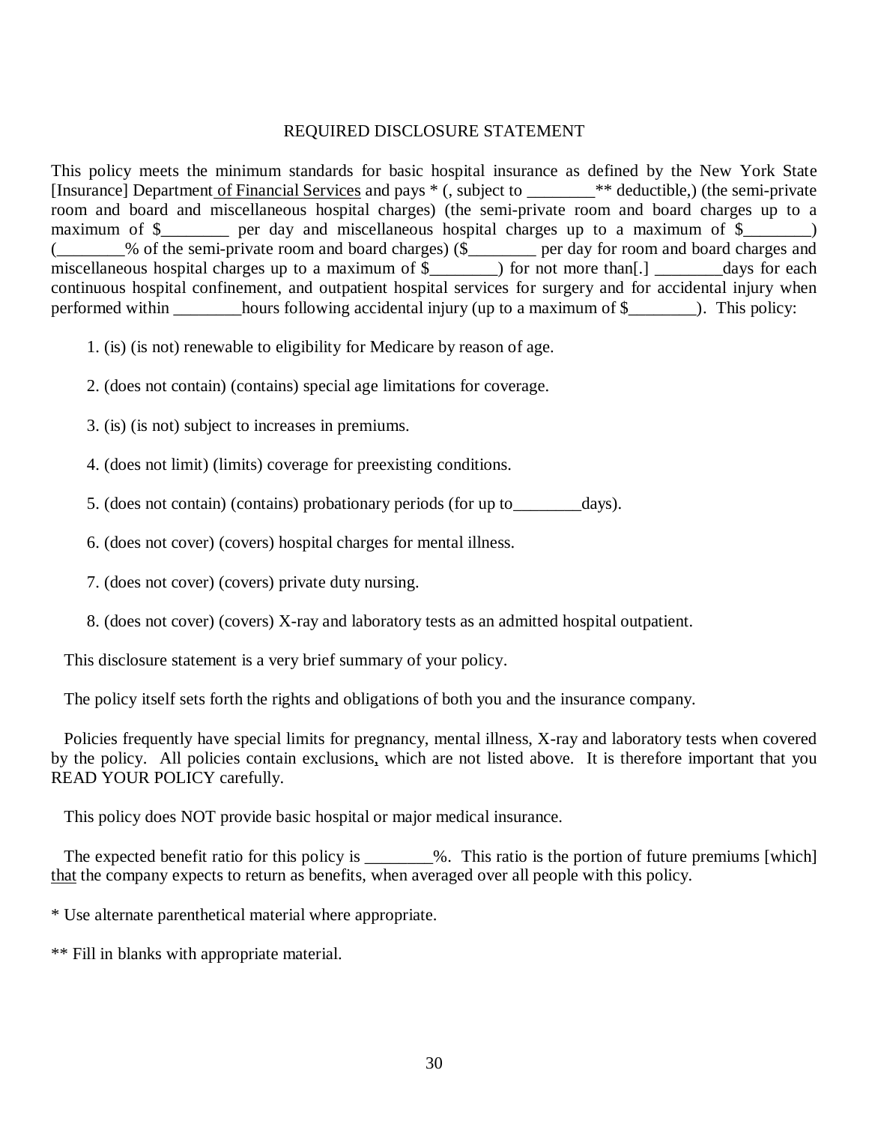## REQUIRED DISCLOSURE STATEMENT

 This policy meets the minimum standards for basic hospital insurance as defined by the New York State [Insurance] Department of Financial Services and pays  $*($ , subject to \_\_\_\_\_\_\_\* deductible,) (the semi-private room and board and miscellaneous hospital charges) (the semi-private room and board charges up to a maximum of \$\_\_\_\_\_\_\_\_ per day and miscellaneous hospital charges up to a maximum of \$\_\_\_\_\_\_\_) continuous hospital confinement, and outpatient hospital services for surgery and for accidental injury when performed within \_\_\_\_\_\_\_\_hours following accidental injury (up to a maximum of \$\_\_\_\_\_\_\_\_). This policy: (\_\_\_\_\_\_\_\_% of the semi-private room and board charges) (\$\_\_\_\_\_\_\_\_ per day for room and board charges and miscellaneous hospital charges up to a maximum of \$\_\_\_\_\_\_\_) for not more than[.] \_\_\_\_\_\_\_days for each

- 1. (is) (is not) renewable to eligibility for Medicare by reason of age.
- 2. (does not contain) (contains) special age limitations for coverage.
- 3. (is) (is not) subject to increases in premiums.
- 4. (does not limit) (limits) coverage for preexisting conditions.
- 5. (does not contain) (contains) probationary periods (for up to\_\_\_\_\_\_\_\_days).
- 6. (does not cover) (covers) hospital charges for mental illness.
- 7. (does not cover) (covers) private duty nursing.
- 8. (does not cover) (covers) X-ray and laboratory tests as an admitted hospital outpatient.

This disclosure statement is a very brief summary of your policy.

The policy itself sets forth the rights and obligations of both you and the insurance company.

 Policies frequently have special limits for pregnancy, mental illness, X-ray and laboratory tests when covered by the policy. All policies contain exclusions, which are not listed above. It is therefore important that you READ YOUR POLICY carefully.

This policy does NOT provide basic hospital or major medical insurance.

The expected benefit ratio for this policy is \_\_\_\_\_\_\_%. This ratio is the portion of future premiums [which] that the company expects to return as benefits, when averaged over all people with this policy.

\* Use alternate parenthetical material where appropriate.

\*\* Fill in blanks with appropriate material.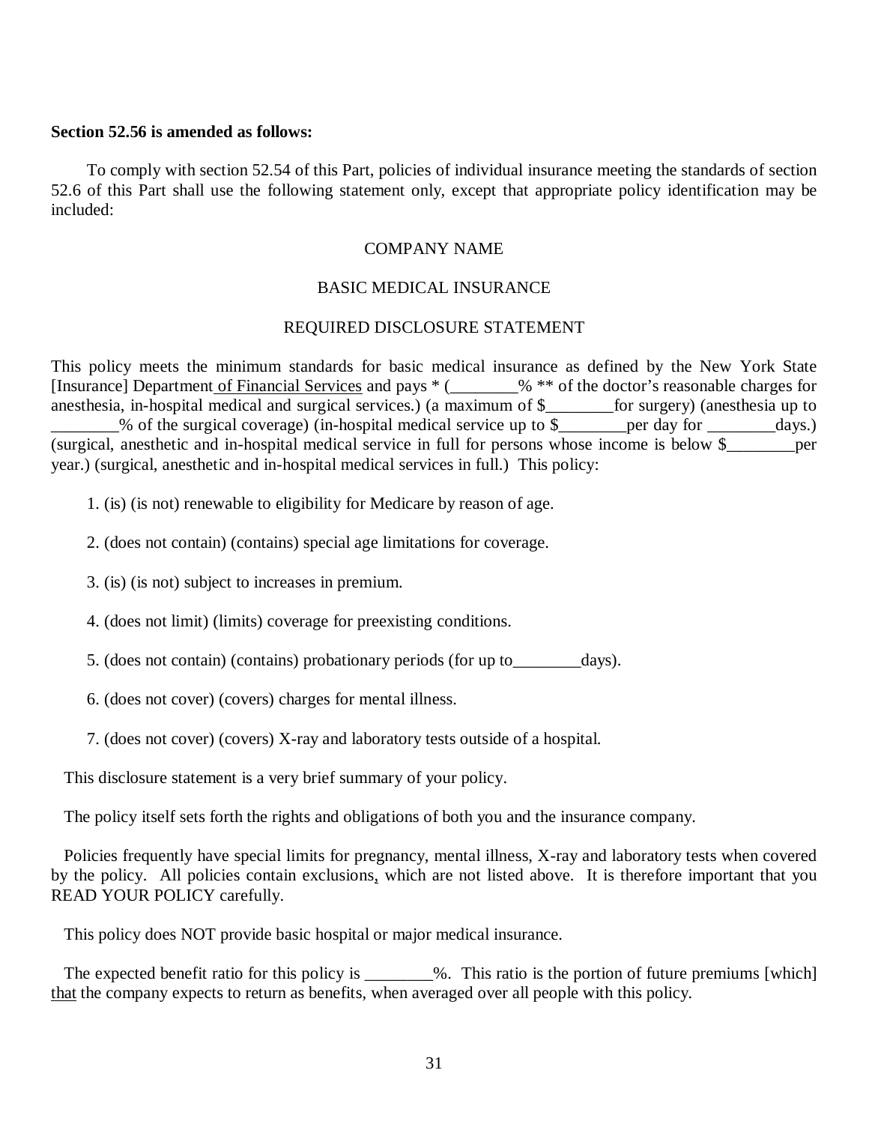### **Section 52.56 is amended as follows:**

 To comply with section 52.54 of this Part, policies of individual insurance meeting the standards of section 52.6 of this Part shall use the following statement only, except that appropriate policy identification may be included:

### COMPANY NAME

# BASIC MEDICAL INSURANCE

### REQUIRED DISCLOSURE STATEMENT

 This policy meets the minimum standards for basic medical insurance as defined by the New York State [Insurance] Department of Financial Services and pays \* (\_\_\_\_\_\_\_\_% \*\* of the doctor's reasonable charges for anesthesia, in-hospital medical and surgical services.) (a maximum of \$\_\_\_\_\_\_\_\_for surgery) (anesthesia up to \_\_\_\_\_\_\_\_% of the surgical coverage) (in-hospital medical service up to \$\_\_\_\_\_\_\_\_per day for \_\_\_\_\_\_\_\_days.) (surgical, anesthetic and in-hospital medical service in full for persons whose income is below \$\_\_\_\_\_\_\_\_per year.) (surgical, anesthetic and in-hospital medical services in full.) This policy:

1. (is) (is not) renewable to eligibility for Medicare by reason of age.

2. (does not contain) (contains) special age limitations for coverage.

3. (is) (is not) subject to increases in premium.

4. (does not limit) (limits) coverage for preexisting conditions.

5. (does not contain) (contains) probationary periods (for up to\_\_\_\_\_\_\_\_days).

6. (does not cover) (covers) charges for mental illness.

7. (does not cover) (covers) X-ray and laboratory tests outside of a hospital.

This disclosure statement is a very brief summary of your policy.

The policy itself sets forth the rights and obligations of both you and the insurance company.

 Policies frequently have special limits for pregnancy, mental illness, X-ray and laboratory tests when covered by the policy. All policies contain exclusions, which are not listed above. It is therefore important that you READ YOUR POLICY carefully.

This policy does NOT provide basic hospital or major medical insurance.

The expected benefit ratio for this policy is \_\_\_\_\_\_\_%. This ratio is the portion of future premiums [which] that the company expects to return as benefits, when averaged over all people with this policy.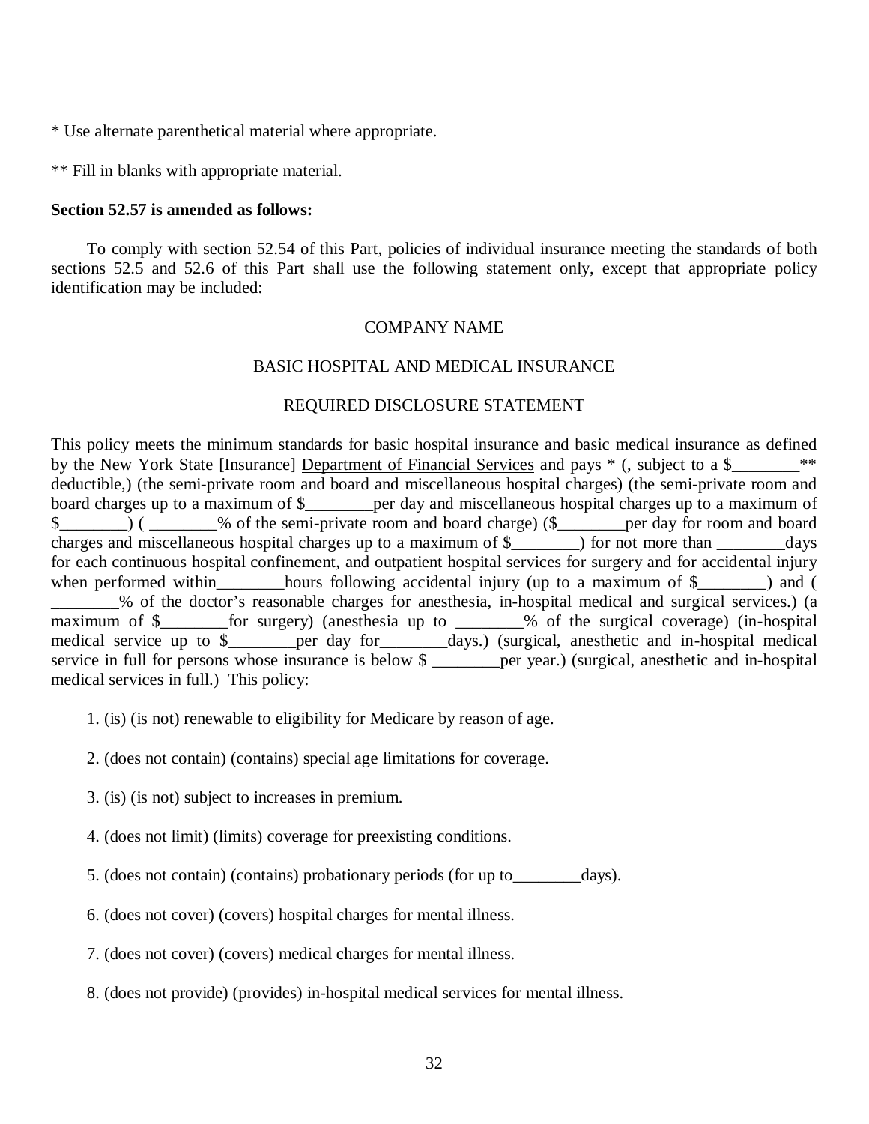\* Use alternate parenthetical material where appropriate.

\*\* Fill in blanks with appropriate material.

### **Section 52.57 is amended as follows:**

 To comply with section 52.54 of this Part, policies of individual insurance meeting the standards of both sections 52.5 and 52.6 of this Part shall use the following statement only, except that appropriate policy identification may be included:

#### COMPANY NAME

## BASIC HOSPITAL AND MEDICAL INSURANCE

#### REQUIRED DISCLOSURE STATEMENT

 This policy meets the minimum standards for basic hospital insurance and basic medical insurance as defined by the New York State [Insurance] Department of Financial Services and pays  $*$  (, subject to a \$\_\_\_\_\_\_\_\_\_\*\* deductible,) (the semi-private room and board and miscellaneous hospital charges) (the semi-private room and board charges up to a maximum of \$\_\_\_\_\_\_\_\_per day and miscellaneous hospital charges up to a maximum of \$\_\_\_\_\_\_\_\_) ( \_\_\_\_\_\_\_\_% of the semi-private room and board charge) (\$\_\_\_\_\_\_\_\_per day for room and board charges and miscellaneous hospital charges up to a maximum of \$\_\_\_\_\_\_\_\_) for not more than \_\_\_\_\_\_\_\_days for each continuous hospital confinement, and outpatient hospital services for surgery and for accidental injury when performed within\_\_\_\_\_\_\_\_hours following accidental injury (up to a maximum of \$\_\_\_\_\_\_\_) and ( \_\_\_\_\_\_\_\_% of the doctor's reasonable charges for anesthesia, in-hospital medical and surgical services.) (a maximum of \$ medical service up to \$\_\_\_\_\_\_\_\_per day for\_\_\_\_\_\_\_\_days.) (surgical, anesthetic and in-hospital medical service in full for persons whose insurance is below \$ \_\_\_\_\_\_\_\_\_per year.) (surgical, anesthetic and in-hospital medical services in full.) This policy: for surgery) (anesthesia up to \_\_\_\_\_\_\_% of the surgical coverage) (in-hospital

- 1. (is) (is not) renewable to eligibility for Medicare by reason of age.
- 2. (does not contain) (contains) special age limitations for coverage.
- 3. (is) (is not) subject to increases in premium.
- 4. (does not limit) (limits) coverage for preexisting conditions.
- 5. (does not contain) (contains) probationary periods (for up to\_\_\_\_\_\_\_\_days).
- 6. (does not cover) (covers) hospital charges for mental illness.
- 7. (does not cover) (covers) medical charges for mental illness.
- 8. (does not provide) (provides) in-hospital medical services for mental illness.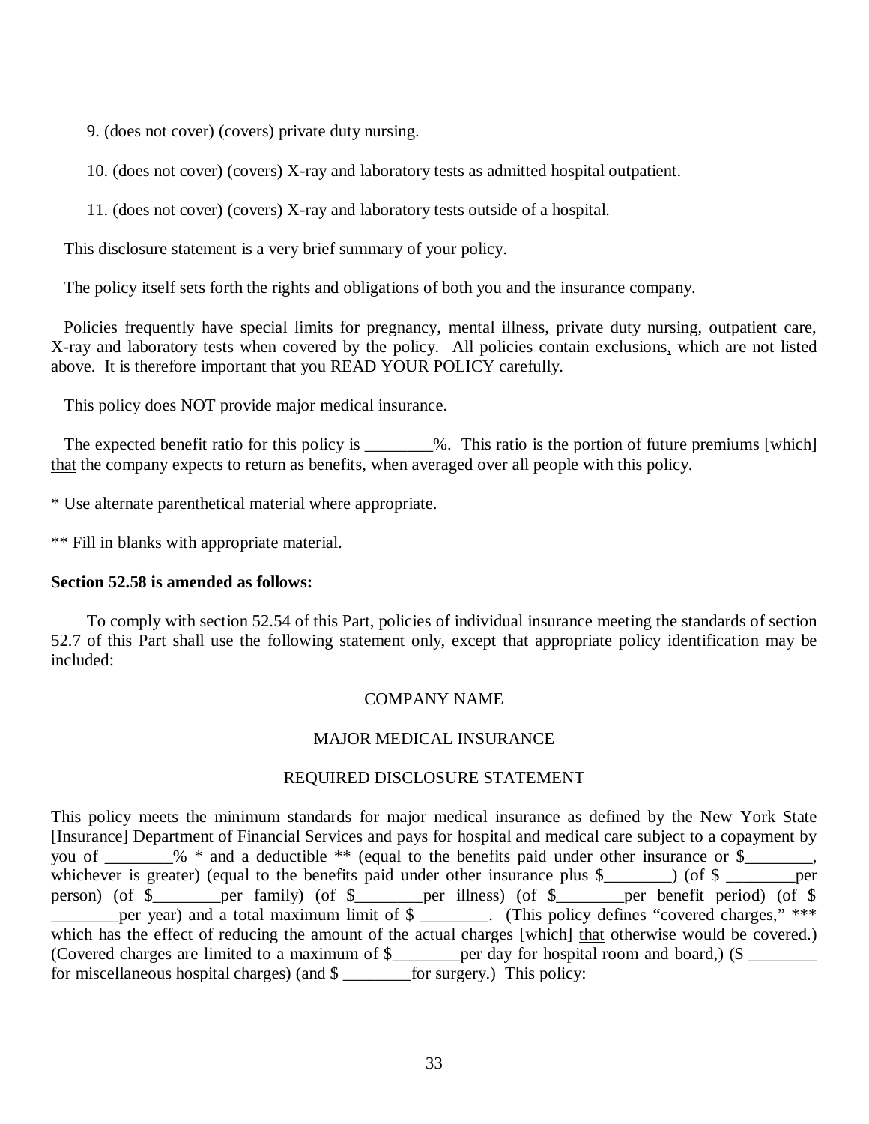9. (does not cover) (covers) private duty nursing.

10. (does not cover) (covers) X-ray and laboratory tests as admitted hospital outpatient.

11. (does not cover) (covers) X-ray and laboratory tests outside of a hospital.

This disclosure statement is a very brief summary of your policy.

The policy itself sets forth the rights and obligations of both you and the insurance company.

 Policies frequently have special limits for pregnancy, mental illness, private duty nursing, outpatient care, X-ray and laboratory tests when covered by the policy. All policies contain exclusions, which are not listed above. It is therefore important that you READ YOUR POLICY carefully.

This policy does NOT provide major medical insurance.

The expected benefit ratio for this policy is \_\_\_\_\_\_\_%. This ratio is the portion of future premiums [which] that the company expects to return as benefits, when averaged over all people with this policy.

\* Use alternate parenthetical material where appropriate.

\*\* Fill in blanks with appropriate material.

## **Section 52.58 is amended as follows:**

 To comply with section 52.54 of this Part, policies of individual insurance meeting the standards of section 52.7 of this Part shall use the following statement only, except that appropriate policy identification may be included:

### COMPANY NAME

# MAJOR MEDICAL INSURANCE

#### REQUIRED DISCLOSURE STATEMENT

 This policy meets the minimum standards for major medical insurance as defined by the New York State [Insurance] Department of Financial Services and pays for hospital and medical care subject to a copayment by you of \_\_\_\_\_\_\_\_% \* and a deductible \*\* (equal to the benefits paid under other insurance or \$\_\_\_\_\_\_\_\_,  $\ddot{\phantom{0}}$ per year) and a total maximum limit of \$ \_\_\_\_\_\_\_. (This policy defines "covered charges," \*\*\* which has the effect of reducing the amount of the actual charges [which] that otherwise would be covered.) (Covered charges are limited to a maximum of \$\_\_\_\_\_\_\_per day for hospital room and board,) (\$ \_\_\_\_\_\_ for miscellaneous hospital charges) (and \$ \_\_\_\_\_\_\_\_for surgery.) This policy: whichever is greater) (equal to the benefits paid under other insurance plus \$\_\_\_\_\_\_) (of \$ \_\_\_\_\_\_\_per person) (of \$\_\_\_\_\_\_\_\_per family) (of \$\_\_\_\_\_\_\_\_per illness) (of \$\_\_\_\_\_\_\_\_per benefit period) (of \$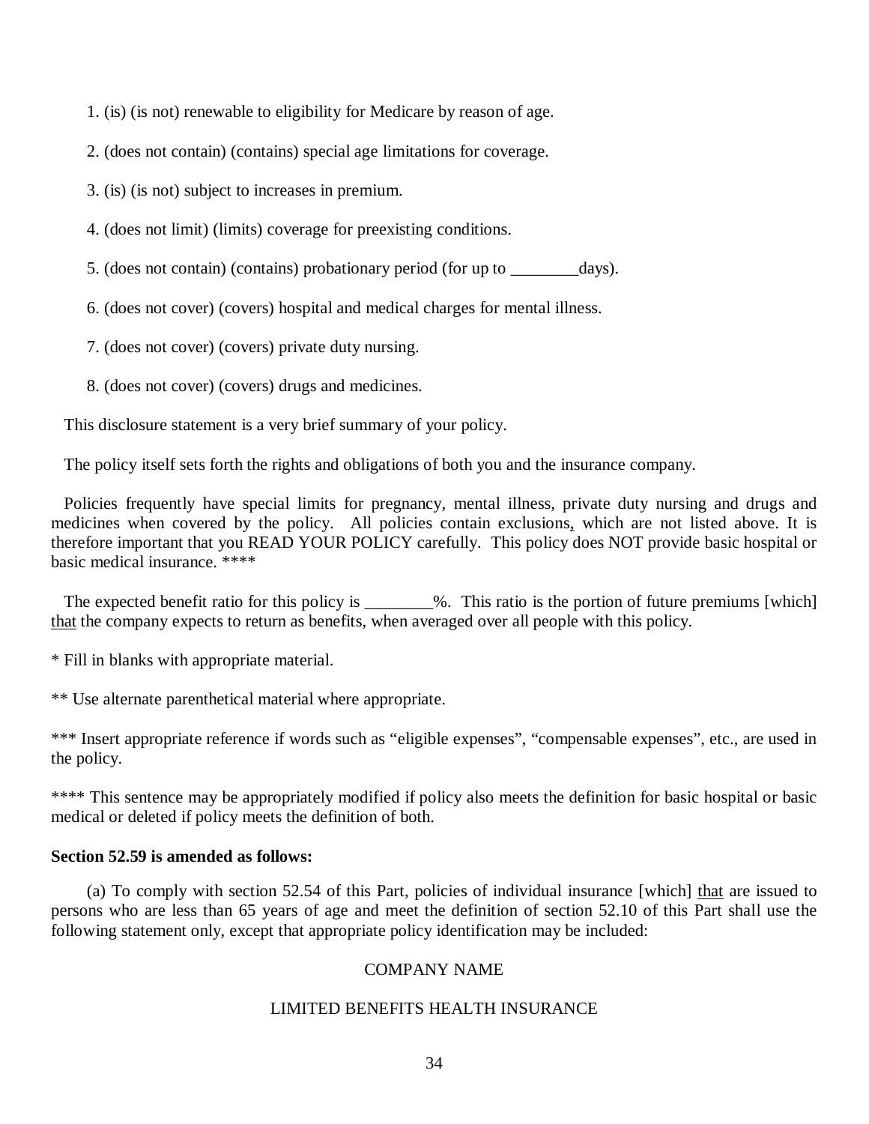1. (is) (is not) renewable to eligibility for Medicare by reason of age.

2. (does not contain) (contains) special age limitations for coverage.

3. (is) (is not) subject to increases in premium.

4. (does not limit) (limits) coverage for preexisting conditions.

5. (does not contain) (contains) probationary period (for up to \_\_\_\_\_\_\_\_days).

6. (does not cover) (covers) hospital and medical charges for mental illness.

7. (does not cover) (covers) private duty nursing.

8. (does not cover) (covers) drugs and medicines.

This disclosure statement is a very brief summary of your policy.

The policy itself sets forth the rights and obligations of both you and the insurance company.

 Policies frequently have special limits for pregnancy, mental illness, private duty nursing and drugs and medicines when covered by the policy. All policies contain exclusions, which are not listed above. It is therefore important that you READ YOUR POLICY carefully. This policy does NOT provide basic hospital or basic medical insurance. \*\*\*\*

The expected benefit ratio for this policy is \_\_\_\_\_\_\_\_%. This ratio is the portion of future premiums [which] that the company expects to return as benefits, when averaged over all people with this policy.

\* Fill in blanks with appropriate material.

\*\* Use alternate parenthetical material where appropriate.

\*\*\* Insert appropriate reference if words such as "eligible expenses", "compensable expenses", etc., are used in the policy.

 \*\*\*\* This sentence may be appropriately modified if policy also meets the definition for basic hospital or basic medical or deleted if policy meets the definition of both.

# **Section 52.59 is amended as follows:**

(a) To comply with section 52.54 of this Part, policies of individual insurance [which] that are issued to persons who are less than 65 years of age and meet the definition of section 52.10 of this Part shall use the following statement only, except that appropriate policy identification may be included:

### COMPANY NAME

### LIMITED BENEFITS HEALTH INSURANCE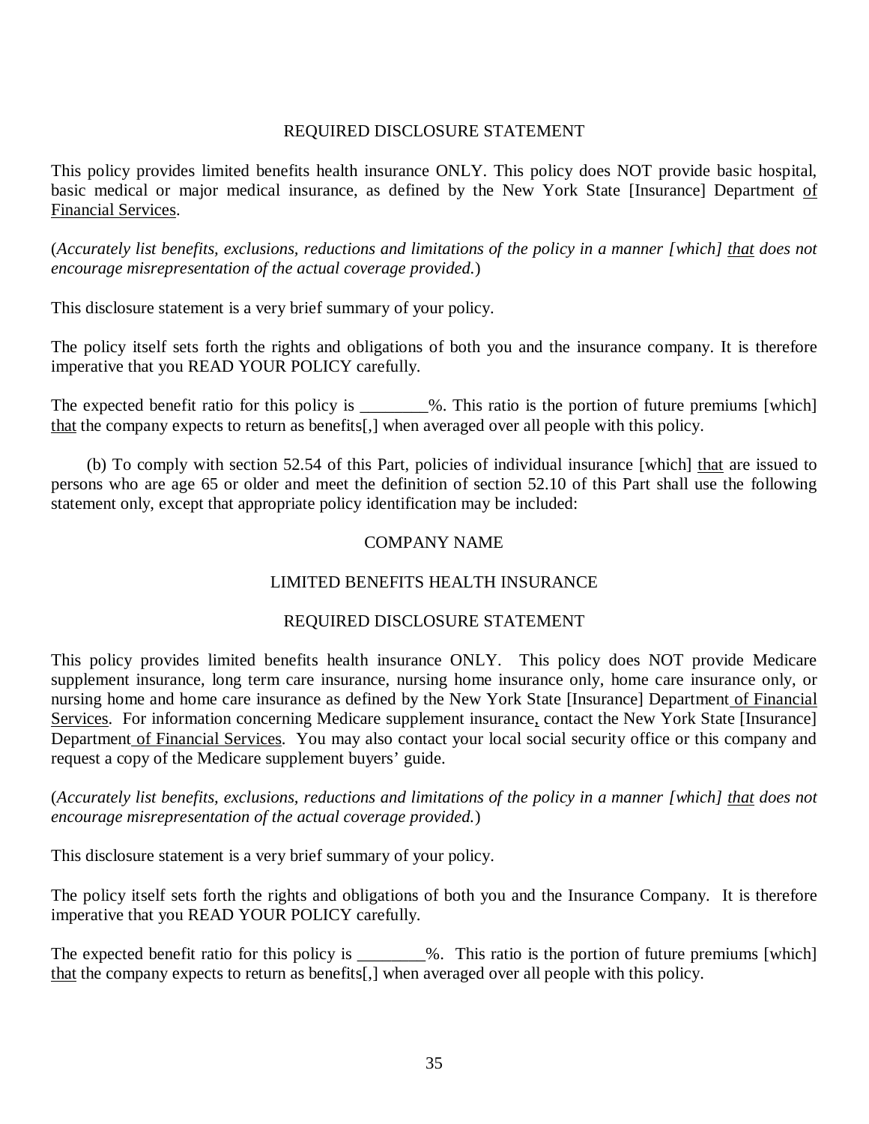# REQUIRED DISCLOSURE STATEMENT

 This policy provides limited benefits health insurance ONLY. This policy does NOT provide basic hospital, basic medical or major medical insurance, as defined by the New York State [Insurance] Department of Financial Services.

(Accurately list benefits, exclusions, reductions and limitations of the policy in a manner [which] that does not  *encourage misrepresentation of the actual coverage provided.*)

This disclosure statement is a very brief summary of your policy.

 The policy itself sets forth the rights and obligations of both you and the insurance company. It is therefore imperative that you READ YOUR POLICY carefully.

The expected benefit ratio for this policy is \_\_\_\_\_\_\_%. This ratio is the portion of future premiums [which] that the company expects to return as benefits[,] when averaged over all people with this policy.

 persons who are age 65 or older and meet the definition of section 52.10 of this Part shall use the following statement only, except that appropriate policy identification may be included: (b) To comply with section 52.54 of this Part, policies of individual insurance [which] that are issued to

# COMPANY NAME

# LIMITED BENEFITS HEALTH INSURANCE

### REQUIRED DISCLOSURE STATEMENT

 This policy provides limited benefits health insurance ONLY. This policy does NOT provide Medicare supplement insurance, long term care insurance, nursing home insurance only, home care insurance only, or nursing home and home care insurance as defined by the New York State [Insurance] Department of Financial Services. For information concerning Medicare supplement insurance, contact the New York State [Insurance] Department of Financial Services. You may also contact your local social security office or this company and request a copy of the Medicare supplement buyers' guide.

(Accurately list benefits, exclusions, reductions and limitations of the policy in a manner [which] <u>that</u> does not  *encourage misrepresentation of the actual coverage provided.*)

This disclosure statement is a very brief summary of your policy.

 The policy itself sets forth the rights and obligations of both you and the Insurance Company. It is therefore imperative that you READ YOUR POLICY carefully.

The expected benefit ratio for this policy is \_\_\_\_\_\_\_%. This ratio is the portion of future premiums [which] that the company expects to return as benefits[,] when averaged over all people with this policy.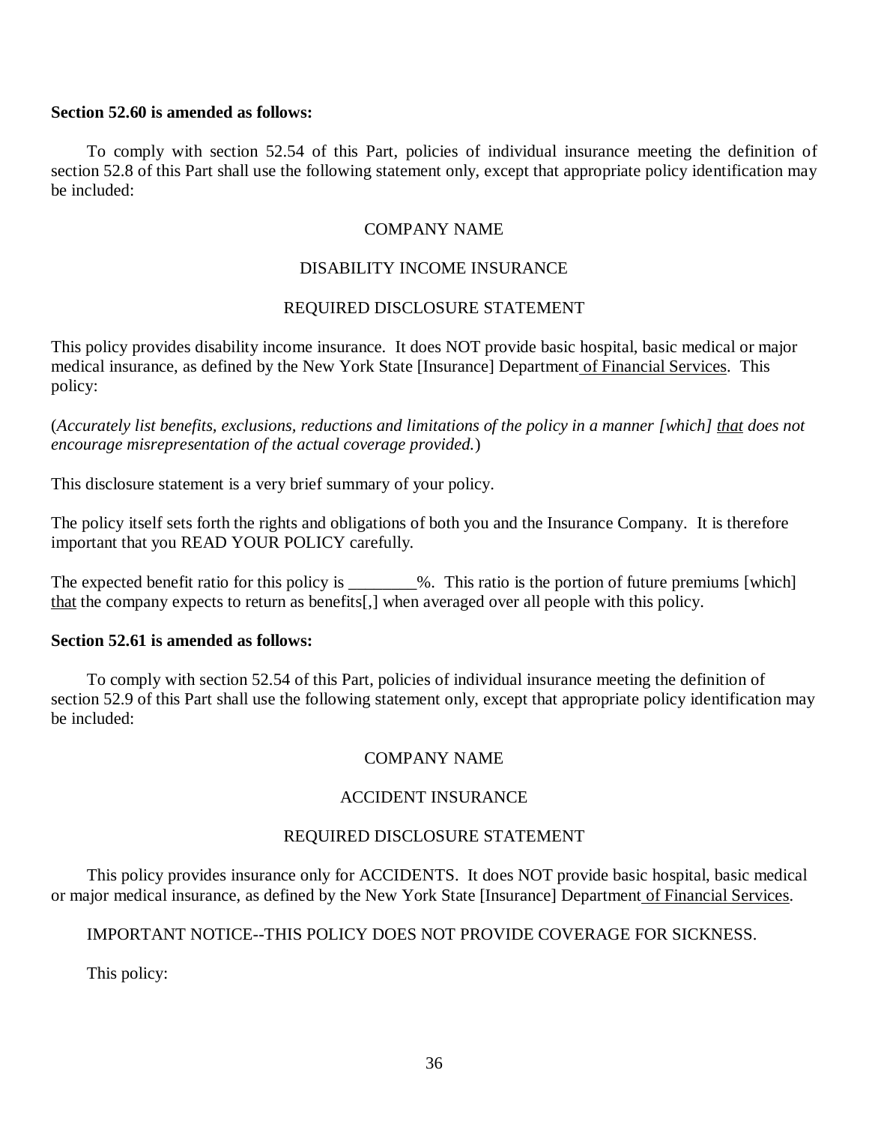### **Section 52.60 is amended as follows:**

 To comply with section 52.54 of this Part, policies of individual insurance meeting the definition of section 52.8 of this Part shall use the following statement only, except that appropriate policy identification may be included:

### COMPANY NAME

## DISABILITY INCOME INSURANCE

### REQUIRED DISCLOSURE STATEMENT

 This policy provides disability income insurance. It does NOT provide basic hospital, basic medical or major medical insurance, as defined by the New York State [Insurance] Department of Financial Services. This policy:

(Accurately list benefits, exclusions, reductions and limitations of the policy in a manner [which] that does not  *encourage misrepresentation of the actual coverage provided.*)

This disclosure statement is a very brief summary of your policy.

 The policy itself sets forth the rights and obligations of both you and the Insurance Company. It is therefore important that you READ YOUR POLICY carefully.

The expected benefit ratio for this policy is \_\_\_\_\_\_\_%. This ratio is the portion of future premiums [which] that the company expects to return as benefits[,] when averaged over all people with this policy.

# **Section 52.61 is amended as follows:**

 To comply with section 52.54 of this Part, policies of individual insurance meeting the definition of section 52.9 of this Part shall use the following statement only, except that appropriate policy identification may be included:

### COMPANY NAME

### ACCIDENT INSURANCE

### REQUIRED DISCLOSURE STATEMENT

 This policy provides insurance only for ACCIDENTS. It does NOT provide basic hospital, basic medical or major medical insurance, as defined by the New York State [Insurance] Department of Financial Services.

# IMPORTANT NOTICE--THIS POLICY DOES NOT PROVIDE COVERAGE FOR SICKNESS.

This policy: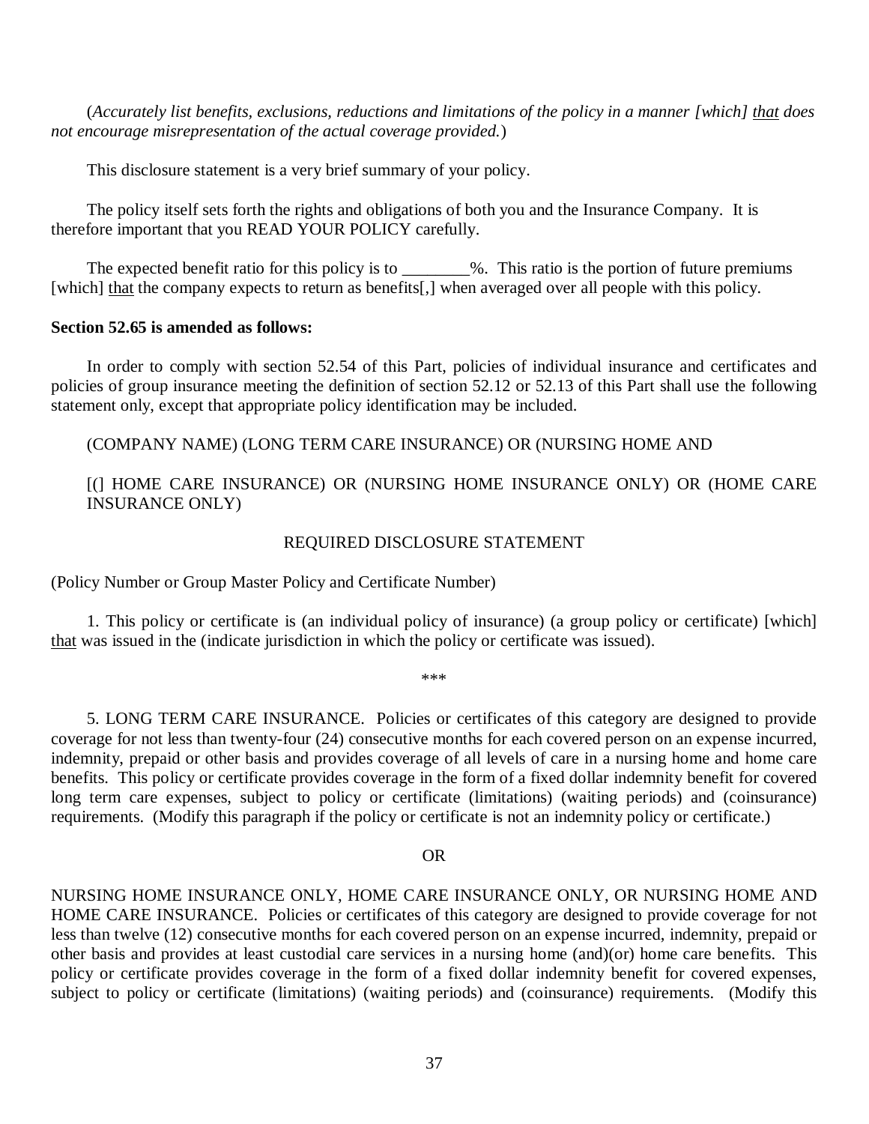(*Accurately list benefits, exclusions, reductions and limitations of the policy in a manner [which] that does not encourage misrepresentation of the actual coverage provided.*)

This disclosure statement is a very brief summary of your policy.

 The policy itself sets forth the rights and obligations of both you and the Insurance Company. It is therefore important that you READ YOUR POLICY carefully.

The expected benefit ratio for this policy is to \_\_\_\_\_\_\_\_%. This ratio is the portion of future premiums [which] that the company expects to return as benefits[,] when averaged over all people with this policy.

# **Section 52.65 is amended as follows:**

 policies of group insurance meeting the definition of section 52.12 or 52.13 of this Part shall use the following statement only, except that appropriate policy identification may be included. In order to comply with section 52.54 of this Part, policies of individual insurance and certificates and

(COMPANY NAME) (LONG TERM CARE INSURANCE) OR (NURSING HOME AND

# [(] HOME CARE INSURANCE) OR (NURSING HOME INSURANCE ONLY) OR (HOME CARE INSURANCE ONLY)

# REQUIRED DISCLOSURE STATEMENT

(Policy Number or Group Master Policy and Certificate Number)

that was issued in the (indicate jurisdiction in which the policy or certificate was issued). 1. This policy or certificate is (an individual policy of insurance) (a group policy or certificate) [which]

\*\*\*

 coverage for not less than twenty-four (24) consecutive months for each covered person on an expense incurred, indemnity, prepaid or other basis and provides coverage of all levels of care in a nursing home and home care benefits. This policy or certificate provides coverage in the form of a fixed dollar indemnity benefit for covered long term care expenses, subject to policy or certificate (limitations) (waiting periods) and (coinsurance) requirements. (Modify this paragraph if the policy or certificate is not an indemnity policy or certificate.) 5. LONG TERM CARE INSURANCE. Policies or certificates of this category are designed to provide

## OR

 NURSING HOME INSURANCE ONLY, HOME CARE INSURANCE ONLY, OR NURSING HOME AND HOME CARE INSURANCE. Policies or certificates of this category are designed to provide coverage for not less than twelve (12) consecutive months for each covered person on an expense incurred, indemnity, prepaid or other basis and provides at least custodial care services in a nursing home (and)(or) home care benefits. This policy or certificate provides coverage in the form of a fixed dollar indemnity benefit for covered expenses, subject to policy or certificate (limitations) (waiting periods) and (coinsurance) requirements. (Modify this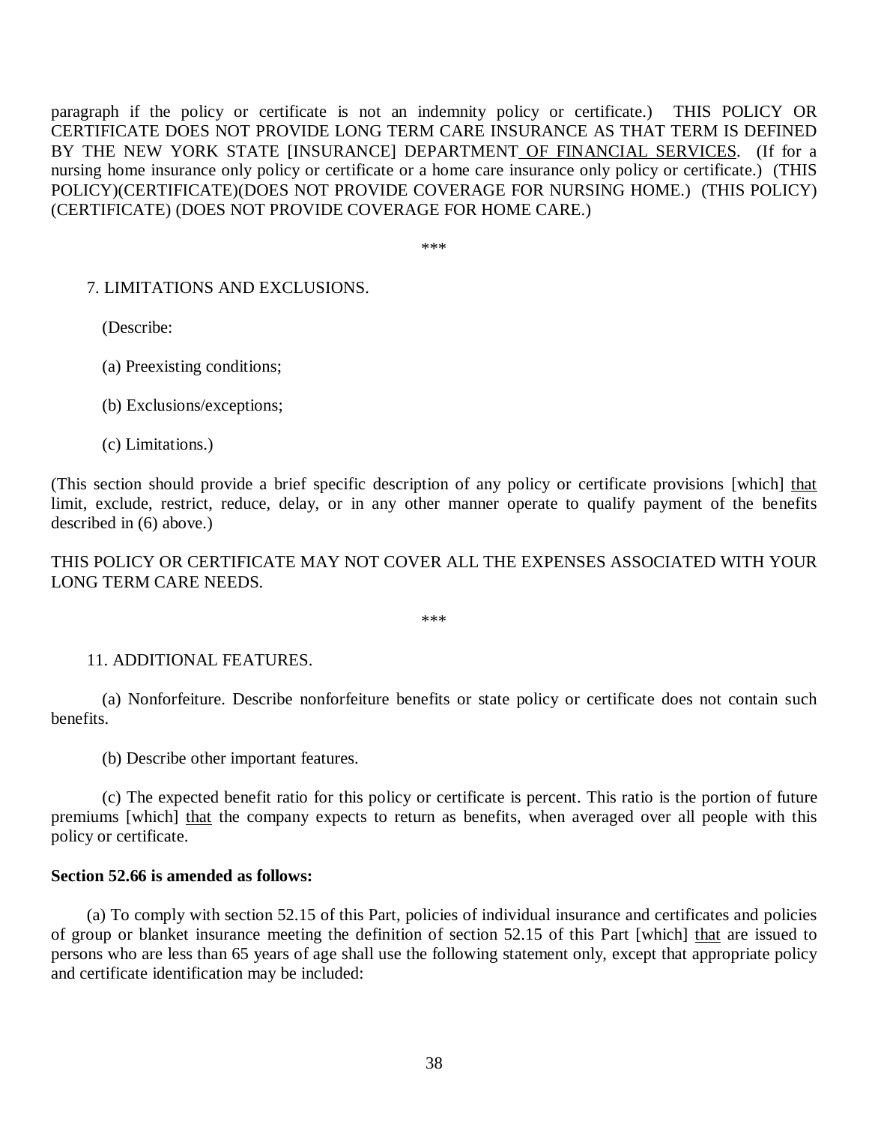paragraph if the policy or certificate is not an indemnity policy or certificate.) THIS POLICY OR CERTIFICATE DOES NOT PROVIDE LONG TERM CARE INSURANCE AS THAT TERM IS DEFINED BY THE NEW YORK STATE [INSURANCE] DEPARTMENT<u> OF FINANCIAL SERVICES</u>. (If for a nursing home insurance only policy or certificate or a home care insurance only policy or certificate.) (THIS POLICY)(CERTIFICATE)(DOES NOT PROVIDE COVERAGE FOR NURSING HOME.) (THIS POLICY) (CERTIFICATE) (DOES NOT PROVIDE COVERAGE FOR HOME CARE.)

\*\*\*

## 7. LIMITATIONS AND EXCLUSIONS.

(Describe:

(a) Preexisting conditions;

(b) Exclusions/exceptions;

(c) Limitations.)

(This section should provide a brief specific description of any policy or certificate provisions [which] that limit, exclude, restrict, reduce, delay, or in any other manner operate to qualify payment of the benefits described in (6) above.)

 THIS POLICY OR CERTIFICATE MAY NOT COVER ALL THE EXPENSES ASSOCIATED WITH YOUR LONG TERM CARE NEEDS.

\*\*\*

## 11. ADDITIONAL FEATURES.

(a) Nonforfeiture. Describe nonforfeiture benefits or state policy or certificate does not contain such benefits.

(b) Describe other important features.

premiums [which] that the company expects to return as benefits, when averaged over all people with this policy or certificate. (c) The expected benefit ratio for this policy or certificate is percent. This ratio is the portion of future

# **Section 52.66 is amended as follows:**

of group or blanket insurance meeting the definition of section 52.15 of this Part [which] that are issued to persons who are less than 65 years of age shall use the following statement only, except that appropriate policy and certificate identification may be included: (a) To comply with section 52.15 of this Part, policies of individual insurance and certificates and policies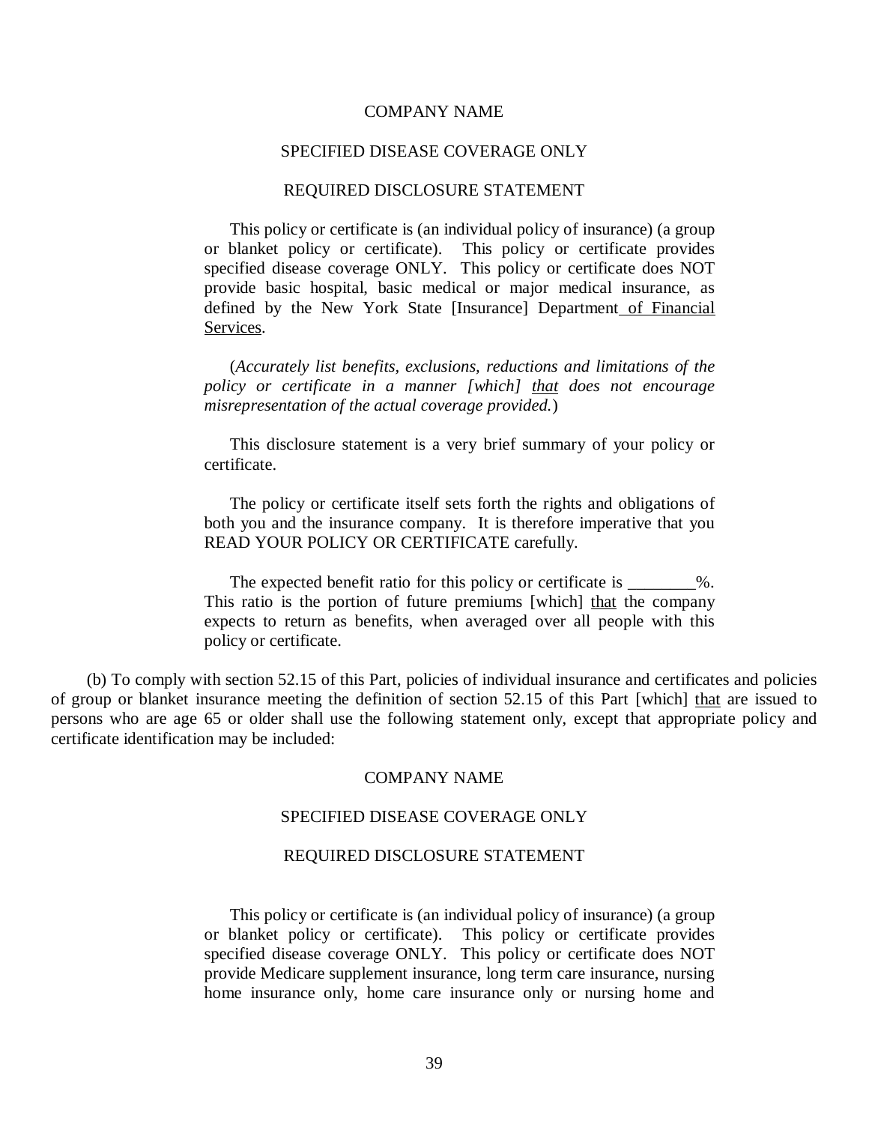#### COMPANY NAME

#### SPECIFIED DISEASE COVERAGE ONLY

#### REQUIRED DISCLOSURE STATEMENT

 This policy or certificate is (an individual policy of insurance) (a group or blanket policy or certificate). This policy or certificate provides specified disease coverage ONLY. This policy or certificate does NOT provide basic hospital, basic medical or major medical insurance, as defined by the New York State [Insurance] Department of Financial Services.

 (*Accurately list benefits, exclusions, reductions and limitations of the policy or certificate in a manner [which] that does not encourage misrepresentation of the actual coverage provided.*)

 This disclosure statement is a very brief summary of your policy or certificate.

 The policy or certificate itself sets forth the rights and obligations of both you and the insurance company. It is therefore imperative that you READ YOUR POLICY OR CERTIFICATE carefully.

The expected benefit ratio for this policy or certificate is \_\_\_\_\_\_\_\_%. This ratio is the portion of future premiums [which] that the company expects to return as benefits, when averaged over all people with this policy or certificate.

 (b) To comply with section 52.15 of this Part, policies of individual insurance and certificates and policies of group or blanket insurance meeting the definition of section 52.15 of this Part [which] that are issued to persons who are age 65 or older shall use the following statement only, except that appropriate policy and certificate identification may be included:

#### COMPANY NAME

#### SPECIFIED DISEASE COVERAGE ONLY

#### REQUIRED DISCLOSURE STATEMENT

 This policy or certificate is (an individual policy of insurance) (a group or blanket policy or certificate). This policy or certificate provides specified disease coverage ONLY. This policy or certificate does NOT provide Medicare supplement insurance, long term care insurance, nursing home insurance only, home care insurance only or nursing home and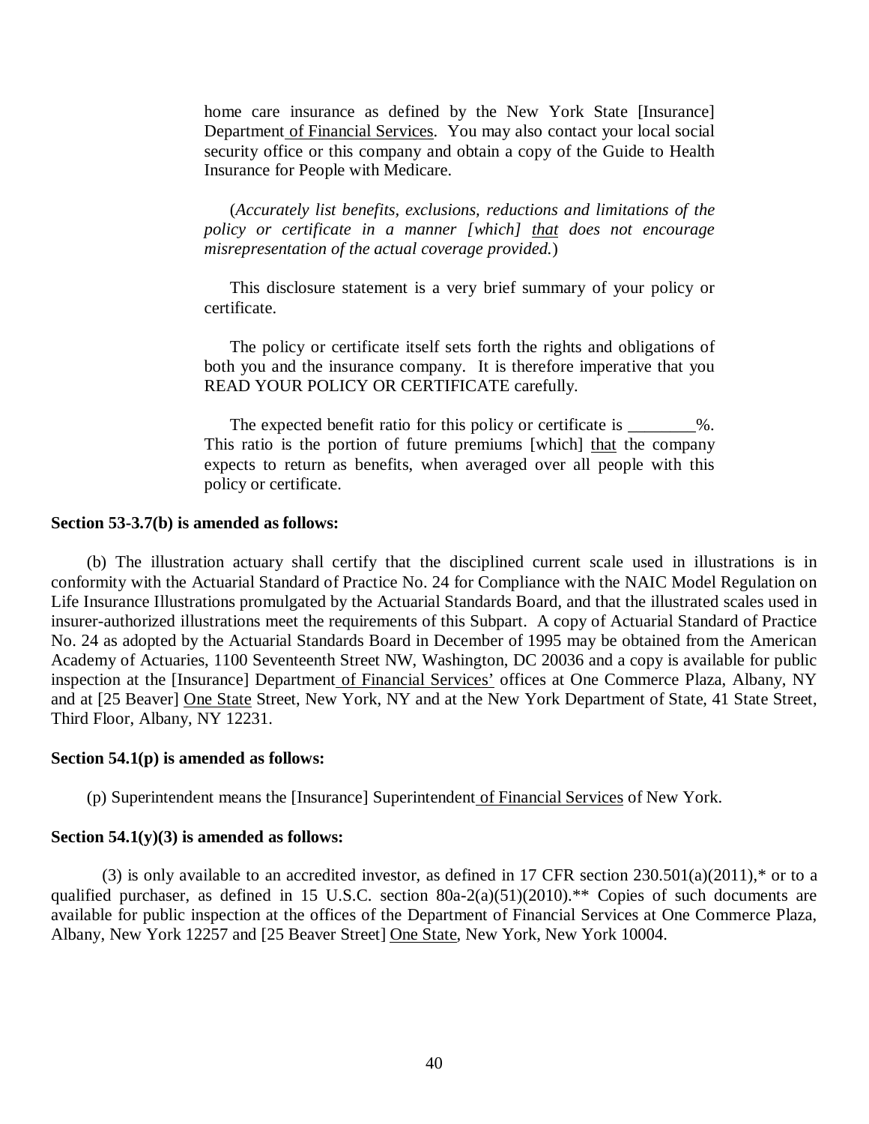home care insurance as defined by the New York State [Insurance] Department of Financial Services. You may also contact your local social security office or this company and obtain a copy of the Guide to Health Insurance for People with Medicare.

 (*Accurately list benefits, exclusions, reductions and limitations of the policy or certificate in a manner [which] that does not encourage misrepresentation of the actual coverage provided.*)

 This disclosure statement is a very brief summary of your policy or certificate.

 The policy or certificate itself sets forth the rights and obligations of both you and the insurance company. It is therefore imperative that you READ YOUR POLICY OR CERTIFICATE carefully.

The expected benefit ratio for this policy or certificate is \_\_\_\_\_\_\_\_%. This ratio is the portion of future premiums [which] that the company expects to return as benefits, when averaged over all people with this policy or certificate.

#### **Section 53-3.7(b) is amended as follows:**

 conformity with the Actuarial Standard of Practice No. 24 for Compliance with the NAIC Model Regulation on Life Insurance Illustrations promulgated by the Actuarial Standards Board, and that the illustrated scales used in insurer-authorized illustrations meet the requirements of this Subpart. A copy of Actuarial Standard of Practice No. 24 as adopted by the Actuarial Standards Board in December of 1995 may be obtained from the American Academy of Actuaries, 1100 Seventeenth Street NW, Washington, DC 20036 and a copy is available for public inspection at the [Insurance] Department of Financial Services' offices at One Commerce Plaza, Albany, NY and at [25 Beaver] One State Street, New York, NY and at the New York Department of State, 41 State Street, Third Floor, Albany, NY 12231. (b) The illustration actuary shall certify that the disciplined current scale used in illustrations is in

#### **Section 54.1(p) is amended as follows:**

(p) Superintendent means the [Insurance] Superintendent of Financial Services of New York.

## **Section 54.1(y)(3) is amended as follows:**

 qualified purchaser, as defined in 15 U.S.C. section 80a-2(a)(51)(2010).\*\* Copies of such documents are available for public inspection at the offices of the Department of Financial Services at One Commerce Plaza, Albany, New York 12257 and [25 Beaver Street] One State, New York, New York 10004. (3) is only available to an accredited investor, as defined in 17 CFR section  $230.501(a)(2011)$ ,\* or to a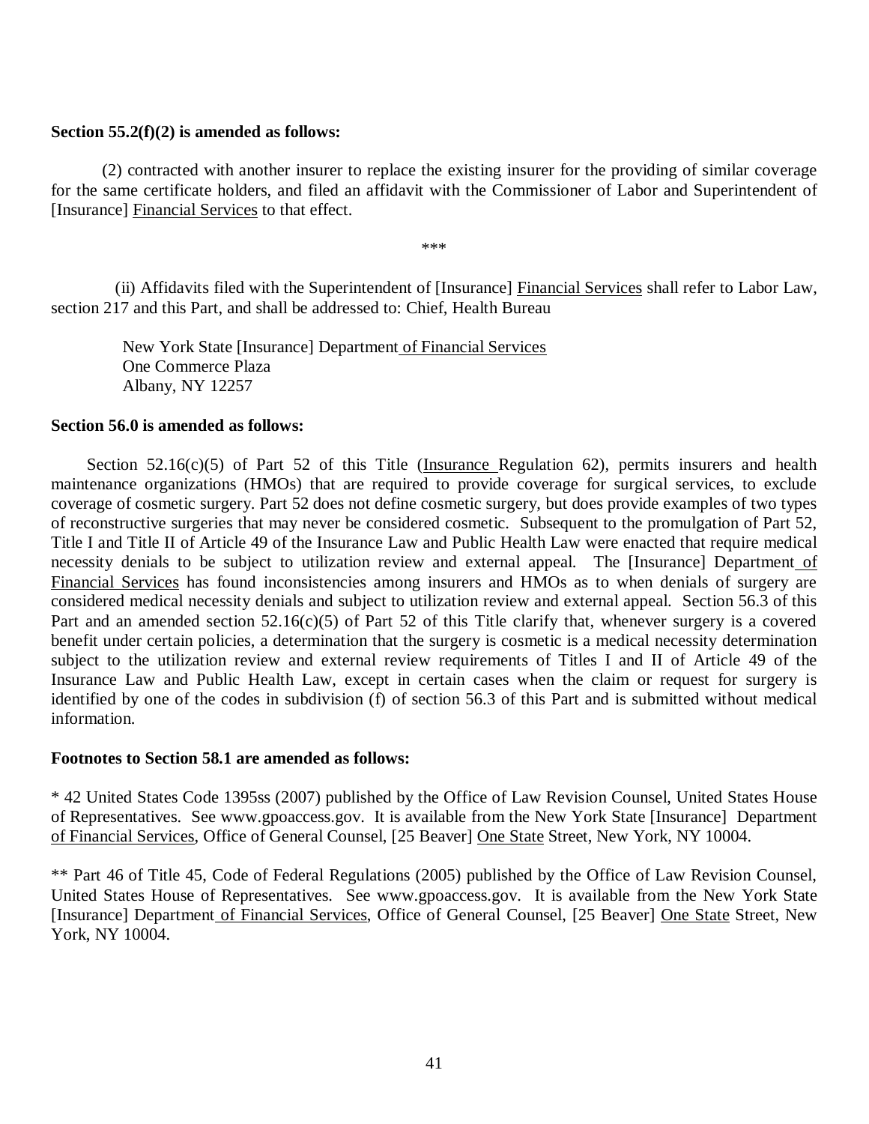### **Section 55.2(f)(2) is amended as follows:**

 for the same certificate holders, and filed an affidavit with the Commissioner of Labor and Superintendent of [Insurance] **Financial Services** to that effect. (2) contracted with another insurer to replace the existing insurer for the providing of similar coverage

\*\*\*

 section 217 and this Part, and shall be addressed to: Chief, Health Bureau (ii) Affidavits filed with the Superintendent of [Insurance] Financial Services shall refer to Labor Law,

New York State [Insurance] Department of Financial Services One Commerce Plaza Albany, NY 12257

# **Section 56.0 is amended as follows:**

 maintenance organizations (HMOs) that are required to provide coverage for surgical services, to exclude coverage of cosmetic surgery. Part 52 does not define cosmetic surgery, but does provide examples of two types of reconstructive surgeries that may never be considered cosmetic. Subsequent to the promulgation of Part 52, Title I and Title II of Article 49 of the Insurance Law and Public Health Law were enacted that require medical necessity denials to be subject to utilization review and external appeal. The [Insurance] Department of Financial Services has found inconsistencies among insurers and HMOs as to when denials of surgery are considered medical necessity denials and subject to utilization review and external appeal. Section 56.3 of this Part and an amended section 52.16(c)(5) of Part 52 of this Title clarify that, whenever surgery is a covered benefit under certain policies, a determination that the surgery is cosmetic is a medical necessity determination subject to the utilization review and external review requirements of Titles I and II of Article 49 of the Insurance Law and Public Health Law, except in certain cases when the claim or request for surgery is identified by one of the codes in subdivision (f) of section 56.3 of this Part and is submitted without medical Section  $52.16(c)(5)$  of Part  $52$  of this Title (Insurance Regulation  $62$ ), permits insurers and health information.

# **Footnotes to Section 58.1 are amended as follows:**

 \* 42 United States Code 1395ss (2007) published by the Office of Law Revision Counsel, United States House of Representatives. See www.gpoaccess.gov. It is available from the New York State [Insurance] Department of Financial Services, Office of General Counsel, [25 Beaver] One State Street, New York, NY 10004.

 \*\* Part 46 of Title 45, Code of Federal Regulations (2005) published by the Office of Law Revision Counsel, United States House of Representatives. See www.gpoaccess.gov. It is available from the New York State [Insurance] Department of Financial Services, Office of General Counsel, [25 Beaver] One State Street, New York, NY 10004.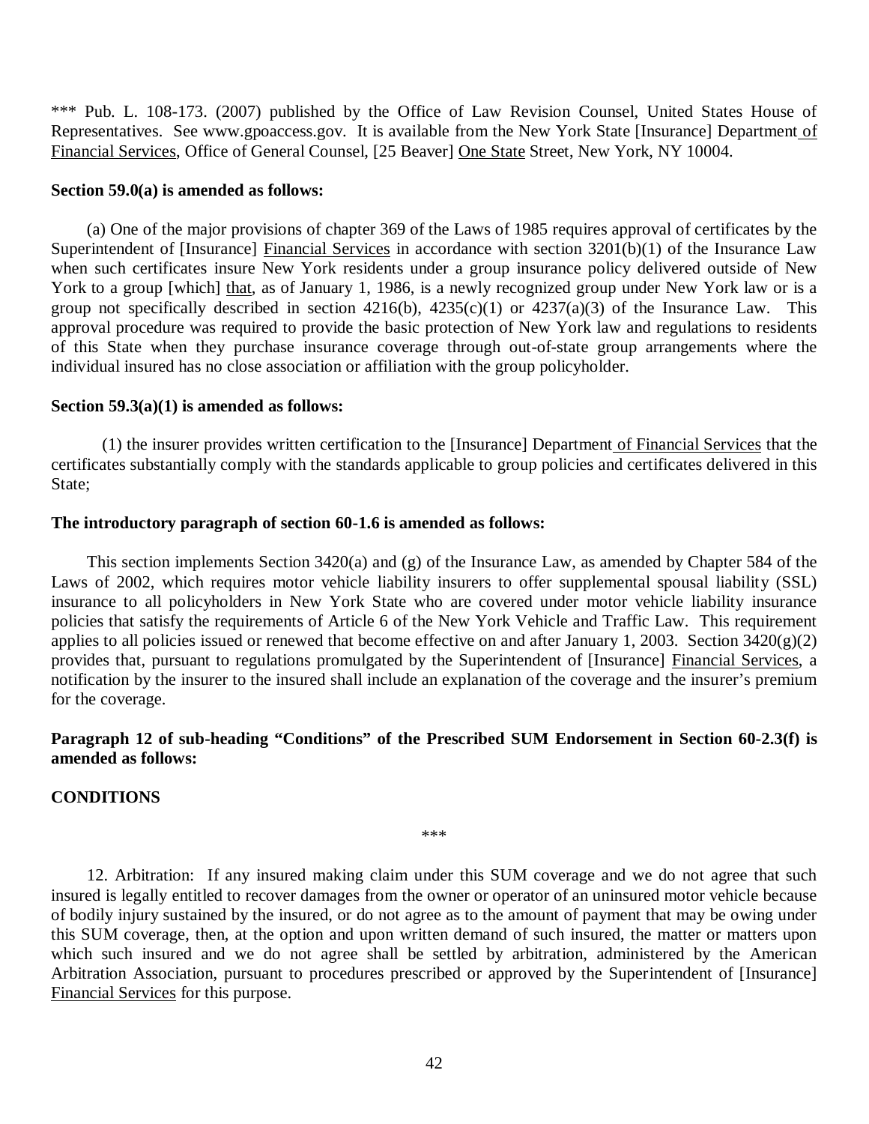\*\*\* Pub. L. 108-173. (2007) published by the Office of Law Revision Counsel, United States House of Representatives. See www.gpoaccess.gov. It is available from the New York State [Insurance] Department of Financial Services, Office of General Counsel, [25 Beaver] One State Street, New York, NY 10004.

### **Section 59.0(a) is amended as follows:**

Superintendent of [Insurance] Financial Services in accordance with section 3201(b)(1) of the Insurance Law when such certificates insure New York residents under a group insurance policy delivered outside of New York to a group [which] that, as of January 1, 1986, is a newly recognized group under New York law or is a group not specifically described in section  $4216(b)$ ,  $4235(c)(1)$  or  $4237(a)(3)$  of the Insurance Law. This approval procedure was required to provide the basic protection of New York law and regulations to residents of this State when they purchase insurance coverage through out-of-state group arrangements where the individual insured has no close association or affiliation with the group policyholder. (a) One of the major provisions of chapter 369 of the Laws of 1985 requires approval of certificates by the

### **Section 59.3(a)(1) is amended as follows:**

 certificates substantially comply with the standards applicable to group policies and certificates delivered in this (1) the insurer provides written certification to the [Insurance] Department of Financial Services that the State;

#### **The introductory paragraph of section 60-1.6 is amended as follows:**

 Laws of 2002, which requires motor vehicle liability insurers to offer supplemental spousal liability (SSL) insurance to all policyholders in New York State who are covered under motor vehicle liability insurance policies that satisfy the requirements of Article 6 of the New York Vehicle and Traffic Law. This requirement applies to all policies issued or renewed that become effective on and after January 1, 2003. Section 3420(g)(2) provides that, pursuant to regulations promulgated by the Superintendent of [Insurance] Financial Services, a notification by the insurer to the insured shall include an explanation of the coverage and the insurer's premium for the coverage. This section implements Section 3420(a) and (g) of the Insurance Law, as amended by Chapter 584 of the

## **Paragraph 12 of sub-heading "Conditions" of the Prescribed SUM Endorsement in Section 60-2.3(f) is amended as follows:**

#### **CONDITIONS**

\*\*\*

 12. Arbitration: If any insured making claim under this SUM coverage and we do not agree that such insured is legally entitled to recover damages from the owner or operator of an uninsured motor vehicle because of bodily injury sustained by the insured, or do not agree as to the amount of payment that may be owing under this SUM coverage, then, at the option and upon written demand of such insured, the matter or matters upon which such insured and we do not agree shall be settled by arbitration, administered by the American Arbitration Association, pursuant to procedures prescribed or approved by the Superintendent of [Insurance] Financial Services for this purpose.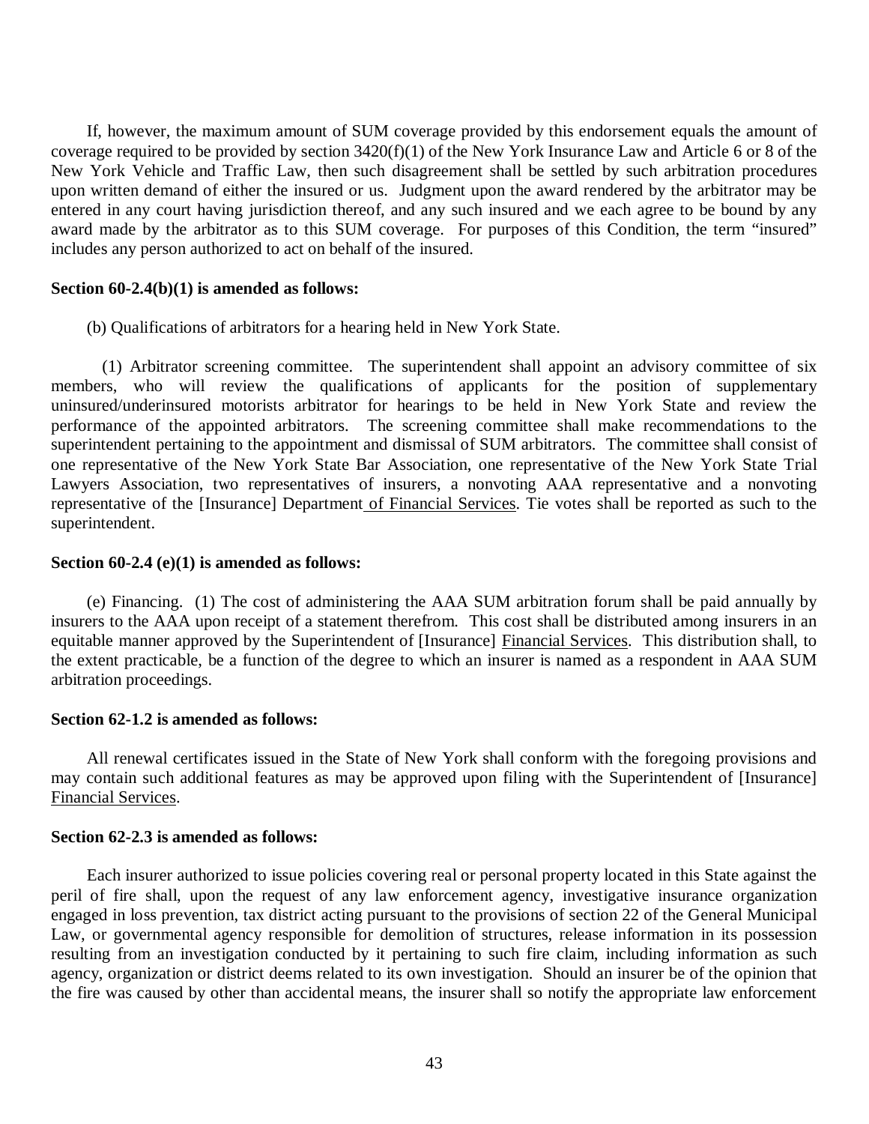If, however, the maximum amount of SUM coverage provided by this endorsement equals the amount of coverage required to be provided by section 3420(f)(1) of the New York Insurance Law and Article 6 or 8 of the New York Vehicle and Traffic Law, then such disagreement shall be settled by such arbitration procedures upon written demand of either the insured or us. Judgment upon the award rendered by the arbitrator may be entered in any court having jurisdiction thereof, and any such insured and we each agree to be bound by any award made by the arbitrator as to this SUM coverage. For purposes of this Condition, the term "insured" includes any person authorized to act on behalf of the insured.

#### **Section 60-2.4(b)(1) is amended as follows:**

(b) Qualifications of arbitrators for a hearing held in New York State.

 members, who will review the qualifications of applicants for the position of supplementary uninsured/underinsured motorists arbitrator for hearings to be held in New York State and review the performance of the appointed arbitrators. The screening committee shall make recommendations to the superintendent pertaining to the appointment and dismissal of SUM arbitrators. The committee shall consist of one representative of the New York State Bar Association, one representative of the New York State Trial Lawyers Association, two representatives of insurers, a nonvoting AAA representative and a nonvoting representative of the [Insurance] Department of Financial Services. Tie votes shall be reported as such to the (1) Arbitrator screening committee. The superintendent shall appoint an advisory committee of six superintendent.

### **Section 60-2.4 (e)(1) is amended as follows:**

 insurers to the AAA upon receipt of a statement therefrom. This cost shall be distributed among insurers in an equitable manner approved by the Superintendent of [Insurance] Financial Services. This distribution shall, to the extent practicable, be a function of the degree to which an insurer is named as a respondent in AAA SUM arbitration proceedings. (e) Financing. (1) The cost of administering the AAA SUM arbitration forum shall be paid annually by

## **Section 62-1.2 is amended as follows:**

 may contain such additional features as may be approved upon filing with the Superintendent of [Insurance] Financial Services. All renewal certificates issued in the State of New York shall conform with the foregoing provisions and

# **Section 62-2.3 is amended as follows:**

 peril of fire shall, upon the request of any law enforcement agency, investigative insurance organization engaged in loss prevention, tax district acting pursuant to the provisions of section 22 of the General Municipal Law, or governmental agency responsible for demolition of structures, release information in its possession resulting from an investigation conducted by it pertaining to such fire claim, including information as such agency, organization or district deems related to its own investigation. Should an insurer be of the opinion that the fire was caused by other than accidental means, the insurer shall so notify the appropriate law enforcement Each insurer authorized to issue policies covering real or personal property located in this State against the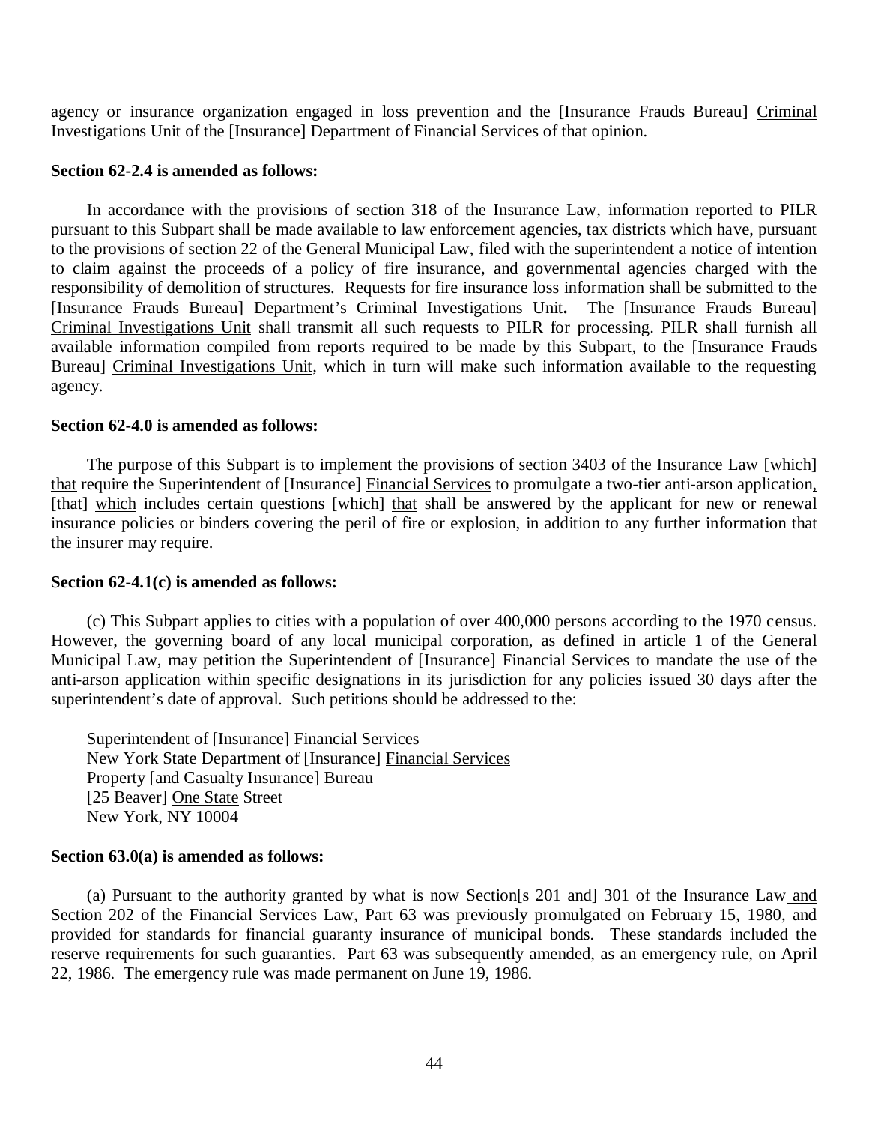agency or insurance organization engaged in loss prevention and the [Insurance Frauds Bureau] Criminal Investigations Unit of the [Insurance] Department of Financial Services of that opinion.

#### **Section 62-2.4 is amended as follows:**

 pursuant to this Subpart shall be made available to law enforcement agencies, tax districts which have, pursuant to the provisions of section 22 of the General Municipal Law, filed with the superintendent a notice of intention to claim against the proceeds of a policy of fire insurance, and governmental agencies charged with the responsibility of demolition of structures. Requests for fire insurance loss information shall be submitted to the [Insurance Frauds Bureau] Department's Criminal Investigations Unit**.** The [Insurance Frauds Bureau] Criminal Investigations Unit shall transmit all such requests to PILR for processing. PILR shall furnish all available information compiled from reports required to be made by this Subpart, to the [Insurance Frauds Bureau] Criminal Investigations Unit, which in turn will make such information available to the requesting In accordance with the provisions of section 318 of the Insurance Law, information reported to PILR agency.

# **Section 62-4.0 is amended as follows:**

that require the Superintendent of [Insurance] Financial Services to promulgate a two-tier anti-arson application, [that] which includes certain questions [which] that shall be answered by the applicant for new or renewal insurance policies or binders covering the peril of fire or explosion, in addition to any further information that the insurer may require. The purpose of this Subpart is to implement the provisions of section 3403 of the Insurance Law [which]

# **Section 62-4.1(c) is amended as follows:**

 However, the governing board of any local municipal corporation, as defined in article 1 of the General Municipal Law, may petition the Superintendent of [Insurance] Financial Services to mandate the use of the anti-arson application within specific designations in its jurisdiction for any policies issued 30 days after the superintendent's date of approval. Such petitions should be addressed to the: (c) This Subpart applies to cities with a population of over 400,000 persons according to the 1970 census.

Superintendent of [Insurance] Financial Services New York State Department of [Insurance] Financial Services Property [and Casualty Insurance] Bureau [25 Beaver] One State Street New York, NY 10004

# **Section 63.0(a) is amended as follows:**

Section 202 of the Financial Services Law, Part 63 was previously promulgated on February 15, 1980, and provided for standards for financial guaranty insurance of municipal bonds. These standards included the reserve requirements for such guaranties. Part 63 was subsequently amended, as an emergency rule, on April 22, 1986. The emergency rule was made permanent on June 19, 1986. (a) Pursuant to the authority granted by what is now Section[s 201 and] 301 of the Insurance Law and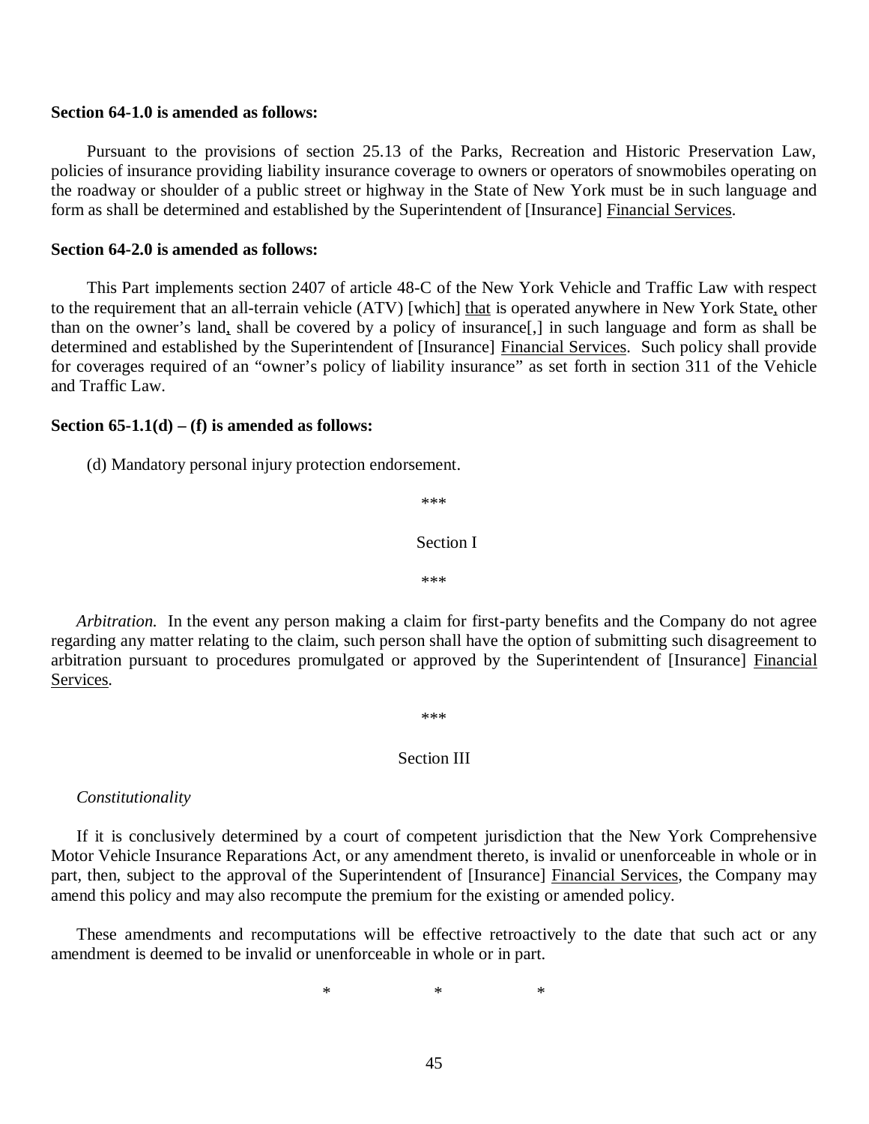#### **Section 64-1.0 is amended as follows:**

 Pursuant to the provisions of section 25.13 of the Parks, Recreation and Historic Preservation Law, policies of insurance providing liability insurance coverage to owners or operators of snowmobiles operating on the roadway or shoulder of a public street or highway in the State of New York must be in such language and form as shall be determined and established by the Superintendent of [Insurance] Financial Services.

#### **Section 64-2.0 is amended as follows:**

to the requirement that an all-terrain vehicle (ATV) [which] that is operated anywhere in New York State, other than on the owner's land, shall be covered by a policy of insurance[,] in such language and form as shall be determined and established by the Superintendent of [Insurance] Financial Services. Such policy shall provide for coverages required of an "owner's policy of liability insurance" as set forth in section 311 of the Vehicle and Traffic Law. This Part implements section 2407 of article 48-C of the New York Vehicle and Traffic Law with respect

#### **Section 65-1.1(d) – (f) is amended as follows:**

(d) Mandatory personal injury protection endorsement.

\*\*\*

#### Section I

\*\*\*

 *Arbitration.* In the event any person making a claim for first-party benefits and the Company do not agree regarding any matter relating to the claim, such person shall have the option of submitting such disagreement to arbitration pursuant to procedures promulgated or approved by the Superintendent of [Insurance] Financial Services.

\*\*\*

#### Section III

*Constitutionality* 

 Motor Vehicle Insurance Reparations Act, or any amendment thereto, is invalid or unenforceable in whole or in part, then, subject to the approval of the Superintendent of [Insurance] Financial Services, the Company may amend this policy and may also recompute the premium for the existing or amended policy. If it is conclusively determined by a court of competent jurisdiction that the New York Comprehensive

 amendment is deemed to be invalid or unenforceable in whole or in part. These amendments and recomputations will be effective retroactively to the date that such act or any

 $*$  \* \* \*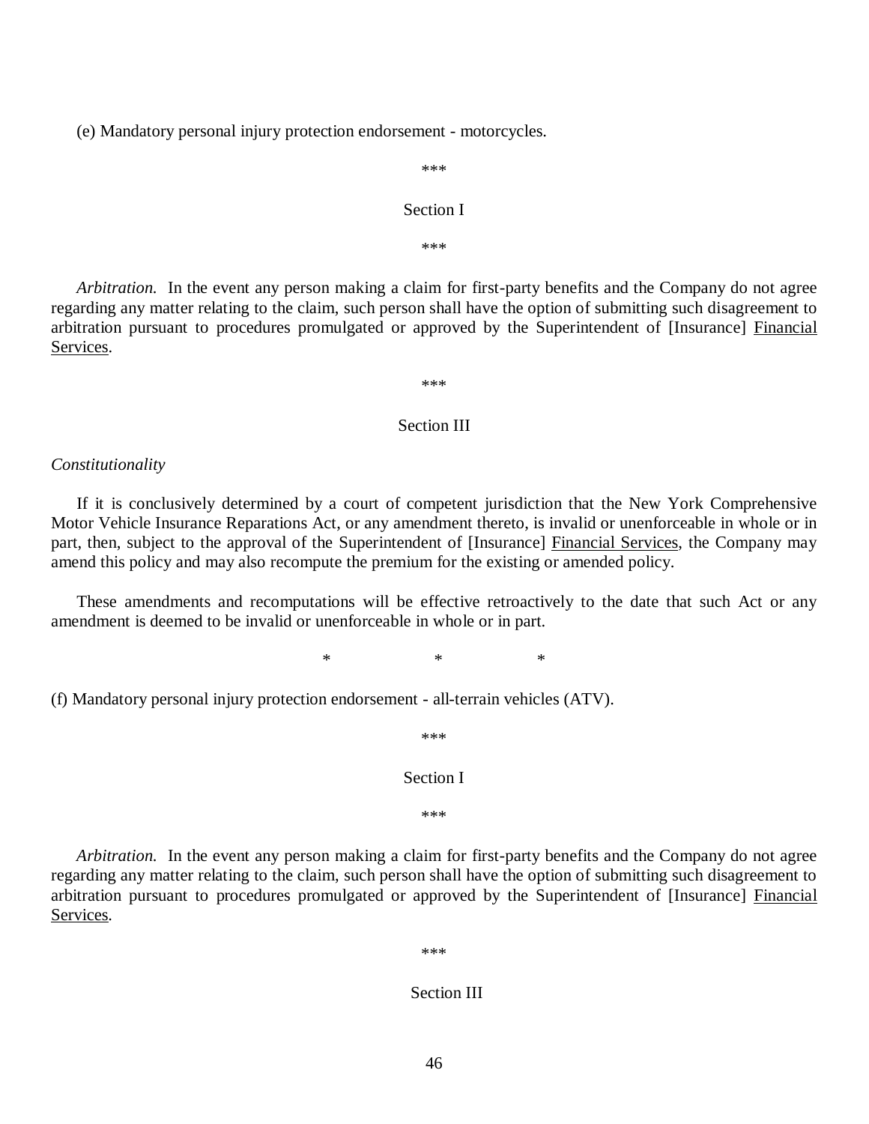(e) Mandatory personal injury protection endorsement - motorcycles.

\*\*\*

#### Section I

\*\*\*

 *Arbitration.* In the event any person making a claim for first-party benefits and the Company do not agree regarding any matter relating to the claim, such person shall have the option of submitting such disagreement to arbitration pursuant to procedures promulgated or approved by the Superintendent of [Insurance] Financial Services.

\*\*\*

#### Section III

#### *Constitutionality*

 Motor Vehicle Insurance Reparations Act, or any amendment thereto, is invalid or unenforceable in whole or in part, then, subject to the approval of the Superintendent of [Insurance] Financial Services, the Company may amend this policy and may also recompute the premium for the existing or amended policy. If it is conclusively determined by a court of competent jurisdiction that the New York Comprehensive

 amendment is deemed to be invalid or unenforceable in whole or in part. These amendments and recomputations will be effective retroactively to the date that such Act or any

 $*$  \* \* \*

(f) Mandatory personal injury protection endorsement - all-terrain vehicles (ATV).

\*\*\*

Section I

\*\*\*

 *Arbitration.* In the event any person making a claim for first-party benefits and the Company do not agree regarding any matter relating to the claim, such person shall have the option of submitting such disagreement to arbitration pursuant to procedures promulgated or approved by the Superintendent of [Insurance] Financial Services.

\*\*\*

#### Section III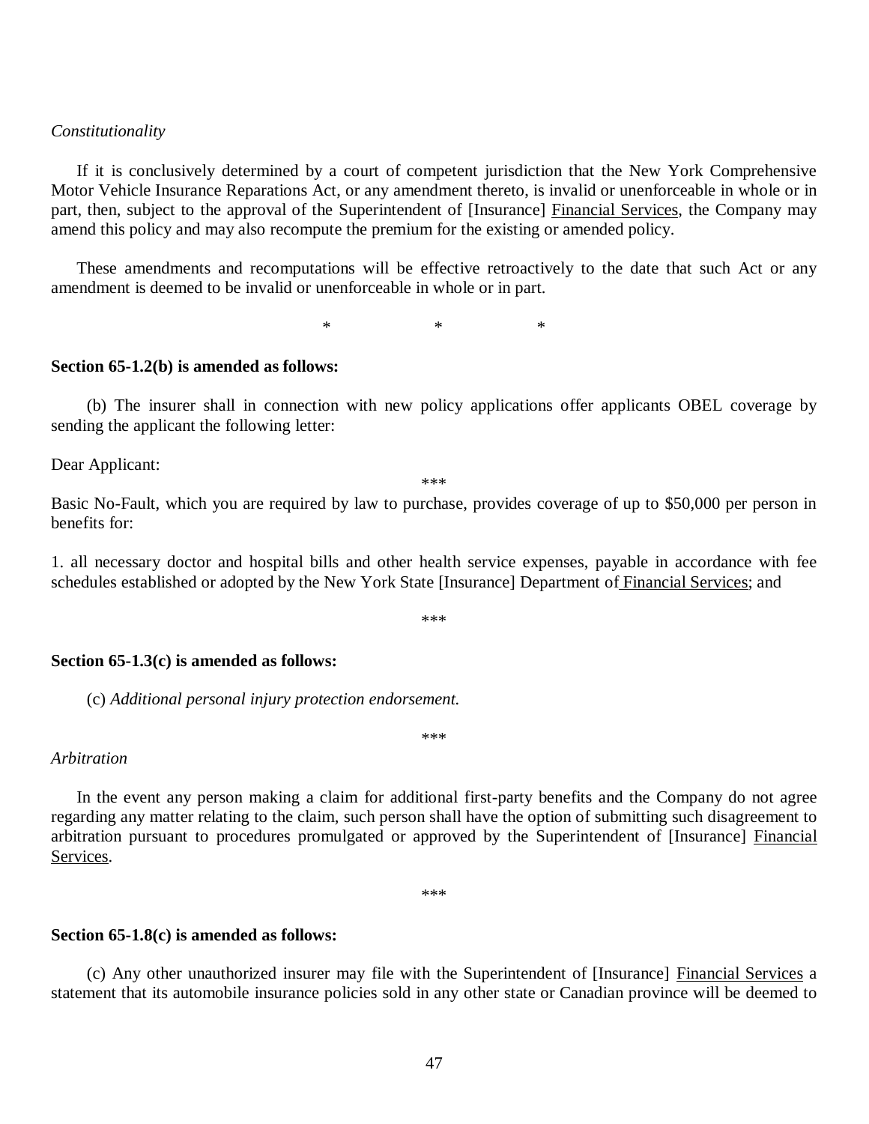#### *Constitutionality*

 Motor Vehicle Insurance Reparations Act, or any amendment thereto, is invalid or unenforceable in whole or in part, then, subject to the approval of the Superintendent of [Insurance] Financial Services, the Company may amend this policy and may also recompute the premium for the existing or amended policy. If it is conclusively determined by a court of competent jurisdiction that the New York Comprehensive

 amendment is deemed to be invalid or unenforceable in whole or in part. These amendments and recomputations will be effective retroactively to the date that such Act or any

 $*$  \* \* \*

#### **Section 65-1.2(b) is amended as follows:**

 sending the applicant the following letter: (b) The insurer shall in connection with new policy applications offer applicants OBEL coverage by

Dear Applicant:

\*\*\*

 Basic No-Fault, which you are required by law to purchase, provides coverage of up to \$50,000 per person in benefits for:

 1. all necessary doctor and hospital bills and other health service expenses, payable in accordance with fee schedules established or adopted by the New York State [Insurance] Department of Financial Services; and

\*\*\*

#### **Section 65-1.3(c) is amended as follows:**

(c) *Additional personal injury protection endorsement.* 

#### *Arbitration*

 regarding any matter relating to the claim, such person shall have the option of submitting such disagreement to arbitration pursuant to procedures promulgated or approved by the Superintendent of [Insurance] Financial In the event any person making a claim for additional first-party benefits and the Company do not agree Services.

\*\*\*

\*\*\*

#### **Section 65-1.8(c) is amended as follows:**

 statement that its automobile insurance policies sold in any other state or Canadian province will be deemed to (c) Any other unauthorized insurer may file with the Superintendent of [Insurance] Financial Services a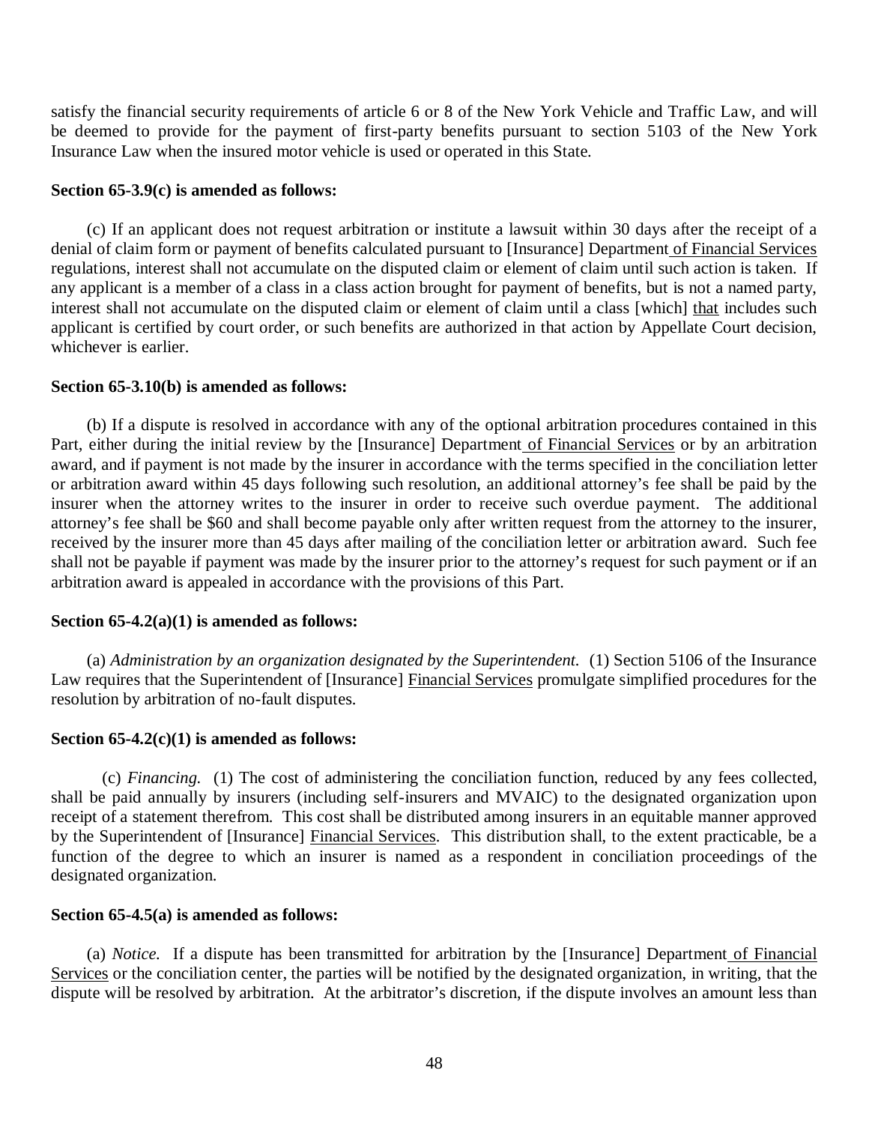satisfy the financial security requirements of article 6 or 8 of the New York Vehicle and Traffic Law, and will be deemed to provide for the payment of first-party benefits pursuant to section 5103 of the New York Insurance Law when the insured motor vehicle is used or operated in this State.

# **Section 65-3.9(c) is amended as follows:**

denial of claim form or payment of benefits calculated pursuant to [Insurance] Department of Financial Services regulations, interest shall not accumulate on the disputed claim or element of claim until such action is taken. If any applicant is a member of a class in a class action brought for payment of benefits, but is not a named party, interest shall not accumulate on the disputed claim or element of claim until a class [which] that includes such applicant is certified by court order, or such benefits are authorized in that action by Appellate Court decision, whichever is earlier. (c) If an applicant does not request arbitration or institute a lawsuit within 30 days after the receipt of a

# **Section 65-3.10(b) is amended as follows:**

Part, either during the initial review by the [Insurance] Department of Financial Services or by an arbitration award, and if payment is not made by the insurer in accordance with the terms specified in the conciliation letter or arbitration award within 45 days following such resolution, an additional attorney's fee shall be paid by the insurer when the attorney writes to the insurer in order to receive such overdue payment. The additional attorney's fee shall be \$60 and shall become payable only after written request from the attorney to the insurer, received by the insurer more than 45 days after mailing of the conciliation letter or arbitration award. Such fee shall not be payable if payment was made by the insurer prior to the attorney's request for such payment or if an arbitration award is appealed in accordance with the provisions of this Part. (b) If a dispute is resolved in accordance with any of the optional arbitration procedures contained in this

# **Section 65-4.2(a)(1) is amended as follows:**

Law requires that the Superintendent of [Insurance] Financial Services promulgate simplified procedures for the resolution by arbitration of no-fault disputes. (a) *Administration by an organization designated by the Superintendent.* (1) Section 5106 of the Insurance

## **Section 65-4.2(c)(1) is amended as follows:**

 shall be paid annually by insurers (including self-insurers and MVAIC) to the designated organization upon receipt of a statement therefrom. This cost shall be distributed among insurers in an equitable manner approved by the Superintendent of [Insurance] Financial Services. This distribution shall, to the extent practicable, be a function of the degree to which an insurer is named as a respondent in conciliation proceedings of the designated organization. (c) *Financing.* (1) The cost of administering the conciliation function, reduced by any fees collected,

## **Section 65-4.5(a) is amended as follows:**

Services or the conciliation center, the parties will be notified by the designated organization, in writing, that the dispute will be resolved by arbitration. At the arbitrator's discretion, if the dispute involves an amount less than (a) *Notice.* If a dispute has been transmitted for arbitration by the [Insurance] Department of Financial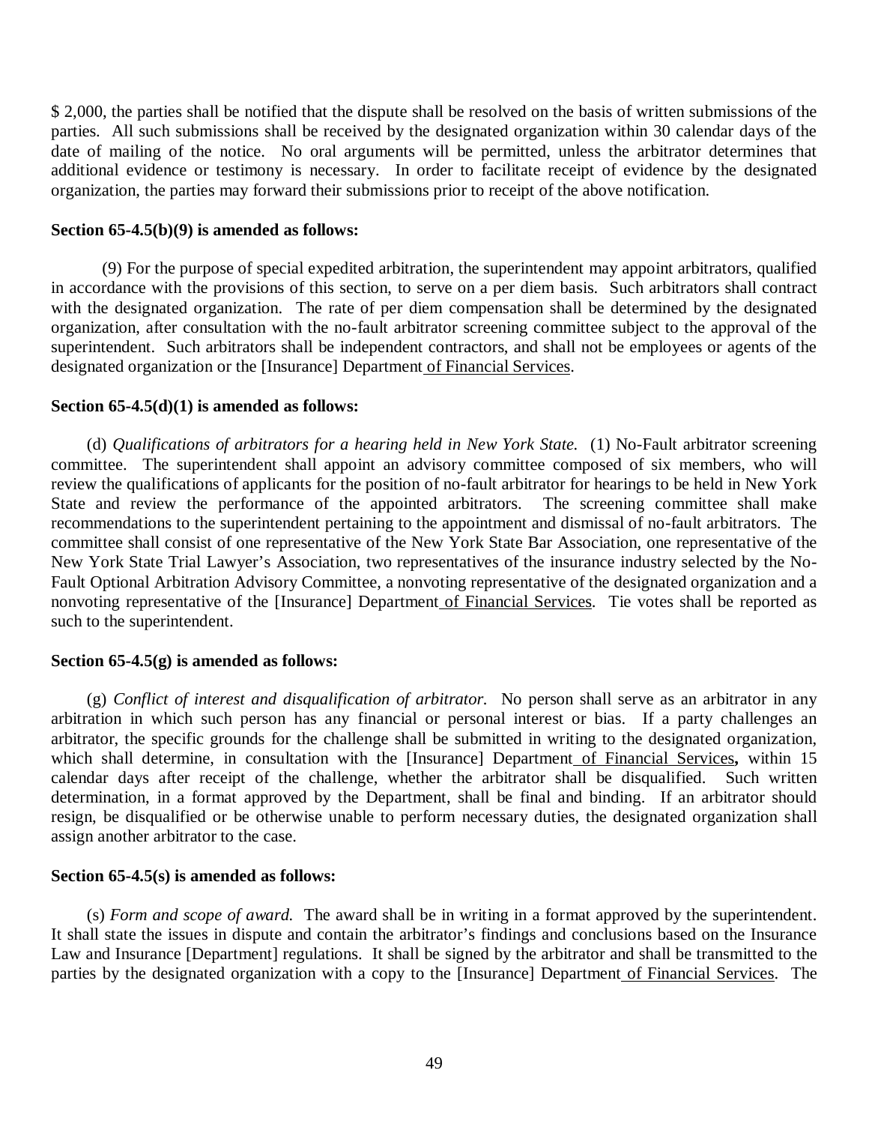\$ 2,000, the parties shall be notified that the dispute shall be resolved on the basis of written submissions of the parties. All such submissions shall be received by the designated organization within 30 calendar days of the date of mailing of the notice. No oral arguments will be permitted, unless the arbitrator determines that additional evidence or testimony is necessary. In order to facilitate receipt of evidence by the designated organization, the parties may forward their submissions prior to receipt of the above notification.

### **Section 65-4.5(b)(9) is amended as follows:**

 in accordance with the provisions of this section, to serve on a per diem basis. Such arbitrators shall contract with the designated organization. The rate of per diem compensation shall be determined by the designated organization, after consultation with the no-fault arbitrator screening committee subject to the approval of the superintendent. Such arbitrators shall be independent contractors, and shall not be employees or agents of the designated organization or the [Insurance] Department of Financial Services. (9) For the purpose of special expedited arbitration, the superintendent may appoint arbitrators, qualified

#### **Section 65-4.5(d)(1) is amended as follows:**

 committee. The superintendent shall appoint an advisory committee composed of six members, who will review the qualifications of applicants for the position of no-fault arbitrator for hearings to be held in New York State and review the performance of the appointed arbitrators. The screening committee shall make recommendations to the superintendent pertaining to the appointment and dismissal of no-fault arbitrators. The committee shall consist of one representative of the New York State Bar Association, one representative of the New York State Trial Lawyer's Association, two representatives of the insurance industry selected by the No- Fault Optional Arbitration Advisory Committee, a nonvoting representative of the designated organization and a nonvoting representative of the [Insurance] Department of Financial Services. Tie votes shall be reported as such to the superintendent. (d) *Qualifications of arbitrators for a hearing held in New York State.* (1) No-Fault arbitrator screening

# **Section 65-4.5(g) is amended as follows:**

 arbitration in which such person has any financial or personal interest or bias. If a party challenges an arbitrator, the specific grounds for the challenge shall be submitted in writing to the designated organization, which shall determine, in consultation with the [Insurance] Department of Financial Services**,** within 15 calendar days after receipt of the challenge, whether the arbitrator shall be disqualified. Such written determination, in a format approved by the Department, shall be final and binding. If an arbitrator should resign, be disqualified or be otherwise unable to perform necessary duties, the designated organization shall assign another arbitrator to the case. (g) *Conflict of interest and disqualification of arbitrator.* No person shall serve as an arbitrator in any

## **Section 65-4.5(s) is amended as follows:**

 It shall state the issues in dispute and contain the arbitrator's findings and conclusions based on the Insurance Law and Insurance [Department] regulations. It shall be signed by the arbitrator and shall be transmitted to the parties by the designated organization with a copy to the [Insurance] Department of Financial Services. The (s) *Form and scope of award.* The award shall be in writing in a format approved by the superintendent.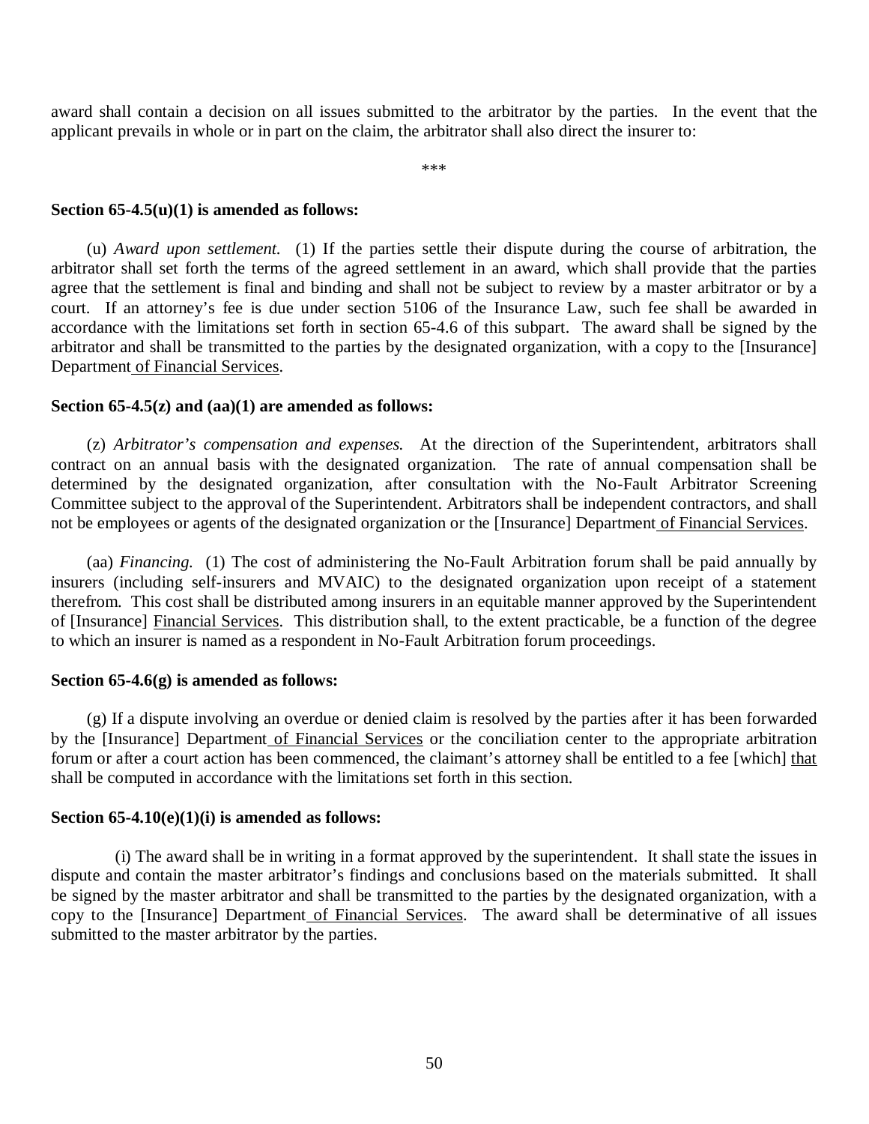award shall contain a decision on all issues submitted to the arbitrator by the parties. In the event that the applicant prevails in whole or in part on the claim, the arbitrator shall also direct the insurer to:

\*\*\*

#### **Section 65-4.5(u)(1) is amended as follows:**

 arbitrator shall set forth the terms of the agreed settlement in an award, which shall provide that the parties agree that the settlement is final and binding and shall not be subject to review by a master arbitrator or by a court. If an attorney's fee is due under section 5106 of the Insurance Law, such fee shall be awarded in accordance with the limitations set forth in section 65-4.6 of this subpart. The award shall be signed by the arbitrator and shall be transmitted to the parties by the designated organization, with a copy to the [Insurance] Department of Financial Services. (u) *Award upon settlement.* (1) If the parties settle their dispute during the course of arbitration, the

## **Section 65-4.5(z) and (aa)(1) are amended as follows:**

 contract on an annual basis with the designated organization. The rate of annual compensation shall be determined by the designated organization, after consultation with the No-Fault Arbitrator Screening Committee subject to the approval of the Superintendent. Arbitrators shall be independent contractors, and shall not be employees or agents of the designated organization or the [Insurance] Department of Financial Services. (z) *Arbitrator's compensation and expenses.* At the direction of the Superintendent, arbitrators shall

 insurers (including self-insurers and MVAIC) to the designated organization upon receipt of a statement therefrom. This cost shall be distributed among insurers in an equitable manner approved by the Superintendent of [Insurance] Financial Services. This distribution shall, to the extent practicable, be a function of the degree to which an insurer is named as a respondent in No-Fault Arbitration forum proceedings. (aa) *Financing.* (1) The cost of administering the No-Fault Arbitration forum shall be paid annually by

## **Section 65-4.6(g) is amended as follows:**

by the [Insurance] Department of Financial Services or the conciliation center to the appropriate arbitration forum or after a court action has been commenced, the claimant's attorney shall be entitled to a fee [which] that shall be computed in accordance with the limitations set forth in this section. (g) If a dispute involving an overdue or denied claim is resolved by the parties after it has been forwarded

## **Section 65-4.10(e)(1)(i) is amended as follows:**

 dispute and contain the master arbitrator's findings and conclusions based on the materials submitted. It shall be signed by the master arbitrator and shall be transmitted to the parties by the designated organization, with a copy to the [Insurance] Department of Financial Services. The award shall be determinative of all issues submitted to the master arbitrator by the parties. (i) The award shall be in writing in a format approved by the superintendent. It shall state the issues in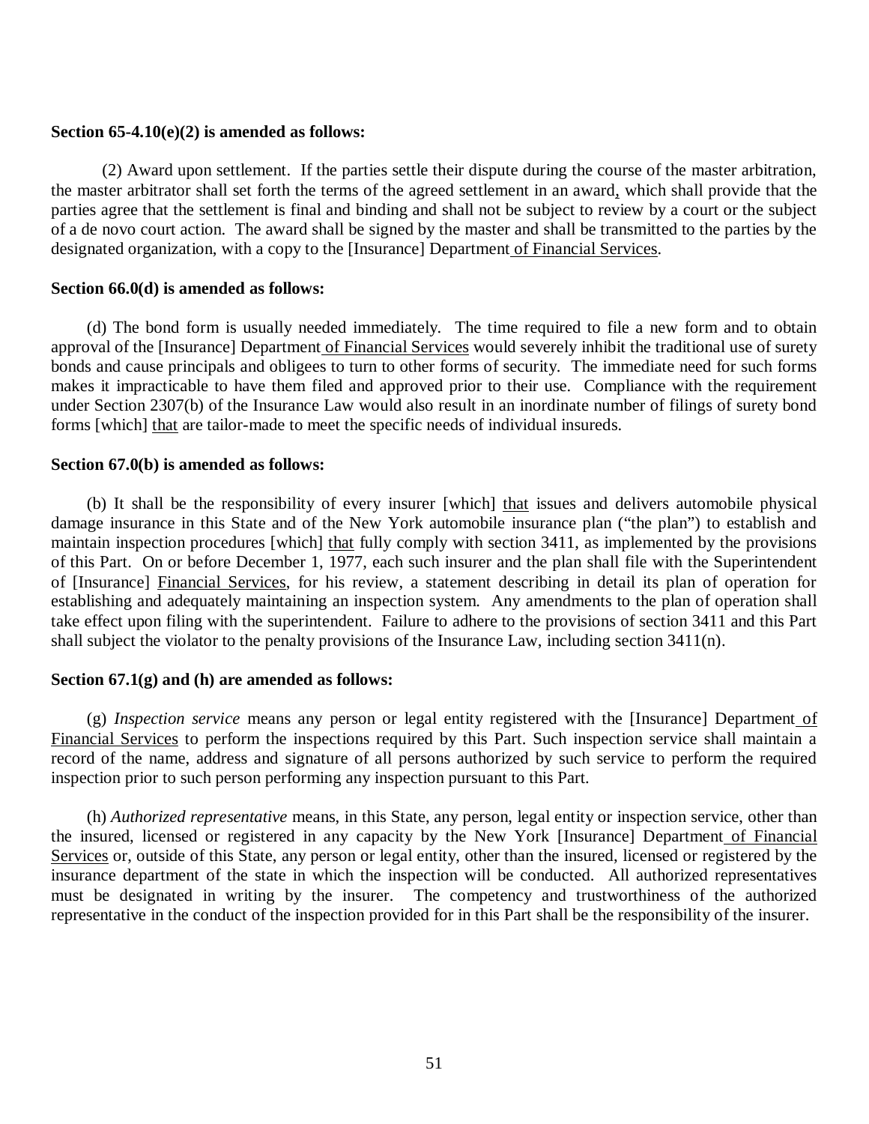## **Section 65-4.10(e)(2) is amended as follows:**

the master arbitrator shall set forth the terms of the agreed settlement in an award, which shall provide that the parties agree that the settlement is final and binding and shall not be subject to review by a court or the subject of a de novo court action. The award shall be signed by the master and shall be transmitted to the parties by the designated organization, with a copy to the [Insurance] Department of Financial Services. (2) Award upon settlement. If the parties settle their dispute during the course of the master arbitration,

## **Section 66.0(d) is amended as follows:**

approval of the [Insurance] Department of Financial Services would severely inhibit the traditional use of surety bonds and cause principals and obligees to turn to other forms of security. The immediate need for such forms makes it impracticable to have them filed and approved prior to their use. Compliance with the requirement under Section 2307(b) of the Insurance Law would also result in an inordinate number of filings of surety bond forms [which] that are tailor-made to meet the specific needs of individual insureds. (d) The bond form is usually needed immediately. The time required to file a new form and to obtain

## **Section 67.0(b) is amended as follows:**

 damage insurance in this State and of the New York automobile insurance plan ("the plan") to establish and maintain inspection procedures [which] that fully comply with section 3411, as implemented by the provisions of this Part. On or before December 1, 1977, each such insurer and the plan shall file with the Superintendent of [Insurance] Financial Services, for his review, a statement describing in detail its plan of operation for establishing and adequately maintaining an inspection system. Any amendments to the plan of operation shall take effect upon filing with the superintendent. Failure to adhere to the provisions of section 3411 and this Part shall subject the violator to the penalty provisions of the Insurance Law, including section 3411(n). (b) It shall be the responsibility of every insurer [which] that issues and delivers automobile physical

# **Section 67.1(g) and (h) are amended as follows:**

 Financial Services to perform the inspections required by this Part. Such inspection service shall maintain a record of the name, address and signature of all persons authorized by such service to perform the required inspection prior to such person performing any inspection pursuant to this Part. (g) *Inspection service* means any person or legal entity registered with the [Insurance] Department of

the insured, licensed or registered in any capacity by the New York [Insurance] Department of Financial Services or, outside of this State, any person or legal entity, other than the insured, licensed or registered by the insurance department of the state in which the inspection will be conducted. All authorized representatives must be designated in writing by the insurer. The competency and trustworthiness of the authorized representative in the conduct of the inspection provided for in this Part shall be the responsibility of the insurer. (h) *Authorized representative* means, in this State, any person, legal entity or inspection service, other than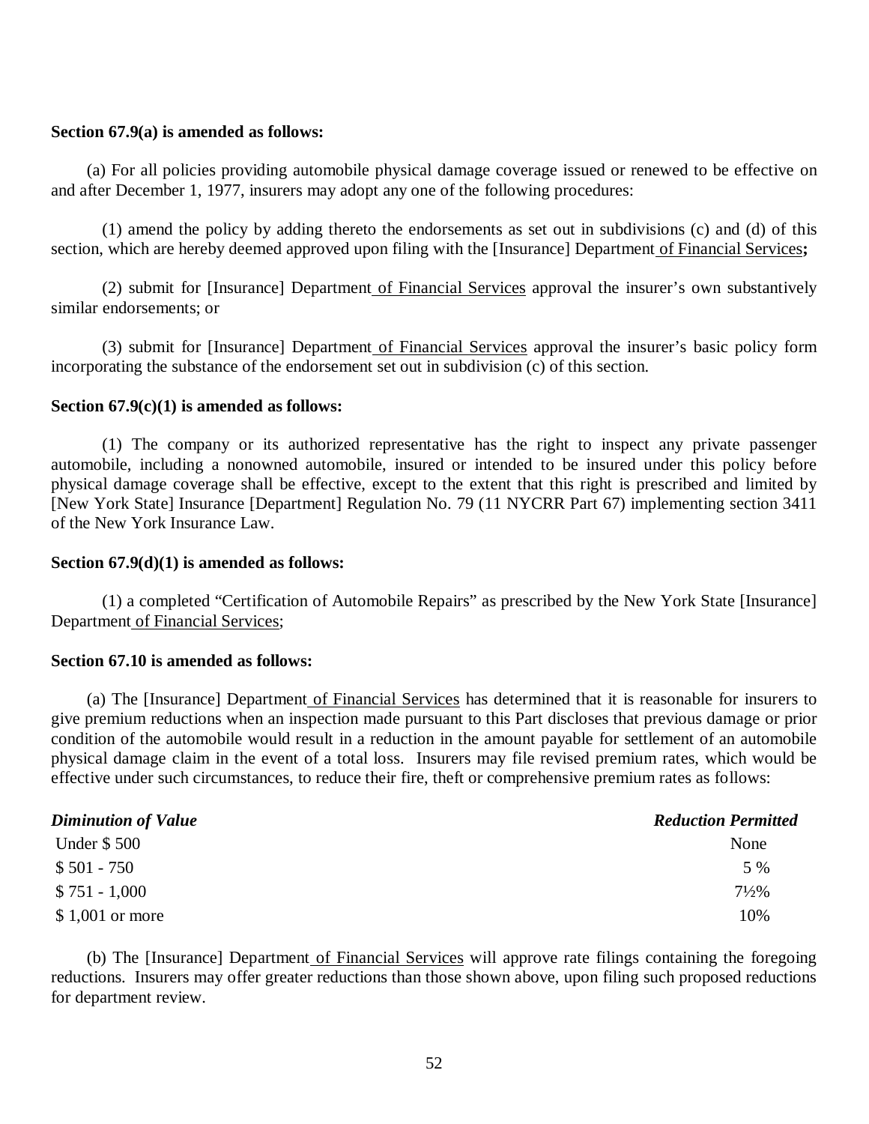### **Section 67.9(a) is amended as follows:**

 and after December 1, 1977, insurers may adopt any one of the following procedures: (a) For all policies providing automobile physical damage coverage issued or renewed to be effective on

 section, which are hereby deemed approved upon filing with the [Insurance] Department of Financial Services**;**  (1) amend the policy by adding thereto the endorsements as set out in subdivisions (c) and (d) of this

 similar endorsements; or (2) submit for [Insurance] Department of Financial Services approval the insurer's own substantively

 incorporating the substance of the endorsement set out in subdivision (c) of this section. (3) submit for [Insurance] Department of Financial Services approval the insurer's basic policy form

## **Section 67.9(c)(1) is amended as follows:**

 automobile, including a nonowned automobile, insured or intended to be insured under this policy before physical damage coverage shall be effective, except to the extent that this right is prescribed and limited by [New York State] Insurance [Department] Regulation No. 79 (11 NYCRR Part 67) implementing section 3411 of the New York Insurance Law. (1) The company or its authorized representative has the right to inspect any private passenger

### **Section 67.9(d)(1) is amended as follows:**

Department of Financial Services; (1) a completed "Certification of Automobile Repairs" as prescribed by the New York State [Insurance]

## **Section 67.10 is amended as follows:**

 give premium reductions when an inspection made pursuant to this Part discloses that previous damage or prior condition of the automobile would result in a reduction in the amount payable for settlement of an automobile physical damage claim in the event of a total loss. Insurers may file revised premium rates, which would be effective under such circumstances, to reduce their fire, theft or comprehensive premium rates as follows: (a) The [Insurance] Department of Financial Services has determined that it is reasonable for insurers to

| <b>Diminution of Value</b> | <b>Reduction Permitted</b> |
|----------------------------|----------------------------|
| <b>Under \$500</b>         | None                       |
| $$501 - 750$               | 5 %                        |
| $$751 - 1,000$             | $7\frac{1}{2}\%$           |
| $$1,001$ or more           | 10%                        |

 reductions. Insurers may offer greater reductions than those shown above, upon filing such proposed reductions for department review. (b) The [Insurance] Department of Financial Services will approve rate filings containing the foregoing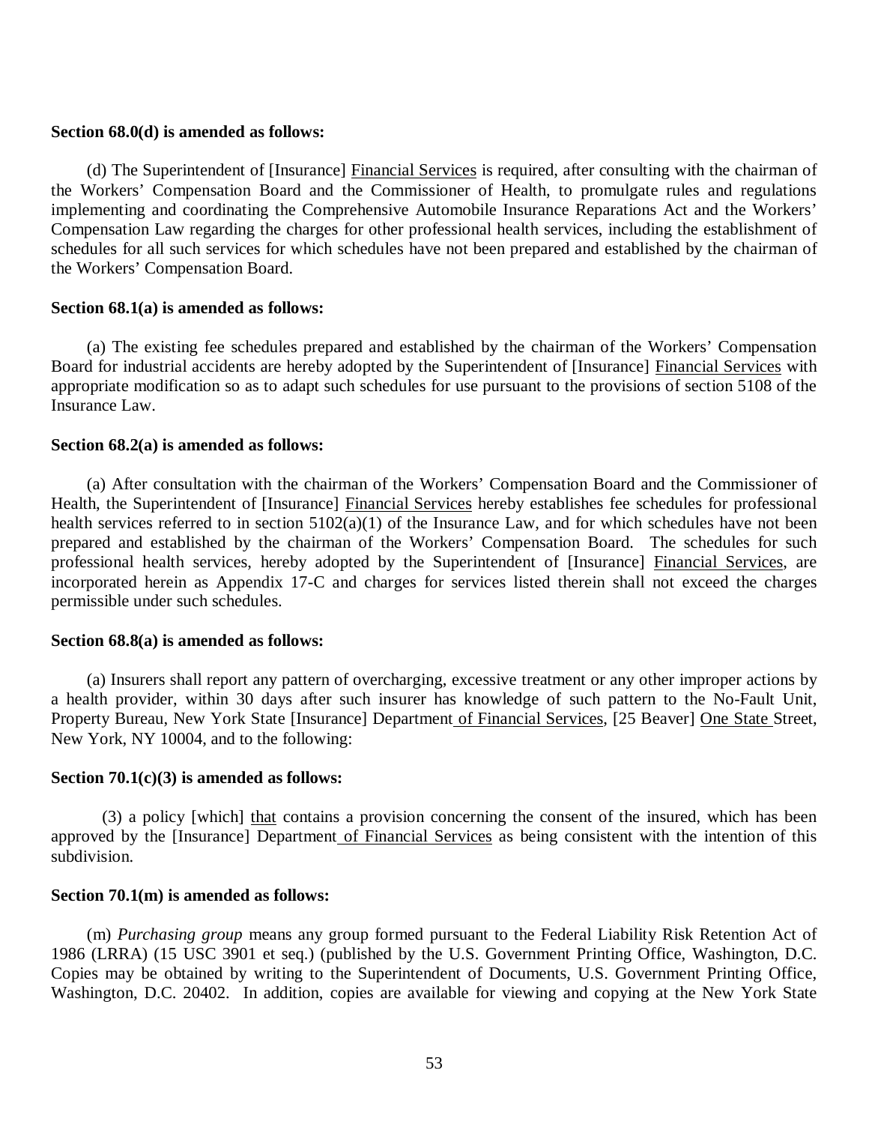#### **Section 68.0(d) is amended as follows:**

 the Workers' Compensation Board and the Commissioner of Health, to promulgate rules and regulations implementing and coordinating the Comprehensive Automobile Insurance Reparations Act and the Workers' Compensation Law regarding the charges for other professional health services, including the establishment of schedules for all such services for which schedules have not been prepared and established by the chairman of the Workers' Compensation Board. (d) The Superintendent of [Insurance] Financial Services is required, after consulting with the chairman of

#### **Section 68.1(a) is amended as follows:**

Board for industrial accidents are hereby adopted by the Superintendent of [Insurance] Financial Services with appropriate modification so as to adapt such schedules for use pursuant to the provisions of section 5108 of the Insurance Law. (a) The existing fee schedules prepared and established by the chairman of the Workers' Compensation

## **Section 68.2(a) is amended as follows:**

Health, the Superintendent of [Insurance] Financial Services hereby establishes fee schedules for professional health services referred to in section 5102(a)(1) of the Insurance Law, and for which schedules have not been prepared and established by the chairman of the Workers' Compensation Board. The schedules for such professional health services, hereby adopted by the Superintendent of [Insurance] Financial Services, are incorporated herein as Appendix 17-C and charges for services listed therein shall not exceed the charges permissible under such schedules. (a) After consultation with the chairman of the Workers' Compensation Board and the Commissioner of

## **Section 68.8(a) is amended as follows:**

 a health provider, within 30 days after such insurer has knowledge of such pattern to the No-Fault Unit, Property Bureau, New York State [Insurance] Department of Financial Services, [25 Beaver] One State Street, New York, NY 10004, and to the following: (a) Insurers shall report any pattern of overcharging, excessive treatment or any other improper actions by

# **Section 70.1(c)(3) is amended as follows:**

approved by the [Insurance] Department of Financial Services as being consistent with the intention of this (3) a policy [which] that contains a provision concerning the consent of the insured, which has been subdivision.

#### **Section 70.1(m) is amended as follows:**

 1986 (LRRA) (15 USC 3901 et seq.) (published by the U.S. Government Printing Office, Washington, D.C. Copies may be obtained by writing to the Superintendent of Documents, U.S. Government Printing Office, Washington, D.C. 20402. In addition, copies are available for viewing and copying at the New York State (m) *Purchasing group* means any group formed pursuant to the Federal Liability Risk Retention Act of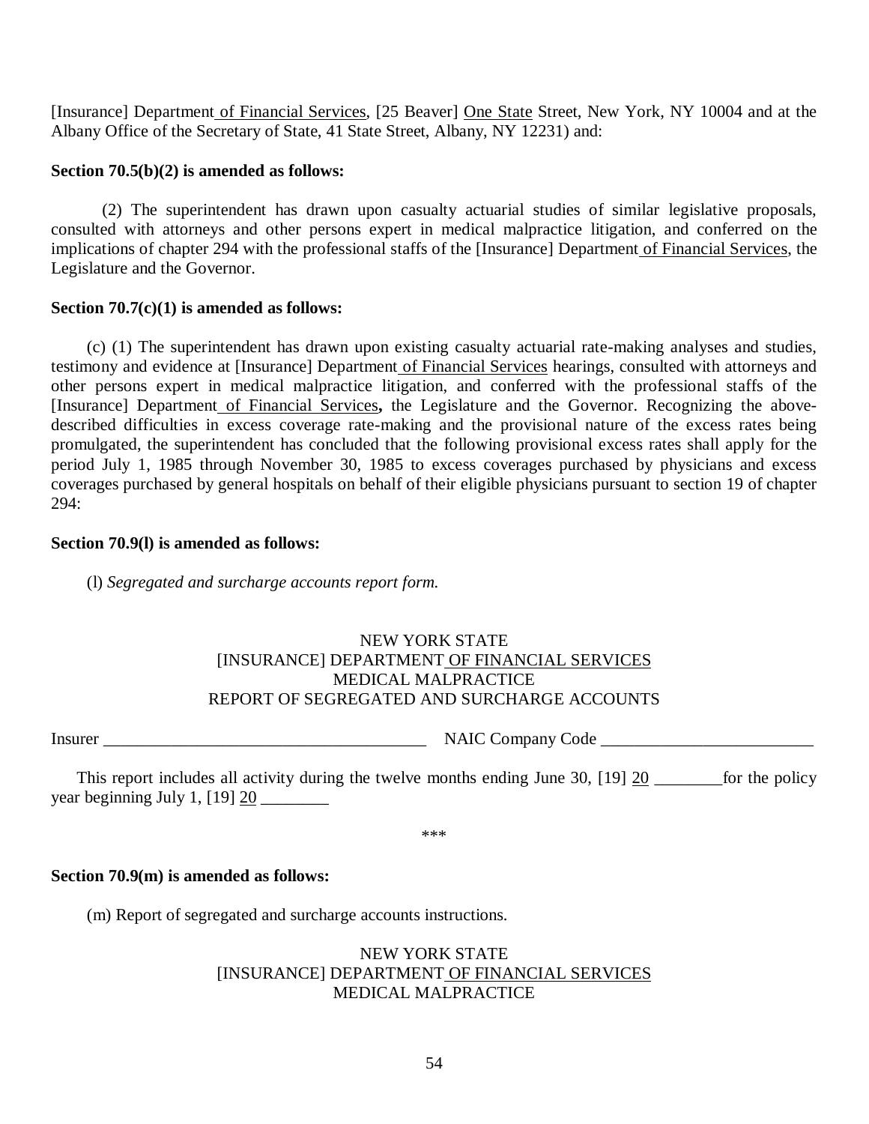[Insurance] Department of Financial Services, [25 Beaver] One State Street, New York, NY 10004 and at the Albany Office of the Secretary of State, 41 State Street, Albany, NY 12231) and:

## **Section 70.5(b)(2) is amended as follows:**

 consulted with attorneys and other persons expert in medical malpractice litigation, and conferred on the implications of chapter 294 with the professional staffs of the [Insurance] Department of Financial Services, the Legislature and the Governor. (2) The superintendent has drawn upon casualty actuarial studies of similar legislative proposals,

# **Section 70.7(c)(1) is amended as follows:**

testimony and evidence at [Insurance] Department of Financial Services hearings, consulted with attorneys and other persons expert in medical malpractice litigation, and conferred with the professional staffs of the [Insurance] Department of Financial Services**,** the Legislature and the Governor. Recognizing the above- described difficulties in excess coverage rate-making and the provisional nature of the excess rates being promulgated, the superintendent has concluded that the following provisional excess rates shall apply for the period July 1, 1985 through November 30, 1985 to excess coverages purchased by physicians and excess coverages purchased by general hospitals on behalf of their eligible physicians pursuant to section 19 of chapter (c) (1) The superintendent has drawn upon existing casualty actuarial rate-making analyses and studies, 294:

## **Section 70.9(l) is amended as follows:**

 (l) *Segregated and surcharge accounts report form.* 

# NEW YORK STATE [INSURANCE] DEPARTMENT OF FINANCIAL SERVICES REPORT OF SEGREGATED AND SURCHARGE ACCOUNTS MEDICAL MALPRACTICE

Insurer \_\_\_\_\_\_\_\_\_\_\_\_\_\_\_\_\_\_\_\_\_\_\_\_\_\_\_\_\_\_\_\_\_\_\_\_\_\_ NAIC Company Code \_\_\_\_\_\_\_\_\_\_\_\_\_\_\_\_\_\_\_\_\_\_\_\_\_

 year beginning July 1, [19] 20 \_\_\_\_\_\_\_\_ This report includes all activity during the twelve months ending June 30,  $\left[19\right] 20$  \_\_\_\_\_\_\_\_\_for the policy

\*\*\*

# **Section 70.9(m) is amended as follows:**

(m) Report of segregated and surcharge accounts instructions.

# NEW YORK STATE [INSURANCE] DEPARTMENT OF FINANCIAL SERVICES MEDICAL MALPRACTICE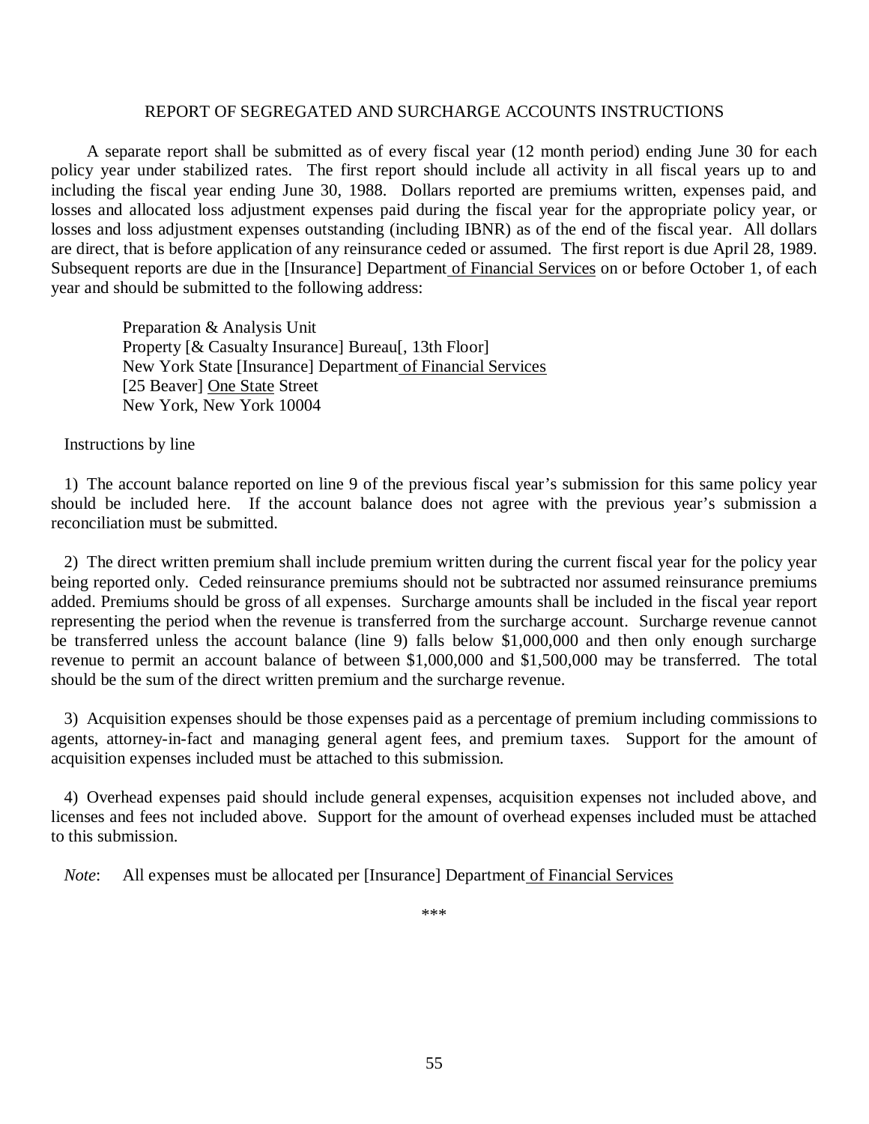#### REPORT OF SEGREGATED AND SURCHARGE ACCOUNTS INSTRUCTIONS

 A separate report shall be submitted as of every fiscal year (12 month period) ending June 30 for each policy year under stabilized rates. The first report should include all activity in all fiscal years up to and including the fiscal year ending June 30, 1988. Dollars reported are premiums written, expenses paid, and losses and allocated loss adjustment expenses paid during the fiscal year for the appropriate policy year, or losses and loss adjustment expenses outstanding (including IBNR) as of the end of the fiscal year. All dollars are direct, that is before application of any reinsurance ceded or assumed. The first report is due April 28, 1989. Subsequent reports are due in the [Insurance] Department of Financial Services on or before October 1, of each year and should be submitted to the following address:

 Preparation & Analysis Unit Property [& Casualty Insurance] Bureau[, 13th Floor] New York State [Insurance] Department of Financial Services [25 Beaver] One State Street New York, New York 10004

Instructions by line

 1) The account balance reported on line 9 of the previous fiscal year's submission for this same policy year should be included here. If the account balance does not agree with the previous year's submission a reconciliation must be submitted.

 2) The direct written premium shall include premium written during the current fiscal year for the policy year being reported only. Ceded reinsurance premiums should not be subtracted nor assumed reinsurance premiums added. Premiums should be gross of all expenses. Surcharge amounts shall be included in the fiscal year report representing the period when the revenue is transferred from the surcharge account. Surcharge revenue cannot be transferred unless the account balance (line 9) falls below \$1,000,000 and then only enough surcharge revenue to permit an account balance of between \$1,000,000 and \$1,500,000 may be transferred. The total should be the sum of the direct written premium and the surcharge revenue.

 3) Acquisition expenses should be those expenses paid as a percentage of premium including commissions to agents, attorney-in-fact and managing general agent fees, and premium taxes. Support for the amount of acquisition expenses included must be attached to this submission.

 4) Overhead expenses paid should include general expenses, acquisition expenses not included above, and licenses and fees not included above. Support for the amount of overhead expenses included must be attached to this submission.

Note: All expenses must be allocated per [Insurance] Department of Financial Services

\*\*\*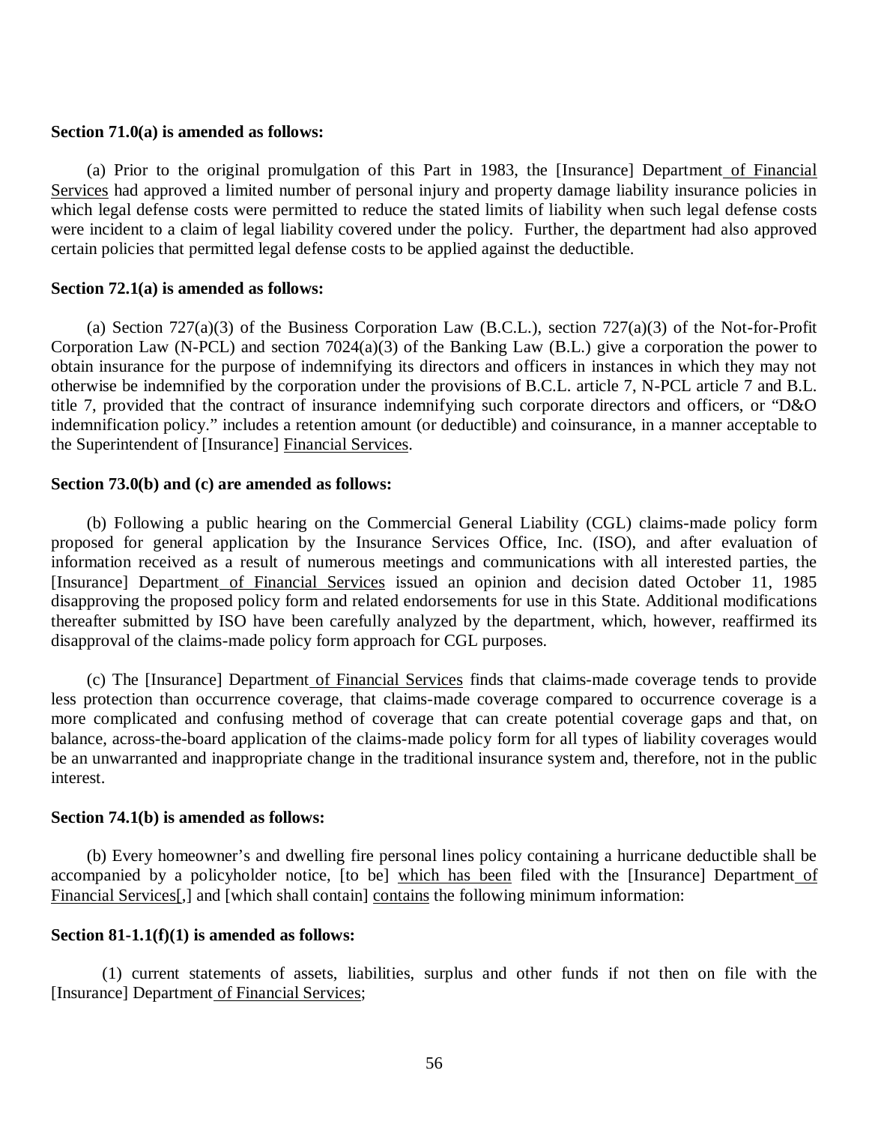## **Section 71.0(a) is amended as follows:**

Services had approved a limited number of personal injury and property damage liability insurance policies in which legal defense costs were permitted to reduce the stated limits of liability when such legal defense costs were incident to a claim of legal liability covered under the policy. Further, the department had also approved certain policies that permitted legal defense costs to be applied against the deductible. (a) Prior to the original promulgation of this Part in 1983, the [Insurance] Department of Financial

# **Section 72.1(a) is amended as follows:**

 Corporation Law (N-PCL) and section 7024(a)(3) of the Banking Law (B.L.) give a corporation the power to obtain insurance for the purpose of indemnifying its directors and officers in instances in which they may not otherwise be indemnified by the corporation under the provisions of B.C.L. article 7, N-PCL article 7 and B.L. title 7, provided that the contract of insurance indemnifying such corporate directors and officers, or "D&O indemnification policy." includes a retention amount (or deductible) and coinsurance, in a manner acceptable to the Superintendent of [Insurance] Financial Services. (a) Section 727(a)(3) of the Business Corporation Law (B.C.L.), section 727(a)(3) of the Not-for-Profit

## **Section 73.0(b) and (c) are amended as follows:**

 proposed for general application by the Insurance Services Office, Inc. (ISO), and after evaluation of information received as a result of numerous meetings and communications with all interested parties, the [Insurance] Department of Financial Services issued an opinion and decision dated October 11, 1985 disapproving the proposed policy form and related endorsements for use in this State. Additional modifications thereafter submitted by ISO have been carefully analyzed by the department, which, however, reaffirmed its disapproval of the claims-made policy form approach for CGL purposes. (b) Following a public hearing on the Commercial General Liability (CGL) claims-made policy form

 less protection than occurrence coverage, that claims-made coverage compared to occurrence coverage is a more complicated and confusing method of coverage that can create potential coverage gaps and that, on balance, across-the-board application of the claims-made policy form for all types of liability coverages would be an unwarranted and inappropriate change in the traditional insurance system and, therefore, not in the public (c) The [Insurance] Department of Financial Services finds that claims-made coverage tends to provide interest.

## **Section 74.1(b) is amended as follows:**

accompanied by a policyholder notice, [to be] which has been filed with the [Insurance] Department of Financial Services[,] and [which shall contain] contains the following minimum information: (b) Every homeowner's and dwelling fire personal lines policy containing a hurricane deductible shall be

#### **Section 81-1.1(f)(1) is amended as follows:**

 [Insurance] Department of Financial Services; (1) current statements of assets, liabilities, surplus and other funds if not then on file with the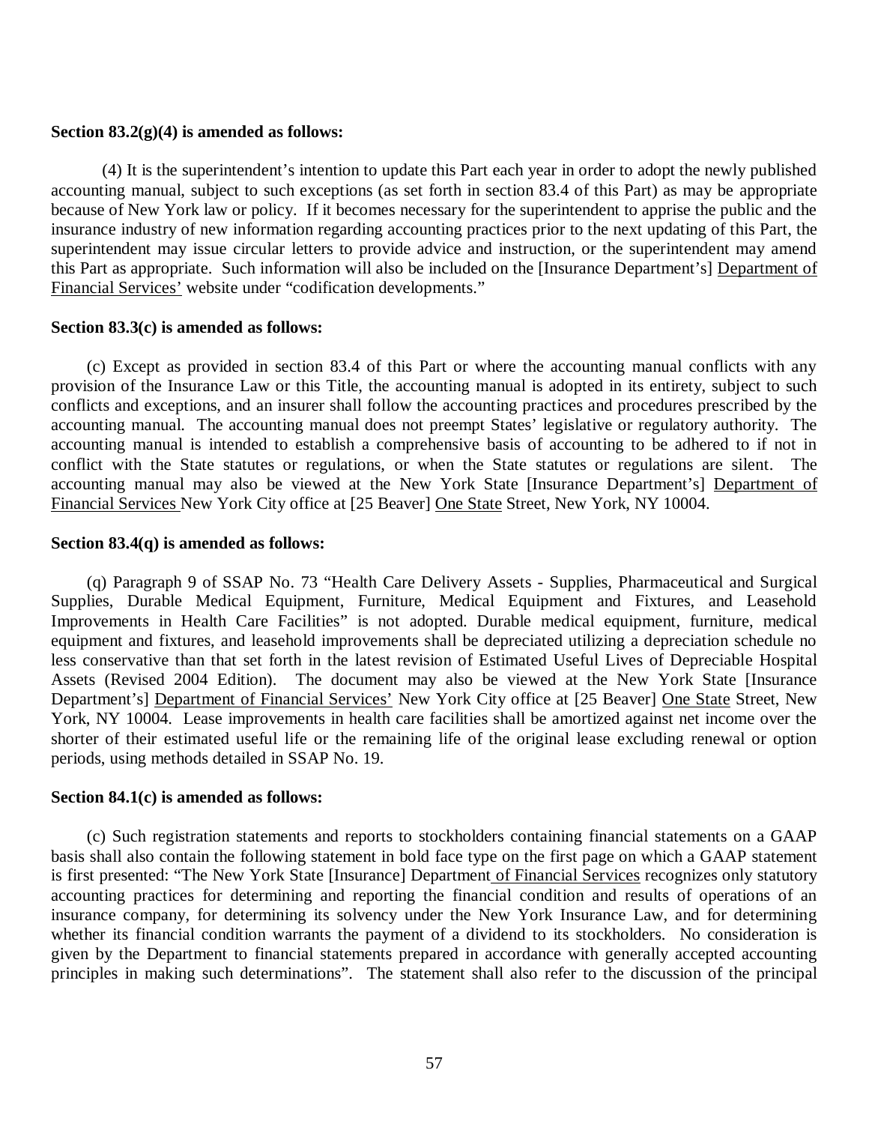#### **Section 83.2(g)(4) is amended as follows:**

 accounting manual, subject to such exceptions (as set forth in section 83.4 of this Part) as may be appropriate because of New York law or policy. If it becomes necessary for the superintendent to apprise the public and the insurance industry of new information regarding accounting practices prior to the next updating of this Part, the superintendent may issue circular letters to provide advice and instruction, or the superintendent may amend this Part as appropriate. Such information will also be included on the [Insurance Department's] Department of Financial Services' website under "codification developments." (4) It is the superintendent's intention to update this Part each year in order to adopt the newly published

#### **Section 83.3(c) is amended as follows:**

 provision of the Insurance Law or this Title, the accounting manual is adopted in its entirety, subject to such conflicts and exceptions, and an insurer shall follow the accounting practices and procedures prescribed by the accounting manual. The accounting manual does not preempt States' legislative or regulatory authority. The accounting manual is intended to establish a comprehensive basis of accounting to be adhered to if not in conflict with the State statutes or regulations, or when the State statutes or regulations are silent. The accounting manual may also be viewed at the New York State [Insurance Department's] Department of Financial Services New York City office at [25 Beaver] One State Street, New York, NY 10004. (c) Except as provided in section 83.4 of this Part or where the accounting manual conflicts with any

#### **Section 83.4(q) is amended as follows:**

 Supplies, Durable Medical Equipment, Furniture, Medical Equipment and Fixtures, and Leasehold Improvements in Health Care Facilities" is not adopted. Durable medical equipment, furniture, medical equipment and fixtures, and leasehold improvements shall be depreciated utilizing a depreciation schedule no less conservative than that set forth in the latest revision of Estimated Useful Lives of Depreciable Hospital Assets (Revised 2004 Edition). The document may also be viewed at the New York State [Insurance Department's] Department of Financial Services' New York City office at [25 Beaver] One State Street, New York, NY 10004. Lease improvements in health care facilities shall be amortized against net income over the shorter of their estimated useful life or the remaining life of the original lease excluding renewal or option periods, using methods detailed in SSAP No. 19. (q) Paragraph 9 of SSAP No. 73 "Health Care Delivery Assets - Supplies, Pharmaceutical and Surgical

#### **Section 84.1(c) is amended as follows:**

 basis shall also contain the following statement in bold face type on the first page on which a GAAP statement is first presented: "The New York State [Insurance] Department of Financial Services recognizes only statutory accounting practices for determining and reporting the financial condition and results of operations of an insurance company, for determining its solvency under the New York Insurance Law, and for determining whether its financial condition warrants the payment of a dividend to its stockholders. No consideration is given by the Department to financial statements prepared in accordance with generally accepted accounting principles in making such determinations". The statement shall also refer to the discussion of the principal (c) Such registration statements and reports to stockholders containing financial statements on a GAAP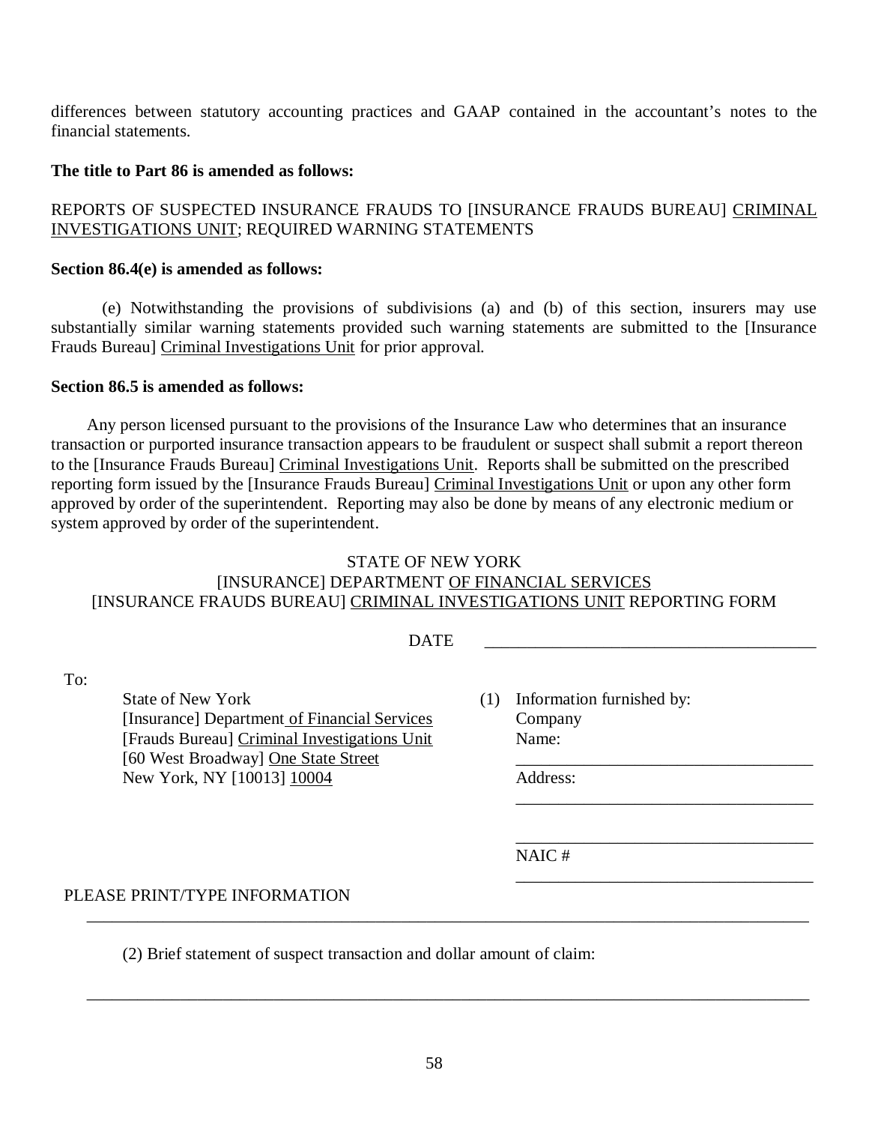differences between statutory accounting practices and GAAP contained in the accountant's notes to the financial statements.

## **The title to Part 86 is amended as follows:**

# REPORTS OF SUSPECTED INSURANCE FRAUDS TO [INSURANCE FRAUDS BUREAU] <u>CRIMINAL</u> INVESTIGATIONS UNIT; REQUIRED WARNING STATEMENTS

## **Section 86.4(e) is amended as follows:**

 substantially similar warning statements provided such warning statements are submitted to the [Insurance Frauds Bureau] Criminal Investigations Unit for prior approval. (e) Notwithstanding the provisions of subdivisions (a) and (b) of this section, insurers may use

## **Section 86.5 is amended as follows:**

To:

 Any person licensed pursuant to the provisions of the Insurance Law who determines that an insurance transaction or purported insurance transaction appears to be fraudulent or suspect shall submit a report thereon to the [Insurance Frauds Bureau] Criminal Investigations Unit. Reports shall be submitted on the prescribed reporting form issued by the [Insurance Frauds Bureau] Criminal Investigations Unit or upon any other form approved by order of the superintendent. Reporting may also be done by means of any electronic medium or system approved by order of the superintendent.

# STATE OF NEW YORK [INSURANCE] DEPARTMENT OF FINANCIAL SERVICES [INSURANCE FRAUDS BUREAU] CRIMINAL INVESTIGATIONS UNIT REPORTING FORM

**DATE** DATE \_\_\_\_\_\_\_\_\_\_\_\_\_\_\_\_\_\_\_\_\_\_\_\_\_\_\_\_\_\_\_\_\_\_\_\_\_\_\_

[60 West Broadway] One State Street \_\_\_\_\_\_\_\_\_\_\_\_\_\_\_\_\_\_\_\_\_\_\_\_\_\_\_\_\_\_\_\_\_\_\_

[Insurance] Department of Financial Services Company [Frauds Bureau] Criminal Investigations Unit Name:  $(1)$  Information furnished by:

\_\_\_\_\_\_\_\_\_\_\_\_\_\_\_\_\_\_\_\_\_\_\_\_\_\_\_\_\_\_\_\_\_\_\_

\_\_\_\_\_\_\_\_\_\_\_\_\_\_\_\_\_\_\_\_\_\_\_\_\_\_\_\_\_\_\_\_\_\_\_

New York, NY [10013]  $\underline{10004}$  Address:

\_\_\_\_\_\_\_\_\_\_\_\_\_\_\_\_\_\_\_\_\_\_\_\_\_\_\_\_\_\_\_\_\_\_\_ NAIC #

# PLEASE PRINT/TYPE INFORMATION

**State of New York** 

(2) Brief statement of suspect transaction and dollar amount of claim:

\_\_\_\_\_\_\_\_\_\_\_\_\_\_\_\_\_\_\_\_\_\_\_\_\_\_\_\_\_\_\_\_\_\_\_\_\_\_\_\_\_\_\_\_\_\_\_\_\_\_\_\_\_\_\_\_\_\_\_\_\_\_\_\_\_\_\_\_\_\_\_\_\_\_\_\_\_\_\_\_\_\_\_\_\_

\_\_\_\_\_\_\_\_\_\_\_\_\_\_\_\_\_\_\_\_\_\_\_\_\_\_\_\_\_\_\_\_\_\_\_\_\_\_\_\_\_\_\_\_\_\_\_\_\_\_\_\_\_\_\_\_\_\_\_\_\_\_\_\_\_\_\_\_\_\_\_\_\_\_\_\_\_\_\_\_\_\_\_\_\_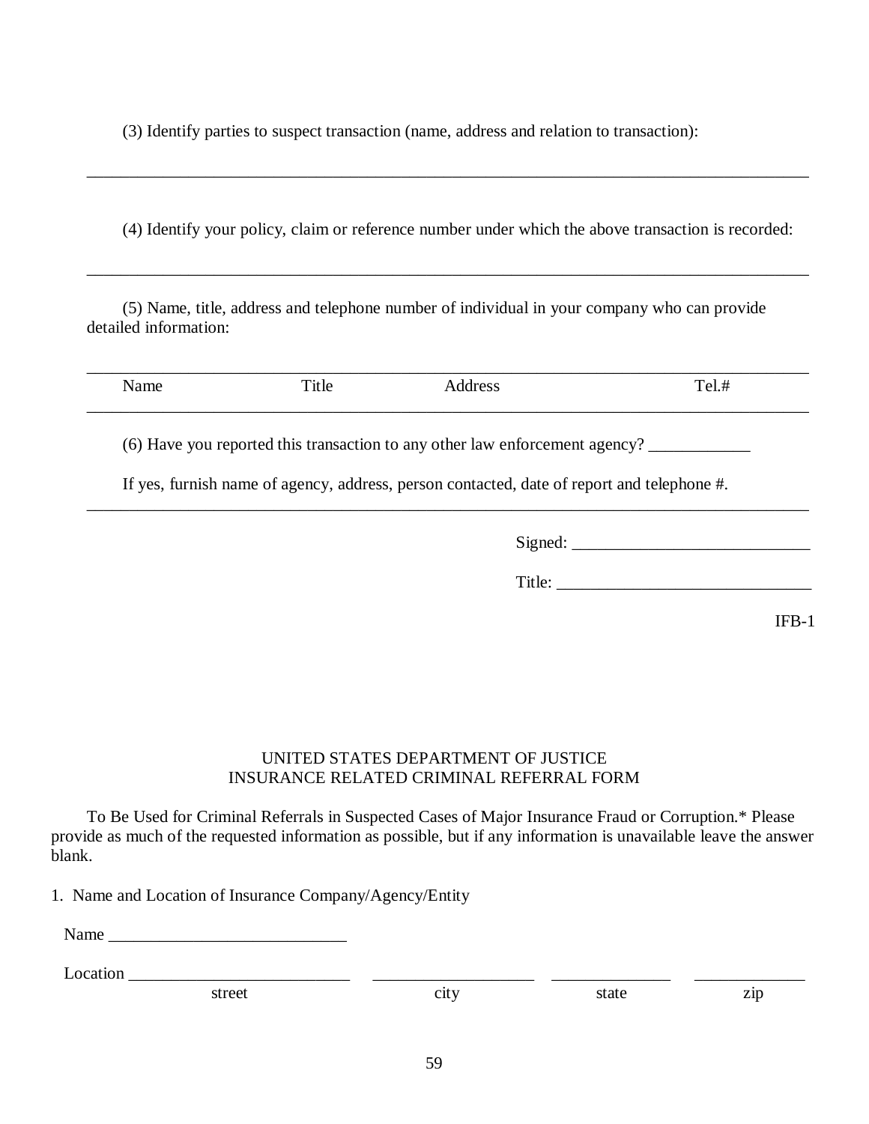(3) Identify parties to suspect transaction (name, address and relation to transaction):

(4) Identify your policy, claim or reference number under which the above transaction is recorded:

\_\_\_\_\_\_\_\_\_\_\_\_\_\_\_\_\_\_\_\_\_\_\_\_\_\_\_\_\_\_\_\_\_\_\_\_\_\_\_\_\_\_\_\_\_\_\_\_\_\_\_\_\_\_\_\_\_\_\_\_\_\_\_\_\_\_\_\_\_\_\_\_\_\_\_\_\_\_\_\_\_\_\_\_\_

\_\_\_\_\_\_\_\_\_\_\_\_\_\_\_\_\_\_\_\_\_\_\_\_\_\_\_\_\_\_\_\_\_\_\_\_\_\_\_\_\_\_\_\_\_\_\_\_\_\_\_\_\_\_\_\_\_\_\_\_\_\_\_\_\_\_\_\_\_\_\_\_\_\_\_\_\_\_\_\_\_\_\_\_\_

 (5) Name, title, address and telephone number of individual in your company who can provide detailed information:

| Name | Title | Address | Tel.# |
|------|-------|---------|-------|
|      |       |         |       |

\_\_\_\_\_\_\_\_\_\_\_\_\_\_\_\_\_\_\_\_\_\_\_\_\_\_\_\_\_\_\_\_\_\_\_\_\_\_\_\_\_\_\_\_\_\_\_\_\_\_\_\_\_\_\_\_\_\_\_\_\_\_\_\_\_\_\_\_\_\_\_\_\_\_\_\_\_\_\_\_\_\_\_\_\_

(6) Have you reported this transaction to any other law enforcement agency? \_\_\_\_\_\_\_\_\_\_\_\_

If yes, furnish name of agency, address, person contacted, date of report and telephone #.

Signed: \_\_\_\_\_\_\_\_\_\_\_\_\_\_\_\_\_\_\_\_\_\_\_\_\_\_\_\_

Title: \_\_\_\_\_\_\_\_\_\_\_\_\_\_\_\_\_\_\_\_\_\_\_\_\_\_\_\_\_\_

IFB-1

# UNITED STATES DEPARTMENT OF JUSTICE INSURANCE RELATED CRIMINAL REFERRAL FORM

 To Be Used for Criminal Referrals in Suspected Cases of Major Insurance Fraud or Corruption.\* Please provide as much of the requested information as possible, but if any information is unavailable leave the answer blank.

1. Name and Location of Insurance Company/Agency/Entity

| vame |
|------|
|------|

| $\overline{\phantom{a}}$<br>ratior<br>10 |  |  |
|------------------------------------------|--|--|
|                                          |  |  |

street city city state zip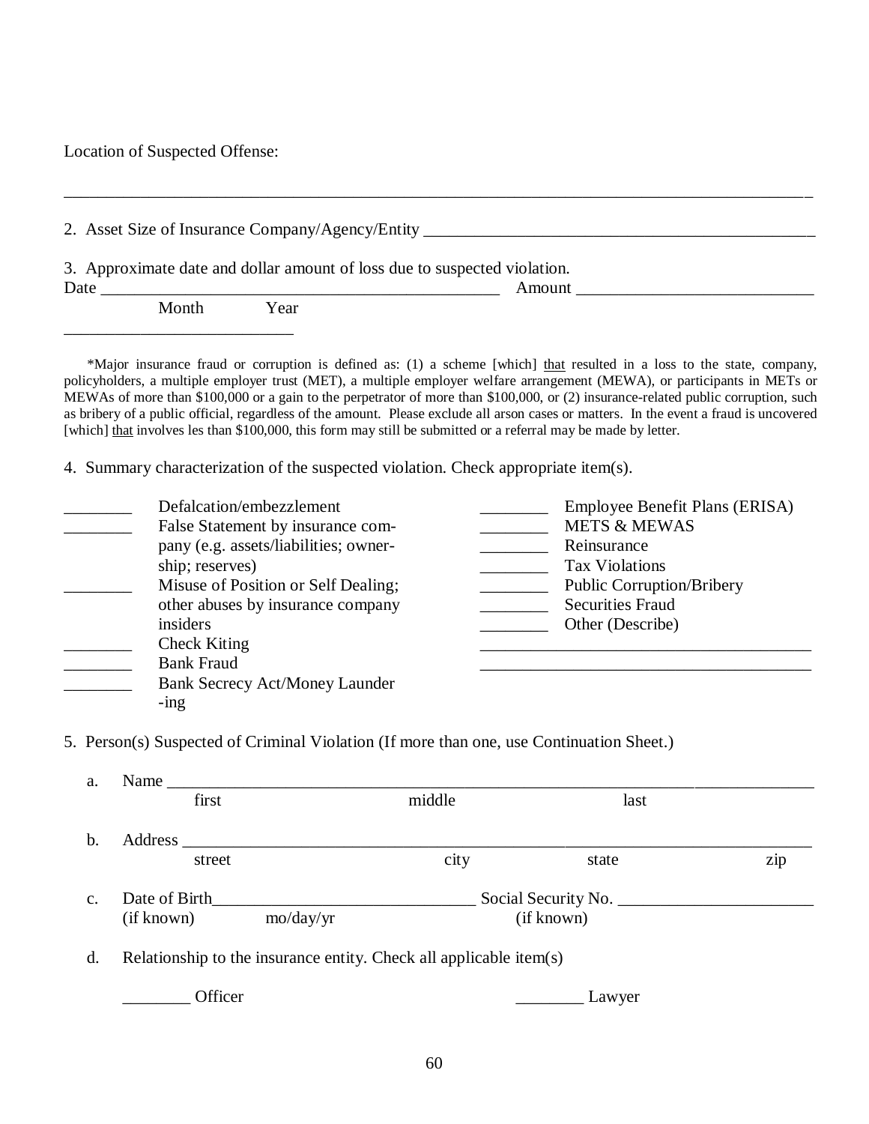Location of Suspected Offense:

|      |       |      | 3. Approximate date and dollar amount of loss due to suspected violation. |        |  |
|------|-------|------|---------------------------------------------------------------------------|--------|--|
| Date |       |      |                                                                           | Amount |  |
|      | Month | Year |                                                                           |        |  |
|      |       |      |                                                                           |        |  |

\*Major insurance fraud or corruption is defined as: (1) a scheme [which] that resulted in a loss to the state, company, policyholders, a multiple employer trust (MET), a multiple employer welfare arrangement (MEWA), or participants in METs or MEWAs of more than \$100,000 or a gain to the perpetrator of more than \$100,000, or (2) insurance-related public corruption, such as bribery of a public official, regardless of the amount. Please exclude all arson cases or matters. In the event a fraud is uncovered [which] that involves les than \$100,000, this form may still be submitted or a referral may be made by letter.

4. Summary characterization of the suspected violation. Check appropriate item(s).

| Defalcation/embezzlement              | Employee Benefit Plans (ERISA)   |
|---------------------------------------|----------------------------------|
| False Statement by insurance com-     | <b>METS &amp; MEWAS</b>          |
| pany (e.g. assets/liabilities; owner- | Reinsurance                      |
| ship; reserves)                       | <b>Tax Violations</b>            |
| Misuse of Position or Self Dealing;   | <b>Public Corruption/Bribery</b> |
| other abuses by insurance company     | <b>Securities Fraud</b>          |
| insiders                              | Other (Describe)                 |
| <b>Check Kiting</b>                   |                                  |
| <b>Bank Fraud</b>                     |                                  |
| <b>Bank Secrecy Act/Money Launder</b> |                                  |
| $-$ ing                               |                                  |

5. Person(s) Suspected of Criminal Violation (If more than one, use Continuation Sheet.)

| a.             | Name          |                                  |                                                                    |            |     |
|----------------|---------------|----------------------------------|--------------------------------------------------------------------|------------|-----|
|                | first         |                                  | middle                                                             | last       |     |
| b.             | Address       |                                  |                                                                    |            |     |
|                | street        |                                  | city                                                               | state      | zip |
| $\mathbf{c}$ . | Date of Birth |                                  |                                                                    |            |     |
|                | (if known)    | $\text{mo}/\text{day}/\text{yr}$ |                                                                    | (if known) |     |
| d.             |               |                                  | Relationship to the insurance entity. Check all applicable item(s) |            |     |
|                | Officer       |                                  |                                                                    | Lawyer     |     |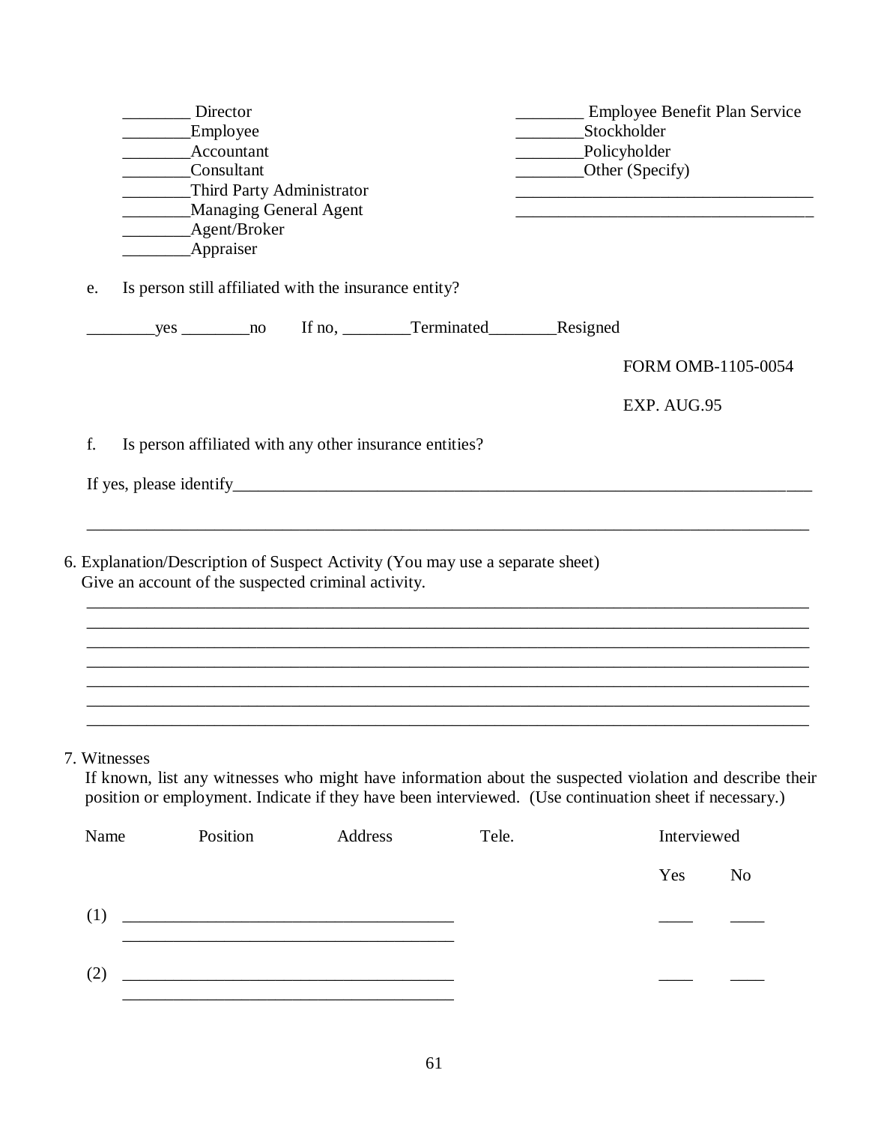|              | Director<br>Employee<br>Accountant<br>Consultant<br>Third Party Administrator<br>Managing General Agent<br>Agent/Broker                                                                                            |         |       | Employee Benefit Plan Service<br>_____________Stockholder<br>Policyholder<br>Other (Specify) |                       |  |
|--------------|--------------------------------------------------------------------------------------------------------------------------------------------------------------------------------------------------------------------|---------|-------|----------------------------------------------------------------------------------------------|-----------------------|--|
|              | Appraiser                                                                                                                                                                                                          |         |       |                                                                                              |                       |  |
| e.           | Is person still affiliated with the insurance entity?                                                                                                                                                              |         |       |                                                                                              |                       |  |
|              |                                                                                                                                                                                                                    |         |       |                                                                                              |                       |  |
|              |                                                                                                                                                                                                                    |         |       |                                                                                              | FORM OMB-1105-0054    |  |
|              |                                                                                                                                                                                                                    |         |       |                                                                                              | EXP. AUG.95           |  |
| f.           | Is person affiliated with any other insurance entities?                                                                                                                                                            |         |       |                                                                                              |                       |  |
|              |                                                                                                                                                                                                                    |         |       |                                                                                              |                       |  |
|              |                                                                                                                                                                                                                    |         |       |                                                                                              |                       |  |
|              |                                                                                                                                                                                                                    |         |       |                                                                                              |                       |  |
|              | 6. Explanation/Description of Suspect Activity (You may use a separate sheet)<br>Give an account of the suspected criminal activity.                                                                               |         |       |                                                                                              |                       |  |
|              |                                                                                                                                                                                                                    |         |       |                                                                                              |                       |  |
|              |                                                                                                                                                                                                                    |         |       |                                                                                              |                       |  |
|              |                                                                                                                                                                                                                    |         |       |                                                                                              |                       |  |
| 7. Witnesses | If known, list any witnesses who might have information about the suspected violation and describe their<br>position or employment. Indicate if they have been interviewed. (Use continuation sheet if necessary.) |         |       |                                                                                              |                       |  |
| Name         | Position                                                                                                                                                                                                           | Address | Tele. |                                                                                              | Interviewed           |  |
|              |                                                                                                                                                                                                                    |         |       |                                                                                              | Yes<br>N <sub>o</sub> |  |
| (1)          |                                                                                                                                                                                                                    |         |       |                                                                                              |                       |  |
| (2)          | <u> 1989 - Johann Barbara, martin amerikan basar dan berasal dalam basar dalam basar dalam basar dalam basar dala</u>                                                                                              |         |       |                                                                                              |                       |  |
|              |                                                                                                                                                                                                                    |         |       |                                                                                              |                       |  |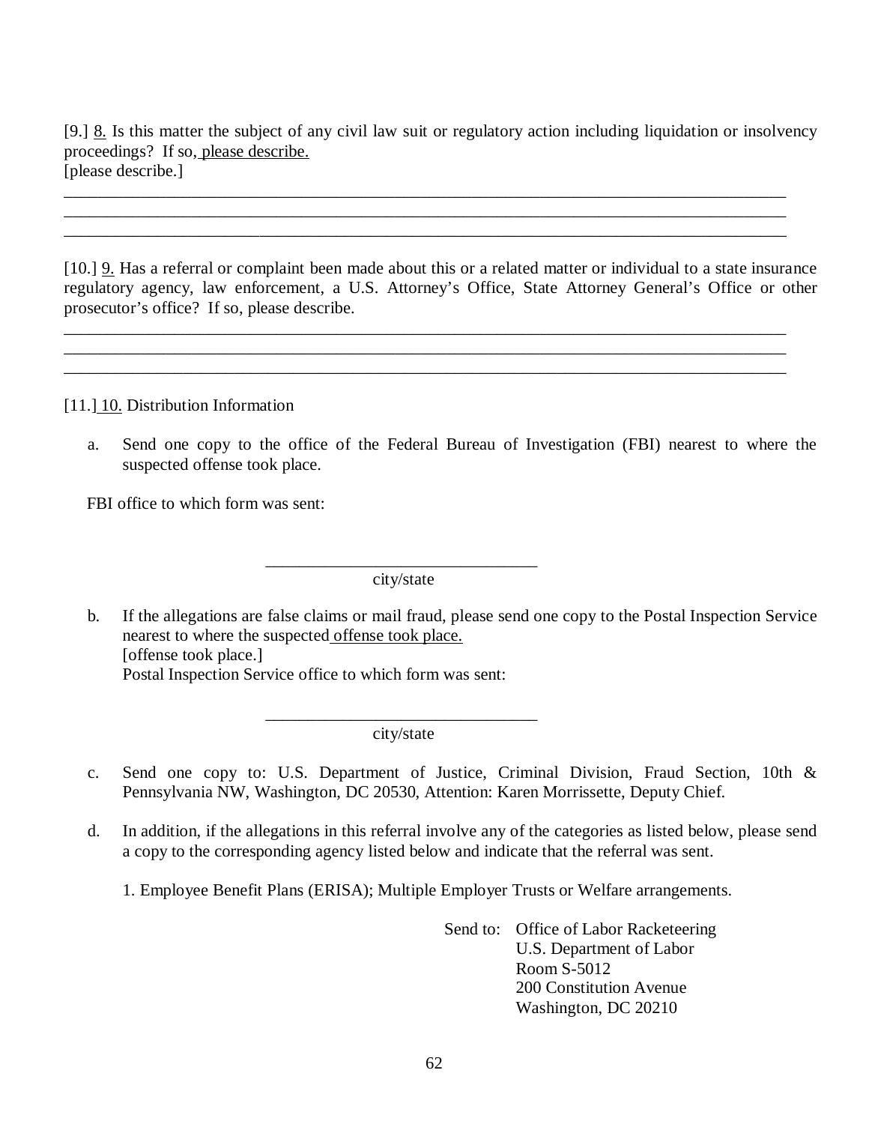[9.]  $\underline{8}$ . Is this matter the subject of any civil law suit or regulatory action including liquidation or insolvency proceedings? If so, please describe. [please describe.]

\_\_\_\_\_\_\_\_\_\_\_\_\_\_\_\_\_\_\_\_\_\_\_\_\_\_\_\_\_\_\_\_\_\_\_\_\_\_\_\_\_\_\_\_\_\_\_\_\_\_\_\_\_\_\_\_\_\_\_\_\_\_\_\_\_\_\_\_\_\_\_\_\_\_\_\_\_\_\_\_\_\_\_\_\_ \_\_\_\_\_\_\_\_\_\_\_\_\_\_\_\_\_\_\_\_\_\_\_\_\_\_\_\_\_\_\_\_\_\_\_\_\_\_\_\_\_\_\_\_\_\_\_\_\_\_\_\_\_\_\_\_\_\_\_\_\_\_\_\_\_\_\_\_\_\_\_\_\_\_\_\_\_\_\_\_\_\_\_\_\_ \_\_\_\_\_\_\_\_\_\_\_\_\_\_\_\_\_\_\_\_\_\_\_\_\_\_\_\_\_\_\_\_\_\_\_\_\_\_\_\_\_\_\_\_\_\_\_\_\_\_\_\_\_\_\_\_\_\_\_\_\_\_\_\_\_\_\_\_\_\_\_\_\_\_\_\_\_\_\_\_\_\_\_\_\_

[10.] **9.** Has a referral or complaint been made about this or a related matter or individual to a state insurance regulatory agency, law enforcement, a U.S. Attorney's Office, State Attorney General's Office or other prosecutor's office? If so, please describe.

\_\_\_\_\_\_\_\_\_\_\_\_\_\_\_\_\_\_\_\_\_\_\_\_\_\_\_\_\_\_\_\_\_\_\_\_\_\_\_\_\_\_\_\_\_\_\_\_\_\_\_\_\_\_\_\_\_\_\_\_\_\_\_\_\_\_\_\_\_\_\_\_\_\_\_\_\_\_\_\_\_\_\_\_\_ \_\_\_\_\_\_\_\_\_\_\_\_\_\_\_\_\_\_\_\_\_\_\_\_\_\_\_\_\_\_\_\_\_\_\_\_\_\_\_\_\_\_\_\_\_\_\_\_\_\_\_\_\_\_\_\_\_\_\_\_\_\_\_\_\_\_\_\_\_\_\_\_\_\_\_\_\_\_\_\_\_\_\_\_\_ \_\_\_\_\_\_\_\_\_\_\_\_\_\_\_\_\_\_\_\_\_\_\_\_\_\_\_\_\_\_\_\_\_\_\_\_\_\_\_\_\_\_\_\_\_\_\_\_\_\_\_\_\_\_\_\_\_\_\_\_\_\_\_\_\_\_\_\_\_\_\_\_\_\_\_\_\_\_\_\_\_\_\_\_\_

[11.] 10. Distribution Information

 a. Send one copy to the office of the Federal Bureau of Investigation (FBI) nearest to where the suspected offense took place.

FBI office to which form was sent:

\_\_\_\_\_\_\_\_\_\_\_\_\_\_\_\_\_\_\_\_\_\_\_\_\_\_\_\_\_\_\_\_ city/state

 $\mathbf{b}$ . nearest to where the suspected offense took place. [offense took place.] Postal Inspection Service office to which form was sent: b. If the allegations are false claims or mail fraud, please send one copy to the Postal Inspection Service

> \_\_\_\_\_\_\_\_\_\_\_\_\_\_\_\_\_\_\_\_\_\_\_\_\_\_\_\_\_\_\_\_ city/state

- $c.$  Pennsylvania NW, Washington, DC 20530, Attention: Karen Morrissette, Deputy Chief. Send one copy to: U.S. Department of Justice, Criminal Division, Fraud Section, 10th &
- $d_{-}$  a copy to the corresponding agency listed below and indicate that the referral was sent. In addition, if the allegations in this referral involve any of the categories as listed below, please send
	- 1. Employee Benefit Plans (ERISA); Multiple Employer Trusts or Welfare arrangements.

 Send to: Office of Labor Racketeering U.S. Department of Labor Room S-5012 200 Constitution Avenue Washington, DC 20210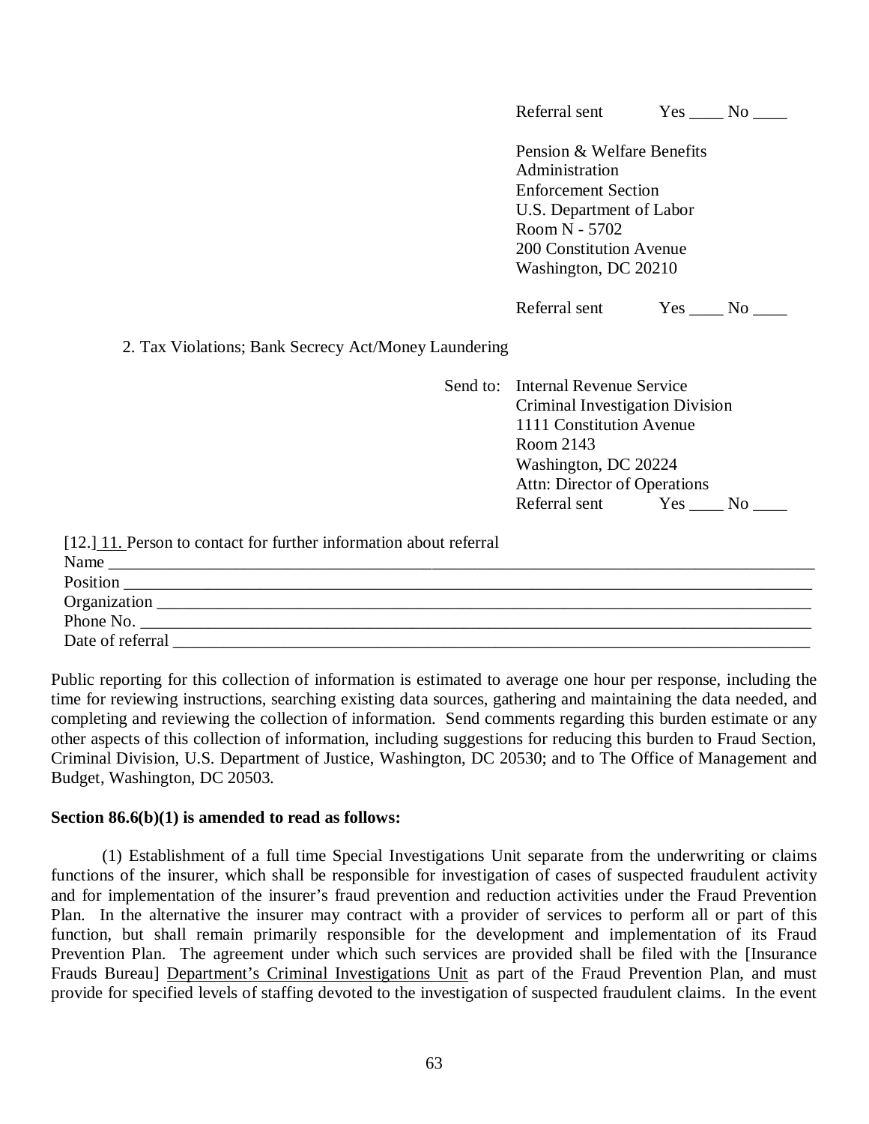|                                                      | Referral sent                                |                              | $Yes \_ No \_$     |
|------------------------------------------------------|----------------------------------------------|------------------------------|--------------------|
|                                                      | Pension & Welfare Benefits<br>Administration |                              |                    |
|                                                      | <b>Enforcement Section</b>                   |                              |                    |
|                                                      | U.S. Department of Labor                     |                              |                    |
|                                                      | Room N - 5702                                |                              |                    |
|                                                      | 200 Constitution Avenue                      |                              |                    |
|                                                      | Washington, DC 20210                         |                              |                    |
|                                                      | Referral sent                                |                              | $Yes \_\_ No \_\_$ |
| 2. Tax Violations; Bank Secrecy Act/Money Laundering |                                              |                              |                    |
|                                                      | Send to: Internal Revenue Service            |                              |                    |
|                                                      | Criminal Investigation Division              |                              |                    |
|                                                      | 1111 Constitution Avenue                     |                              |                    |
|                                                      | Room 2143                                    |                              |                    |
|                                                      | Washington, DC 20224                         |                              |                    |
|                                                      |                                              | Attn: Director of Operations |                    |
|                                                      | Referral sent Yes ____ No ____               |                              |                    |

| Name             |
|------------------|
| Position         |
| Organization     |
| Phone No.        |
| Date of referral |

 Public reporting for this collection of information is estimated to average one hour per response, including the time for reviewing instructions, searching existing data sources, gathering and maintaining the data needed, and completing and reviewing the collection of information. Send comments regarding this burden estimate or any other aspects of this collection of information, including suggestions for reducing this burden to Fraud Section, Criminal Division, U.S. Department of Justice, Washington, DC 20530; and to The Office of Management and Budget, Washington, DC 20503.

# **Section 86.6(b)(1) is amended to read as follows:**

 functions of the insurer, which shall be responsible for investigation of cases of suspected fraudulent activity and for implementation of the insurer's fraud prevention and reduction activities under the Fraud Prevention Plan. In the alternative the insurer may contract with a provider of services to perform all or part of this function, but shall remain primarily responsible for the development and implementation of its Fraud Prevention Plan. The agreement under which such services are provided shall be filed with the [Insurance Frauds Bureau] Department's Criminal Investigations Unit as part of the Fraud Prevention Plan, and must provide for specified levels of staffing devoted to the investigation of suspected fraudulent claims. In the event (1) Establishment of a full time Special Investigations Unit separate from the underwriting or claims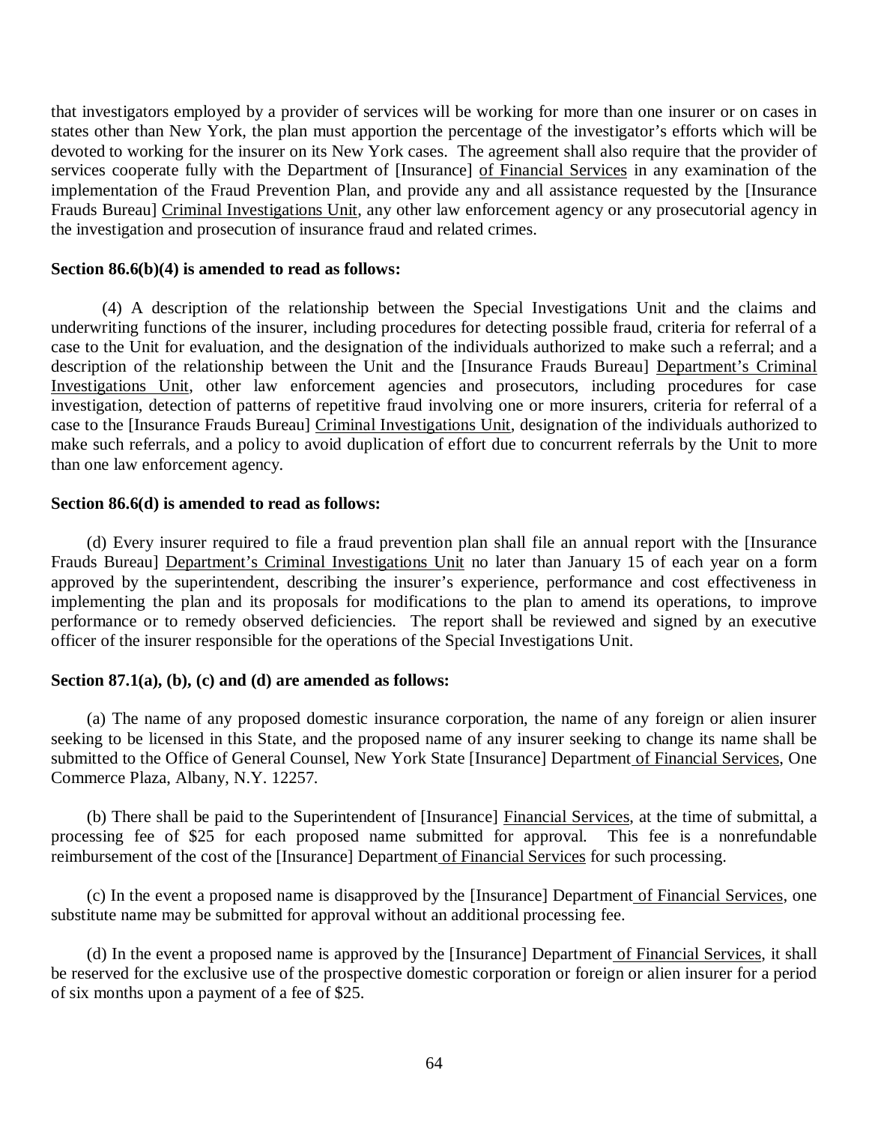that investigators employed by a provider of services will be working for more than one insurer or on cases in states other than New York, the plan must apportion the percentage of the investigator's efforts which will be devoted to working for the insurer on its New York cases. The agreement shall also require that the provider of services cooperate fully with the Department of [Insurance] of Financial Services in any examination of the implementation of the Fraud Prevention Plan, and provide any and all assistance requested by the [Insurance Frauds Bureau] Criminal Investigations Unit, any other law enforcement agency or any prosecutorial agency in the investigation and prosecution of insurance fraud and related crimes.

## **Section 86.6(b)(4) is amended to read as follows:**

 underwriting functions of the insurer, including procedures for detecting possible fraud, criteria for referral of a case to the Unit for evaluation, and the designation of the individuals authorized to make such a referral; and a description of the relationship between the Unit and the [Insurance Frauds Bureau] Department's Criminal Investigations Unit, other law enforcement agencies and prosecutors, including procedures for case investigation, detection of patterns of repetitive fraud involving one or more insurers, criteria for referral of a case to the [Insurance Frauds Bureau] Criminal Investigations Unit, designation of the individuals authorized to make such referrals, and a policy to avoid duplication of effort due to concurrent referrals by the Unit to more than one law enforcement agency. (4) A description of the relationship between the Special Investigations Unit and the claims and

## **Section 86.6(d) is amended to read as follows:**

Frauds Bureau] Department's Criminal Investigations Unit no later than January 15 of each year on a form approved by the superintendent, describing the insurer's experience, performance and cost effectiveness in implementing the plan and its proposals for modifications to the plan to amend its operations, to improve performance or to remedy observed deficiencies. The report shall be reviewed and signed by an executive officer of the insurer responsible for the operations of the Special Investigations Unit. (d) Every insurer required to file a fraud prevention plan shall file an annual report with the [Insurance

### **Section 87.1(a), (b), (c) and (d) are amended as follows:**

 seeking to be licensed in this State, and the proposed name of any insurer seeking to change its name shall be submitted to the Office of General Counsel, New York State [Insurance] Department of Financial Services, One Commerce Plaza, Albany, N.Y. 12257. (a) The name of any proposed domestic insurance corporation, the name of any foreign or alien insurer

 processing fee of \$25 for each proposed name submitted for approval. This fee is a nonrefundable reimbursement of the cost of the [Insurance] Department of Financial Services for such processing. (b) There shall be paid to the Superintendent of [Insurance] Financial Services, at the time of submittal, a

 substitute name may be submitted for approval without an additional processing fee. (c) In the event a proposed name is disapproved by the [Insurance] Department of Financial Services, one

 be reserved for the exclusive use of the prospective domestic corporation or foreign or alien insurer for a period of six months upon a payment of a fee of \$25. (d) In the event a proposed name is approved by the [Insurance] Department of Financial Services, it shall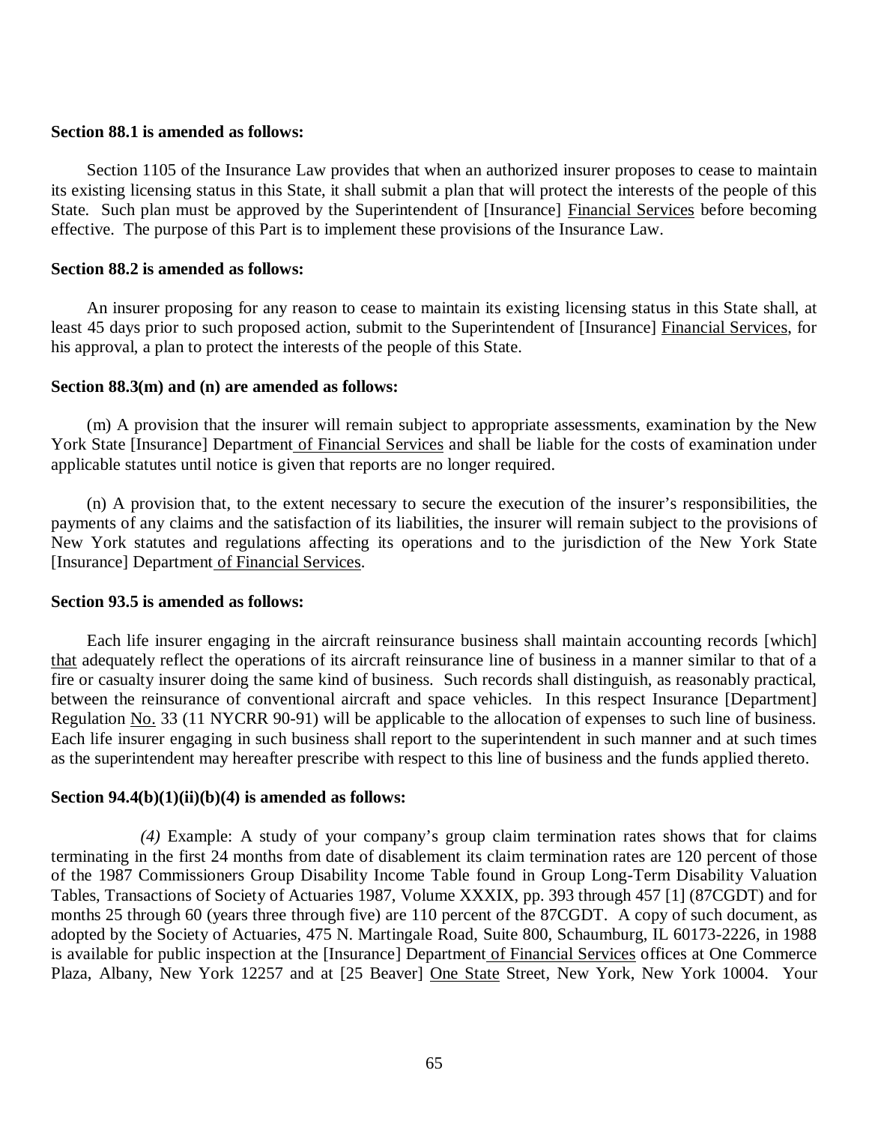#### **Section 88.1 is amended as follows:**

 its existing licensing status in this State, it shall submit a plan that will protect the interests of the people of this State. Such plan must be approved by the Superintendent of [Insurance] Financial Services before becoming effective. The purpose of this Part is to implement these provisions of the Insurance Law. Section 1105 of the Insurance Law provides that when an authorized insurer proposes to cease to maintain

## **Section 88.2 is amended as follows:**

least 45 days prior to such proposed action, submit to the Superintendent of [Insurance] Financial Services, for his approval, a plan to protect the interests of the people of this State. An insurer proposing for any reason to cease to maintain its existing licensing status in this State shall, at

### **Section 88.3(m) and (n) are amended as follows:**

York State [Insurance] Department of Financial Services and shall be liable for the costs of examination under applicable statutes until notice is given that reports are no longer required. (m) A provision that the insurer will remain subject to appropriate assessments, examination by the New

 payments of any claims and the satisfaction of its liabilities, the insurer will remain subject to the provisions of New York statutes and regulations affecting its operations and to the jurisdiction of the New York State [Insurance] Department of Financial Services. (n) A provision that, to the extent necessary to secure the execution of the insurer's responsibilities, the

## **Section 93.5 is amended as follows:**

that adequately reflect the operations of its aircraft reinsurance line of business in a manner similar to that of a fire or casualty insurer doing the same kind of business. Such records shall distinguish, as reasonably practical, between the reinsurance of conventional aircraft and space vehicles. In this respect Insurance [Department] Regulation No. 33 (11 NYCRR 90-91) will be applicable to the allocation of expenses to such line of business. Each life insurer engaging in such business shall report to the superintendent in such manner and at such times as the superintendent may hereafter prescribe with respect to this line of business and the funds applied thereto. Each life insurer engaging in the aircraft reinsurance business shall maintain accounting records [which]

#### **Section 94.4(b)(1)(ii)(b)(4) is amended as follows:**

 terminating in the first 24 months from date of disablement its claim termination rates are 120 percent of those of the 1987 Commissioners Group Disability Income Table found in Group Long-Term Disability Valuation Tables, Transactions of Society of Actuaries 1987, Volume XXXIX, pp. 393 through 457 [1] (87CGDT) and for months 25 through 60 (years three through five) are 110 percent of the 87CGDT. A copy of such document, as adopted by the Society of Actuaries, 475 N. Martingale Road, Suite 800, Schaumburg, IL 60173-2226, in 1988 is available for public inspection at the [Insurance] Department of Financial Services offices at One Commerce Plaza, Albany, New York 12257 and at [25 Beaver] One State Street, New York, New York 10004. Your *(4)* Example: A study of your company's group claim termination rates shows that for claims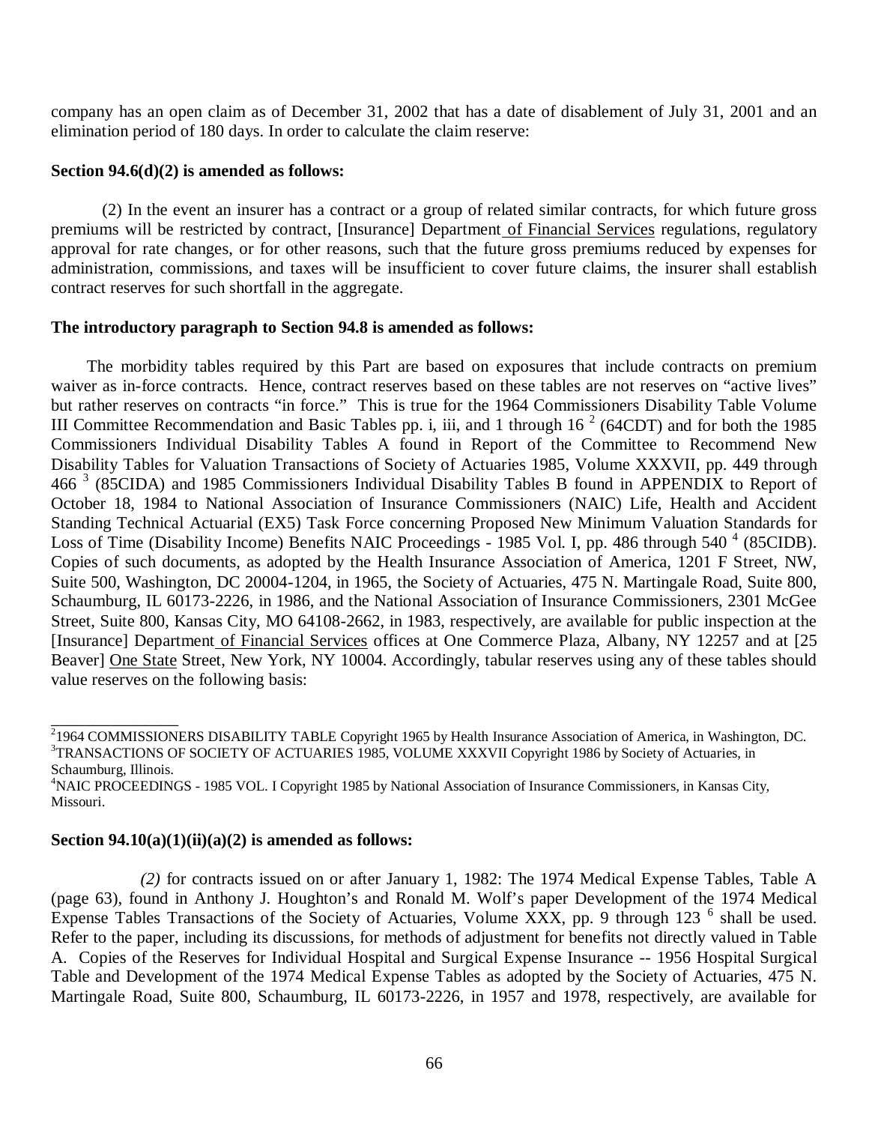company has an open claim as of December 31, 2002 that has a date of disablement of July 31, 2001 and an elimination period of 180 days. In order to calculate the claim reserve:

### **Section 94.6(d)(2) is amended as follows:**

premiums will be restricted by contract, [Insurance] Department of Financial Services regulations, regulatory approval for rate changes, or for other reasons, such that the future gross premiums reduced by expenses for administration, commissions, and taxes will be insufficient to cover future claims, the insurer shall establish contract reserves for such shortfall in the aggregate. (2) In the event an insurer has a contract or a group of related similar contracts, for which future gross

## **The introductory paragraph to Section 94.8 is amended as follows:**

 waiver as in-force contracts. Hence, contract reserves based on these tables are not reserves on "active lives" but rather reserves on contracts "in force." This is true for the 1964 Commissioners Disability Table Volume III Committee Recommendation and Basic Tables pp. i, iii, and 1 through  $16<sup>2</sup>$  (64CDT) and for both the 1985 Commissioners Individual Disability Tables A found in Report of the Committee to Recommend New Disability Tables for Valuation Transactions of Society of Actuaries 1985, Volume XXXVII, pp. 449 through 466<sup>3</sup> (85CIDA) and 1985 Commissioners Individual Disability Tables B found in APPENDIX to Report of October 18, 1984 to National Association of Insurance Commissioners (NAIC) Life, Health and Accident Standing Technical Actuarial (EX5) Task Force concerning Proposed New Minimum Valuation Standards for Loss of Time (Disability Income) Benefits NAIC Proceedings - 1985 Vol. I, pp. 486 through 540<sup>4</sup> (85CIDB). Copies of such documents, as adopted by the Health Insurance Association of America, 1201 F Street, NW, Suite 500, Washington, DC 20004-1204, in 1965, the Society of Actuaries, 475 N. Martingale Road, Suite 800, Schaumburg, IL 60173-2226, in 1986, and the National Association of Insurance Commissioners, 2301 McGee Street, Suite 800, Kansas City, MO 64108-2662, in 1983, respectively, are available for public inspection at the [Insurance] Department of Financial Services offices at One Commerce Plaza, Albany, NY 12257 and at [25 Beaver] One State Street, New York, NY 10004. Accordingly, tabular reserves using any of these tables should value reserves on the following basis: The morbidity tables required by this Part are based on exposures that include contracts on premium

<sup>4</sup>NAIC PROCEEDINGS - 1985 VOL. I Copyright 1985 by National Association of Insurance Commissioners, in Kansas City, Missouri.

### **Section 94.10(a)(1)(ii)(a)(2) is amended as follows:**

\_\_\_\_\_\_\_\_\_\_\_\_\_\_\_

 (page 63), found in Anthony J. Houghton's and Ronald M. Wolf's paper Development of the 1974 Medical Expense Tables Transactions of the Society of Actuaries, Volume XXX, pp. 9 through 123<sup>6</sup> shall be used. Refer to the paper, including its discussions, for methods of adjustment for benefits not directly valued in Table  A. Copies of the Reserves for Individual Hospital and Surgical Expense Insurance -- 1956 Hospital Surgical Table and Development of the 1974 Medical Expense Tables as adopted by the Society of Actuaries, 475 N. Martingale Road, Suite 800, Schaumburg, IL 60173-2226, in 1957 and 1978, respectively, are available for *(2)* for contracts issued on or after January 1, 1982: The 1974 Medical Expense Tables, Table A

<sup>&</sup>lt;sup>2</sup>1964 COMMISSIONERS DISABILITY TABLE Copyright 1965 by Health Insurance Association of America, in Washington, DC. <sup>3</sup>TRANSACTIONS OF SOCIETY OF ACTUARIES 1985, VOLUME XXXVII Copyright 1986 by Society of Actuaries, in Schaumburg, Illinois.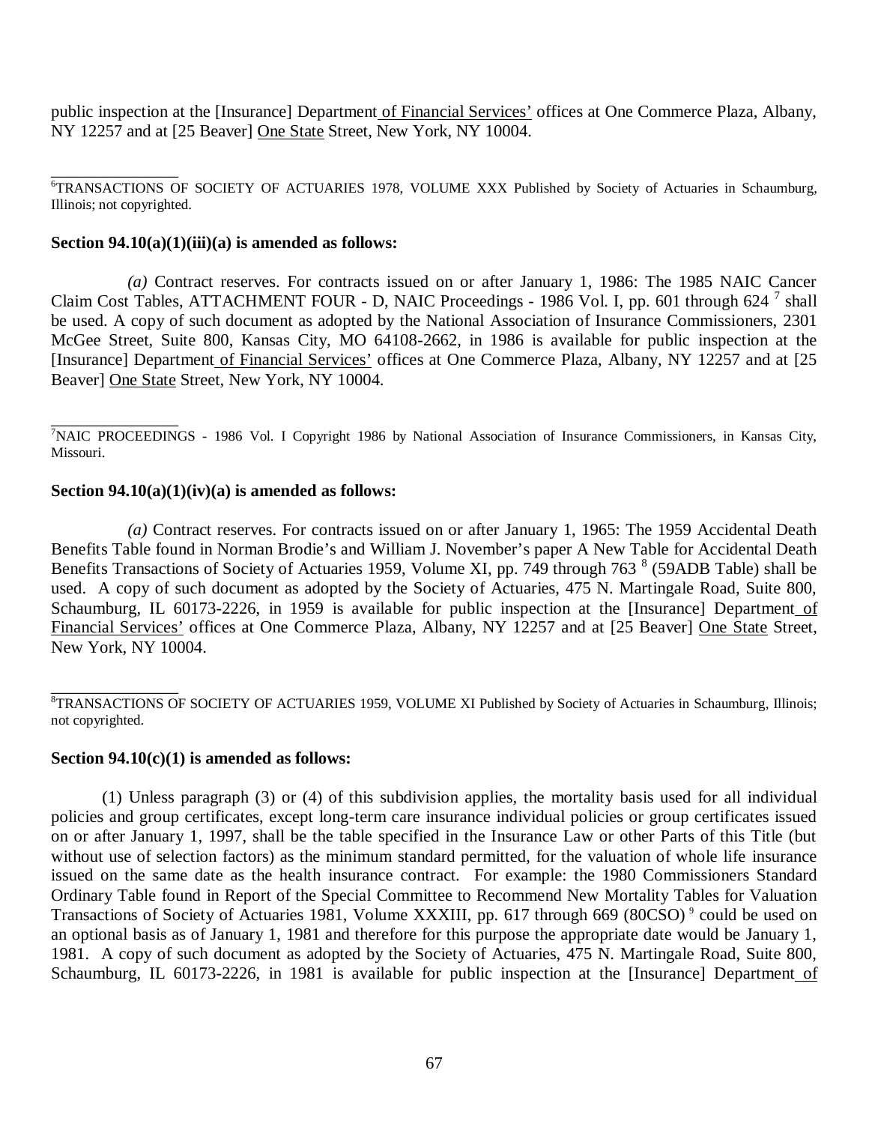public inspection at the [Insurance] Department of Financial Services' offices at One Commerce Plaza, Albany, NY 12257 and at [25 Beaver] One State Street, New York, NY 10004.

 Illinois; not copyrighted. <sup>6</sup>TRANSACTIONS OF SOCIETY OF ACTUARIES 1978, VOLUME XXX Published by Society of Actuaries in Schaumburg,

# **Section 94.10(a)(1)(iii)(a) is amended as follows:**

Claim Cost Tables, ATTACHMENT FOUR - D, NAIC Proceedings - 1986 Vol. I, pp. 601 through 624<sup>7</sup> shall be used. A copy of such document as adopted by the National Association of Insurance Commissioners, 2301 McGee Street, Suite 800, Kansas City, MO 64108-2662, in 1986 is available for public inspection at the [Insurance] Department of Financial Services' offices at One Commerce Plaza, Albany, NY 12257 and at [25 Beaver] One State Street, New York, NY 10004. *(a)* Contract reserves. For contracts issued on or after January 1, 1986: The 1985 NAIC Cancer

<sup>7</sup>NAIC PROCEEDINGS - 1986 Vol. I Copyright 1986 by National Association of Insurance Commissioners, in Kansas City, Missouri. \_\_\_\_\_\_\_\_\_\_\_\_\_\_\_

## **Section 94.10(a)(1)(iv)(a) is amended as follows:**

 Benefits Table found in Norman Brodie's and William J. November's paper A New Table for Accidental Death Benefits Transactions of Society of Actuaries 1959, Volume XI, pp. 749 through 763  $8$  (59ADB Table) shall be used. A copy of such document as adopted by the Society of Actuaries, 475 N. Martingale Road, Suite 800, Schaumburg, IL 60173-2226, in 1959 is available for public inspection at the [Insurance] Department of Financial Services' offices at One Commerce Plaza, Albany, NY 12257 and at [25 Beaver] One State Street, New York, NY 10004. *(a)* Contract reserves. For contracts issued on or after January 1, 1965: The 1959 Accidental Death

### **Section 94.10(c)(1) is amended as follows:**

 policies and group certificates, except long-term care insurance individual policies or group certificates issued on or after January 1, 1997, shall be the table specified in the Insurance Law or other Parts of this Title (but without use of selection factors) as the minimum standard permitted, for the valuation of whole life insurance issued on the same date as the health insurance contract. For example: the 1980 Commissioners Standard Ordinary Table found in Report of the Special Committee to Recommend New Mortality Tables for Valuation Transactions of Society of Actuaries 1981, Volume XXXIII, pp. 617 through 669 (80CSO)<sup>9</sup> could be used on an optional basis as of January 1, 1981 and therefore for this purpose the appropriate date would be January 1, 1981. A copy of such document as adopted by the Society of Actuaries, 475 N. Martingale Road, Suite 800, Schaumburg, IL 60173-2226, in 1981 is available for public inspection at the [Insurance] Department of (1) Unless paragraph (3) or (4) of this subdivision applies, the mortality basis used for all individual

 not copyrighted. <sup>8</sup>TRANSACTIONS OF SOCIETY OF ACTUARIES 1959, VOLUME XI Published by Society of Actuaries in Schaumburg, Illinois;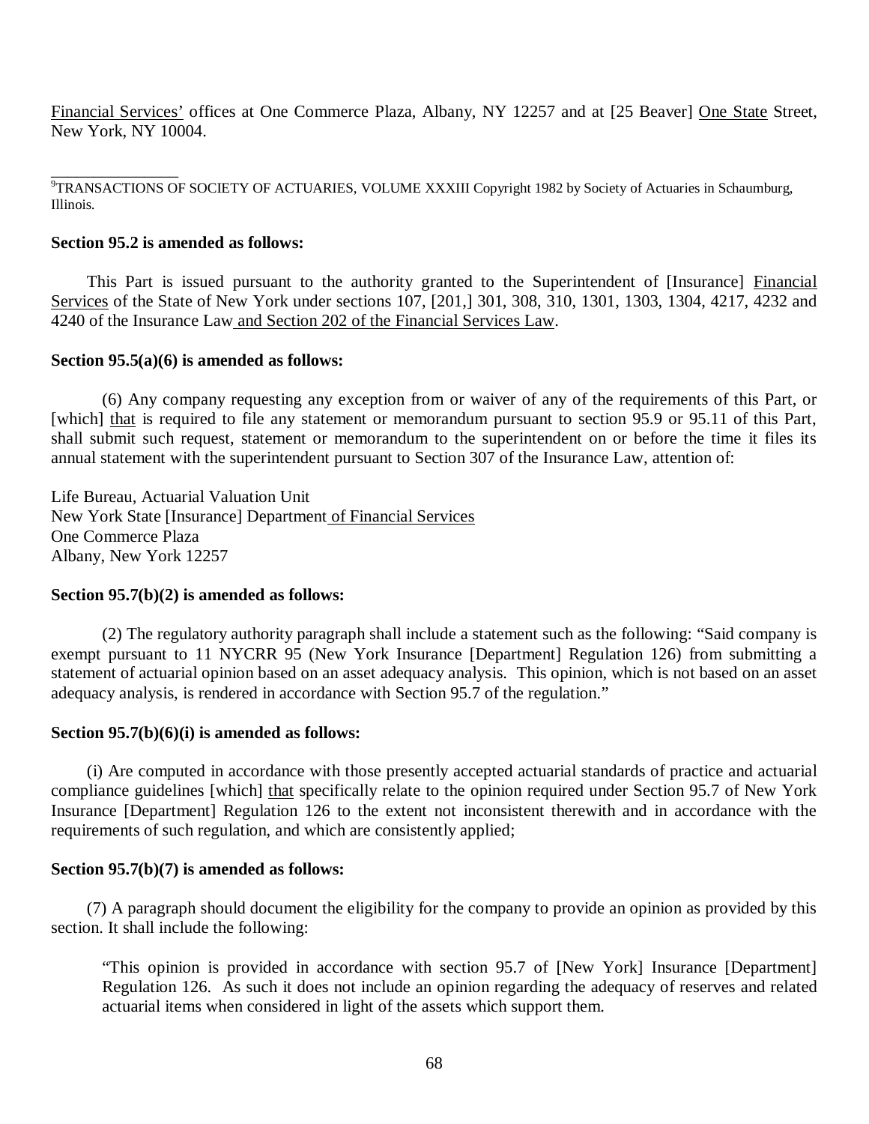Financial Services' offices at One Commerce Plaza, Albany, NY 12257 and at [25 Beaver] One State Street, New York, NY 10004.

9<br>TRANSACTIONS OF SOCIETY OF ACTUARIES, VOLUME XXXIII Copyright 1982 by Society of Actuaries in Schaumburg, Illinois.

# **Section 95.2 is amended as follows:**

Services of the State of New York under sections 107, [201,] 301, 308, 310, 1301, 1303, 1304, 4217, 4232 and 4240 of the Insurance Law and Section 202 of the Financial Services Law. This Part is issued pursuant to the authority granted to the Superintendent of [Insurance] Financial

## **Section 95.5(a)(6) is amended as follows:**

[which] that is required to file any statement or memorandum pursuant to section 95.9 or 95.11 of this Part, shall submit such request, statement or memorandum to the superintendent on or before the time it files its annual statement with the superintendent pursuant to Section 307 of the Insurance Law, attention of: (6) Any company requesting any exception from or waiver of any of the requirements of this Part, or

 Life Bureau, Actuarial Valuation Unit New York State [Insurance] Department of Financial Services One Commerce Plaza Albany, New York 12257

# **Section 95.7(b)(2) is amended as follows:**

 exempt pursuant to 11 NYCRR 95 (New York Insurance [Department] Regulation 126) from submitting a statement of actuarial opinion based on an asset adequacy analysis. This opinion, which is not based on an asset adequacy analysis, is rendered in accordance with Section 95.7 of the regulation." (2) The regulatory authority paragraph shall include a statement such as the following: "Said company is

# **Section 95.7(b)(6)(i) is amended as follows:**

compliance guidelines [which] that specifically relate to the opinion required under Section 95.7 of New York Insurance [Department] Regulation 126 to the extent not inconsistent therewith and in accordance with the requirements of such regulation, and which are consistently applied; (i) Are computed in accordance with those presently accepted actuarial standards of practice and actuarial

### **Section 95.7(b)(7) is amended as follows:**

 section. It shall include the following: (7) A paragraph should document the eligibility for the company to provide an opinion as provided by this

 "This opinion is provided in accordance with section 95.7 of [New York] Insurance [Department] Regulation 126. As such it does not include an opinion regarding the adequacy of reserves and related actuarial items when considered in light of the assets which support them.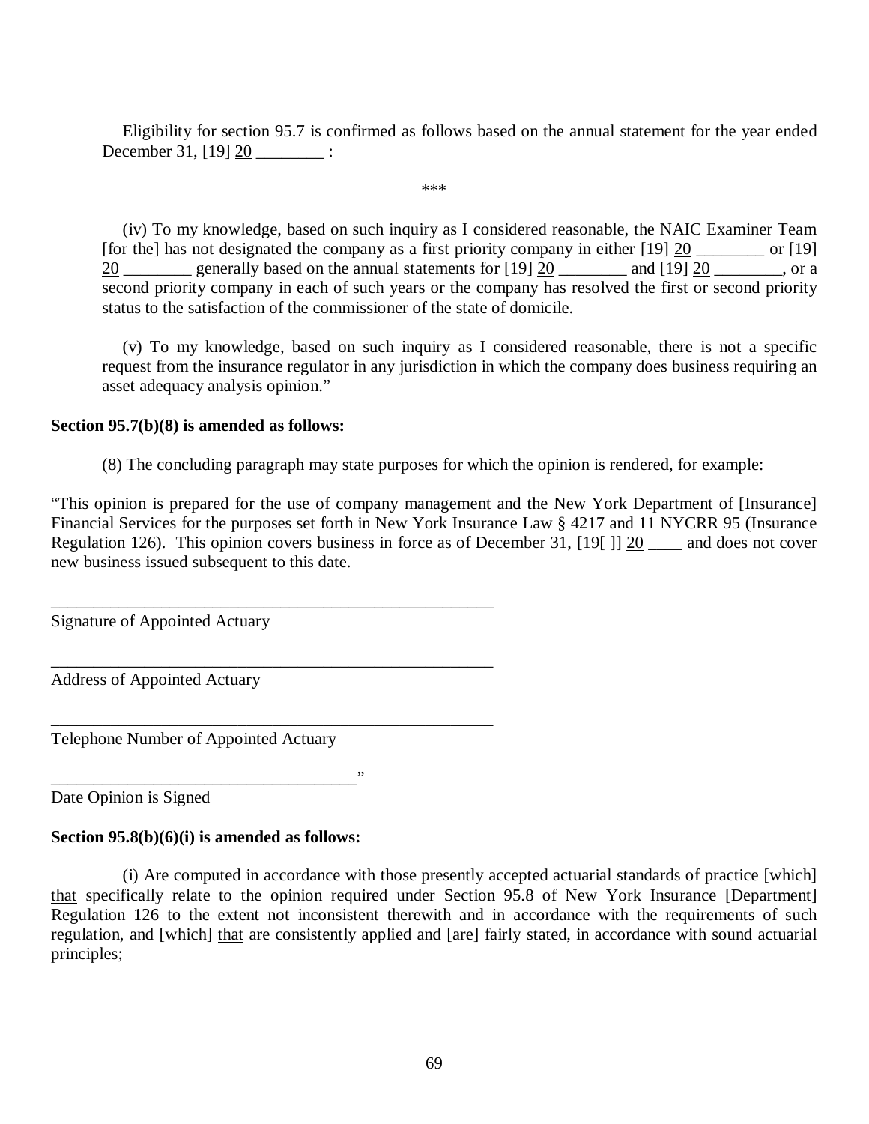December 31, [19] <u>20</u> \_\_\_\_\_\_\_\_\_ : Eligibility for section 95.7 is confirmed as follows based on the annual statement for the year ended

\*\*\*

[for the] has not designated the company as a first priority company in either  $[19]$   $\underline{20}$  \_\_\_\_\_\_\_ or  $[19]$  $\frac{20}{20}$  generally based on the annual statements for [19]  $\frac{20}{20}$  and [19]  $\frac{20}{20}$  \_\_\_\_\_\_, or a second priority company in each of such years or the company has resolved the first or second priority status to the satisfaction of the commissioner of the state of domicile. (iv) To my knowledge, based on such inquiry as I considered reasonable, the NAIC Examiner Team

 request from the insurance regulator in any jurisdiction in which the company does business requiring an asset adequacy analysis opinion." (v) To my knowledge, based on such inquiry as I considered reasonable, there is not a specific

# **Section 95.7(b)(8) is amended as follows:**

(8) The concluding paragraph may state purposes for which the opinion is rendered, for example:

 "This opinion is prepared for the use of company management and the New York Department of [Insurance] Financial Services for the purposes set forth in New York Insurance Law § 4217 and 11 NYCRR 95 (Insurance Regulation 126). This opinion covers business in force as of December 31,  $[19]$   $\underline{19}$   $\underline{20}$   $\underline{\hspace{1cm}}$  and does not cover new business issued subsequent to this date.

Signature of Appointed Actuary

Address of Appointed Actuary

Telephone Number of Appointed Actuary

\_\_\_\_\_\_\_\_\_\_\_\_\_\_\_\_\_\_\_\_\_\_\_\_\_\_\_\_\_\_\_\_\_\_\_\_\_\_\_\_\_\_\_\_\_\_\_\_\_\_\_\_

\_\_\_\_\_\_\_\_\_\_\_\_\_\_\_\_\_\_\_\_\_\_\_\_\_\_\_\_\_\_\_\_\_\_\_\_\_\_\_\_\_\_\_\_\_\_\_\_\_\_\_\_

\_\_\_\_\_\_\_\_\_\_\_\_\_\_\_\_\_\_\_\_\_\_\_\_\_\_\_\_\_\_\_\_\_\_\_\_\_\_\_\_\_\_\_\_\_\_\_\_\_\_\_\_

 Date Opinion is Signed \_\_\_\_\_\_\_\_\_\_\_\_\_\_\_\_\_\_\_\_\_\_\_\_\_\_\_\_\_\_\_\_\_\_\_\_"

# **Section 95.8(b)(6)(i) is amended as follows:**

that specifically relate to the opinion required under Section 95.8 of New York Insurance [Department] Regulation 126 to the extent not inconsistent therewith and in accordance with the requirements of such regulation, and [which] that are consistently applied and [are] fairly stated, in accordance with sound actuarial (i) Are computed in accordance with those presently accepted actuarial standards of practice [which] principles;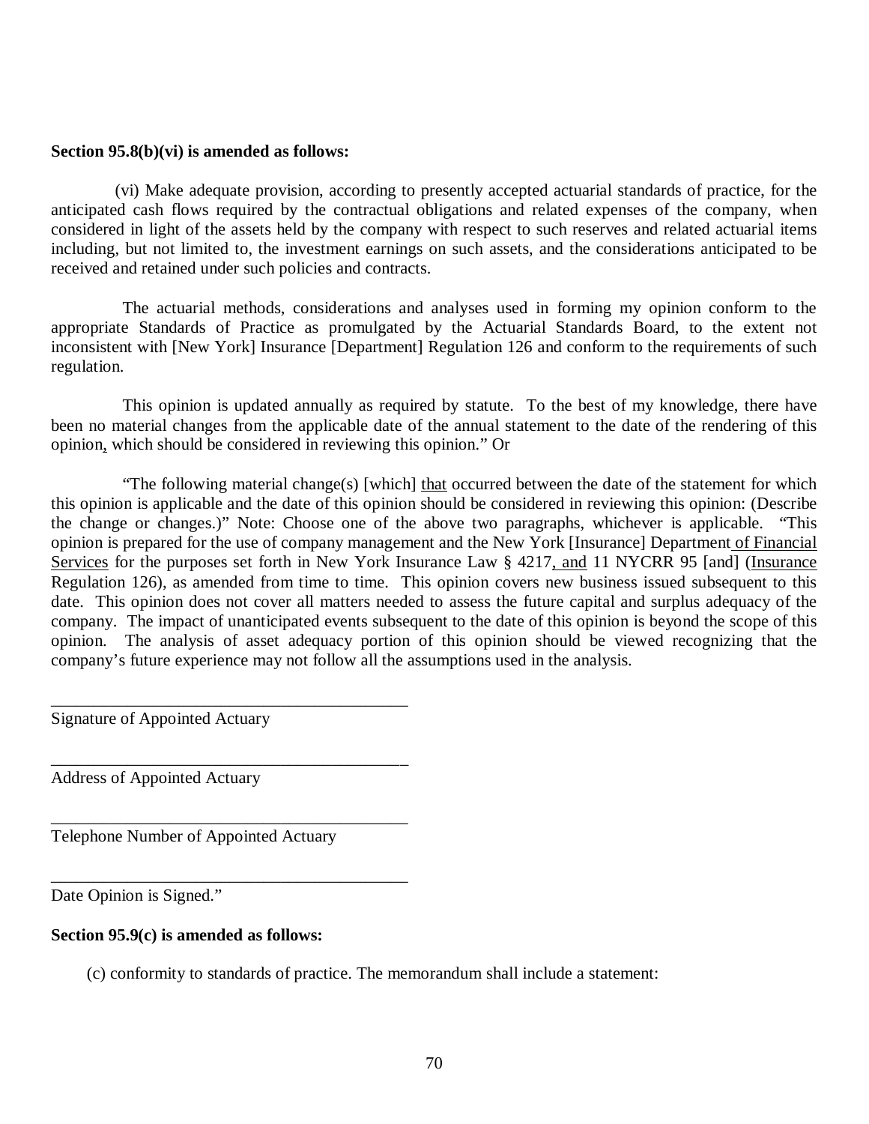#### **Section 95.8(b)(vi) is amended as follows:**

 anticipated cash flows required by the contractual obligations and related expenses of the company, when considered in light of the assets held by the company with respect to such reserves and related actuarial items including, but not limited to, the investment earnings on such assets, and the considerations anticipated to be received and retained under such policies and contracts. (vi) Make adequate provision, according to presently accepted actuarial standards of practice, for the

 appropriate Standards of Practice as promulgated by the Actuarial Standards Board, to the extent not inconsistent with [New York] Insurance [Department] Regulation 126 and conform to the requirements of such The actuarial methods, considerations and analyses used in forming my opinion conform to the regulation.

 been no material changes from the applicable date of the annual statement to the date of the rendering of this opinion, which should be considered in reviewing this opinion." Or This opinion is updated annually as required by statute. To the best of my knowledge, there have

 this opinion is applicable and the date of this opinion should be considered in reviewing this opinion: (Describe the change or changes.)" Note: Choose one of the above two paragraphs, whichever is applicable. "This opinion is prepared for the use of company management and the New York [Insurance] Department of Financial Services for the purposes set forth in New York Insurance Law § 4217, and 11 NYCRR 95 [and] (Insurance Regulation 126), as amended from time to time. This opinion covers new business issued subsequent to this date. This opinion does not cover all matters needed to assess the future capital and surplus adequacy of the company. The impact of unanticipated events subsequent to the date of this opinion is beyond the scope of this opinion. The analysis of asset adequacy portion of this opinion should be viewed recognizing that the company's future experience may not follow all the assumptions used in the analysis. "The following material change(s) [which] that occurred between the date of the statement for which

Signature of Appointed Actuary

Address of Appointed Actuary

Telephone Number of Appointed Actuary

\_\_\_\_\_\_\_\_\_\_\_\_\_\_\_\_\_\_\_\_\_\_\_\_\_\_\_\_\_\_\_\_\_\_\_\_\_\_\_\_\_\_

\_\_\_\_\_\_\_\_\_\_\_\_\_\_\_\_\_\_\_\_\_\_\_\_\_\_\_\_\_\_\_\_\_\_\_\_\_\_\_\_\_\_

\_\_\_\_\_\_\_\_\_\_\_\_\_\_\_\_\_\_\_\_\_\_\_\_\_\_\_\_\_\_\_\_\_\_\_\_\_\_\_\_\_\_

\_\_\_\_\_\_\_\_\_\_\_\_\_\_\_\_\_\_\_\_\_\_\_\_\_\_\_\_\_\_\_\_\_\_\_\_\_\_\_\_\_\_

Date Opinion is Signed."

#### **Section 95.9(c) is amended as follows:**

(c) conformity to standards of practice. The memorandum shall include a statement: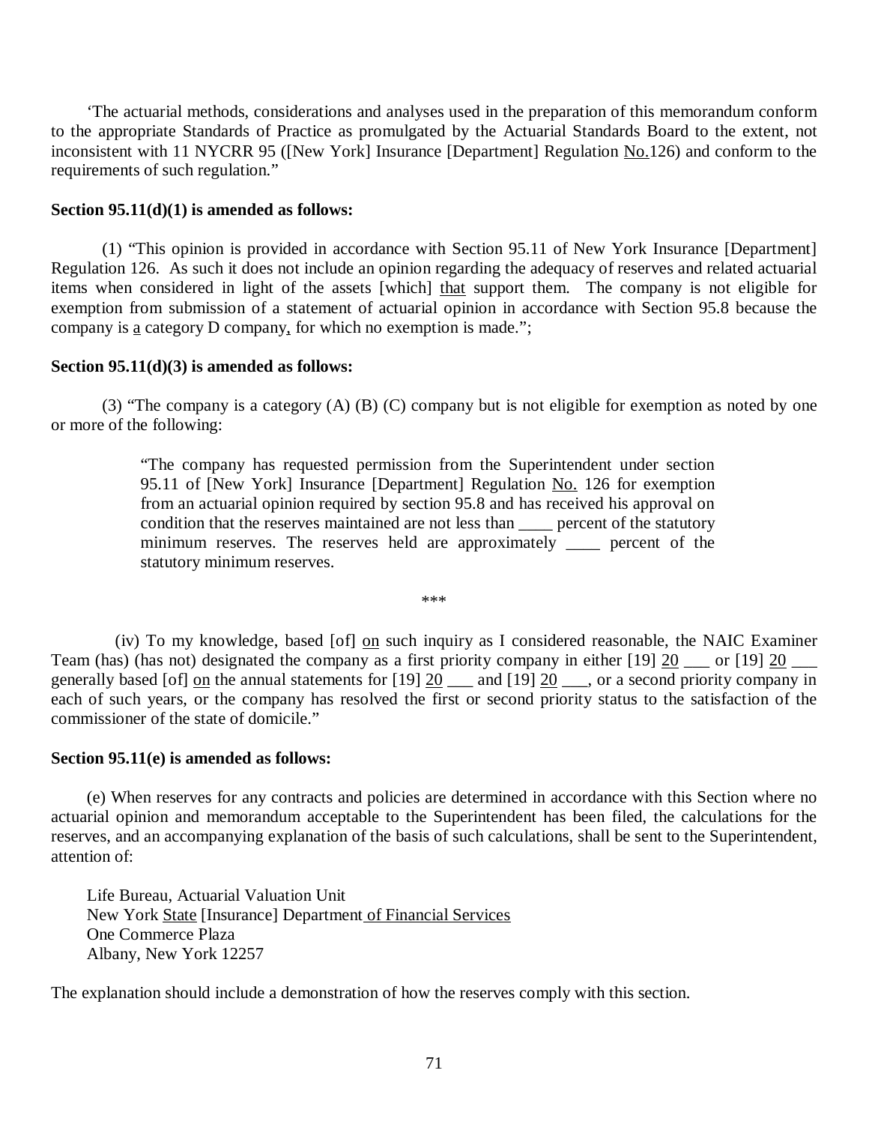to the appropriate Standards of Practice as promulgated by the Actuarial Standards Board to the extent, not inconsistent with 11 NYCRR 95 ([New York] Insurance [Department] Regulation No.126) and conform to the requirements of such regulation." 'The actuarial methods, considerations and analyses used in the preparation of this memorandum conform

## **Section 95.11(d)(1) is amended as follows:**

 Regulation 126. As such it does not include an opinion regarding the adequacy of reserves and related actuarial items when considered in light of the assets [which] that support them. The company is not eligible for exemption from submission of a statement of actuarial opinion in accordance with Section 95.8 because the company is  $\underline{a}$  category D company, for which no exemption is made."; (1) "This opinion is provided in accordance with Section 95.11 of New York Insurance [Department]

#### **Section 95.11(d)(3) is amended as follows:**

 or more of the following: (3) "The company is a category (A) (B) (C) company but is not eligible for exemption as noted by one

> "The company has requested permission from the Superintendent under section 95.11 of [New York] Insurance [Department] Regulation No. 126 for exemption from an actuarial opinion required by section 95.8 and has received his approval on condition that the reserves maintained are not less than \_\_\_\_ percent of the statutory minimum reserves. The reserves held are approximately \_\_\_\_ percent of the statutory minimum reserves.

> > \*\*\*

Team (has) (has not) designated the company as a first priority company in either  $[19]$   $\underline{20}$  \_\_\_ or  $[19]$   $\underline{20}$  \_\_\_ generally based [of]  $\Omega$  the annual statements for [19]  $\Omega$  \_\_\_ and [19]  $\Omega$  \_\_\_, or a second priority company in each of such years, or the company has resolved the first or second priority status to the satisfaction of the commissioner of the state of domicile." (iv) To my knowledge, based [of] on such inquiry as I considered reasonable, the NAIC Examiner

## **Section 95.11(e) is amended as follows:**

 actuarial opinion and memorandum acceptable to the Superintendent has been filed, the calculations for the reserves, and an accompanying explanation of the basis of such calculations, shall be sent to the Superintendent, attention of: (e) When reserves for any contracts and policies are determined in accordance with this Section where no

New York State [Insurance] Department of Financial Services Albany, New York 12257 Life Bureau, Actuarial Valuation Unit One Commerce Plaza

The explanation should include a demonstration of how the reserves comply with this section.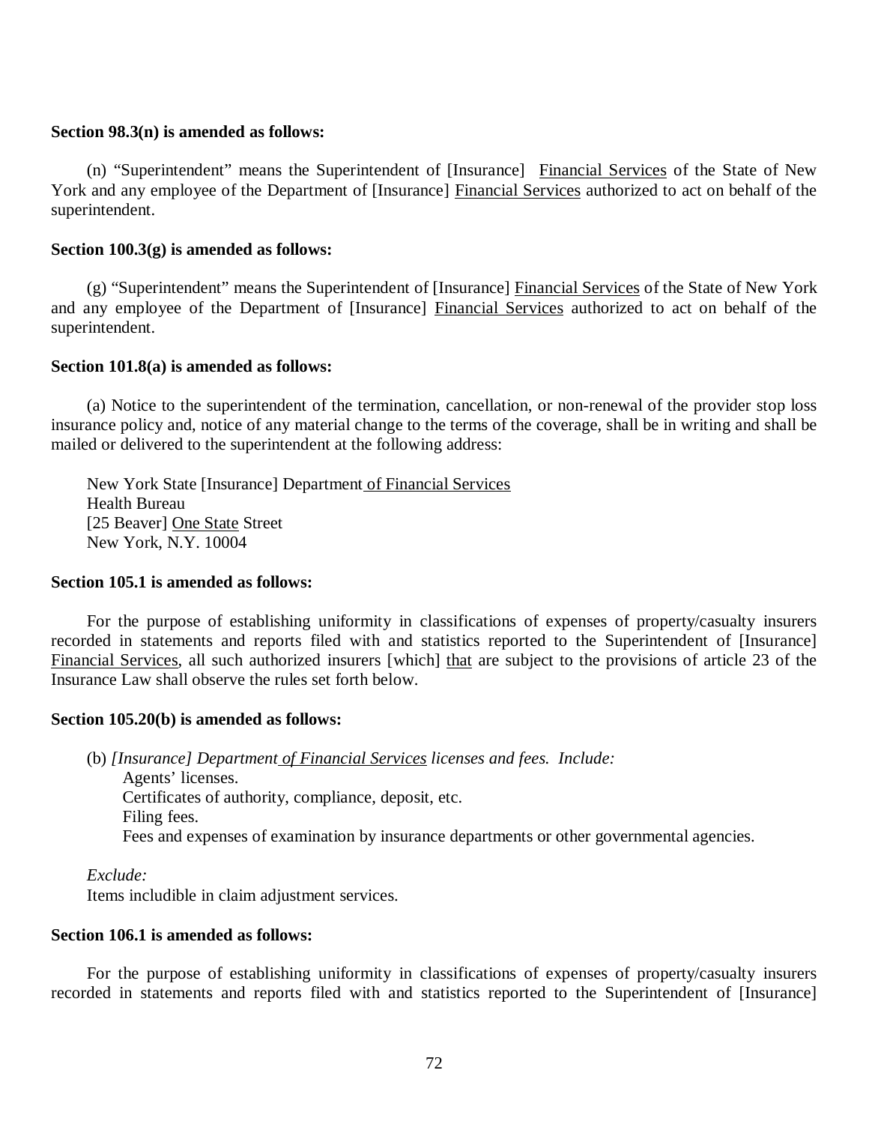### **Section 98.3(n) is amended as follows:**

York and any employee of the Department of [Insurance] Financial Services authorized to act on behalf of the (n) "Superintendent" means the Superintendent of [Insurance] Financial Services of the State of New superintendent.

# **Section 100.3(g) is amended as follows:**

and any employee of the Department of [Insurance] Financial Services authorized to act on behalf of the (g) "Superintendent" means the Superintendent of [Insurance] Financial Services of the State of New York superintendent.

## **Section 101.8(a) is amended as follows:**

 insurance policy and, notice of any material change to the terms of the coverage, shall be in writing and shall be mailed or delivered to the superintendent at the following address: (a) Notice to the superintendent of the termination, cancellation, or non-renewal of the provider stop loss

New York State [Insurance] Department of Financial Services [25 Beaver] One State Street New York, N.Y. 10004 Health Bureau

## **Section 105.1 is amended as follows:**

 recorded in statements and reports filed with and statistics reported to the Superintendent of [Insurance] Financial Services, all such authorized insurers [which] that are subject to the provisions of article 23 of the Insurance Law shall observe the rules set forth below. For the purpose of establishing uniformity in classifications of expenses of property/casualty insurers

## **Section 105.20(b) is amended as follows:**

(b) *[Insurance] Department of Financial Services licenses and fees. Include:*  Agents' licenses. Certificates of authority, compliance, deposit, etc. Filing fees. Fees and expenses of examination by insurance departments or other governmental agencies.

*Exclude:* 

Items includible in claim adjustment services.

#### **Section 106.1 is amended as follows:**

 recorded in statements and reports filed with and statistics reported to the Superintendent of [Insurance] For the purpose of establishing uniformity in classifications of expenses of property/casualty insurers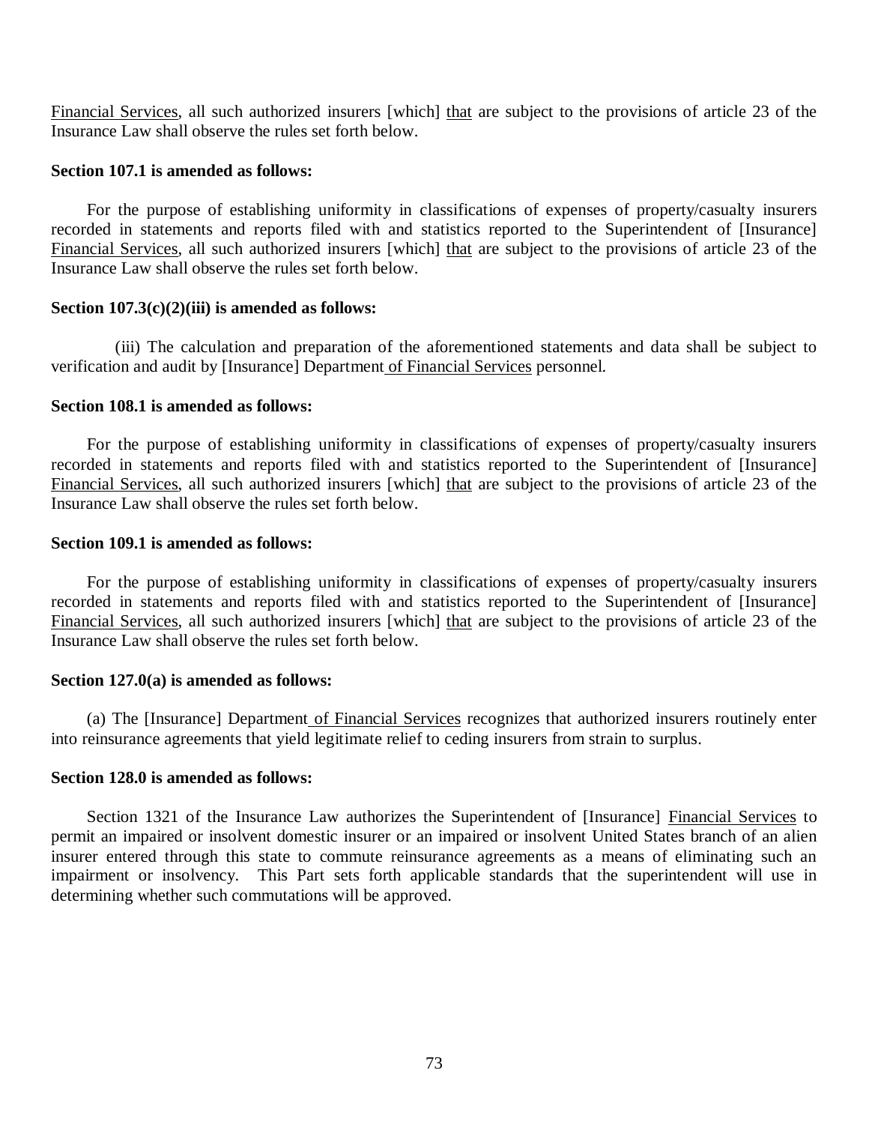Financial Services, all such authorized insurers [which] that are subject to the provisions of article 23 of the Insurance Law shall observe the rules set forth below.

#### **Section 107.1 is amended as follows:**

 recorded in statements and reports filed with and statistics reported to the Superintendent of [Insurance] Financial Services, all such authorized insurers [which] that are subject to the provisions of article 23 of the Insurance Law shall observe the rules set forth below. For the purpose of establishing uniformity in classifications of expenses of property/casualty insurers

## **Section 107.3(c)(2)(iii) is amended as follows:**

verification and audit by [Insurance] Department of Financial Services personnel. (iii) The calculation and preparation of the aforementioned statements and data shall be subject to

#### **Section 108.1 is amended as follows:**

 recorded in statements and reports filed with and statistics reported to the Superintendent of [Insurance] Financial Services, all such authorized insurers [which] that are subject to the provisions of article 23 of the Insurance Law shall observe the rules set forth below. For the purpose of establishing uniformity in classifications of expenses of property/casualty insurers

#### **Section 109.1 is amended as follows:**

 recorded in statements and reports filed with and statistics reported to the Superintendent of [Insurance] Financial Services, all such authorized insurers [which] that are subject to the provisions of article 23 of the Insurance Law shall observe the rules set forth below. For the purpose of establishing uniformity in classifications of expenses of property/casualty insurers

## **Section 127.0(a) is amended as follows:**

 into reinsurance agreements that yield legitimate relief to ceding insurers from strain to surplus. (a) The [Insurance] Department of Financial Services recognizes that authorized insurers routinely enter

## **Section 128.0 is amended as follows:**

 permit an impaired or insolvent domestic insurer or an impaired or insolvent United States branch of an alien insurer entered through this state to commute reinsurance agreements as a means of eliminating such an impairment or insolvency. This Part sets forth applicable standards that the superintendent will use in determining whether such commutations will be approved. Section 1321 of the Insurance Law authorizes the Superintendent of [Insurance] Financial Services to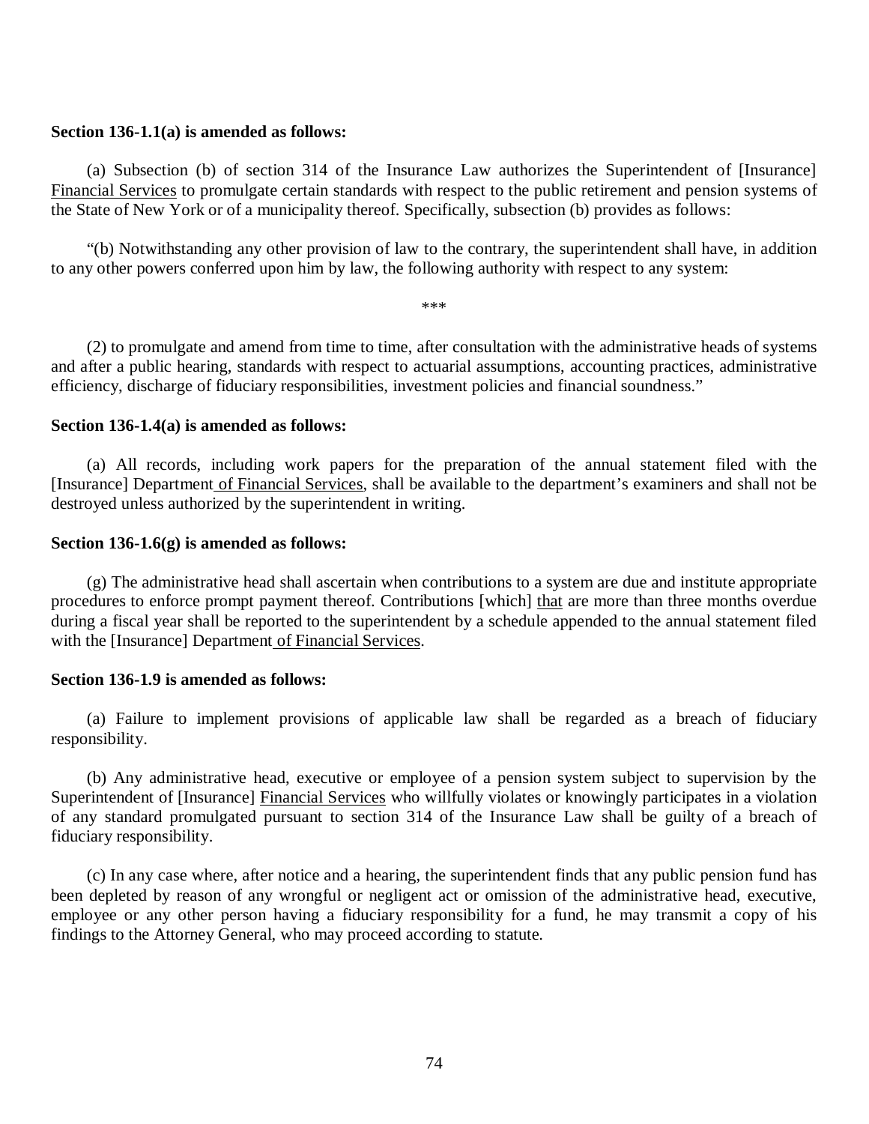#### **Section 136-1.1(a) is amended as follows:**

Financial Services to promulgate certain standards with respect to the public retirement and pension systems of the State of New York or of a municipality thereof. Specifically, subsection (b) provides as follows: (a) Subsection (b) of section 314 of the Insurance Law authorizes the Superintendent of [Insurance]

 to any other powers conferred upon him by law, the following authority with respect to any system: "(b) Notwithstanding any other provision of law to the contrary, the superintendent shall have, in addition

\*\*\*

 and after a public hearing, standards with respect to actuarial assumptions, accounting practices, administrative efficiency, discharge of fiduciary responsibilities, investment policies and financial soundness." (2) to promulgate and amend from time to time, after consultation with the administrative heads of systems

#### **Section 136-1.4(a) is amended as follows:**

[Insurance] Department of Financial Services, shall be available to the department's examiners and shall not be destroyed unless authorized by the superintendent in writing. (a) All records, including work papers for the preparation of the annual statement filed with the

#### **Section 136-1.6(g) is amended as follows:**

procedures to enforce prompt payment thereof. Contributions [which] that are more than three months overdue during a fiscal year shall be reported to the superintendent by a schedule appended to the annual statement filed with the [Insurance] Department of Financial Services. (g) The administrative head shall ascertain when contributions to a system are due and institute appropriate

#### **Section 136-1.9 is amended as follows:**

(a) Failure to implement provisions of applicable law shall be regarded as a breach of fiduciary responsibility.

Superintendent of [Insurance] Financial Services who willfully violates or knowingly participates in a violation of any standard promulgated pursuant to section 314 of the Insurance Law shall be guilty of a breach of (b) Any administrative head, executive or employee of a pension system subject to supervision by the fiduciary responsibility.

 been depleted by reason of any wrongful or negligent act or omission of the administrative head, executive, employee or any other person having a fiduciary responsibility for a fund, he may transmit a copy of his findings to the Attorney General, who may proceed according to statute. (c) In any case where, after notice and a hearing, the superintendent finds that any public pension fund has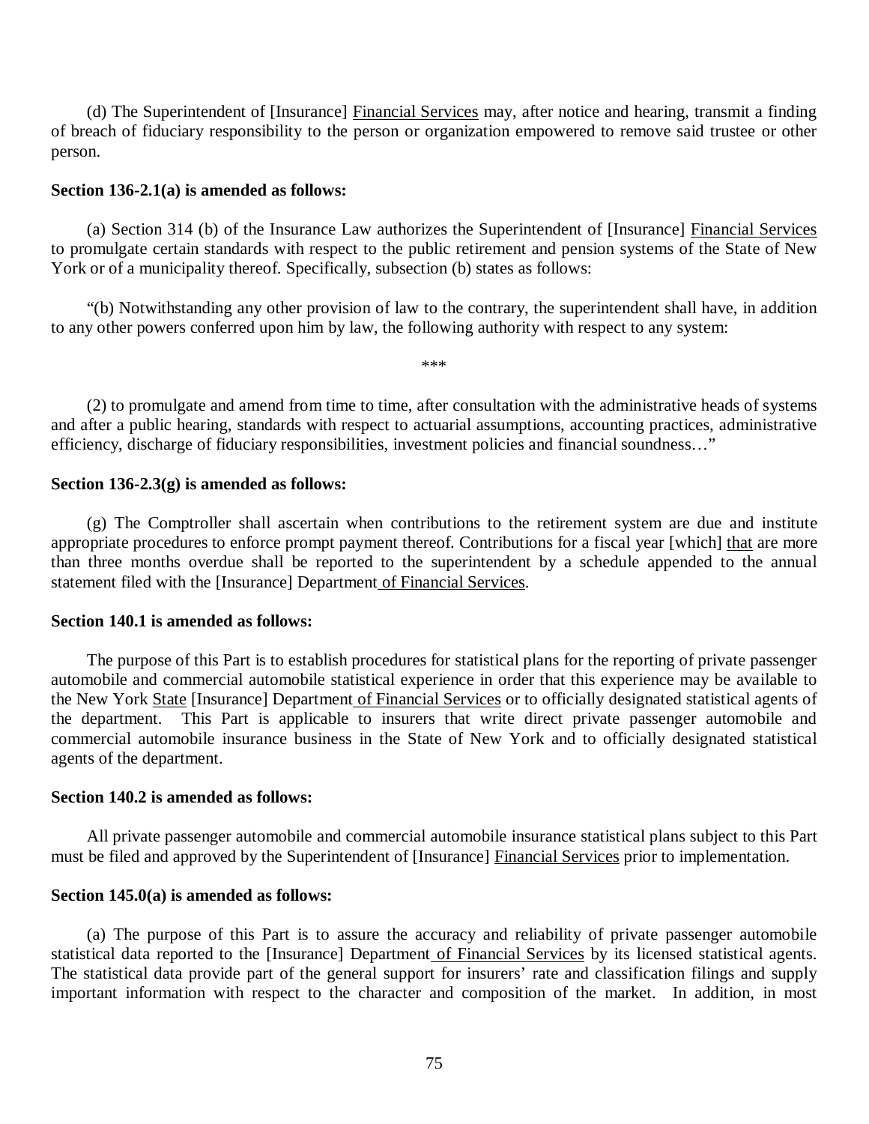of breach of fiduciary responsibility to the person or organization empowered to remove said trustee or other (d) The Superintendent of [Insurance] Financial Services may, after notice and hearing, transmit a finding person.

#### **Section 136-2.1(a) is amended as follows:**

 to promulgate certain standards with respect to the public retirement and pension systems of the State of New York or of a municipality thereof. Specifically, subsection (b) states as follows: (a) Section 314 (b) of the Insurance Law authorizes the Superintendent of [Insurance] Financial Services

 to any other powers conferred upon him by law, the following authority with respect to any system: "(b) Notwithstanding any other provision of law to the contrary, the superintendent shall have, in addition

\*\*\*

 and after a public hearing, standards with respect to actuarial assumptions, accounting practices, administrative efficiency, discharge of fiduciary responsibilities, investment policies and financial soundness…" (2) to promulgate and amend from time to time, after consultation with the administrative heads of systems

#### **Section 136-2.3(g) is amended as follows:**

appropriate procedures to enforce prompt payment thereof. Contributions for a fiscal year [which] that are more than three months overdue shall be reported to the superintendent by a schedule appended to the annual statement filed with the [Insurance] Department of Financial Services. (g) The Comptroller shall ascertain when contributions to the retirement system are due and institute

#### **Section 140.1 is amended as follows:**

 automobile and commercial automobile statistical experience in order that this experience may be available to the New York State [Insurance] Department of Financial Services or to officially designated statistical agents of the department. This Part is applicable to insurers that write direct private passenger automobile and commercial automobile insurance business in the State of New York and to officially designated statistical agents of the department. The purpose of this Part is to establish procedures for statistical plans for the reporting of private passenger

#### **Section 140.2 is amended as follows:**

must be filed and approved by the Superintendent of [Insurance] Financial Services prior to implementation. All private passenger automobile and commercial automobile insurance statistical plans subject to this Part

#### **Section 145.0(a) is amended as follows:**

statistical data reported to the [Insurance] Department of Financial Services by its licensed statistical agents. The statistical data provide part of the general support for insurers' rate and classification filings and supply important information with respect to the character and composition of the market. In addition, in most (a) The purpose of this Part is to assure the accuracy and reliability of private passenger automobile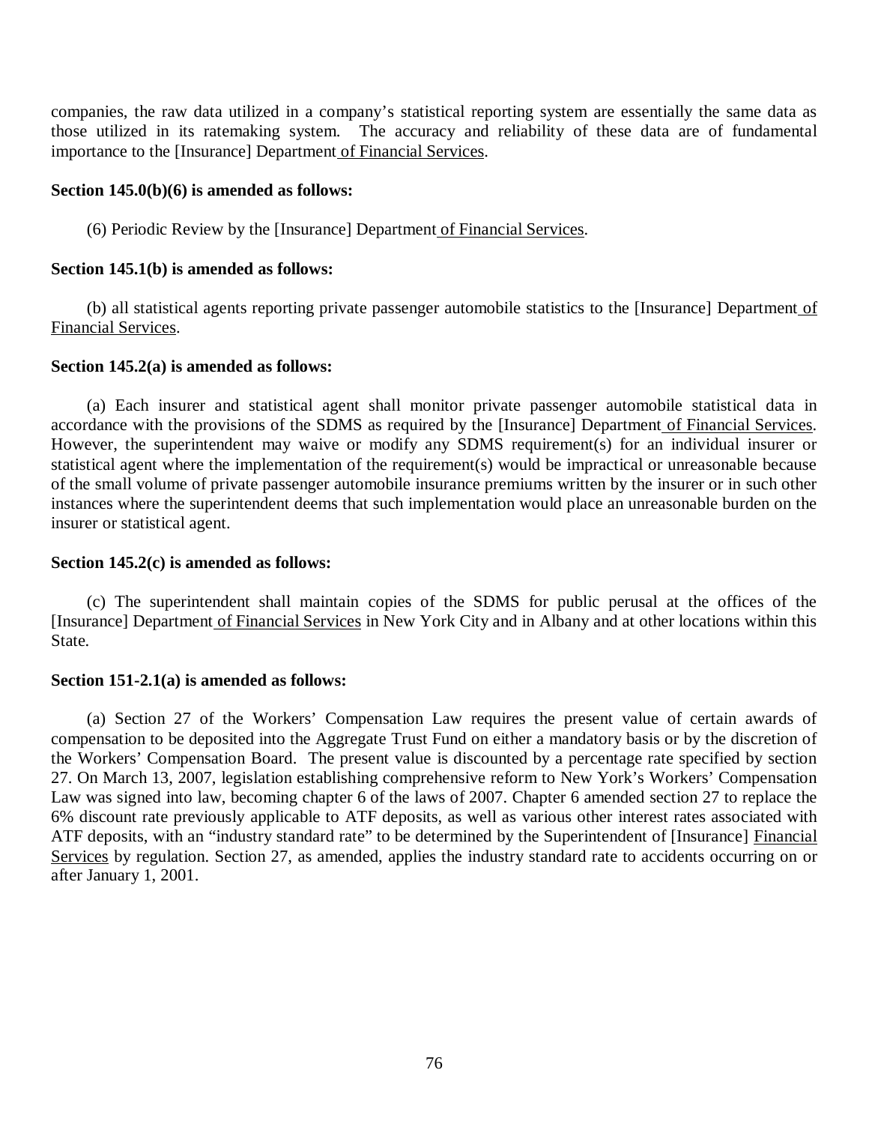companies, the raw data utilized in a company's statistical reporting system are essentially the same data as those utilized in its ratemaking system. The accuracy and reliability of these data are of fundamental importance to the [Insurance] Department of Financial Services.

## **Section 145.0(b)(6) is amended as follows:**

(6) Periodic Review by the [Insurance] Department of Financial Services.

#### **Section 145.1(b) is amended as follows:**

(b) all statistical agents reporting private passenger automobile statistics to the [Insurance] Department of Financial Services.

#### **Section 145.2(a) is amended as follows:**

accordance with the provisions of the SDMS as required by the [Insurance] Department of Financial Services. However, the superintendent may waive or modify any SDMS requirement(s) for an individual insurer or statistical agent where the implementation of the requirement(s) would be impractical or unreasonable because of the small volume of private passenger automobile insurance premiums written by the insurer or in such other instances where the superintendent deems that such implementation would place an unreasonable burden on the insurer or statistical agent. (a) Each insurer and statistical agent shall monitor private passenger automobile statistical data in

## **Section 145.2(c) is amended as follows:**

[Insurance] Department of Financial Services in New York City and in Albany and at other locations within this (c) The superintendent shall maintain copies of the SDMS for public perusal at the offices of the State.

## **Section 151-2.1(a) is amended as follows:**

 compensation to be deposited into the Aggregate Trust Fund on either a mandatory basis or by the discretion of the Workers' Compensation Board. The present value is discounted by a percentage rate specified by section 27. On March 13, 2007, legislation establishing comprehensive reform to New York's Workers' Compensation Law was signed into law, becoming chapter 6 of the laws of 2007. Chapter 6 amended section 27 to replace the 6% discount rate previously applicable to ATF deposits, as well as various other interest rates associated with ATF deposits, with an "industry standard rate" to be determined by the Superintendent of [Insurance] Financial Services by regulation. Section 27, as amended, applies the industry standard rate to accidents occurring on or after January 1, 2001. (a) Section 27 of the Workers' Compensation Law requires the present value of certain awards of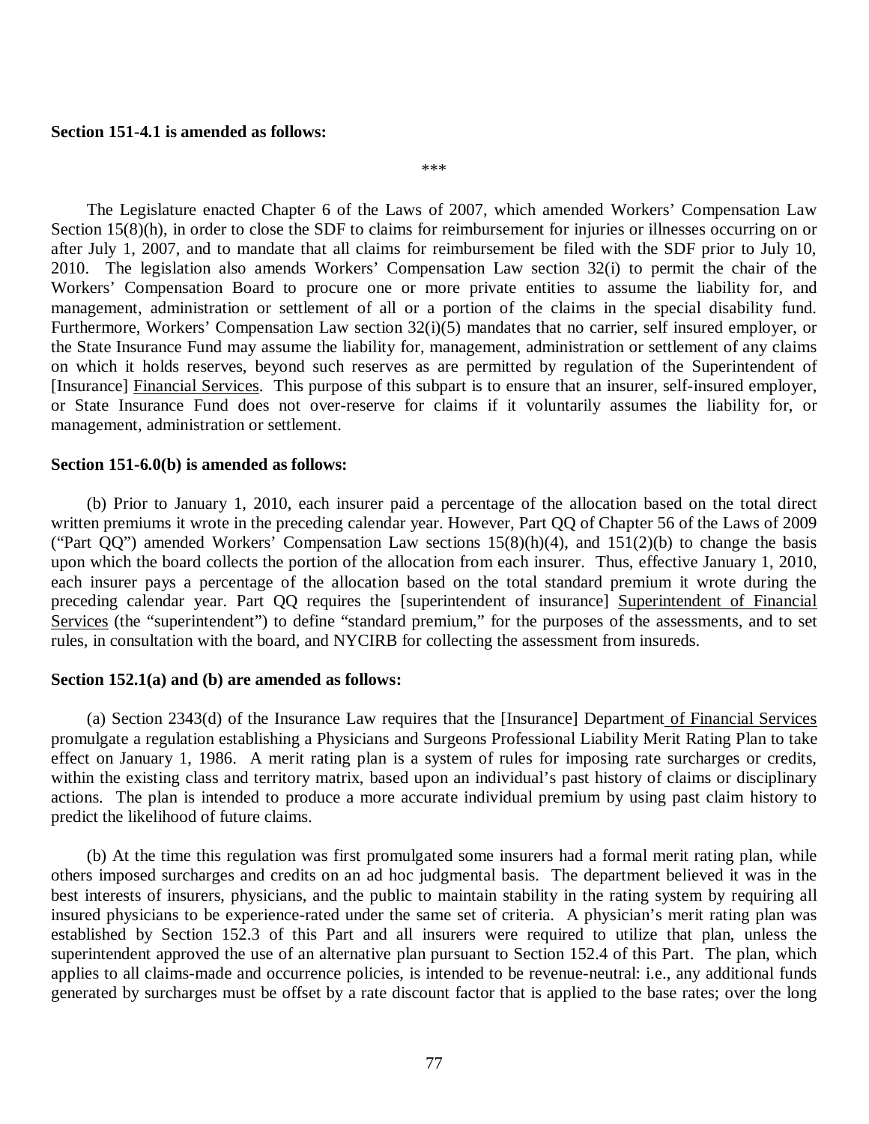#### **Section 151-4.1 is amended as follows:**

\*\*\*

Section 15(8)(h), in order to close the SDF to claims for reimbursement for injuries or illnesses occurring on or after July 1, 2007, and to mandate that all claims for reimbursement be filed with the SDF prior to July 10, 2010. The legislation also amends Workers' Compensation Law section 32(i) to permit the chair of the Workers' Compensation Board to procure one or more private entities to assume the liability for, and management, administration or settlement of all or a portion of the claims in the special disability fund. Furthermore, Workers' Compensation Law section 32(i)(5) mandates that no carrier, self insured employer, or the State Insurance Fund may assume the liability for, management, administration or settlement of any claims on which it holds reserves, beyond such reserves as are permitted by regulation of the Superintendent of [Insurance] Financial Services. This purpose of this subpart is to ensure that an insurer, self-insured employer, or State Insurance Fund does not over-reserve for claims if it voluntarily assumes the liability for, or management, administration or settlement. The Legislature enacted Chapter 6 of the Laws of 2007, which amended Workers' Compensation Law

#### **Section 151-6.0(b) is amended as follows:**

 written premiums it wrote in the preceding calendar year. However, Part QQ of Chapter 56 of the Laws of 2009 ("Part  $QQ$ ") amended Workers' Compensation Law sections  $15(8)(h)(4)$ , and  $151(2)(b)$  to change the basis upon which the board collects the portion of the allocation from each insurer. Thus, effective January 1, 2010, each insurer pays a percentage of the allocation based on the total standard premium it wrote during the preceding calendar year. Part QQ requires the [superintendent of insurance] Superintendent of Financial Services (the "superintendent") to define "standard premium," for the purposes of the assessments, and to set rules, in consultation with the board, and NYCIRB for collecting the assessment from insureds. (b) Prior to January 1, 2010, each insurer paid a percentage of the allocation based on the total direct

#### **Section 152.1(a) and (b) are amended as follows:**

 promulgate a regulation establishing a Physicians and Surgeons Professional Liability Merit Rating Plan to take effect on January 1, 1986. A merit rating plan is a system of rules for imposing rate surcharges or credits, within the existing class and territory matrix, based upon an individual's past history of claims or disciplinary actions. The plan is intended to produce a more accurate individual premium by using past claim history to predict the likelihood of future claims. (a) Section 2343(d) of the Insurance Law requires that the [Insurance] Department of Financial Services

 others imposed surcharges and credits on an ad hoc judgmental basis. The department believed it was in the best interests of insurers, physicians, and the public to maintain stability in the rating system by requiring all insured physicians to be experience-rated under the same set of criteria. A physician's merit rating plan was established by Section 152.3 of this Part and all insurers were required to utilize that plan, unless the superintendent approved the use of an alternative plan pursuant to Section 152.4 of this Part. The plan, which applies to all claims-made and occurrence policies, is intended to be revenue-neutral: i.e., any additional funds generated by surcharges must be offset by a rate discount factor that is applied to the base rates; over the long (b) At the time this regulation was first promulgated some insurers had a formal merit rating plan, while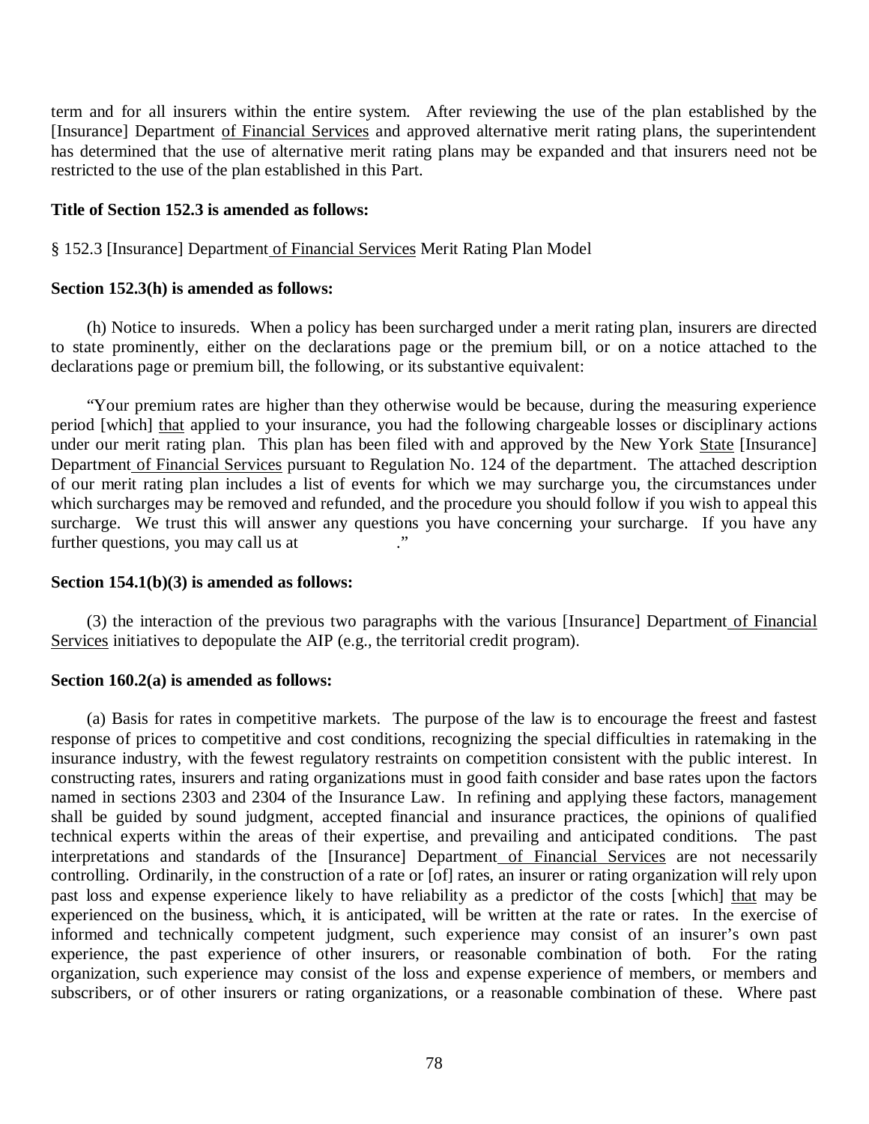term and for all insurers within the entire system. After reviewing the use of the plan established by the [Insurance] Department of Financial Services and approved alternative merit rating plans, the superintendent has determined that the use of alternative merit rating plans may be expanded and that insurers need not be restricted to the use of the plan established in this Part.

#### **Title of Section 152.3 is amended as follows:**

## § 152.3 [Insurance] Department of Financial Services Merit Rating Plan Model

## **Section 152.3(h) is amended as follows:**

 to state prominently, either on the declarations page or the premium bill, or on a notice attached to the declarations page or premium bill, the following, or its substantive equivalent: (h) Notice to insureds. When a policy has been surcharged under a merit rating plan, insurers are directed

period [which] that applied to your insurance, you had the following chargeable losses or disciplinary actions under our merit rating plan. This plan has been filed with and approved by the New York State [Insurance] Department of Financial Services pursuant to Regulation No. 124 of the department. The attached description of our merit rating plan includes a list of events for which we may surcharge you, the circumstances under which surcharges may be removed and refunded, and the procedure you should follow if you wish to appeal this surcharge. We trust this will answer any questions you have concerning your surcharge. If you have any further questions, you may call us at  $\cdot$ " "Your premium rates are higher than they otherwise would be because, during the measuring experience

## **Section 154.1(b)(3) is amended as follows:**

Services initiatives to depopulate the AIP (e.g., the territorial credit program). (3) the interaction of the previous two paragraphs with the various [Insurance] Department of Financial

## **Section 160.2(a) is amended as follows:**

 response of prices to competitive and cost conditions, recognizing the special difficulties in ratemaking in the insurance industry, with the fewest regulatory restraints on competition consistent with the public interest. In constructing rates, insurers and rating organizations must in good faith consider and base rates upon the factors named in sections 2303 and 2304 of the Insurance Law. In refining and applying these factors, management shall be guided by sound judgment, accepted financial and insurance practices, the opinions of qualified technical experts within the areas of their expertise, and prevailing and anticipated conditions. The past interpretations and standards of the [Insurance] Department of Financial Services are not necessarily controlling. Ordinarily, in the construction of a rate or [of] rates, an insurer or rating organization will rely upon past loss and expense experience likely to have reliability as a predictor of the costs [which] that may be experienced on the business, which, it is anticipated, will be written at the rate or rates. In the exercise of informed and technically competent judgment, such experience may consist of an insurer's own past experience, the past experience of other insurers, or reasonable combination of both. For the rating organization, such experience may consist of the loss and expense experience of members, or members and subscribers, or of other insurers or rating organizations, or a reasonable combination of these. Where past (a) Basis for rates in competitive markets. The purpose of the law is to encourage the freest and fastest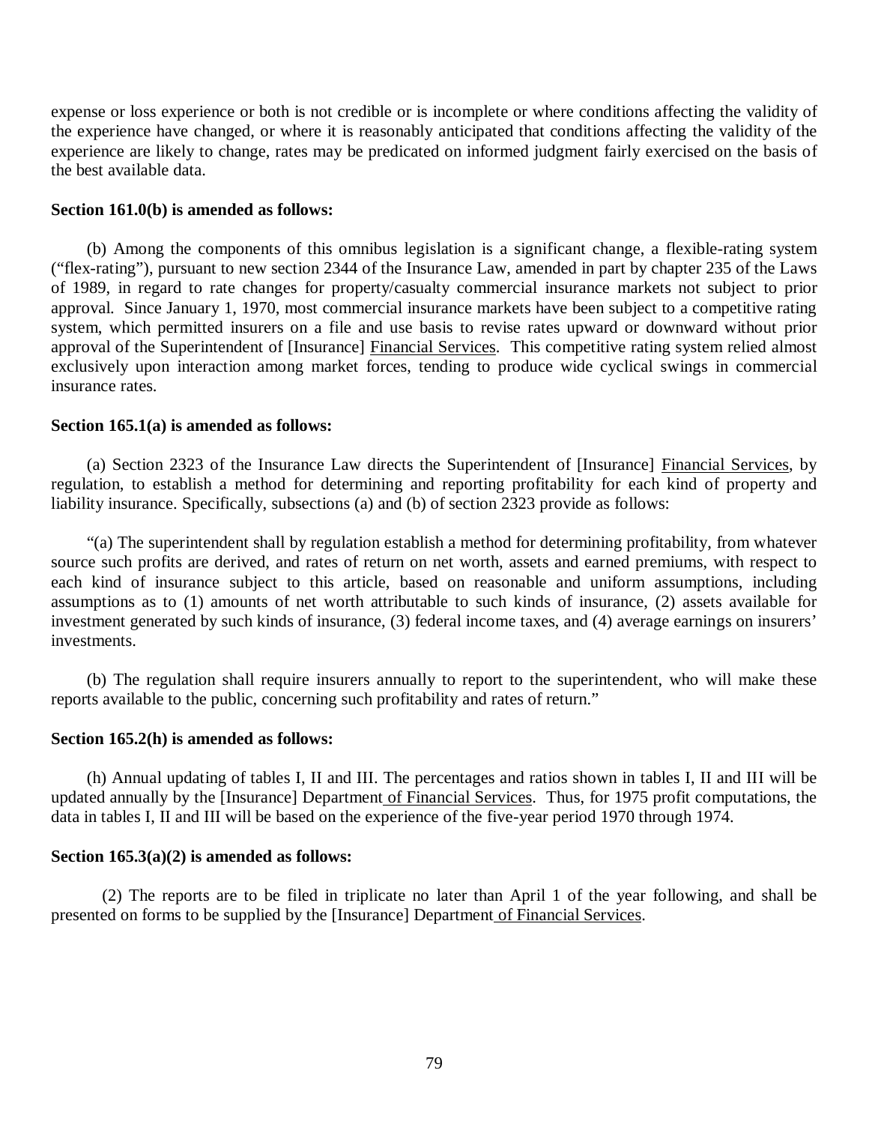expense or loss experience or both is not credible or is incomplete or where conditions affecting the validity of the experience have changed, or where it is reasonably anticipated that conditions affecting the validity of the experience are likely to change, rates may be predicated on informed judgment fairly exercised on the basis of the best available data.

#### **Section 161.0(b) is amended as follows:**

 ("flex-rating"), pursuant to new section 2344 of the Insurance Law, amended in part by chapter 235 of the Laws of 1989, in regard to rate changes for property/casualty commercial insurance markets not subject to prior approval. Since January 1, 1970, most commercial insurance markets have been subject to a competitive rating system, which permitted insurers on a file and use basis to revise rates upward or downward without prior approval of the Superintendent of [Insurance] Financial Services. This competitive rating system relied almost exclusively upon interaction among market forces, tending to produce wide cyclical swings in commercial insurance rates. (b) Among the components of this omnibus legislation is a significant change, a flexible-rating system

## **Section 165.1(a) is amended as follows:**

 regulation, to establish a method for determining and reporting profitability for each kind of property and liability insurance. Specifically, subsections (a) and (b) of section 2323 provide as follows: (a) Section 2323 of the Insurance Law directs the Superintendent of [Insurance] Financial Services, by

 source such profits are derived, and rates of return on net worth, assets and earned premiums, with respect to each kind of insurance subject to this article, based on reasonable and uniform assumptions, including assumptions as to (1) amounts of net worth attributable to such kinds of insurance, (2) assets available for investment generated by such kinds of insurance, (3) federal income taxes, and (4) average earnings on insurers' investments. "(a) The superintendent shall by regulation establish a method for determining profitability, from whatever

 reports available to the public, concerning such profitability and rates of return." (b) The regulation shall require insurers annually to report to the superintendent, who will make these

#### **Section 165.2(h) is amended as follows:**

updated annually by the [Insurance] Department of Financial Services. Thus, for 1975 profit computations, the data in tables I, II and III will be based on the experience of the five-year period 1970 through 1974. (h) Annual updating of tables I, II and III. The percentages and ratios shown in tables I, II and III will be

#### **Section 165.3(a)(2) is amended as follows:**

presented on forms to be supplied by the [Insurance] Department of Financial Services. (2) The reports are to be filed in triplicate no later than April 1 of the year following, and shall be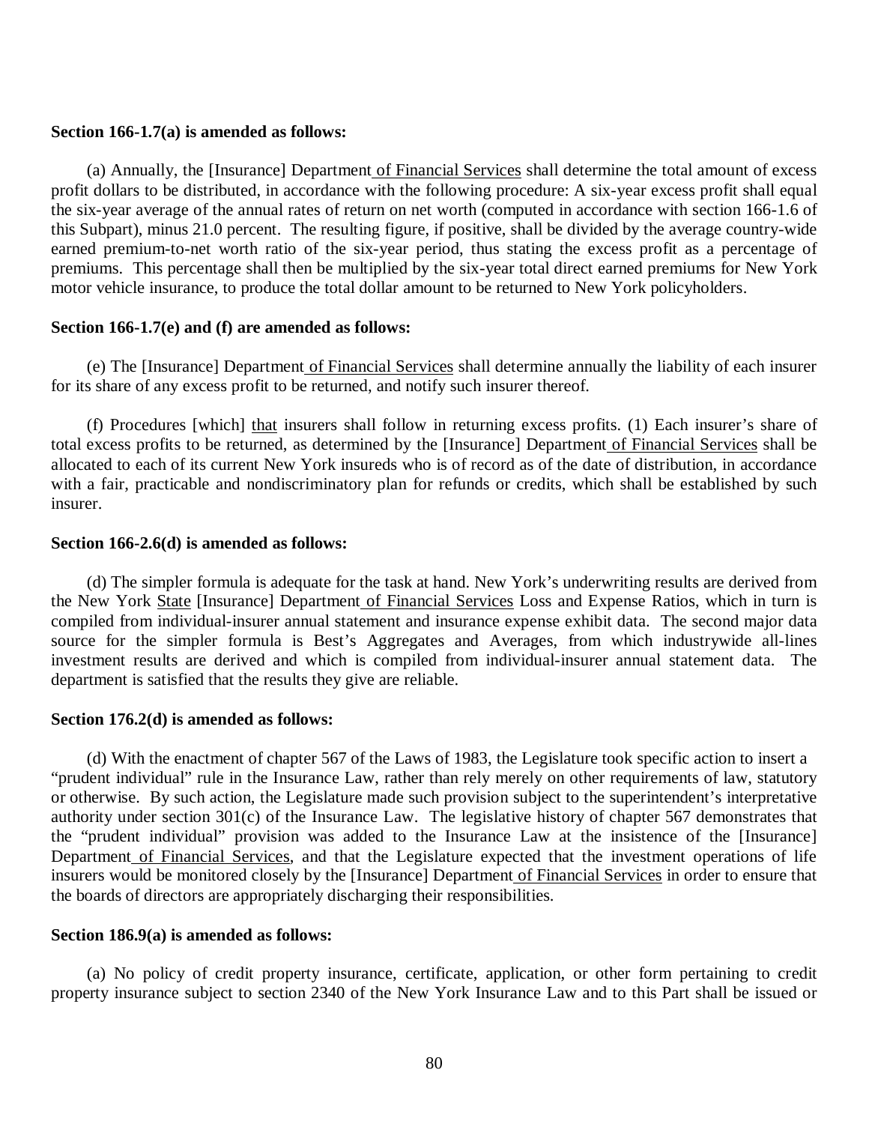#### **Section 166-1.7(a) is amended as follows:**

 profit dollars to be distributed, in accordance with the following procedure: A six-year excess profit shall equal the six-year average of the annual rates of return on net worth (computed in accordance with section 166-1.6 of this Subpart), minus 21.0 percent. The resulting figure, if positive, shall be divided by the average country-wide earned premium-to-net worth ratio of the six-year period, thus stating the excess profit as a percentage of premiums. This percentage shall then be multiplied by the six-year total direct earned premiums for New York motor vehicle insurance, to produce the total dollar amount to be returned to New York policyholders. (a) Annually, the [Insurance] Department of Financial Services shall determine the total amount of excess

## **Section 166-1.7(e) and (f) are amended as follows:**

 for its share of any excess profit to be returned, and notify such insurer thereof. (e) The [Insurance] Department of Financial Services shall determine annually the liability of each insurer

total excess profits to be returned, as determined by the [Insurance] Department of Financial Services shall be allocated to each of its current New York insureds who is of record as of the date of distribution, in accordance with a fair, practicable and nondiscriminatory plan for refunds or credits, which shall be established by such (f) Procedures [which] that insurers shall follow in returning excess profits. (1) Each insurer's share of insurer.

#### **Section 166-2.6(d) is amended as follows:**

the New York State [Insurance] Department of Financial Services Loss and Expense Ratios, which in turn is compiled from individual-insurer annual statement and insurance expense exhibit data. The second major data source for the simpler formula is Best's Aggregates and Averages, from which industrywide all-lines investment results are derived and which is compiled from individual-insurer annual statement data. The department is satisfied that the results they give are reliable. (d) The simpler formula is adequate for the task at hand. New York's underwriting results are derived from

## **Section 176.2(d) is amended as follows:**

 "prudent individual" rule in the Insurance Law, rather than rely merely on other requirements of law, statutory or otherwise. By such action, the Legislature made such provision subject to the superintendent's interpretative authority under section 301(c) of the Insurance Law. The legislative history of chapter 567 demonstrates that the "prudent individual" provision was added to the Insurance Law at the insistence of the [Insurance] Department of Financial Services, and that the Legislature expected that the investment operations of life insurers would be monitored closely by the [Insurance] Department of Financial Services in order to ensure that the boards of directors are appropriately discharging their responsibilities. (d) With the enactment of chapter 567 of the Laws of 1983, the Legislature took specific action to insert a

#### **Section 186.9(a) is amended as follows:**

 property insurance subject to section 2340 of the New York Insurance Law and to this Part shall be issued or (a) No policy of credit property insurance, certificate, application, or other form pertaining to credit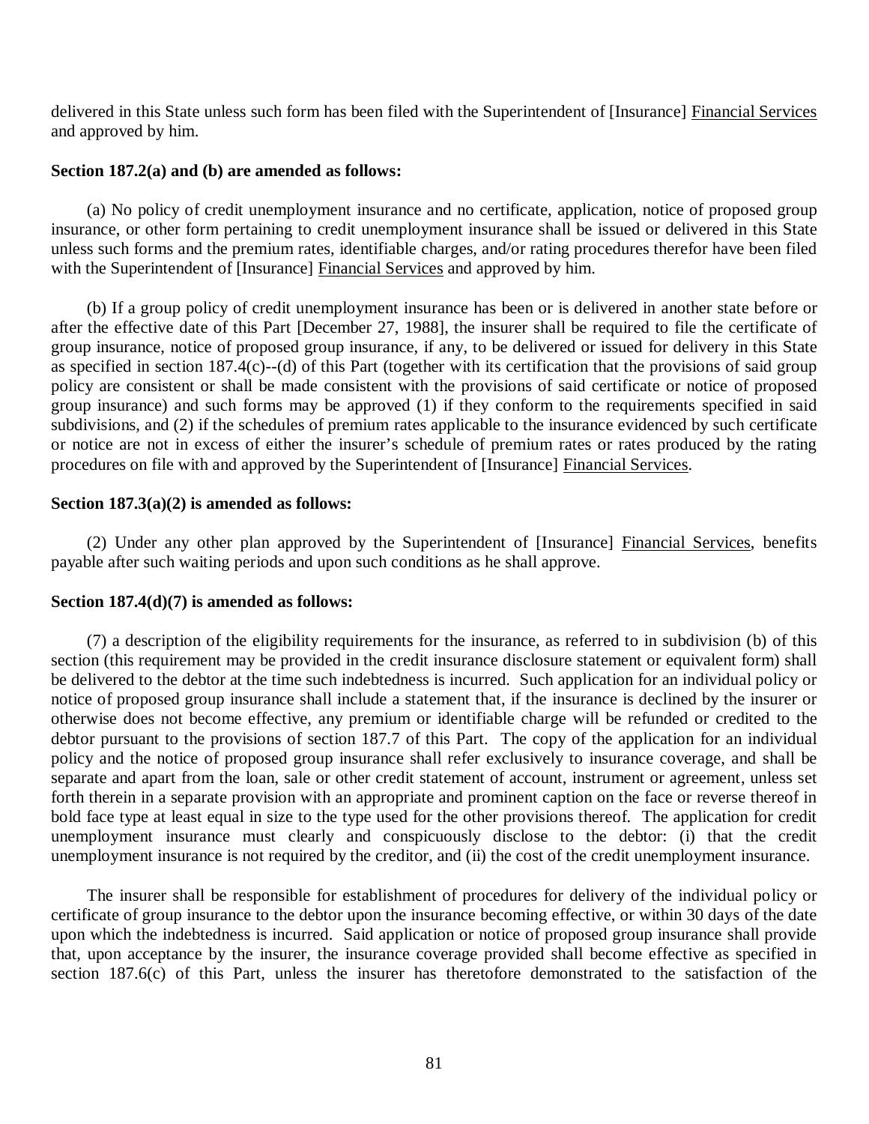delivered in this State unless such form has been filed with the Superintendent of [Insurance] Financial Services and approved by him.

## **Section 187.2(a) and (b) are amended as follows:**

 insurance, or other form pertaining to credit unemployment insurance shall be issued or delivered in this State unless such forms and the premium rates, identifiable charges, and/or rating procedures therefor have been filed with the Superintendent of [Insurance] Financial Services and approved by him. (a) No policy of credit unemployment insurance and no certificate, application, notice of proposed group

 after the effective date of this Part [December 27, 1988], the insurer shall be required to file the certificate of group insurance, notice of proposed group insurance, if any, to be delivered or issued for delivery in this State as specified in section 187.4(c)--(d) of this Part (together with its certification that the provisions of said group policy are consistent or shall be made consistent with the provisions of said certificate or notice of proposed group insurance) and such forms may be approved (1) if they conform to the requirements specified in said subdivisions, and (2) if the schedules of premium rates applicable to the insurance evidenced by such certificate or notice are not in excess of either the insurer's schedule of premium rates or rates produced by the rating procedures on file with and approved by the Superintendent of [Insurance] Financial Services. (b) If a group policy of credit unemployment insurance has been or is delivered in another state before or

#### **Section 187.3(a)(2) is amended as follows:**

 payable after such waiting periods and upon such conditions as he shall approve. (2) Under any other plan approved by the Superintendent of [Insurance] Financial Services, benefits

## **Section 187.4(d)(7) is amended as follows:**

 section (this requirement may be provided in the credit insurance disclosure statement or equivalent form) shall be delivered to the debtor at the time such indebtedness is incurred. Such application for an individual policy or notice of proposed group insurance shall include a statement that, if the insurance is declined by the insurer or otherwise does not become effective, any premium or identifiable charge will be refunded or credited to the debtor pursuant to the provisions of section 187.7 of this Part. The copy of the application for an individual policy and the notice of proposed group insurance shall refer exclusively to insurance coverage, and shall be separate and apart from the loan, sale or other credit statement of account, instrument or agreement, unless set forth therein in a separate provision with an appropriate and prominent caption on the face or reverse thereof in bold face type at least equal in size to the type used for the other provisions thereof. The application for credit unemployment insurance must clearly and conspicuously disclose to the debtor: (i) that the credit unemployment insurance is not required by the creditor, and (ii) the cost of the credit unemployment insurance. (7) a description of the eligibility requirements for the insurance, as referred to in subdivision (b) of this

 certificate of group insurance to the debtor upon the insurance becoming effective, or within 30 days of the date upon which the indebtedness is incurred. Said application or notice of proposed group insurance shall provide that, upon acceptance by the insurer, the insurance coverage provided shall become effective as specified in section 187.6(c) of this Part, unless the insurer has theretofore demonstrated to the satisfaction of the The insurer shall be responsible for establishment of procedures for delivery of the individual policy or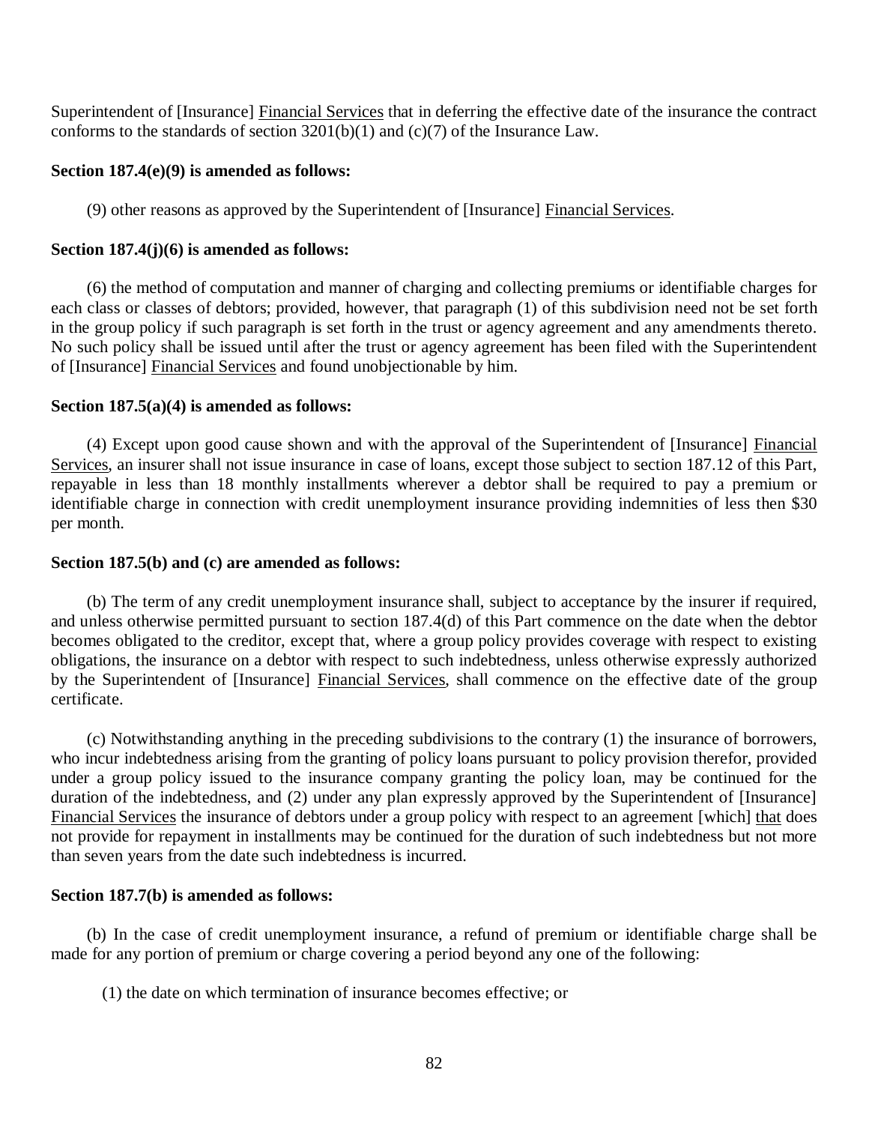Superintendent of [Insurance] Financial Services that in deferring the effective date of the insurance the contract conforms to the standards of section  $3201(b)(1)$  and  $(c)(7)$  of the Insurance Law.

#### **Section 187.4(e)(9) is amended as follows:**

(9) other reasons as approved by the Superintendent of [Insurance] Financial Services.

## **Section 187.4(j)(6) is amended as follows:**

 each class or classes of debtors; provided, however, that paragraph (1) of this subdivision need not be set forth in the group policy if such paragraph is set forth in the trust or agency agreement and any amendments thereto. No such policy shall be issued until after the trust or agency agreement has been filed with the Superintendent of [Insurance] Financial Services and found unobjectionable by him. (6) the method of computation and manner of charging and collecting premiums or identifiable charges for

## **Section 187.5(a)(4) is amended as follows:**

Services, an insurer shall not issue insurance in case of loans, except those subject to section 187.12 of this Part, repayable in less than 18 monthly installments wherever a debtor shall be required to pay a premium or identifiable charge in connection with credit unemployment insurance providing indemnities of less then \$30 per month. (4) Except upon good cause shown and with the approval of the Superintendent of [Insurance] Financial

## **Section 187.5(b) and (c) are amended as follows:**

 and unless otherwise permitted pursuant to section 187.4(d) of this Part commence on the date when the debtor becomes obligated to the creditor, except that, where a group policy provides coverage with respect to existing obligations, the insurance on a debtor with respect to such indebtedness, unless otherwise expressly authorized by the Superintendent of [Insurance] Financial Services, shall commence on the effective date of the group (b) The term of any credit unemployment insurance shall, subject to acceptance by the insurer if required, certificate.

 who incur indebtedness arising from the granting of policy loans pursuant to policy provision therefor, provided under a group policy issued to the insurance company granting the policy loan, may be continued for the duration of the indebtedness, and (2) under any plan expressly approved by the Superintendent of [Insurance] Financial Services the insurance of debtors under a group policy with respect to an agreement [which] that does not provide for repayment in installments may be continued for the duration of such indebtedness but not more than seven years from the date such indebtedness is incurred. (c) Notwithstanding anything in the preceding subdivisions to the contrary (1) the insurance of borrowers,

## **Section 187.7(b) is amended as follows:**

 made for any portion of premium or charge covering a period beyond any one of the following: (b) In the case of credit unemployment insurance, a refund of premium or identifiable charge shall be

(1) the date on which termination of insurance becomes effective; or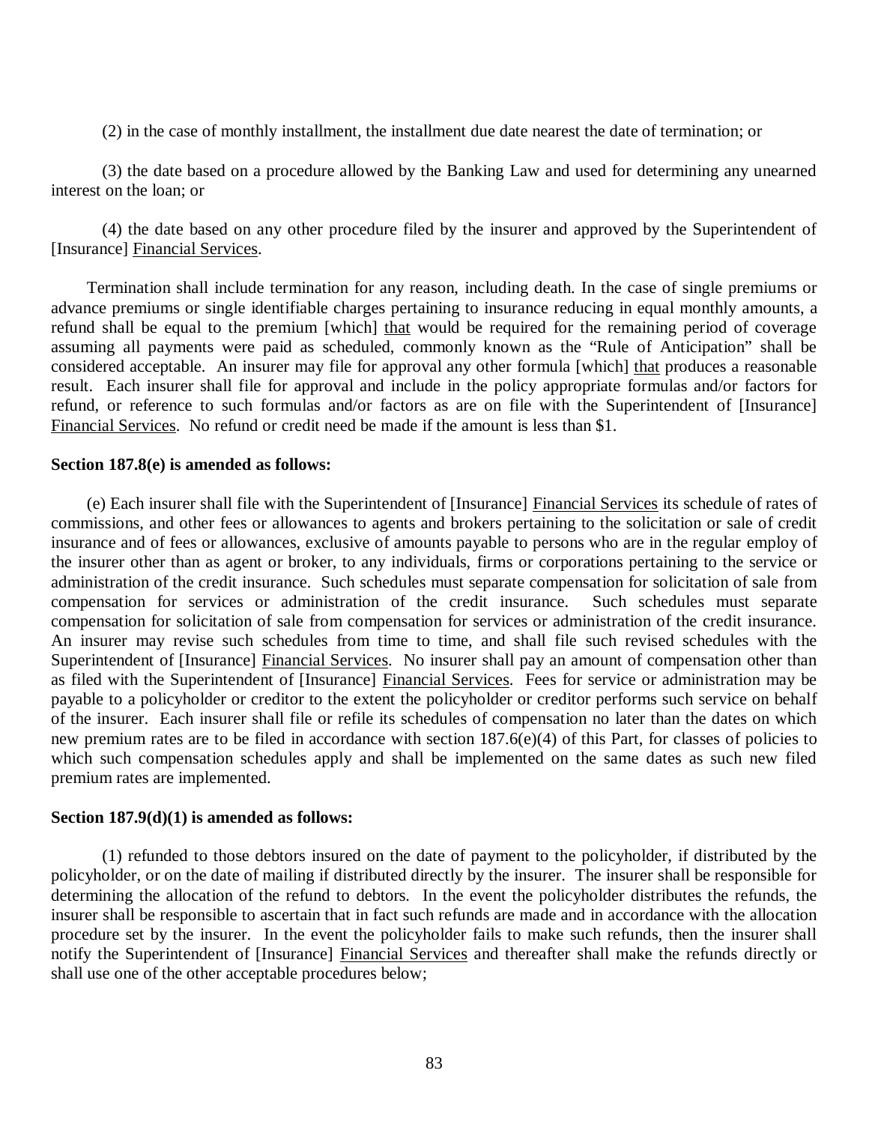(2) in the case of monthly installment, the installment due date nearest the date of termination; or

 interest on the loan; or (3) the date based on a procedure allowed by the Banking Law and used for determining any unearned

 [Insurance] Financial Services. (4) the date based on any other procedure filed by the insurer and approved by the Superintendent of

 Termination shall include termination for any reason, including death. In the case of single premiums or advance premiums or single identifiable charges pertaining to insurance reducing in equal monthly amounts, a refund shall be equal to the premium [which] that would be required for the remaining period of coverage assuming all payments were paid as scheduled, commonly known as the "Rule of Anticipation" shall be considered acceptable. An insurer may file for approval any other formula [which] that produces a reasonable result. Each insurer shall file for approval and include in the policy appropriate formulas and/or factors for refund, or reference to such formulas and/or factors as are on file with the Superintendent of [Insurance] Financial Services. No refund or credit need be made if the amount is less than \$1.

#### **Section 187.8(e) is amended as follows:**

 commissions, and other fees or allowances to agents and brokers pertaining to the solicitation or sale of credit insurance and of fees or allowances, exclusive of amounts payable to persons who are in the regular employ of the insurer other than as agent or broker, to any individuals, firms or corporations pertaining to the service or administration of the credit insurance. Such schedules must separate compensation for solicitation of sale from compensation for services or administration of the credit insurance. Such schedules must separate compensation for solicitation of sale from compensation for services or administration of the credit insurance. An insurer may revise such schedules from time to time, and shall file such revised schedules with the Superintendent of [Insurance] Financial Services. No insurer shall pay an amount of compensation other than as filed with the Superintendent of [Insurance] Financial Services. Fees for service or administration may be payable to a policyholder or creditor to the extent the policyholder or creditor performs such service on behalf of the insurer. Each insurer shall file or refile its schedules of compensation no later than the dates on which new premium rates are to be filed in accordance with section 187.6(e)(4) of this Part, for classes of policies to which such compensation schedules apply and shall be implemented on the same dates as such new filed premium rates are implemented. (e) Each insurer shall file with the Superintendent of [Insurance] Financial Services its schedule of rates of

#### **Section 187.9(d)(1) is amended as follows:**

 policyholder, or on the date of mailing if distributed directly by the insurer. The insurer shall be responsible for determining the allocation of the refund to debtors. In the event the policyholder distributes the refunds, the insurer shall be responsible to ascertain that in fact such refunds are made and in accordance with the allocation procedure set by the insurer. In the event the policyholder fails to make such refunds, then the insurer shall notify the Superintendent of [Insurance] Financial Services and thereafter shall make the refunds directly or shall use one of the other acceptable procedures below; (1) refunded to those debtors insured on the date of payment to the policyholder, if distributed by the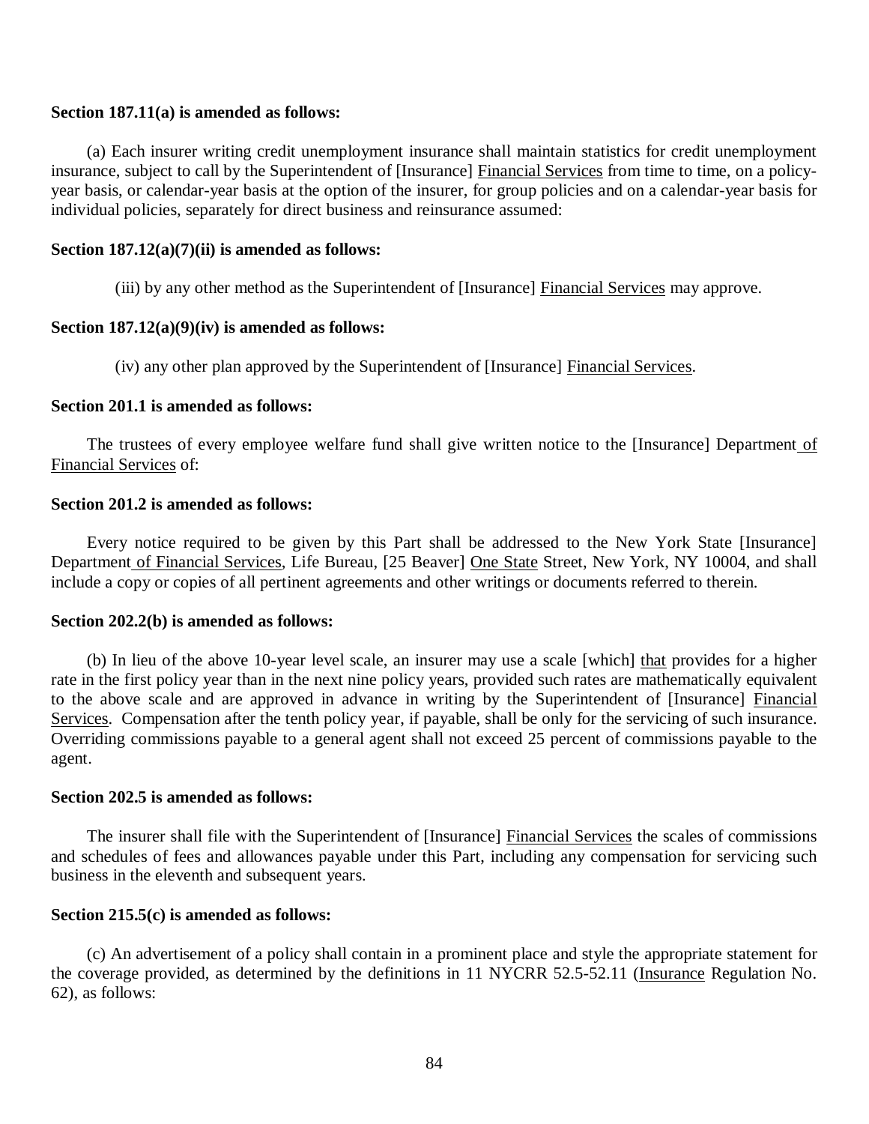#### **Section 187.11(a) is amended as follows:**

insurance, subject to call by the Superintendent of [Insurance] Financial Services from time to time, on a policy- year basis, or calendar-year basis at the option of the insurer, for group policies and on a calendar-year basis for individual policies, separately for direct business and reinsurance assumed: (a) Each insurer writing credit unemployment insurance shall maintain statistics for credit unemployment

## **Section 187.12(a)(7)(ii) is amended as follows:**

(iii) by any other method as the Superintendent of [Insurance] Financial Services may approve.

#### **Section 187.12(a)(9)(iv) is amended as follows:**

(iv) any other plan approved by the Superintendent of [Insurance] Financial Services.

#### **Section 201.1 is amended as follows:**

 Financial Services of: The trustees of every employee welfare fund shall give written notice to the [Insurance] Department of

#### **Section 201.2 is amended as follows:**

Department of Financial Services, Life Bureau, [25 Beaver] One State Street, New York, NY 10004, and shall include a copy or copies of all pertinent agreements and other writings or documents referred to therein. Every notice required to be given by this Part shall be addressed to the New York State [Insurance]

#### **Section 202.2(b) is amended as follows:**

 rate in the first policy year than in the next nine policy years, provided such rates are mathematically equivalent to the above scale and are approved in advance in writing by the Superintendent of [Insurance] Financial Services. Compensation after the tenth policy year, if payable, shall be only for the servicing of such insurance. Overriding commissions payable to a general agent shall not exceed 25 percent of commissions payable to the (b) In lieu of the above 10-year level scale, an insurer may use a scale [which] that provides for a higher agent.

#### **Section 202.5 is amended as follows:**

 and schedules of fees and allowances payable under this Part, including any compensation for servicing such business in the eleventh and subsequent years. The insurer shall file with the Superintendent of [Insurance] Financial Services the scales of commissions

## **Section 215.5(c) is amended as follows:**

the coverage provided, as determined by the definitions in 11 NYCRR 52.5-52.11 (Insurance Regulation No. 62), as follows: (c) An advertisement of a policy shall contain in a prominent place and style the appropriate statement for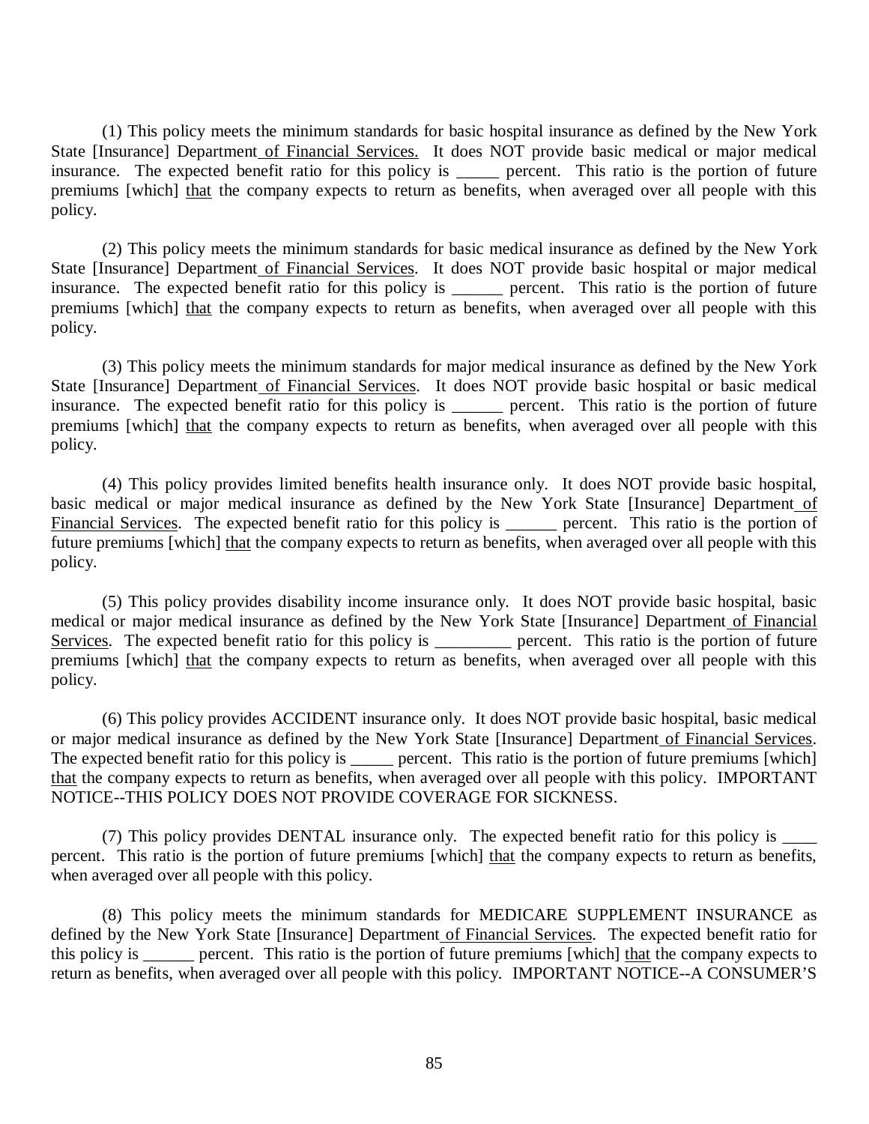State [Insurance] Department of Financial Services. It does NOT provide basic medical or major medical insurance. The expected benefit ratio for this policy is \_\_\_\_\_\_ percent. This ratio is the portion of future premiums [which] that the company expects to return as benefits, when averaged over all people with this (1) This policy meets the minimum standards for basic hospital insurance as defined by the New York policy.

State [Insurance] Department of Financial Services. It does NOT provide basic hospital or major medical insurance. The expected benefit ratio for this policy is \_\_\_\_\_\_ percent. This ratio is the portion of future premiums [which] that the company expects to return as benefits, when averaged over all people with this (2) This policy meets the minimum standards for basic medical insurance as defined by the New York policy.

State [Insurance] Department of Financial Services. It does NOT provide basic hospital or basic medical insurance. The expected benefit ratio for this policy is \_\_\_\_\_\_ percent. This ratio is the portion of future premiums [which] that the company expects to return as benefits, when averaged over all people with this (3) This policy meets the minimum standards for major medical insurance as defined by the New York policy.

basic medical or major medical insurance as defined by the New York State [Insurance] Department of Financial Services. The expected benefit ratio for this policy is \_\_\_\_\_\_\_ percent. This ratio is the portion of future premiums [which] that the company expects to return as benefits, when averaged over all people with this (4) This policy provides limited benefits health insurance only. It does NOT provide basic hospital, policy.

medical or major medical insurance as defined by the New York State [Insurance] Department of Financial Services. The expected benefit ratio for this policy is \_\_\_\_\_\_\_\_\_\_\_ percent. This ratio is the portion of future premiums [which] that the company expects to return as benefits, when averaged over all people with this (5) This policy provides disability income insurance only. It does NOT provide basic hospital, basic policy.

or major medical insurance as defined by the New York State [Insurance] Department of Financial Services. The expected benefit ratio for this policy is \_\_\_\_\_\_ percent. This ratio is the portion of future premiums [which] that the company expects to return as benefits, when averaged over all people with this policy. IMPORTANT NOTICE--THIS POLICY DOES NOT PROVIDE COVERAGE FOR SICKNESS. (6) This policy provides ACCIDENT insurance only. It does NOT provide basic hospital, basic medical

percent. This ratio is the portion of future premiums [which] that the company expects to return as benefits, when averaged over all people with this policy. (7) This policy provides DENTAL insurance only. The expected benefit ratio for this policy is \_\_\_\_

defined by the New York State [Insurance] Department of Financial Services. The expected benefit ratio for this policy is \_\_\_\_\_\_ percent. This ratio is the portion of future premiums [which] that the company expects to return as benefits, when averaged over all people with this policy. IMPORTANT NOTICE--A CONSUMER'S (8) This policy meets the minimum standards for MEDICARE SUPPLEMENT INSURANCE as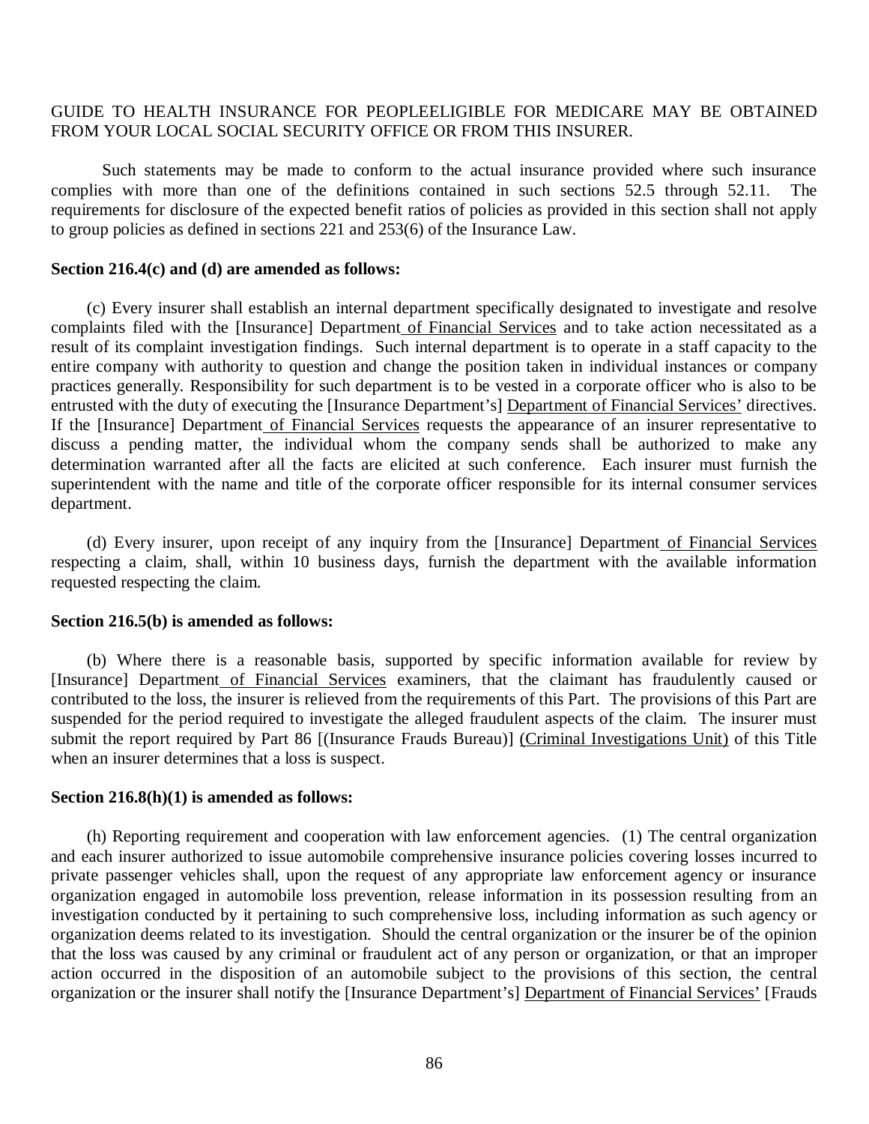#### GUIDE TO HEALTH INSURANCE FOR PEOPLEELIGIBLE FOR MEDICARE MAY BE OBTAINED FROM YOUR LOCAL SOCIAL SECURITY OFFICE OR FROM THIS INSURER.

 complies with more than one of the definitions contained in such sections 52.5 through 52.11. The requirements for disclosure of the expected benefit ratios of policies as provided in this section shall not apply to group policies as defined in sections 221 and 253(6) of the Insurance Law. Such statements may be made to conform to the actual insurance provided where such insurance

#### **Section 216.4(c) and (d) are amended as follows:**

complaints filed with the [Insurance] Department of Financial Services and to take action necessitated as a result of its complaint investigation findings. Such internal department is to operate in a staff capacity to the entire company with authority to question and change the position taken in individual instances or company practices generally. Responsibility for such department is to be vested in a corporate officer who is also to be entrusted with the duty of executing the [Insurance Department's] Department of Financial Services' directives. If the [Insurance] Department of Financial Services requests the appearance of an insurer representative to discuss a pending matter, the individual whom the company sends shall be authorized to make any determination warranted after all the facts are elicited at such conference. Each insurer must furnish the superintendent with the name and title of the corporate officer responsible for its internal consumer services (c) Every insurer shall establish an internal department specifically designated to investigate and resolve department.

 respecting a claim, shall, within 10 business days, furnish the department with the available information requested respecting the claim. (d) Every insurer, upon receipt of any inquiry from the [Insurance] Department of Financial Services

#### **Section 216.5(b) is amended as follows:**

[Insurance] Department of Financial Services examiners, that the claimant has fraudulently caused or contributed to the loss, the insurer is relieved from the requirements of this Part. The provisions of this Part are suspended for the period required to investigate the alleged fraudulent aspects of the claim. The insurer must submit the report required by Part 86 [(Insurance Frauds Bureau)] (Criminal Investigations Unit) of this Title when an insurer determines that a loss is suspect. (b) Where there is a reasonable basis, supported by specific information available for review by

#### **Section 216.8(h)(1) is amended as follows:**

 and each insurer authorized to issue automobile comprehensive insurance policies covering losses incurred to private passenger vehicles shall, upon the request of any appropriate law enforcement agency or insurance organization engaged in automobile loss prevention, release information in its possession resulting from an investigation conducted by it pertaining to such comprehensive loss, including information as such agency or organization deems related to its investigation. Should the central organization or the insurer be of the opinion that the loss was caused by any criminal or fraudulent act of any person or organization, or that an improper action occurred in the disposition of an automobile subject to the provisions of this section, the central organization or the insurer shall notify the [Insurance Department's] Department of Financial Services' [Frauds (h) Reporting requirement and cooperation with law enforcement agencies. (1) The central organization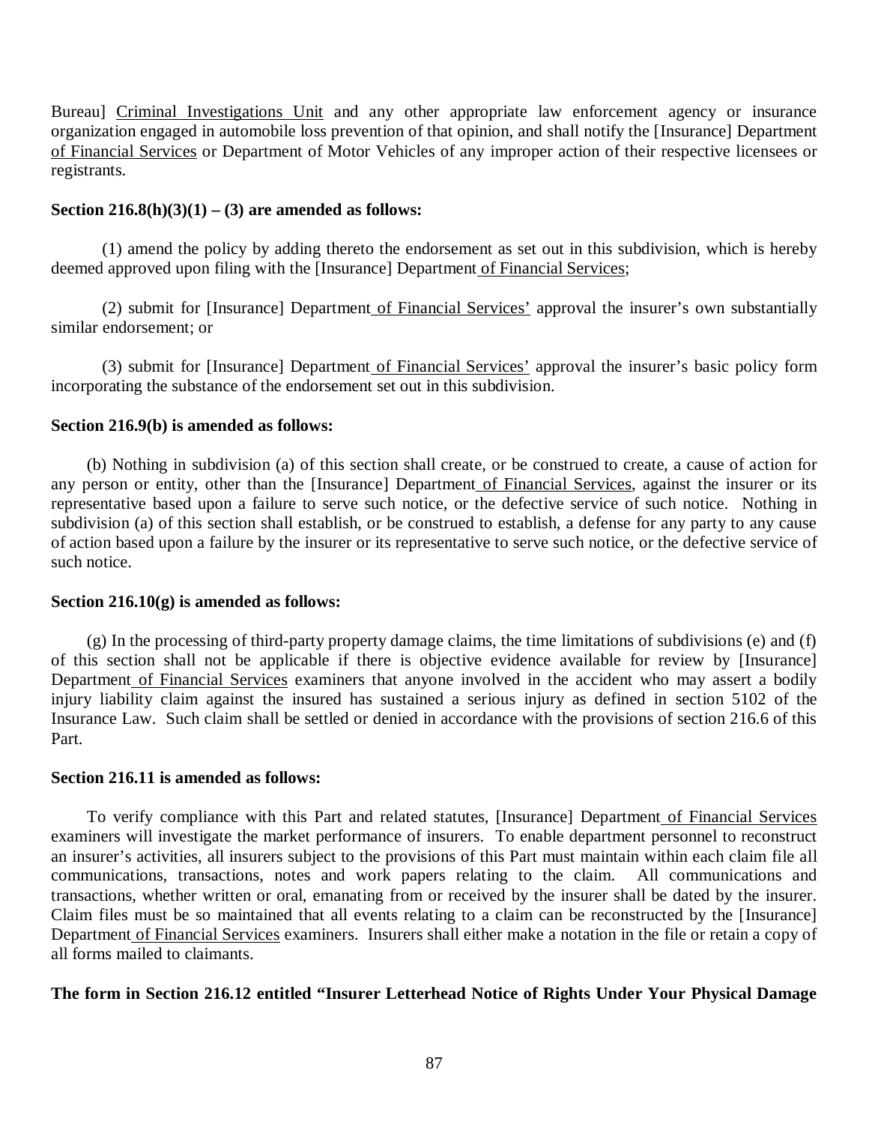Bureau] Criminal Investigations Unit and any other appropriate law enforcement agency or insurance organization engaged in automobile loss prevention of that opinion, and shall notify the [Insurance] Department of Financial Services or Department of Motor Vehicles of any improper action of their respective licensees or registrants.

#### **Section 216.8(h)(3)(1) – (3) are amended as follows:**

deemed approved upon filing with the [Insurance] Department of Financial Services; (1) amend the policy by adding thereto the endorsement as set out in this subdivision, which is hereby

 similar endorsement; or (2) submit for [Insurance] Department of Financial Services' approval the insurer's own substantially

 incorporating the substance of the endorsement set out in this subdivision. (3) submit for [Insurance] Department of Financial Services' approval the insurer's basic policy form

## **Section 216.9(b) is amended as follows:**

any person or entity, other than the [Insurance] Department of Financial Services, against the insurer or its representative based upon a failure to serve such notice, or the defective service of such notice. Nothing in subdivision (a) of this section shall establish, or be construed to establish, a defense for any party to any cause of action based upon a failure by the insurer or its representative to serve such notice, or the defective service of (b) Nothing in subdivision (a) of this section shall create, or be construed to create, a cause of action for such notice.

#### **Section 216.10(g) is amended as follows:**

 of this section shall not be applicable if there is objective evidence available for review by [Insurance] Department of Financial Services examiners that anyone involved in the accident who may assert a bodily injury liability claim against the insured has sustained a serious injury as defined in section 5102 of the Insurance Law. Such claim shall be settled or denied in accordance with the provisions of section 216.6 of this (g) In the processing of third-party property damage claims, the time limitations of subdivisions (e) and (f) Part.

## **Section 216.11 is amended as follows:**

 examiners will investigate the market performance of insurers. To enable department personnel to reconstruct an insurer's activities, all insurers subject to the provisions of this Part must maintain within each claim file all communications, transactions, notes and work papers relating to the claim. All communications and transactions, whether written or oral, emanating from or received by the insurer shall be dated by the insurer. Claim files must be so maintained that all events relating to a claim can be reconstructed by the [Insurance] Department of Financial Services examiners. Insurers shall either make a notation in the file or retain a copy of all forms mailed to claimants. To verify compliance with this Part and related statutes, [Insurance] Department of Financial Services

#### **The form in Section 216.12 entitled "Insurer Letterhead Notice of Rights Under Your Physical Damage**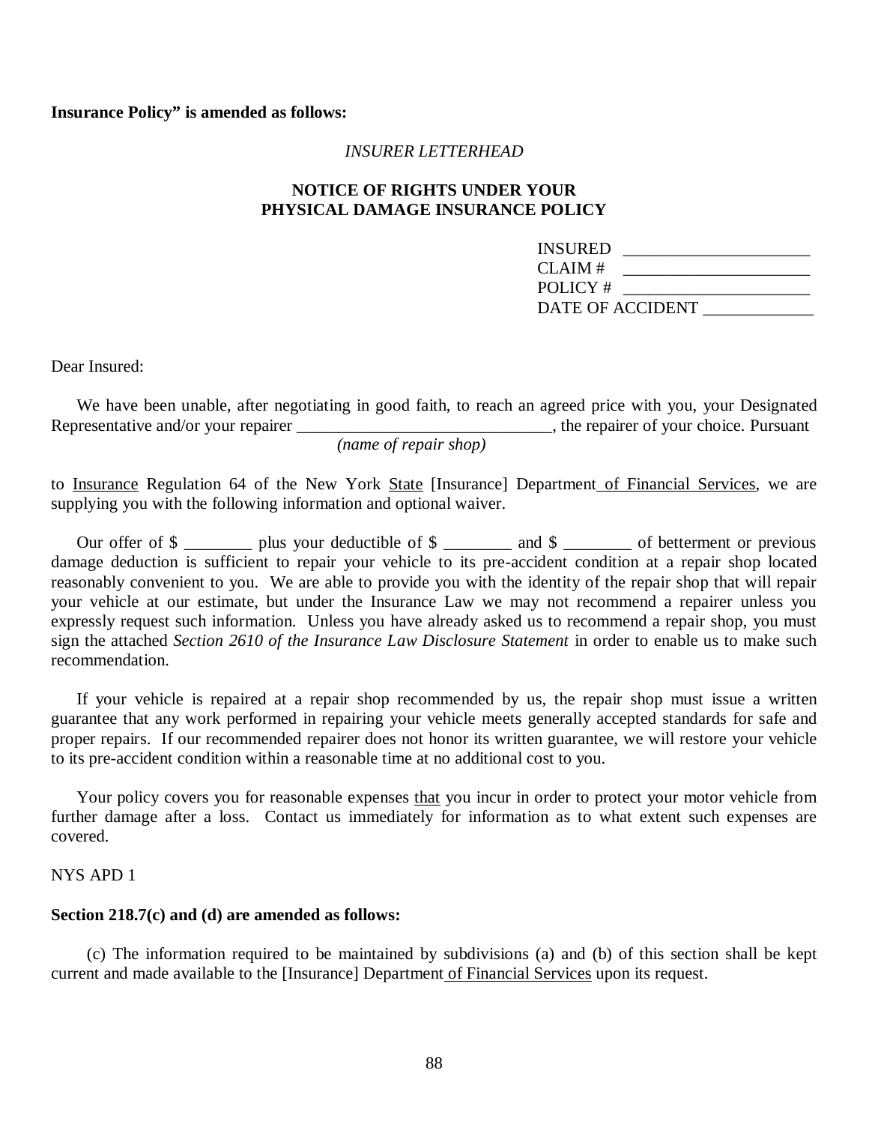#### *INSURER LETTERHEAD*

## **NOTICE OF RIGHTS UNDER YOUR PHYSICAL DAMAGE INSURANCE POLICY**

| INSURED          |  |  |
|------------------|--|--|
| CLAIM #          |  |  |
| POLICY #         |  |  |
| DATE OF ACCIDENT |  |  |

Dear Insured:

We have been unable, after negotiating in good faith, to reach an agreed price with you, your Designated Representative and/or your repairer \_\_\_\_\_\_\_\_\_\_\_\_\_\_\_\_\_\_\_\_\_\_\_\_\_\_\_\_\_\_\_\_, the repairer of your choice. Pursuant

*(name of repair shop)* 

to Insurance Regulation 64 of the New York State [Insurance] Department of Financial Services, we are supplying you with the following information and optional waiver.

 damage deduction is sufficient to repair your vehicle to its pre-accident condition at a repair shop located reasonably convenient to you. We are able to provide you with the identity of the repair shop that will repair your vehicle at our estimate, but under the Insurance Law we may not recommend a repairer unless you expressly request such information. Unless you have already asked us to recommend a repair shop, you must  sign the attached *Section 2610 of the Insurance Law Disclosure Statement* in order to enable us to make such Our offer of \$ recommendation.

 guarantee that any work performed in repairing your vehicle meets generally accepted standards for safe and proper repairs. If our recommended repairer does not honor its written guarantee, we will restore your vehicle to its pre-accident condition within a reasonable time at no additional cost to you. If your vehicle is repaired at a repair shop recommended by us, the repair shop must issue a written

 further damage after a loss. Contact us immediately for information as to what extent such expenses are covered. covered.<br>NYS APD 1 Your policy covers you for reasonable expenses that you incur in order to protect your motor vehicle from

#### **Section 218.7(c) and (d) are amended as follows:**

current and made available to the [Insurance] Department of Financial Services upon its request. (c) The information required to be maintained by subdivisions (a) and (b) of this section shall be kept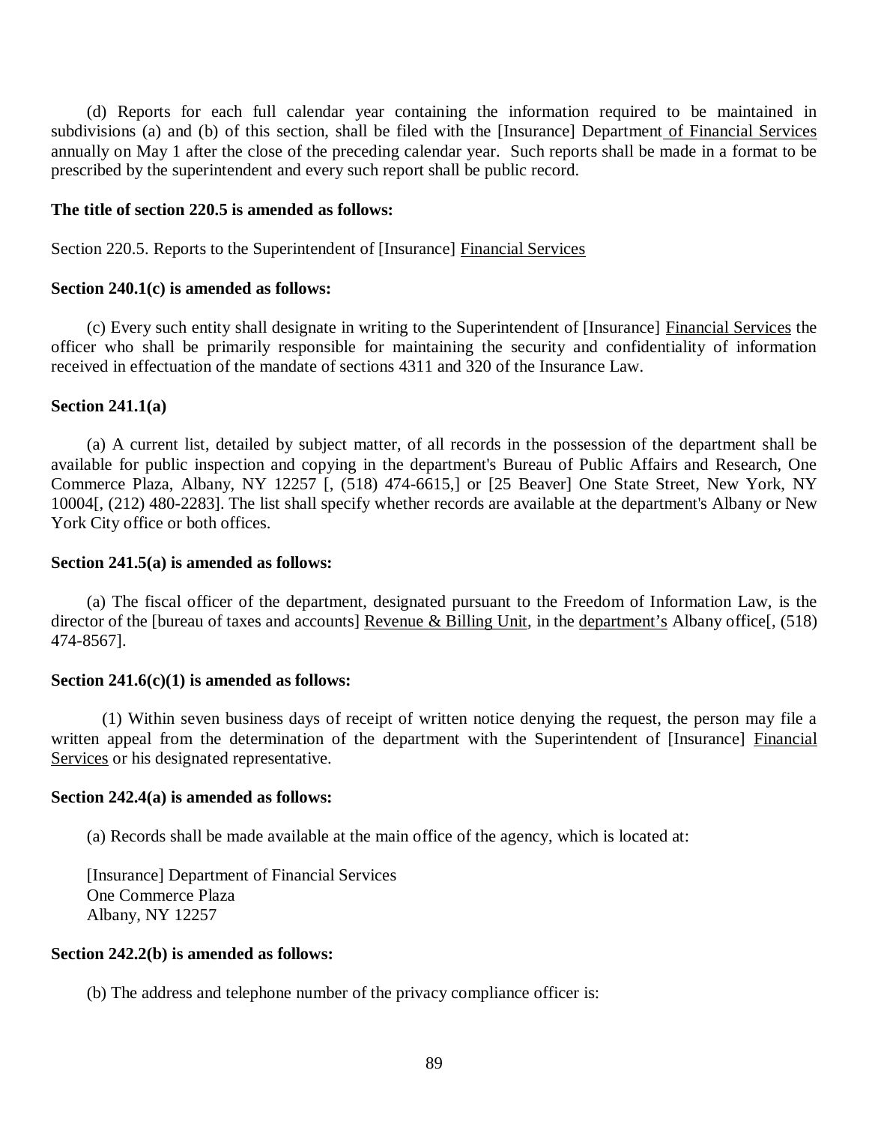subdivisions (a) and (b) of this section, shall be filed with the [Insurance] Department of Financial Services annually on May 1 after the close of the preceding calendar year. Such reports shall be made in a format to be prescribed by the superintendent and every such report shall be public record. (d) Reports for each full calendar year containing the information required to be maintained in

#### **The title of section 220.5 is amended as follows:**

Section 220.5. Reports to the Superintendent of [Insurance] Financial Services

## **Section 240.1(c) is amended as follows:**

 officer who shall be primarily responsible for maintaining the security and confidentiality of information received in effectuation of the mandate of sections 4311 and 320 of the Insurance Law. (c) Every such entity shall designate in writing to the Superintendent of [Insurance] Financial Services the

#### **Section 241.1(a)**

 available for public inspection and copying in the department's Bureau of Public Affairs and Research, One Commerce Plaza, Albany, NY 12257 [, (518) 474-6615,] or [25 Beaver] One State Street, New York, NY 10004[, (212) 480-2283]. The list shall specify whether records are available at the department's Albany or New York City office or both offices. (a) A current list, detailed by subject matter, of all records in the possession of the department shall be

#### **Section 241.5(a) is amended as follows:**

director of the [bureau of taxes and accounts] Revenue & Billing Unit, in the department's Albany office[, (518) (a) The fiscal officer of the department, designated pursuant to the Freedom of Information Law, is the 474-8567].

## **Section 241.6(c)(1) is amended as follows:**

written appeal from the determination of the department with the Superintendent of [Insurance] Financial Services or his designated representative. (1) Within seven business days of receipt of written notice denying the request, the person may file a

#### **Section 242.4(a) is amended as follows:**

(a) Records shall be made available at the main office of the agency, which is located at:

 [Insurance] Department of Financial Services Albany, NY 12257 One Commerce Plaza

#### **Section 242.2(b) is amended as follows:**

(b) The address and telephone number of the privacy compliance officer is: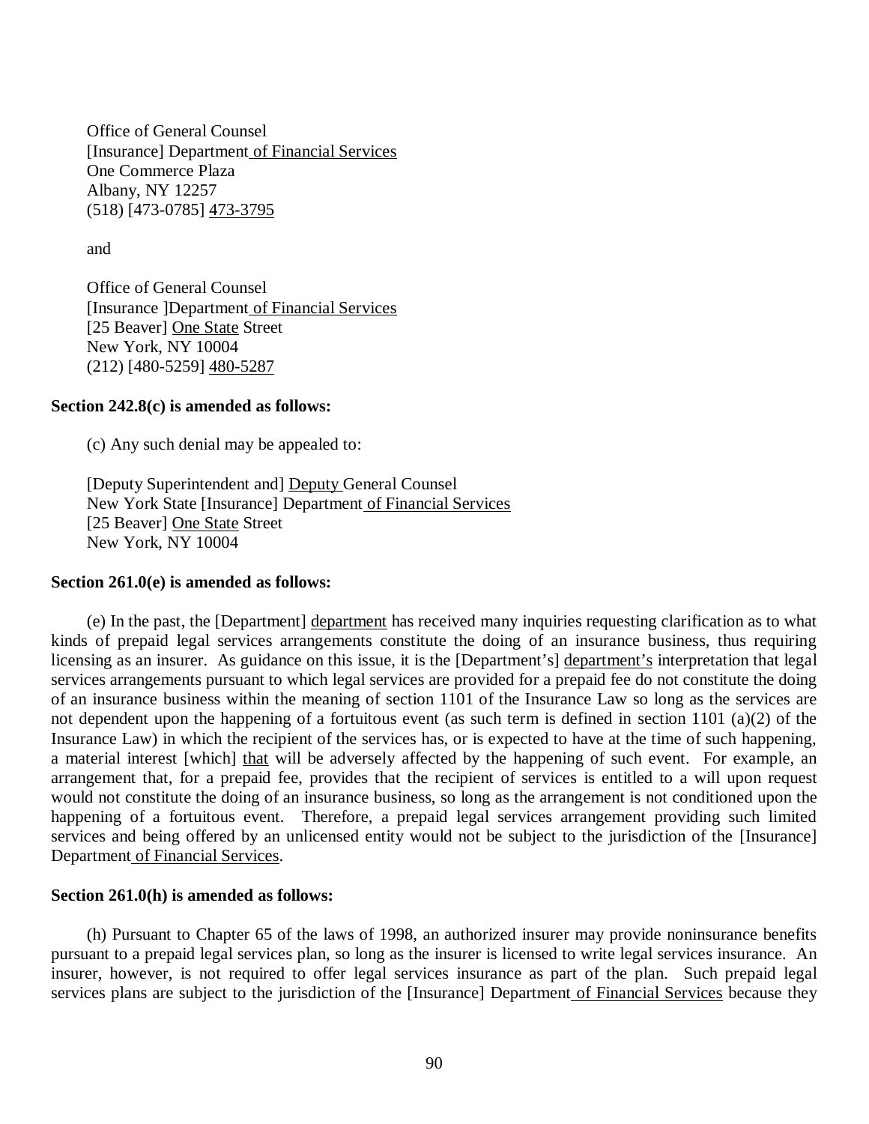[Insurance] Department of Financial Services Albany, NY 12257 Office of General Counsel One Commerce Plaza (518) [473-0785] 473-3795

and

 [Insurance ]Department of Financial Services [25 Beaver] One State Street New York, NY 10004 Office of General Counsel (212) [480-5259] 480-5287

#### **Section 242.8(c) is amended as follows:**

(c) Any such denial may be appealed to:

[Deputy Superintendent and] Deputy General Counsel New York State [Insurance] Department of Financial Services [25 Beaver] One State Street New York, NY 10004

#### **Section 261.0(e) is amended as follows:**

 kinds of prepaid legal services arrangements constitute the doing of an insurance business, thus requiring licensing as an insurer. As guidance on this issue, it is the [Department's] department's interpretation that legal services arrangements pursuant to which legal services are provided for a prepaid fee do not constitute the doing of an insurance business within the meaning of section 1101 of the Insurance Law so long as the services are not dependent upon the happening of a fortuitous event (as such term is defined in section 1101 (a)(2) of the Insurance Law) in which the recipient of the services has, or is expected to have at the time of such happening, a material interest [which] that will be adversely affected by the happening of such event. For example, an arrangement that, for a prepaid fee, provides that the recipient of services is entitled to a will upon request would not constitute the doing of an insurance business, so long as the arrangement is not conditioned upon the happening of a fortuitous event. Therefore, a prepaid legal services arrangement providing such limited services and being offered by an unlicensed entity would not be subject to the jurisdiction of the [Insurance] Department of Financial Services. (e) In the past, the [Department] department has received many inquiries requesting clarification as to what

#### **Section 261.0(h) is amended as follows:**

 pursuant to a prepaid legal services plan, so long as the insurer is licensed to write legal services insurance. An insurer, however, is not required to offer legal services insurance as part of the plan. Such prepaid legal services plans are subject to the jurisdiction of the [Insurance] Department of Financial Services because they (h) Pursuant to Chapter 65 of the laws of 1998, an authorized insurer may provide noninsurance benefits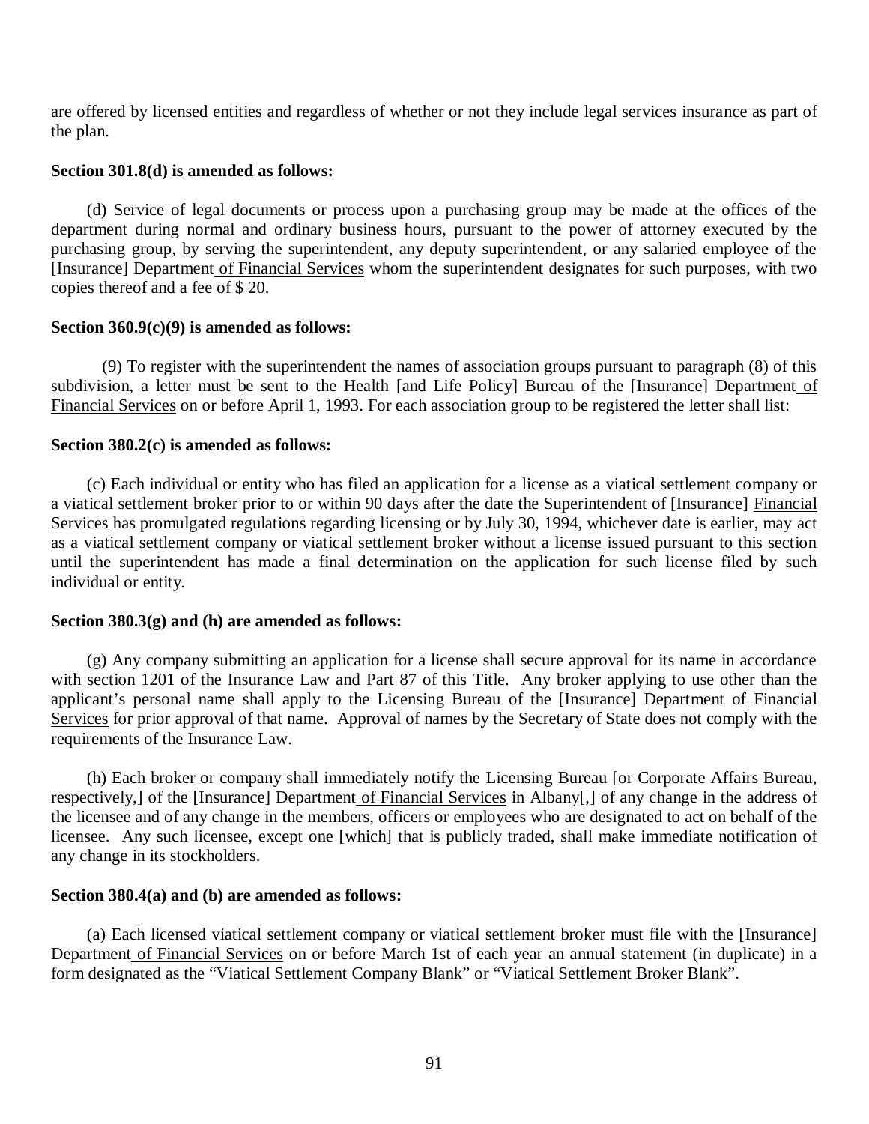are offered by licensed entities and regardless of whether or not they include legal services insurance as part of the plan.

## **Section 301.8(d) is amended as follows:**

 department during normal and ordinary business hours, pursuant to the power of attorney executed by the purchasing group, by serving the superintendent, any deputy superintendent, or any salaried employee of the [Insurance] Department of Financial Services whom the superintendent designates for such purposes, with two copies thereof and a fee of \$ 20. (d) Service of legal documents or process upon a purchasing group may be made at the offices of the

## **Section 360.9(c)(9) is amended as follows:**

subdivision, a letter must be sent to the Health [and Life Policy] Bureau of the [Insurance] Department of Financial Services on or before April 1, 1993. For each association group to be registered the letter shall list: (9) To register with the superintendent the names of association groups pursuant to paragraph (8) of this

## **Section 380.2(c) is amended as follows:**

a viatical settlement broker prior to or within 90 days after the date the Superintendent of [Insurance] Financial Services has promulgated regulations regarding licensing or by July 30, 1994, whichever date is earlier, may act as a viatical settlement company or viatical settlement broker without a license issued pursuant to this section until the superintendent has made a final determination on the application for such license filed by such individual or entity. (c) Each individual or entity who has filed an application for a license as a viatical settlement company or

#### **Section 380.3(g) and (h) are amended as follows:**

 with section 1201 of the Insurance Law and Part 87 of this Title. Any broker applying to use other than the applicant's personal name shall apply to the Licensing Bureau of the [Insurance] Department of Financial Services for prior approval of that name. Approval of names by the Secretary of State does not comply with the requirements of the Insurance Law. (g) Any company submitting an application for a license shall secure approval for its name in accordance

respectively,] of the [Insurance] Department of Financial Services in Albany[,] of any change in the address of the licensee and of any change in the members, officers or employees who are designated to act on behalf of the licensee. Any such licensee, except one [which] that is publicly traded, shall make immediate notification of any change in its stockholders. (h) Each broker or company shall immediately notify the Licensing Bureau [or Corporate Affairs Bureau,

#### **Section 380.4(a) and (b) are amended as follows:**

Department of Financial Services on or before March 1st of each year an annual statement (in duplicate) in a form designated as the "Viatical Settlement Company Blank" or "Viatical Settlement Broker Blank". (a) Each licensed viatical settlement company or viatical settlement broker must file with the [Insurance]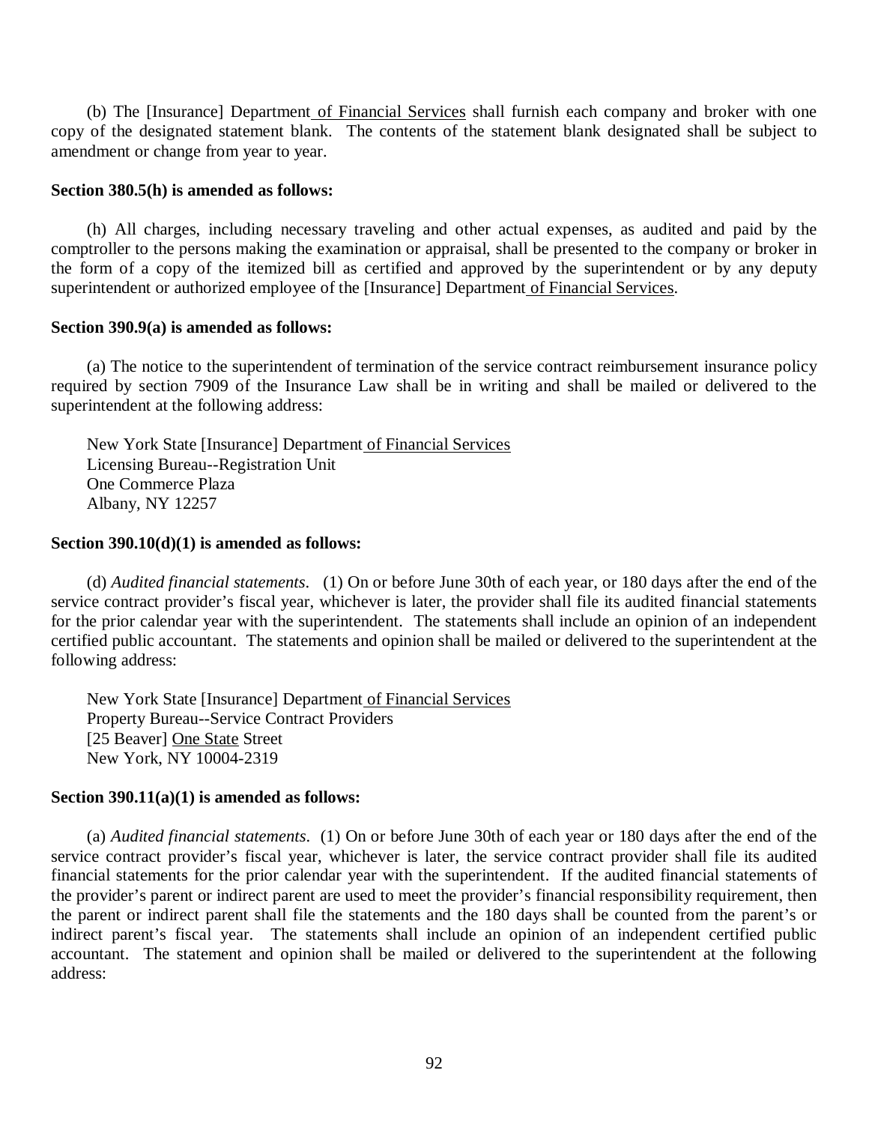copy of the designated statement blank. The contents of the statement blank designated shall be subject to amendment or change from year to year. (b) The [Insurance] Department of Financial Services shall furnish each company and broker with one

#### **Section 380.5(h) is amended as follows:**

 comptroller to the persons making the examination or appraisal, shall be presented to the company or broker in the form of a copy of the itemized bill as certified and approved by the superintendent or by any deputy superintendent or authorized employee of the [Insurance] Department of Financial Services. (h) All charges, including necessary traveling and other actual expenses, as audited and paid by the

#### **Section 390.9(a) is amended as follows:**

 required by section 7909 of the Insurance Law shall be in writing and shall be mailed or delivered to the superintendent at the following address: (a) The notice to the superintendent of termination of the service contract reimbursement insurance policy

New York State [Insurance] Department of Financial Services Licensing Bureau--Registration Unit One Commerce Plaza Albany, NY 12257

#### **Section 390.10(d)(1) is amended as follows:**

 (d) *Audited financial statements*. (1) On or before June 30th of each year, or 180 days after the end of the service contract provider's fiscal year, whichever is later, the provider shall file its audited financial statements for the prior calendar year with the superintendent. The statements shall include an opinion of an independent certified public accountant. The statements and opinion shall be mailed or delivered to the superintendent at the following address:

New York State [Insurance] Department of Financial Services Property Bureau--Service Contract Providers [25 Beaver] One State Street New York, NY 10004-2319

#### **Section 390.11(a)(1) is amended as follows:**

 (a) *Audited financial statements*. (1) On or before June 30th of each year or 180 days after the end of the service contract provider's fiscal year, whichever is later, the service contract provider shall file its audited financial statements for the prior calendar year with the superintendent. If the audited financial statements of the provider's parent or indirect parent are used to meet the provider's financial responsibility requirement, then the parent or indirect parent shall file the statements and the 180 days shall be counted from the parent's or indirect parent's fiscal year. The statements shall include an opinion of an independent certified public accountant. The statement and opinion shall be mailed or delivered to the superintendent at the following address: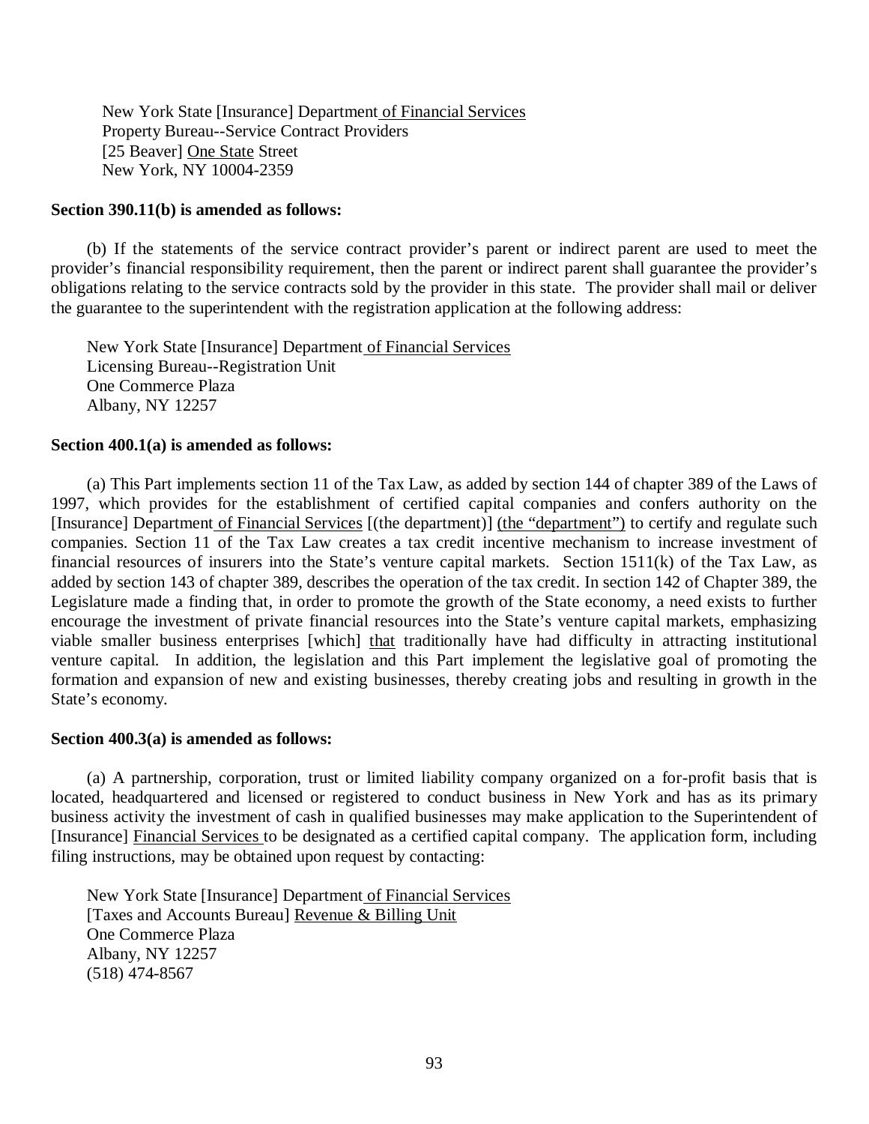New York State [Insurance] Department of Financial Services Property Bureau--Service Contract Providers [25 Beaver] One State Street New York, NY 10004-2359

#### **Section 390.11(b) is amended as follows:**

 provider's financial responsibility requirement, then the parent or indirect parent shall guarantee the provider's obligations relating to the service contracts sold by the provider in this state. The provider shall mail or deliver the guarantee to the superintendent with the registration application at the following address: (b) If the statements of the service contract provider's parent or indirect parent are used to meet the

New York State [Insurance] Department of Financial Services Licensing Bureau--Registration Unit One Commerce Plaza Albany, NY 12257

## **Section 400.1(a) is amended as follows:**

 1997, which provides for the establishment of certified capital companies and confers authority on the [Insurance] Department of Financial Services [(the department)] (the "department") to certify and regulate such companies. Section 11 of the Tax Law creates a tax credit incentive mechanism to increase investment of financial resources of insurers into the State's venture capital markets. Section 1511(k) of the Tax Law, as added by section 143 of chapter 389, describes the operation of the tax credit. In section 142 of Chapter 389, the Legislature made a finding that, in order to promote the growth of the State economy, a need exists to further encourage the investment of private financial resources into the State's venture capital markets, emphasizing viable smaller business enterprises [which] that traditionally have had difficulty in attracting institutional venture capital. In addition, the legislation and this Part implement the legislative goal of promoting the formation and expansion of new and existing businesses, thereby creating jobs and resulting in growth in the (a) This Part implements section 11 of the Tax Law, as added by section 144 of chapter 389 of the Laws of State's economy.

#### **Section 400.3(a) is amended as follows:**

 located, headquartered and licensed or registered to conduct business in New York and has as its primary business activity the investment of cash in qualified businesses may make application to the Superintendent of [Insurance] Financial Services to be designated as a certified capital company. The application form, including filing instructions, may be obtained upon request by contacting: (a) A partnership, corporation, trust or limited liability company organized on a for-profit basis that is

New York State [Insurance] Department of Financial Services Albany, NY 12257 [Taxes and Accounts Bureau] Revenue & Billing Unit One Commerce Plaza (518) 474-8567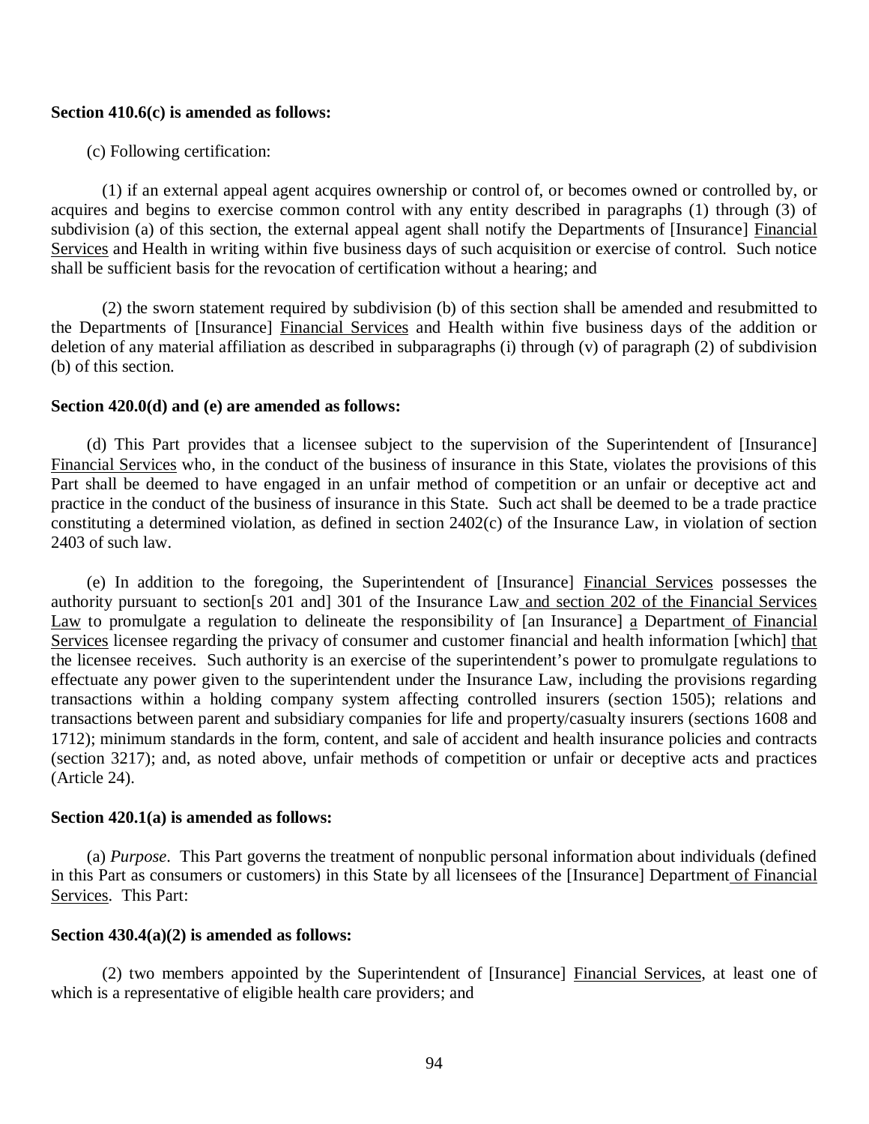#### **Section 410.6(c) is amended as follows:**

(c) Following certification:

 acquires and begins to exercise common control with any entity described in paragraphs (1) through (3) of subdivision (a) of this section, the external appeal agent shall notify the Departments of [Insurance] Financial Services and Health in writing within five business days of such acquisition or exercise of control. Such notice shall be sufficient basis for the revocation of certification without a hearing; and (1) if an external appeal agent acquires ownership or control of, or becomes owned or controlled by, or

the Departments of [Insurance] Financial Services and Health within five business days of the addition or deletion of any material affiliation as described in subparagraphs (i) through (v) of paragraph (2) of subdivision (b) of this section. (2) the sworn statement required by subdivision (b) of this section shall be amended and resubmitted to

#### **Section 420.0(d) and (e) are amended as follows:**

Financial Services who, in the conduct of the business of insurance in this State, violates the provisions of this Part shall be deemed to have engaged in an unfair method of competition or an unfair or deceptive act and practice in the conduct of the business of insurance in this State. Such act shall be deemed to be a trade practice constituting a determined violation, as defined in section 2402(c) of the Insurance Law, in violation of section 2403 of such law. (d) This Part provides that a licensee subject to the supervision of the Superintendent of [Insurance]

authority pursuant to section[s 201 and] 301 of the Insurance Law and section 202 of the Financial Services Law to promulgate a regulation to delineate the responsibility of [an Insurance] a Department of Financial Services licensee regarding the privacy of consumer and customer financial and health information [which] that the licensee receives. Such authority is an exercise of the superintendent's power to promulgate regulations to effectuate any power given to the superintendent under the Insurance Law, including the provisions regarding transactions within a holding company system affecting controlled insurers (section 1505); relations and transactions between parent and subsidiary companies for life and property/casualty insurers (sections 1608 and 1712); minimum standards in the form, content, and sale of accident and health insurance policies and contracts (section 3217); and, as noted above, unfair methods of competition or unfair or deceptive acts and practices (Article 24). (e) In addition to the foregoing, the Superintendent of [Insurance] Financial Services possesses the

## **Section 420.1(a) is amended as follows:**

in this Part as consumers or customers) in this State by all licensees of the [Insurance] Department of Financial Services. This Part: (a) *Purpose*. This Part governs the treatment of nonpublic personal information about individuals (defined

#### **Section 430.4(a)(2) is amended as follows:**

 which is a representative of eligible health care providers; and (2) two members appointed by the Superintendent of [Insurance] Financial Services, at least one of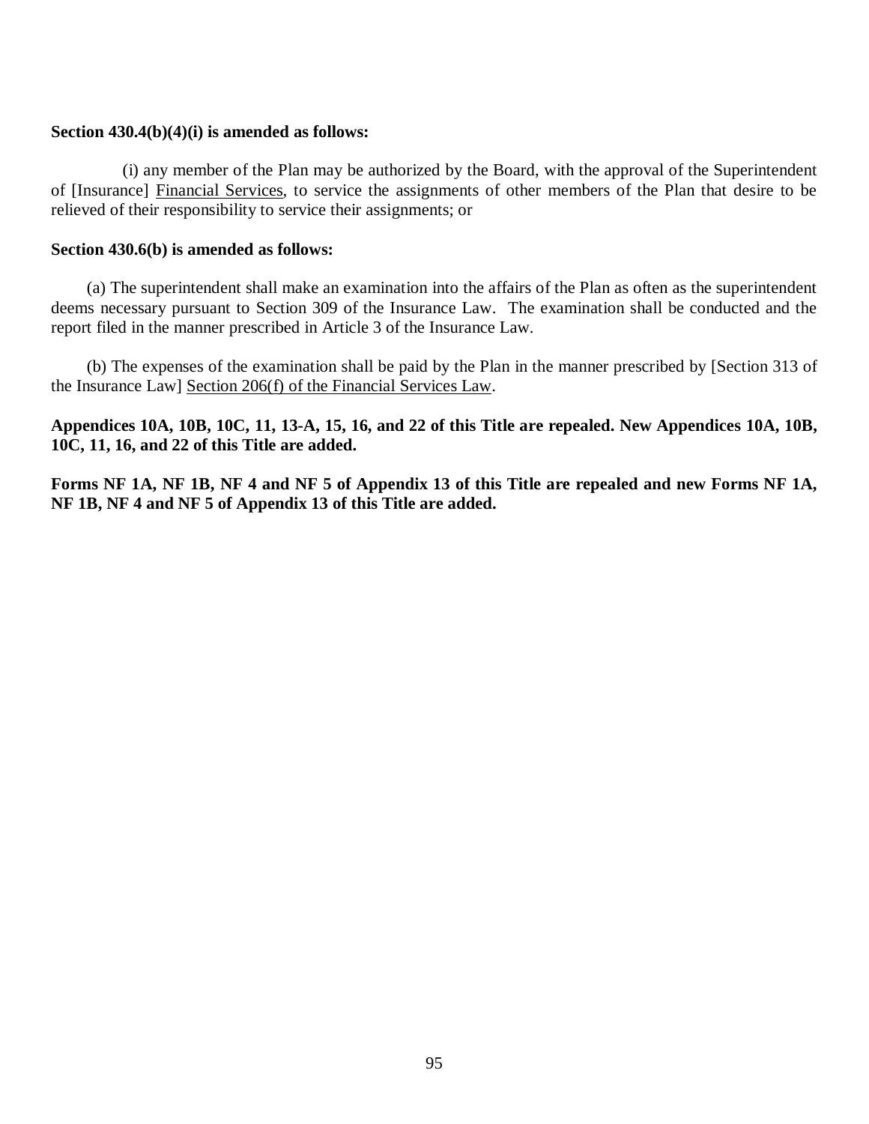## **Section 430.4(b)(4)(i) is amended as follows:**

of [Insurance] Financial Services, to service the assignments of other members of the Plan that desire to be relieved of their responsibility to service their assignments; or (i) any member of the Plan may be authorized by the Board, with the approval of the Superintendent

## **Section 430.6(b) is amended as follows:**

 deems necessary pursuant to Section 309 of the Insurance Law. The examination shall be conducted and the report filed in the manner prescribed in Article 3 of the Insurance Law. (a) The superintendent shall make an examination into the affairs of the Plan as often as the superintendent

 the Insurance Law] Section 206(f) of the Financial Services Law. (b) The expenses of the examination shall be paid by the Plan in the manner prescribed by [Section 313 of

 **Appendices 10A, 10B, 10C, 11, 13-A, 15, 16, and 22 of this Title are repealed. New Appendices 10A, 10B, 10C, 11, 16, and 22 of this Title are added.** 

 **Forms NF 1A, NF 1B, NF 4 and NF 5 of Appendix 13 of this Title are repealed and new Forms NF 1A, NF 1B, NF 4 and NF 5 of Appendix 13 of this Title are added.**